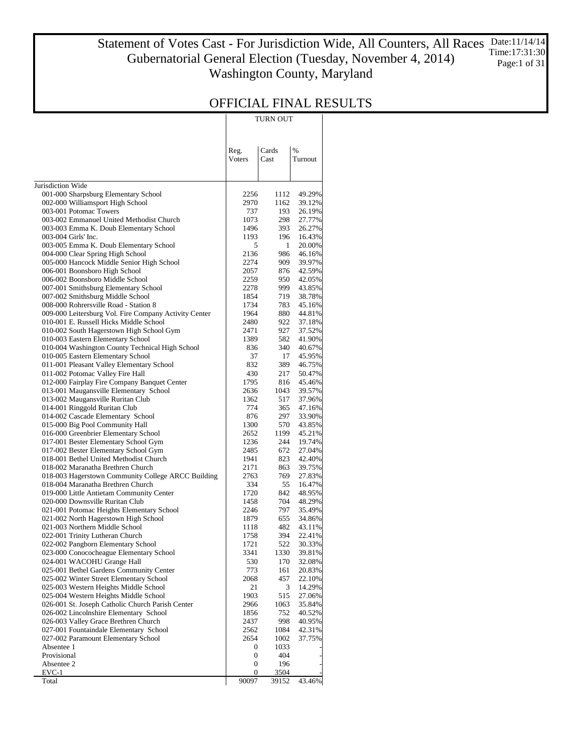### Statement of Votes Cast - For Jurisdiction Wide, All Counters, All Races Gubernatorial General Election (Tuesday, November 4, 2014) Washington County, Maryland Date:11/14/14 Time:17:31:30 Page:1 of 31

|                                                                                   | TURN OUT              |                     |                  |  |
|-----------------------------------------------------------------------------------|-----------------------|---------------------|------------------|--|
|                                                                                   |                       |                     |                  |  |
|                                                                                   |                       | Cards               | $\%$             |  |
|                                                                                   | Reg.<br>Voters        | Cast                | Turnout          |  |
|                                                                                   |                       |                     |                  |  |
| Jurisdiction Wide                                                                 |                       |                     |                  |  |
| 001-000 Sharpsburg Elementary School                                              | 2256                  | 1112                | 49.29%           |  |
| 002-000 Williamsport High School                                                  | 2970                  | 1162                | 39.12%           |  |
| 003-001 Potomac Towers                                                            | 737                   | 193                 | 26.19%           |  |
| 003-002 Emmanuel United Methodist Church                                          | 1073                  | 298                 | 27.77%           |  |
| 003-003 Emma K. Doub Elementary School                                            | 1496                  | 393                 | 26.27%           |  |
| 003-004 Girls' Inc.<br>003-005 Emma K. Doub Elementary School                     | 1193<br>5             | 196<br>$\mathbf{1}$ | 16.43%<br>20.00% |  |
| 004-000 Clear Spring High School                                                  | 2136                  | 986                 | 46.16%           |  |
| 005-000 Hancock Middle Senior High School                                         | 2274                  | 909                 | 39.97%           |  |
| 006-001 Boonsboro High School                                                     | 2057                  | 876                 | 42.59%           |  |
| 006-002 Boonsboro Middle School                                                   | 2259                  | 950                 | 42.05%           |  |
| 007-001 Smithsburg Elementary School                                              | 2278                  | 999                 | 43.85%           |  |
| 007-002 Smithsburg Middle School<br>008-000 Rohrersville Road - Station 8         | 1854                  | 719<br>783          | 38.78%<br>45.16% |  |
| 009-000 Leitersburg Vol. Fire Company Activity Center                             | 1734<br>1964          | 880                 | 44.81%           |  |
| 010-001 E. Russell Hicks Middle School                                            | 2480                  | 922                 | 37.18%           |  |
| 010-002 South Hagerstown High School Gym                                          | 2471                  | 927                 | 37.52%           |  |
| 010-003 Eastern Elementary School                                                 | 1389                  | 582                 | 41.90%           |  |
| 010-004 Washington County Technical High School                                   | 836                   | 340                 | 40.67%           |  |
| 010-005 Eastern Elementary School                                                 | 37                    | 17                  | 45.95%           |  |
| 011-001 Pleasant Valley Elementary School                                         | 832                   | 389                 | 46.75%           |  |
| 011-002 Potomac Valley Fire Hall<br>012-000 Fairplay Fire Company Banquet Center  | 430<br>1795           | 217<br>816          | 50.47%<br>45.46% |  |
| 013-001 Maugansville Elementary School                                            | 2636                  | 1043                | 39.57%           |  |
| 013-002 Maugansville Ruritan Club                                                 | 1362                  | 517                 | 37.96%           |  |
| 014-001 Ringgold Ruritan Club                                                     | 774                   | 365                 | 47.16%           |  |
| 014-002 Cascade Elementary School                                                 | 876                   | 297                 | 33.90%           |  |
| 015-000 Big Pool Community Hall                                                   | 1300                  | 570                 | 43.85%           |  |
| 016-000 Greenbrier Elementary School                                              | 2652                  | 1199                | 45.21%           |  |
| 017-001 Bester Elementary School Gym<br>017-002 Bester Elementary School Gym      | 1236<br>2485          | 244<br>672          | 19.74%<br>27.04% |  |
| 018-001 Bethel United Methodist Church                                            | 1941                  | 823                 | 42.40%           |  |
| 018-002 Maranatha Brethren Church                                                 | 2171                  | 863                 | 39.75%           |  |
| 018-003 Hagerstown Community College ARCC Building                                | 2763                  | 769                 | 27.83%           |  |
| 018-004 Maranatha Brethren Church                                                 | 334                   | 55                  | 16.47%           |  |
| 019-000 Little Antietam Community Center                                          | 1720                  | 842                 | 48.95%           |  |
| 020-000 Downsville Ruritan Club                                                   | 1458                  | 704                 | 48.29%           |  |
| 021-001 Potomac Heights Elementary School<br>021-002 North Hagerstown High School | 2246<br>1879          | 797<br>655          | 35.49%<br>34.86% |  |
| 021-003 Northern Middle School                                                    | 1118                  | 482                 | 43.11%           |  |
| 022-001 Trinity Lutheran Church                                                   | 1758                  | 394                 | 22.41%           |  |
| 022-002 Pangborn Elementary School                                                | 1721                  | 522                 | 30.33%           |  |
| 023-000 Conococheague Elementary School                                           | 3341                  | 1330                | 39.81%           |  |
| 024-001 WACOHU Grange Hall                                                        | 530                   | 170                 | 32.08%           |  |
| 025-001 Bethel Gardens Community Center                                           | 773                   | 161                 | 20.83%           |  |
| 025-002 Winter Street Elementary School<br>025-003 Western Heights Middle School  | 2068<br>21            | 457<br>3            | 22.10%<br>14.29% |  |
| 025-004 Western Heights Middle School                                             | 1903                  | 515                 | 27.06%           |  |
| 026-001 St. Joseph Catholic Church Parish Center                                  | 2966                  | 1063                | 35.84%           |  |
| 026-002 Lincolnshire Elementary School                                            | 1856                  | 752                 | 40.52%           |  |
| 026-003 Valley Grace Brethren Church                                              | 2437                  | 998                 | 40.95%           |  |
| 027-001 Fountaindale Elementary School                                            | 2562                  | 1084                | 42.31%           |  |
| 027-002 Paramount Elementary School                                               | 2654                  | 1002                | 37.75%           |  |
| Absentee 1<br>Provisional                                                         | 0<br>$\boldsymbol{0}$ | 1033<br>404         |                  |  |
| Absentee 2                                                                        | $\boldsymbol{0}$      | 196                 |                  |  |
| $EVC-1$                                                                           | 0                     | 3504                |                  |  |
| Total                                                                             | 90097                 | 39152               | 43.46%           |  |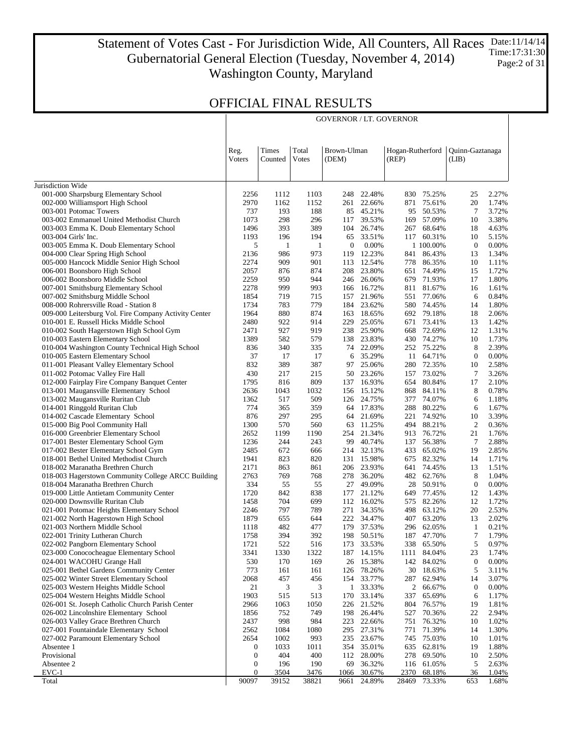### Statement of Votes Cast - For Jurisdiction Wide, All Counters, All Races Gubernatorial General Election (Tuesday, November 4, 2014) Washington County, Maryland Date:11/14/14 Time:17:31:30 Page:2 of 31

Τ

## OFFICIAL FINAL RESULTS

|                                                                                |                |                     |                     |                      |                          | <b>GOVERNOR / LT. GOVERNOR</b> |                          |                          |                |
|--------------------------------------------------------------------------------|----------------|---------------------|---------------------|----------------------|--------------------------|--------------------------------|--------------------------|--------------------------|----------------|
|                                                                                | Reg.<br>Voters | Times<br>Counted    | Total<br>Votes      | Brown-Ulman<br>(DEM) |                          | Hogan-Rutherford<br>(REP)      |                          | Quinn-Gaztanaga<br>(LIB) |                |
|                                                                                |                |                     |                     |                      |                          |                                |                          |                          |                |
| Jurisdiction Wide                                                              |                |                     |                     |                      |                          |                                |                          |                          |                |
| 001-000 Sharpsburg Elementary School                                           | 2256           | 1112                | 1103                |                      | 248 22.48%               |                                | 830 75.25%               | 25                       | 2.27%          |
| 002-000 Williamsport High School                                               | 2970           | 1162                | 1152                |                      | 261 22.66%               | 871                            | 75.61%                   | 20                       | 1.74%          |
| 003-001 Potomac Towers                                                         | 737            | 193                 | 188                 |                      | 85 45.21%                | 95                             | 50.53%                   | 7                        | 3.72%          |
| 003-002 Emmanuel United Methodist Church                                       | 1073           | 298                 | 296                 |                      | 117 39.53%               | 169                            | 57.09%                   | 10                       | 3.38%          |
| 003-003 Emma K. Doub Elementary School                                         | 1496           | 393                 | 389                 |                      | 104 26.74%               |                                | 267 68.64%               | 18                       | 4.63%          |
| 003-004 Girls' Inc.                                                            | 1193           | 196                 | 194                 | 65                   | 33.51%                   |                                | 117 60.31%               | 10                       | 5.15%          |
| 003-005 Emma K. Doub Elementary School                                         | 5<br>2136      | $\mathbf{1}$<br>986 | $\mathbf{1}$<br>973 | $\boldsymbol{0}$     | 0.00%<br>119 12.23%      |                                | 1 100.00%<br>86.43%      | $\overline{0}$<br>13     | 0.00%          |
| 004-000 Clear Spring High School<br>005-000 Hancock Middle Senior High School  | 2274           | 909                 | 901                 |                      | 113 12.54%               | 841                            | 778 86.35%               | 10                       | 1.34%<br>1.11% |
| 006-001 Boonsboro High School                                                  | 2057           | 876                 | 874                 |                      | 208 23.80%               | 651                            | 74.49%                   | 15                       | 1.72%          |
| 006-002 Boonsboro Middle School                                                | 2259           | 950                 | 944                 |                      | 246 26.06%               |                                | 679 71.93%               | 17                       | 1.80%          |
| 007-001 Smithsburg Elementary School                                           | 2278           | 999                 | 993                 |                      | 166 16.72%               | 811                            | 81.67%                   | 16                       | 1.61%          |
| 007-002 Smithsburg Middle School                                               | 1854           | 719                 | 715                 |                      | 157 21.96%               |                                | 551 77.06%               | 6                        | 0.84%          |
| 008-000 Rohrersville Road - Station 8                                          | 1734           | 783                 | 779                 |                      | 184 23.62%               |                                | 580 74.45%               | 14                       | 1.80%          |
| 009-000 Leitersburg Vol. Fire Company Activity Center                          | 1964           | 880                 | 874                 |                      | 163 18.65%               |                                | 692 79.18%               | 18                       | 2.06%          |
| 010-001 E. Russell Hicks Middle School                                         | 2480           | 922                 | 914                 | 229                  | 25.05%                   | 671                            | 73.41%                   | 13                       | 1.42%          |
| 010-002 South Hagerstown High School Gym                                       | 2471           | 927                 | 919                 |                      | 238 25.90%               |                                | 668 72.69%               | 12                       | 1.31%          |
| 010-003 Eastern Elementary School                                              | 1389           | 582                 | 579                 | 138                  | 23.83%                   |                                | 430 74.27%               | 10                       | 1.73%          |
| 010-004 Washington County Technical High School                                | 836<br>37      | 340<br>17           | 335<br>17           |                      | 74 22.09%<br>35.29%      |                                | 252 75.22%<br>11 64.71%  | 8<br>$\theta$            | 2.39%<br>0.00% |
| 010-005 Eastern Elementary School<br>011-001 Pleasant Valley Elementary School | 832            | 389                 | 387                 | 6                    | 97 25.06%                |                                | 280 72.35%               | 10                       | 2.58%          |
| 011-002 Potomac Valley Fire Hall                                               | 430            | 217                 | 215                 |                      | 50 23.26%                |                                | 157 73.02%               | 7                        | 3.26%          |
| 012-000 Fairplay Fire Company Banquet Center                                   | 1795           | 816                 | 809                 |                      | 137 16.93%               |                                | 654 80.84%               | 17                       | 2.10%          |
| 013-001 Maugansville Elementary School                                         | 2636           | 1043                | 1032                |                      | 156 15.12%               |                                | 868 84.11%               | 8                        | 0.78%          |
| 013-002 Maugansville Ruritan Club                                              | 1362           | 517                 | 509                 |                      | 126 24.75%               |                                | 377 74.07%               | 6                        | 1.18%          |
| 014-001 Ringgold Ruritan Club                                                  | 774            | 365                 | 359                 |                      | 64 17.83%                |                                | 288 80.22%               | 6                        | 1.67%          |
| 014-002 Cascade Elementary School                                              | 876            | 297                 | 295                 |                      | 64 21.69%                |                                | 221 74.92%               | 10                       | 3.39%          |
| 015-000 Big Pool Community Hall                                                | 1300           | 570                 | 560                 | 63                   | 11.25%                   |                                | 494 88.21%               | 2                        | 0.36%          |
| 016-000 Greenbrier Elementary School                                           | 2652           | 1199                | 1190                | 254                  | 21.34%                   |                                | 913 76.72%               | 21                       | 1.76%          |
| 017-001 Bester Elementary School Gym                                           | 1236           | 244                 | 243                 | 99                   | 40.74%                   | 137                            | 56.38%                   | $\overline{7}$           | 2.88%          |
| 017-002 Bester Elementary School Gym                                           | 2485           | 672                 | 666                 |                      | 214 32.13%               |                                | 433 65.02%               | 19                       | 2.85%          |
| 018-001 Bethel United Methodist Church<br>018-002 Maranatha Brethren Church    | 1941<br>2171   | 823<br>863          | 820<br>861          |                      | 131 15.98%<br>206 23.93% |                                | 675 82.32%<br>641 74.45% | 14<br>13                 | 1.71%<br>1.51% |
| 018-003 Hagerstown Community College ARCC Building                             | 2763           | 769                 | 768                 | 278                  | 36.20%                   |                                | 482 62.76%               | 8                        | 1.04%          |
| 018-004 Maranatha Brethren Church                                              | 334            | 55                  | 55                  |                      | 27 49.09%                | 28                             | 50.91%                   | $\overline{0}$           | 0.00%          |
| 019-000 Little Antietam Community Center                                       | 1720           | 842                 | 838                 |                      | 177 21.12%               |                                | 649 77.45%               | 12                       | 1.43%          |
| 020-000 Downsville Ruritan Club                                                | 1458           | 704                 | 699                 |                      | 112 16.02%               |                                | 575 82.26%               | 12                       | 1.72%          |
| 021-001 Potomac Heights Elementary School                                      | 2246           | 797                 | 789                 |                      | 271 34.35%               |                                | 498 63.12%               | 20                       | 2.53%          |
| 021-002 North Hagerstown High School                                           | 1879           | 655                 | 644                 |                      | 222 34.47%               |                                | 407 63.20%               | 13                       | 2.02%          |
| 021-003 Northern Middle School                                                 | 1118           | 482                 | 477                 |                      | 179 37.53%               |                                | 296 62.05%               | 1                        | 0.21%          |
| 022-001 Trinity Lutheran Church                                                | 1758           | 394                 | 392                 |                      | 198 50.51%               |                                | 187 47.70%               | 7                        | 1.79%          |
| 022-002 Pangborn Elementary School                                             | 1721           | 522                 | 516                 | 173                  | 33.53%                   | 338                            | 65.50%                   | 5                        | 0.97%          |
| 023-000 Conococheague Elementary School                                        | 3341           | 1330                | 1322                | 187<br>26            | 14.15%<br>15.38%         | 1111                           | 84.04%                   | 23<br>$\mathbf{0}$       | 1.74%          |
| 024-001 WACOHU Grange Hall<br>025-001 Bethel Gardens Community Center          | 530<br>773     | 170<br>161          | 169<br>161          | 126                  | 78.26%                   | 142                            | 84.02%<br>30 18.63%      | 5                        | 0.00%<br>3.11% |
| 025-002 Winter Street Elementary School                                        | 2068           | 457                 | 456                 | 154                  | 33.77%                   | 287                            | 62.94%                   | 14                       | 3.07%          |
| 025-003 Western Heights Middle School                                          | 21             | 3                   | 3                   | $\mathbf{1}$         | 33.33%                   | $\overline{2}$                 | 66.67%                   | $\boldsymbol{0}$         | 0.00%          |
| 025-004 Western Heights Middle School                                          | 1903           | 515                 | 513                 | 170                  | 33.14%                   | 337                            | 65.69%                   | 6                        | 1.17%          |
| 026-001 St. Joseph Catholic Church Parish Center                               | 2966           | 1063                | 1050                | 226                  | 21.52%                   |                                | 804 76.57%               | 19                       | 1.81%          |
| 026-002 Lincolnshire Elementary School                                         | 1856           | 752                 | 749                 | 198                  | 26.44%                   | 527                            | 70.36%                   | 22                       | 2.94%          |
| 026-003 Valley Grace Brethren Church                                           | 2437           | 998                 | 984                 | 223                  | 22.66%                   | 751                            | 76.32%                   | 10                       | 1.02%          |
| 027-001 Fountaindale Elementary School                                         | 2562           | 1084                | 1080                | 295                  | 27.31%                   | 771                            | 71.39%                   | 14                       | 1.30%          |
| 027-002 Paramount Elementary School                                            | 2654           | 1002                | 993                 |                      | 235 23.67%               |                                | 745 75.03%               | 10                       | 1.01%          |
| Absentee 1                                                                     | 0              | 1033                | 1011                | 354                  | 35.01%                   | 635                            | 62.81%                   | 19                       | 1.88%          |
| Provisional                                                                    | 0<br>0         | 404                 | 400                 | 69                   | 112 28.00%               |                                | 278 69.50%               | 10                       | 2.50%          |
| Absentee 2<br>EVC-1                                                            | 0              | 196<br>3504         | 190<br>3476         | 1066                 | 36.32%<br>30.67%         | 2370                           | 116 61.05%<br>68.18%     | 5<br>36                  | 2.63%<br>1.04% |
| Total                                                                          | 90097          | 39152               | 38821               | 9661                 | 24.89%                   | 28469                          | 73.33%                   | 653                      | 1.68%          |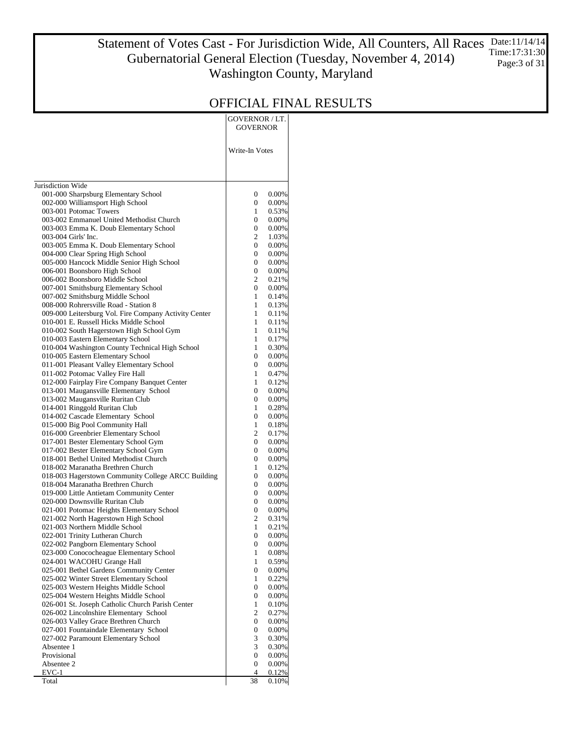### Statement of Votes Cast - For Jurisdiction Wide, All Counters, All Races Gubernatorial General Election (Tuesday, November 4, 2014) Washington County, Maryland Date:11/14/14 Time:17:31:30 Page:3 of 31

## OFFICIAL FINAL RESULTS

GOVERNOR / LT.

|                                                                                         | GOVERNOR                         |                      |  |  |
|-----------------------------------------------------------------------------------------|----------------------------------|----------------------|--|--|
|                                                                                         | Write-In Votes                   |                      |  |  |
| Jurisdiction Wide                                                                       |                                  |                      |  |  |
| 001-000 Sharpsburg Elementary School                                                    | $\mathbf{0}$                     | 0.00%                |  |  |
| 002-000 Williamsport High School                                                        | 0                                | 0.00%                |  |  |
| 003-001 Potomac Towers                                                                  | 1                                | 0.53%                |  |  |
| 003-002 Emmanuel United Methodist Church                                                | 0                                | 0.00%                |  |  |
| 003-003 Emma K. Doub Elementary School                                                  | 0                                | $0.00\%$             |  |  |
| 003-004 Girls' Inc.                                                                     | 2                                | 1.03%                |  |  |
| 003-005 Emma K. Doub Elementary School                                                  | 0                                | 0.00%                |  |  |
| 004-000 Clear Spring High School                                                        | 0                                | 0.00%                |  |  |
| 005-000 Hancock Middle Senior High School<br>006-001 Boonsboro High School              | 0<br>0                           | $0.00\%$<br>$0.00\%$ |  |  |
| 006-002 Boonsboro Middle School                                                         | 2                                | 0.21%                |  |  |
| 007-001 Smithsburg Elementary School                                                    | 0                                | 0.00%                |  |  |
| 007-002 Smithsburg Middle School                                                        | 1                                | 0.14%                |  |  |
| 008-000 Rohrersville Road - Station 8                                                   | 1                                | 0.13%                |  |  |
| 009-000 Leitersburg Vol. Fire Company Activity Center                                   | 1                                | 0.11%                |  |  |
| 010-001 E. Russell Hicks Middle School                                                  | 1                                | 0.11%                |  |  |
| 010-002 South Hagerstown High School Gym                                                | 1                                | 0.11%                |  |  |
| 010-003 Eastern Elementary School                                                       | 1                                | 0.17%                |  |  |
| 010-004 Washington County Technical High School                                         | 1                                | 0.30%                |  |  |
| 010-005 Eastern Elementary School                                                       | 0                                | $0.00\%$             |  |  |
| 011-001 Pleasant Valley Elementary School                                               | $\mathbf{0}$<br>1                | $0.00\%$<br>0.47%    |  |  |
| 011-002 Potomac Valley Fire Hall<br>012-000 Fairplay Fire Company Banquet Center        | 1                                | 0.12%                |  |  |
| 013-001 Maugansville Elementary School                                                  | 0                                | 0.00%                |  |  |
| 013-002 Maugansville Ruritan Club                                                       | 0                                | $0.00\%$             |  |  |
| 014-001 Ringgold Ruritan Club                                                           | 1                                | 0.28%                |  |  |
| 014-002 Cascade Elementary School                                                       | $\overline{0}$                   | $0.00\%$             |  |  |
| 015-000 Big Pool Community Hall                                                         | 1                                | 0.18%                |  |  |
| 016-000 Greenbrier Elementary School                                                    | 2                                | 0.17%                |  |  |
| 017-001 Bester Elementary School Gym                                                    | 0                                | 0.00%                |  |  |
| 017-002 Bester Elementary School Gym                                                    | 0                                | $0.00\%$             |  |  |
| 018-001 Bethel United Methodist Church                                                  | 0                                | 0.00%                |  |  |
| 018-002 Maranatha Brethren Church                                                       | 1<br>0                           | 0.12%<br>0.00%       |  |  |
| 018-003 Hagerstown Community College ARCC Building<br>018-004 Maranatha Brethren Church | 0                                | $0.00\%$             |  |  |
| 019-000 Little Antietam Community Center                                                | 0                                | 0.00%                |  |  |
| 020-000 Downsville Ruritan Club                                                         | 0                                | $0.00\%$             |  |  |
| 021-001 Potomac Heights Elementary School                                               | 0                                | $0.00\%$             |  |  |
| 021-002 North Hagerstown High School                                                    | 2                                | 0.31%                |  |  |
| 021-003 Northern Middle School                                                          | 1                                | 0.21%                |  |  |
| 022-001 Trinity Lutheran Church                                                         | 0                                | 0.00%                |  |  |
| 022-002 Pangborn Elementary School                                                      | 0                                | 0.00%                |  |  |
| 023-000 Conococheague Elementary School                                                 | 1                                | $0.08\%$             |  |  |
| 024-001 WACOHU Grange Hall                                                              | 1                                | 0.59%                |  |  |
| 025-001 Bethel Gardens Community Center<br>025-002 Winter Street Elementary School      | $\boldsymbol{0}$<br>$\mathbf{1}$ | $0.00\%$             |  |  |
| 025-003 Western Heights Middle School                                                   | $\boldsymbol{0}$                 | 0.22%<br>0.00%       |  |  |
| 025-004 Western Heights Middle School                                                   | 0                                | $0.00\%$             |  |  |
| 026-001 St. Joseph Catholic Church Parish Center                                        | 1                                | $0.10\%$             |  |  |
| 026-002 Lincolnshire Elementary School                                                  | $\overline{c}$                   | 0.27%                |  |  |
| 026-003 Valley Grace Brethren Church                                                    | 0                                | $0.00\%$             |  |  |
| 027-001 Fountaindale Elementary School                                                  | 0                                | 0.00%                |  |  |
| 027-002 Paramount Elementary School                                                     | 3                                | 0.30%                |  |  |
| Absentee 1                                                                              | 3                                | 0.30%                |  |  |
| Provisional                                                                             | $\boldsymbol{0}$                 | 0.00%                |  |  |
| Absentee 2                                                                              | $\boldsymbol{0}$                 | 0.00%                |  |  |
| EVC-1                                                                                   | 4                                | 0.12%                |  |  |
| Total                                                                                   | 38                               | 0.10%                |  |  |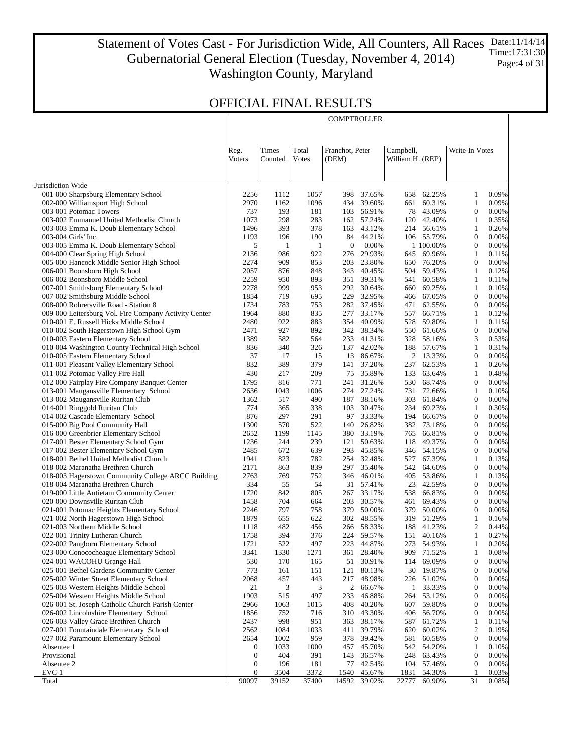### Statement of Votes Cast - For Jurisdiction Wide, All Counters, All Races Date:11/14/14 Gubernatorial General Election (Tuesday, November 4, 2014) Washington County, Maryland Time:17:31:30 Page:4 of 31

**COMPTROLLER** 

|                                                                               | Reg.<br><b>V</b> oters | Times<br>Counted | Total<br><b>Votes</b> | Franchot, Peter<br>(DEM) |                          | Campbell,<br>William H. (REP) |                          | Write-In Votes        |                |
|-------------------------------------------------------------------------------|------------------------|------------------|-----------------------|--------------------------|--------------------------|-------------------------------|--------------------------|-----------------------|----------------|
| Jurisdiction Wide                                                             |                        |                  |                       |                          |                          |                               |                          |                       |                |
| 001-000 Sharpsburg Elementary School                                          | 2256                   | 1112             | 1057                  |                          | 398 37.65%               |                               | 658 62.25%               | 1                     | 0.09%          |
| 002-000 Williamsport High School                                              | 2970                   | 1162             | 1096                  |                          | 434 39.60%               | 661                           | 60.31%                   | $\mathbf{1}$          | 0.09%          |
| 003-001 Potomac Towers                                                        | 737                    | 193              | 181                   |                          | 103 56.91%               | 78                            | 43.09%                   | $\boldsymbol{0}$      | 0.00%          |
| 003-002 Emmanuel United Methodist Church                                      | 1073                   | 298              | 283                   |                          | 162 57.24%               | 120                           | 42.40%                   | 1                     | 0.35%          |
| 003-003 Emma K. Doub Elementary School                                        | 1496                   | 393              | 378                   |                          | 163 43.12%               |                               | 214 56.61%               | 1                     | 0.26%          |
| 003-004 Girls' Inc.                                                           | 1193                   | 196              | 190                   |                          | 84 44.21%                |                               | 106 55.79%               | $\mathbf{0}$          | 0.00%          |
| 003-005 Emma K. Doub Elementary School                                        | 5                      | 1                | $\mathbf{1}$          | $\boldsymbol{0}$         | $0.00\%$                 |                               | 1 100.00%                | $\boldsymbol{0}$      | 0.00%          |
| 004-000 Clear Spring High School                                              | 2136                   | 986              | 922                   |                          | 276 29.93%               |                               | 645 69.96%               | 1                     | 0.11%          |
| 005-000 Hancock Middle Senior High School                                     | 2274                   | 909              | 853                   |                          | 203 23.80%               |                               | 650 76.20%               | $\boldsymbol{0}$      | 0.00%          |
| 006-001 Boonsboro High School                                                 | 2057                   | 876              | 848                   |                          | 343 40.45%               |                               | 504 59.43%               | 1                     | 0.12%          |
| 006-002 Boonsboro Middle School                                               | 2259                   | 950              | 893                   |                          | 351 39.31%               |                               | 541 60.58%               | 1                     | 0.11%          |
| 007-001 Smithsburg Elementary School                                          | 2278                   | 999              | 953                   |                          | 292 30.64%               | 660                           | 69.25%                   | 1                     | 0.10%          |
| 007-002 Smithsburg Middle School                                              | 1854                   | 719              | 695                   |                          | 229 32.95%               |                               | 466 67.05%               | $\boldsymbol{0}$      | 0.00%          |
| 008-000 Rohrersville Road - Station 8                                         | 1734                   | 783              | 753                   |                          | 282 37.45%               | 471                           | 62.55%                   | $\boldsymbol{0}$      | 0.00%          |
| 009-000 Leitersburg Vol. Fire Company Activity Center                         | 1964                   | 880              | 835                   |                          | 277 33.17%               | 557                           | 66.71%                   | 1                     | 0.12%          |
| 010-001 E. Russell Hicks Middle School                                        | 2480                   | 922              | 883                   |                          | 354 40.09%               |                               | 528 59.80%               | 1                     | 0.11%          |
| 010-002 South Hagerstown High School Gym<br>010-003 Eastern Elementary School | 2471<br>1389           | 927<br>582       | 892<br>564            |                          | 342 38.34%<br>233 41.31% |                               | 550 61.66%               | $\boldsymbol{0}$<br>3 | 0.00%<br>0.53% |
| 010-004 Washington County Technical High School                               | 836                    | 340              | 326                   |                          | 137 42.02%               |                               | 328 58.16%<br>188 57.67% | 1                     | 0.31%          |
| 010-005 Eastern Elementary School                                             | 37                     | 17               | 15                    |                          | 13 86.67%                |                               | 2 13.33%                 | $\boldsymbol{0}$      | 0.00%          |
| 011-001 Pleasant Valley Elementary School                                     | 832                    | 389              | 379                   | 141                      | 37.20%                   | 237                           | 62.53%                   | 1                     | 0.26%          |
| 011-002 Potomac Valley Fire Hall                                              | 430                    | 217              | 209                   |                          | 75 35.89%                |                               | 133 63.64%               | 1                     | 0.48%          |
| 012-000 Fairplay Fire Company Banquet Center                                  | 1795                   | 816              | 771                   |                          | 241 31.26%               |                               | 530 68.74%               | $\boldsymbol{0}$      | 0.00%          |
| 013-001 Maugansville Elementary School                                        | 2636                   | 1043             | 1006                  |                          | 274 27.24%               |                               | 731 72.66%               | 1                     | 0.10%          |
| 013-002 Maugansville Ruritan Club                                             | 1362                   | 517              | 490                   |                          | 187 38.16%               |                               | 303 61.84%               | $\boldsymbol{0}$      | 0.00%          |
| 014-001 Ringgold Ruritan Club                                                 | 774                    | 365              | 338                   | 103                      | 30.47%                   |                               | 234 69.23%               | 1                     | 0.30%          |
| 014-002 Cascade Elementary School                                             | 876                    | 297              | 291                   |                          | 97 33.33%                |                               | 194 66.67%               | $\boldsymbol{0}$      | 0.00%          |
| 015-000 Big Pool Community Hall                                               | 1300                   | 570              | 522                   |                          | 140 26.82%               |                               | 382 73.18%               | $\mathbf{0}$          | 0.00%          |
| 016-000 Greenbrier Elementary School                                          | 2652                   | 1199             | 1145                  |                          | 380 33.19%               |                               | 765 66.81%               | $\boldsymbol{0}$      | 0.00%          |
| 017-001 Bester Elementary School Gym                                          | 1236                   | 244              | 239                   | 121                      | 50.63%                   |                               | 118 49.37%               | $\mathbf{0}$          | 0.00%          |
| 017-002 Bester Elementary School Gym                                          | 2485                   | 672              | 639                   |                          | 293 45.85%               |                               | 346 54.15%               | $\boldsymbol{0}$      | 0.00%          |
| 018-001 Bethel United Methodist Church                                        | 1941                   | 823              | 782                   |                          | 254 32.48%               |                               | 527 67.39%               | $\mathbf{1}$          | 0.13%          |
| 018-002 Maranatha Brethren Church                                             | 2171                   | 863              | 839                   |                          | 297 35.40%               |                               | 542 64.60%               | $\boldsymbol{0}$      | 0.00%          |
| 018-003 Hagerstown Community College ARCC Building                            | 2763                   | 769              | 752                   |                          | 346 46.01%               |                               | 405 53.86%               | 1                     | 0.13%          |
| 018-004 Maranatha Brethren Church                                             | 334                    | 55               | 54                    |                          | 31 57.41%                |                               | 23 42.59%                | $\boldsymbol{0}$      | 0.00%          |
| 019-000 Little Antietam Community Center                                      | 1720                   | 842              | 805                   |                          | 267 33.17%               | 538                           | 66.83%                   | $\mathbf{0}$          | 0.00%          |
| 020-000 Downsville Ruritan Club                                               | 1458                   | 704              | 664                   |                          | 203 30.57%               | 461                           | 69.43%                   | $\boldsymbol{0}$      | 0.00%          |
| 021-001 Potomac Heights Elementary School                                     | 2246                   | 797              | 758                   |                          | 379 50.00%               | 379                           | 50.00%                   | $\mathbf{0}$          | 0.00%          |
| 021-002 North Hagerstown High School                                          | 1879                   | 655              | 622                   |                          | 302 48.55%               |                               | 319 51.29%               | $\mathbf{1}$          | 0.16%          |
| 021-003 Northern Middle School                                                | 1118                   | 482              | 456                   |                          | 266 58.33%               |                               | 188 41.23%               | $\overline{c}$        | 0.44%          |
| 022-001 Trinity Lutheran Church                                               | 1758                   | 394              | 376                   |                          | 224 59.57%               |                               | 151 40.16%               | 1                     | 0.27%          |
| 022-002 Pangborn Elementary School<br>023-000 Conococheague Elementary School | 1721<br>3341           | 522<br>1330      | 497<br>1271           | 361                      | 223 44.87%<br>28.40%     | 909                           | 273 54.93%<br>71.52%     | 1                     | 0.20%<br>0.08% |
|                                                                               | 530                    | 170              |                       |                          |                          |                               | 114 69.09%               | 1<br>$\boldsymbol{0}$ | 0.00%          |
| 024-001 WACOHU Grange Hall<br>025-001 Bethel Gardens Community Center         | 773                    | 161              | 165<br>151            | 121                      | 51 30.91%<br>80.13%      | 30                            | 19.87%                   | $\mathbf{0}$          | 0.00%          |
| 025-002 Winter Street Elementary School                                       | 2068                   | 457              | 443                   | 217                      | 48.98%                   |                               | 226 51.02%               | $\mathbf{0}$          | 0.00%          |
| 025-003 Western Heights Middle School                                         | 21                     | 3                | 3                     |                          | 2 66.67%                 |                               | 1 33.33%                 | $\mathbf{0}$          | 0.00%          |
| 025-004 Western Heights Middle School                                         | 1903                   | 515              | 497                   | 233                      | 46.88%                   | 264                           | 53.12%                   | $\mathbf{0}$          | 0.00%          |
| 026-001 St. Joseph Catholic Church Parish Center                              | 2966                   | 1063             | 1015                  | 408                      | 40.20%                   | 607                           | 59.80%                   | $\mathbf{0}$          | 0.00%          |
| 026-002 Lincolnshire Elementary School                                        | 1856                   | 752              | 716                   | 310                      | 43.30%                   | 406                           | 56.70%                   | $\mathbf{0}$          | 0.00%          |
| 026-003 Valley Grace Brethren Church                                          | 2437                   | 998              | 951                   | 363                      | 38.17%                   | 587                           | 61.72%                   | 1                     | 0.11%          |
| 027-001 Fountaindale Elementary School                                        | 2562                   | 1084             | 1033                  | 411                      | 39.79%                   | 620                           | 60.02%                   | $\overline{2}$        | 0.19%          |
| 027-002 Paramount Elementary School                                           | 2654                   | 1002             | 959                   | 378                      | 39.42%                   | 581                           | 60.58%                   | $\mathbf{0}$          | 0.00%          |
| Absentee 1                                                                    | $\mathbf{0}$           | 1033             | 1000                  | 457                      | 45.70%                   |                               | 542 54.20%               | 1                     | 0.10%          |
| Provisional                                                                   | $\mathbf{0}$           | 404              | 391                   | 143                      | 36.57%                   |                               | 248 63.43%               | $\mathbf 0$           | 0.00%          |
| Absentee 2                                                                    | $\mathbf{0}$           | 196              | 181                   | 77                       | 42.54%                   |                               | 104 57.46%               | $\mathbf{0}$          | 0.00%          |
| $EVC-1$                                                                       | $\theta$               | 3504             | 3372                  | 1540                     | 45.67%                   | 1831                          | 54.30%                   |                       | 0.03%          |
| Total                                                                         | 90097                  | 39152            | 37400                 | 14592                    | 39.02%                   | 22777                         | 60.90%                   | 31                    | 0.08%          |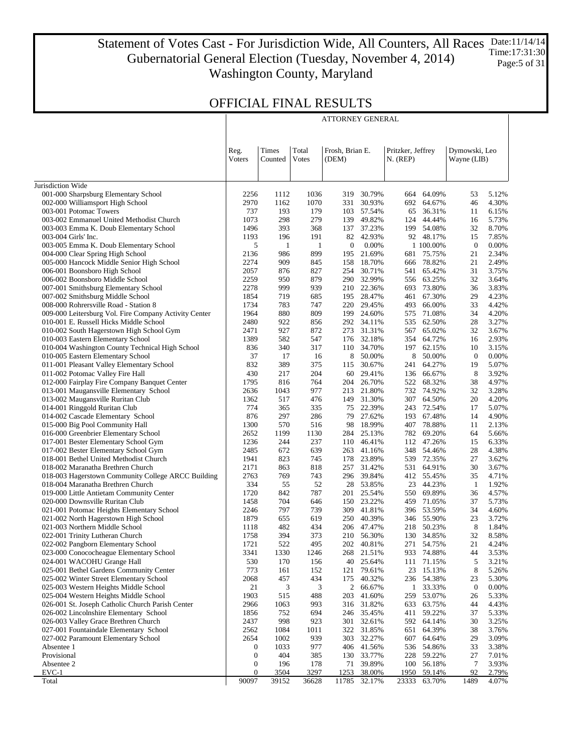### Statement of Votes Cast - For Jurisdiction Wide, All Counters, All Races Gubernatorial General Election (Tuesday, November 4, 2014) Washington County, Maryland Date:11/14/14 Time:17:31:30 Page:5 of 31

Τ

|                                                                                         | ATTORNEY GENERAL      |                  |                |                          |                          |                                 |                          |                              |                |  |
|-----------------------------------------------------------------------------------------|-----------------------|------------------|----------------|--------------------------|--------------------------|---------------------------------|--------------------------|------------------------------|----------------|--|
|                                                                                         | Reg.<br>Voters        | Times<br>Counted | Total<br>Votes | Frosh, Brian E.<br>(DEM) |                          | Pritzker, Jeffrey<br>$N.$ (REP) |                          | Dymowski, Leo<br>Wayne (LIB) |                |  |
|                                                                                         |                       |                  |                |                          |                          |                                 |                          |                              |                |  |
| Jurisdiction Wide<br>001-000 Sharpsburg Elementary School                               | 2256                  | 1112             | 1036           |                          | 319 30.79%               | 664                             | 64.09%                   | 53                           | 5.12%          |  |
| 002-000 Williamsport High School                                                        | 2970                  | 1162             | 1070           |                          | 331 30.93%               |                                 | 692 64.67%               | 46                           | 4.30%          |  |
| 003-001 Potomac Towers                                                                  | 737                   | 193              | 179            |                          | 103 57.54%               | 65                              | 36.31%                   | 11                           | 6.15%          |  |
| 003-002 Emmanuel United Methodist Church                                                | 1073                  | 298              | 279            |                          | 139 49.82%               | 124                             | 44.44%                   | 16                           | 5.73%          |  |
| 003-003 Emma K. Doub Elementary School                                                  | 1496                  | 393              | 368            |                          | 137 37.23%               |                                 | 199 54.08%               | 32                           | 8.70%          |  |
| 003-004 Girls' Inc.                                                                     | 1193                  | 196              | 191            |                          | 82 42.93%                |                                 | 92 48.17%                | 15                           | 7.85%          |  |
| 003-005 Emma K. Doub Elementary School                                                  | 5                     | 1                | $\mathbf{1}$   | $\overline{0}$           | 0.00%                    |                                 | 1 100.00%                | $\boldsymbol{0}$             | 0.00%          |  |
| 004-000 Clear Spring High School                                                        | 2136                  | 986              | 899            |                          | 195 21.69%               |                                 | 681 75.75%               | 21                           | 2.34%          |  |
| 005-000 Hancock Middle Senior High School<br>006-001 Boonsboro High School              | 2274<br>2057          | 909<br>876       | 845<br>827     |                          | 158 18.70%<br>254 30.71% |                                 | 666 78.82%<br>541 65.42% | 21<br>31                     | 2.49%<br>3.75% |  |
| 006-002 Boonsboro Middle School                                                         | 2259                  | 950              | 879            |                          | 290 32.99%               |                                 | 556 63.25%               | 32                           | 3.64%          |  |
| 007-001 Smithsburg Elementary School                                                    | 2278                  | 999              | 939            |                          | 210 22.36%               |                                 | 693 73.80%               | 36                           | 3.83%          |  |
| 007-002 Smithsburg Middle School                                                        | 1854                  | 719              | 685            |                          | 195 28.47%               |                                 | 461 67.30%               | 29                           | 4.23%          |  |
| 008-000 Rohrersville Road - Station 8                                                   | 1734                  | 783              | 747            |                          | 220 29.45%               | 493                             | 66.00%                   | 33                           | 4.42%          |  |
| 009-000 Leitersburg Vol. Fire Company Activity Center                                   | 1964                  | 880              | 809            |                          | 199 24.60%               | 575                             | 71.08%                   | 34                           | 4.20%          |  |
| 010-001 E. Russell Hicks Middle School                                                  | 2480                  | 922              | 856            |                          | 292 34.11%               | 535                             | 62.50%                   | 28                           | 3.27%          |  |
| 010-002 South Hagerstown High School Gym                                                | 2471                  | 927              | 872            |                          | 273 31.31%               |                                 | 567 65.02%               | 32                           | 3.67%          |  |
| 010-003 Eastern Elementary School                                                       | 1389                  | 582              | 547            |                          | 176 32.18%               |                                 | 354 64.72%               | 16                           | 2.93%          |  |
| 010-004 Washington County Technical High School                                         | 836                   | 340              | 317            |                          | 110 34.70%               | 197                             | 62.15%                   | 10                           | 3.15%          |  |
| 010-005 Eastern Elementary School                                                       | 37<br>832             | 17<br>389        | 16<br>375      |                          | 8 50.00%                 |                                 | 8 50.00%<br>64.27%       | $\boldsymbol{0}$<br>19       | 0.00%<br>5.07% |  |
| 011-001 Pleasant Valley Elementary School<br>011-002 Potomac Valley Fire Hall           | 430                   | 217              | 204            |                          | 115 30.67%<br>60 29.41%  | 241                             | 136 66.67%               | 8                            | 3.92%          |  |
| 012-000 Fairplay Fire Company Banquet Center                                            | 1795                  | 816              | 764            |                          | 204 26.70%               | 522                             | 68.32%                   | 38                           | 4.97%          |  |
| 013-001 Maugansville Elementary School                                                  | 2636                  | 1043             | 977            |                          | 213 21.80%               |                                 | 732 74.92%               | 32                           | 3.28%          |  |
| 013-002 Maugansville Ruritan Club                                                       | 1362                  | 517              | 476            |                          | 149 31.30%               | 307                             | 64.50%                   | 20                           | 4.20%          |  |
| 014-001 Ringgold Ruritan Club                                                           | 774                   | 365              | 335            |                          | 75 22.39%                |                                 | 243 72.54%               | 17                           | 5.07%          |  |
| 014-002 Cascade Elementary School                                                       | 876                   | 297              | 286            |                          | 79 27.62%                | 193                             | 67.48%                   | 14                           | 4.90%          |  |
| 015-000 Big Pool Community Hall                                                         | 1300                  | 570              | 516            |                          | 98 18.99%                |                                 | 407 78.88%               | 11                           | 2.13%          |  |
| 016-000 Greenbrier Elementary School                                                    | 2652                  | 1199             | 1130           |                          | 284 25.13%               | 782                             | 69.20%                   | 64                           | 5.66%          |  |
| 017-001 Bester Elementary School Gym                                                    | 1236                  | 244              | 237            |                          | 110 46.41%               |                                 | 112 47.26%               | 15                           | 6.33%          |  |
| 017-002 Bester Elementary School Gym                                                    | 2485                  | 672              | 639            |                          | 263 41.16%               |                                 | 348 54.46%               | 28                           | 4.38%          |  |
| 018-001 Bethel United Methodist Church                                                  | 1941<br>2171          | 823<br>863       | 745<br>818     |                          | 178 23.89%<br>257 31.42% |                                 | 539 72.35%<br>531 64.91% | 27<br>30                     | 3.62%          |  |
| 018-002 Maranatha Brethren Church<br>018-003 Hagerstown Community College ARCC Building | 2763                  | 769              | 743            |                          | 296 39.84%               |                                 | 412 55.45%               | 35                           | 3.67%<br>4.71% |  |
| 018-004 Maranatha Brethren Church                                                       | 334                   | 55               | 52             |                          | 28 53.85%                | 23                              | 44.23%                   | -1                           | 1.92%          |  |
| 019-000 Little Antietam Community Center                                                | 1720                  | 842              | 787            |                          | 201 25.54%               |                                 | 550 69.89%               | 36                           | 4.57%          |  |
| 020-000 Downsville Ruritan Club                                                         | 1458                  | 704              | 646            |                          | 150 23.22%               |                                 | 459 71.05%               | 37                           | 5.73%          |  |
| 021-001 Potomac Heights Elementary School                                               | 2246                  | 797              | 739            |                          | 309 41.81%               |                                 | 396 53.59%               | 34                           | 4.60%          |  |
| 021-002 North Hagerstown High School                                                    | 1879                  | 655              | 619            |                          | 250 40.39%               |                                 | 346 55.90%               | 23                           | 3.72%          |  |
| 021-003 Northern Middle School                                                          | 1118                  | 482              | 434            |                          | 206 47.47%               |                                 | 218 50.23%               | 8                            | 1.84%          |  |
| 022-001 Trinity Lutheran Church                                                         | 1758                  | 394              | 373            |                          | 210 56.30%               |                                 | 130 34.85%               | 32                           | 8.58%          |  |
| 022-002 Pangborn Elementary School                                                      | 1721                  | 522              | 495            |                          | 202 40.81%               |                                 | 271 54.75%               | 21                           | 4.24%          |  |
| 023-000 Conococheague Elementary School<br>024-001 WACOHU Grange Hall                   | 3341<br>530           | 1330<br>170      | 1246<br>156    |                          | 268 21.51%               |                                 | 933 74.88%               | 44<br>5                      | 3.53%<br>3.21% |  |
| 025-001 Bethel Gardens Community Center                                                 | 773                   | 161              | 152            | 121                      | 40 25.64%<br>79.61%      | 111<br>23                       | 71.15%<br>15.13%         | 8                            | 5.26%          |  |
| 025-002 Winter Street Elementary School                                                 | 2068                  | 457              | 434            |                          | 175 40.32%               |                                 | 236 54.38%               | 23                           | 5.30%          |  |
| 025-003 Western Heights Middle School                                                   | 21                    | 3                | 3              |                          | 2 66.67%                 | $1\,$                           | 33.33%                   | $\bf{0}$                     | 0.00%          |  |
| 025-004 Western Heights Middle School                                                   | 1903                  | 515              | 488            |                          | 203 41.60%               | 259                             | 53.07%                   | 26                           | 5.33%          |  |
| 026-001 St. Joseph Catholic Church Parish Center                                        | 2966                  | 1063             | 993            |                          | 316 31.82%               | 633                             | 63.75%                   | 44                           | 4.43%          |  |
| 026-002 Lincolnshire Elementary School                                                  | 1856                  | 752              | 694            |                          | 246 35.45%               | 411                             | 59.22%                   | 37                           | 5.33%          |  |
| 026-003 Valley Grace Brethren Church                                                    | 2437                  | 998              | 923            |                          | 301 32.61%               |                                 | 592 64.14%               | 30                           | 3.25%          |  |
| 027-001 Fountaindale Elementary School                                                  | 2562                  | 1084             | 1011           |                          | 322 31.85%               | 651                             | 64.39%                   | 38                           | 3.76%          |  |
| 027-002 Paramount Elementary School                                                     | 2654                  | 1002             | 939            |                          | 303 32.27%               | 607                             | 64.64%                   | 29                           | 3.09%          |  |
| Absentee 1                                                                              | 0<br>$\boldsymbol{0}$ | 1033<br>404      | 977            |                          | 406 41.56%               | 228                             | 536 54.86%               | 33<br>27                     | 3.38%<br>7.01% |  |
| Provisional<br>Absentee 2                                                               | 0                     | 196              | 385<br>178     | 71                       | 130 33.77%<br>39.89%     |                                 | 59.22%<br>100 56.18%     | 7                            | 3.93%          |  |
| $EVC-1$                                                                                 | 0                     | 3504             | 3297           | 1253                     | 38.00%                   | 1950                            | 59.14%                   | 92                           | 2.79%          |  |
| Total                                                                                   | 90097                 | 39152            | 36628          | 11785                    | 32.17%                   | 23333                           | 63.70%                   | 1489                         | 4.07%          |  |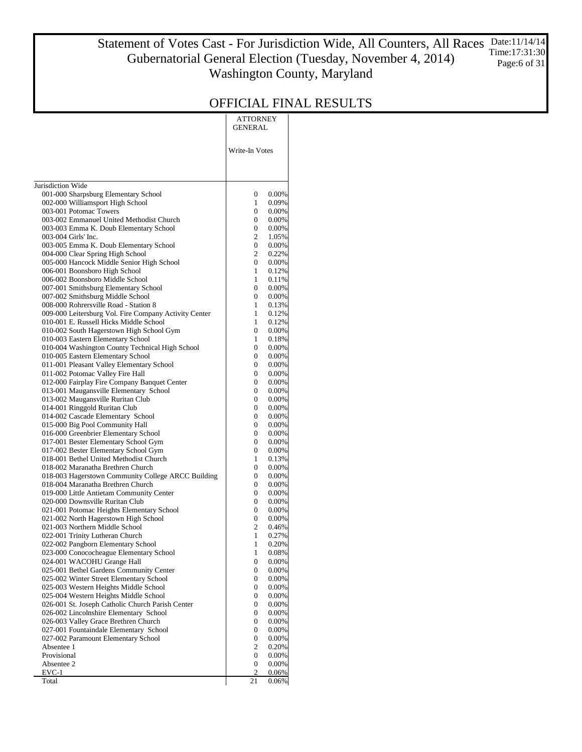### Statement of Votes Cast - For Jurisdiction Wide, All Counters, All Races Gubernatorial General Election (Tuesday, November 4, 2014) Washington County, Maryland Date:11/14/14 Time:17:31:30 Page:6 of 31

|                                                                                | ATTORNEY<br><b>GENERAL</b> |                      |
|--------------------------------------------------------------------------------|----------------------------|----------------------|
|                                                                                | Write-In Votes             |                      |
| Jurisdiction Wide                                                              |                            |                      |
| 001-000 Sharpsburg Elementary School                                           | 0                          | 0.00%                |
| 002-000 Williamsport High School                                               | 1                          | 0.09%                |
| 003-001 Potomac Towers                                                         | 0                          | $0.00\%$             |
| 003-002 Emmanuel United Methodist Church                                       | 0<br>0                     | 0.00%<br>0.00%       |
| 003-003 Emma K. Doub Elementary School<br>003-004 Girls' Inc.                  | 2                          | 1.05%                |
| 003-005 Emma K. Doub Elementary School                                         | 0                          | $0.00\%$             |
| 004-000 Clear Spring High School                                               | 2                          | 0.22%                |
| 005-000 Hancock Middle Senior High School                                      | 0                          | 0.00%                |
| 006-001 Boonsboro High School                                                  | 1                          | 0.12%                |
| 006-002 Boonsboro Middle School                                                | 1                          | 0.11%                |
| 007-001 Smithsburg Elementary School<br>007-002 Smithsburg Middle School       | 0<br>0                     | 0.00%<br>$0.00\%$    |
| 008-000 Rohrersville Road - Station 8                                          | 1                          | 0.13%                |
| 009-000 Leitersburg Vol. Fire Company Activity Center                          | 1                          | 0.12%                |
| 010-001 E. Russell Hicks Middle School                                         | 1                          | 0.12%                |
| 010-002 South Hagerstown High School Gym                                       | 0                          | 0.00%                |
| 010-003 Eastern Elementary School                                              | 1                          | 0.18%                |
| 010-004 Washington County Technical High School                                | 0                          | 0.00%                |
| 010-005 Eastern Elementary School<br>011-001 Pleasant Valley Elementary School | 0<br>0                     | 0.00%<br>0.00%       |
| 011-002 Potomac Valley Fire Hall                                               | 0                          | 0.00%                |
| 012-000 Fairplay Fire Company Banquet Center                                   | 0                          | 0.00%                |
| 013-001 Maugansville Elementary School                                         | 0                          | $0.00\%$             |
| 013-002 Maugansville Ruritan Club                                              | 0                          | 0.00%                |
| 014-001 Ringgold Ruritan Club                                                  | 0                          | 0.00%                |
| 014-002 Cascade Elementary School                                              | 0                          | 0.00%                |
| 015-000 Big Pool Community Hall<br>016-000 Greenbrier Elementary School        | 0<br>0                     | $0.00\%$<br>0.00%    |
| 017-001 Bester Elementary School Gym                                           | 0                          | 0.00%                |
| 017-002 Bester Elementary School Gym                                           | 0                          | $0.00\%$             |
| 018-001 Bethel United Methodist Church                                         | 1                          | 0.13%                |
| 018-002 Maranatha Brethren Church                                              | 0                          | 0.00%                |
| 018-003 Hagerstown Community College ARCC Building                             | 0                          | 0.00%                |
| 018-004 Maranatha Brethren Church<br>019-000 Little Antietam Community Center  | 0                          | 0.00%                |
| 020-000 Downsville Ruritan Club                                                | 0<br>0                     | $0.00\%$<br>$0.00\%$ |
| 021-001 Potomac Heights Elementary School                                      | 0                          | 0.00%                |
| 021-002 North Hagerstown High School                                           | 0                          | $0.00\%$             |
| 021-003 Northern Middle School                                                 | 2                          | 0.46%                |
| 022-001 Trinity Lutheran Church                                                | 1                          | 0.27%                |
| 022-002 Pangborn Elementary School                                             | $\,1\,$                    | 0.20%                |
| 023-000 Conococheague Elementary School<br>024-001 WACOHU Grange Hall          | 1                          | 0.08%                |
| 025-001 Bethel Gardens Community Center                                        | 0<br>0                     | 0.00%<br>0.00%       |
| 025-002 Winter Street Elementary School                                        | 0                          | 0.00%                |
| 025-003 Western Heights Middle School                                          | 0                          | 0.00%                |
| 025-004 Western Heights Middle School                                          | 0                          | 0.00%                |
| 026-001 St. Joseph Catholic Church Parish Center                               | 0                          | 0.00%                |
| 026-002 Lincolnshire Elementary School                                         | 0                          | 0.00%                |
| 026-003 Valley Grace Brethren Church                                           | 0<br>0                     | 0.00%                |
| 027-001 Fountaindale Elementary School<br>027-002 Paramount Elementary School  | 0                          | 0.00%<br>0.00%       |
| Absentee 1                                                                     | $\mathbf{c}$               | 0.20%                |
| Provisional                                                                    | 0                          | 0.00%                |
| Absentee 2                                                                     | 0                          | 0.00%                |
| $EVC-1$                                                                        | 2                          | 0.06%                |
| Total                                                                          | 21                         | 0.06%                |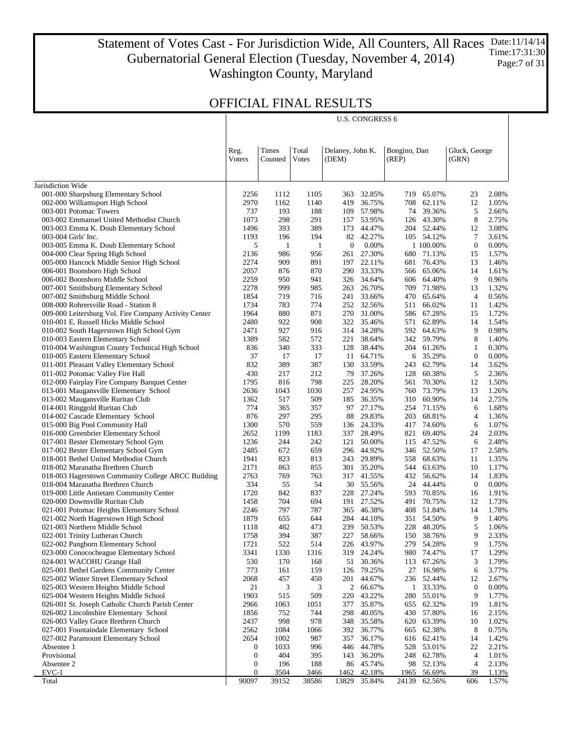### Statement of Votes Cast - For Jurisdiction Wide, All Counters, All Races Gubernatorial General Election (Tuesday, November 4, 2014) Washington County, Maryland Date:11/14/14 Time:17:31:30 Page:7 of 31

Τ

### OFFICIAL FINAL RESULTS

|                                                                                  | <b>U.S. CONGRESS 6</b> |                  |                        |                           |                      |                       |                          |                        |                |  |  |
|----------------------------------------------------------------------------------|------------------------|------------------|------------------------|---------------------------|----------------------|-----------------------|--------------------------|------------------------|----------------|--|--|
|                                                                                  | Reg.<br>Voters         | Times<br>Counted | Total<br><b>V</b> otes | Delaney, John K.<br>(DEM) |                      | Bongino, Dan<br>(REP) |                          | Gluck, George<br>(GRN) |                |  |  |
|                                                                                  |                        |                  |                        |                           |                      |                       |                          |                        |                |  |  |
| Jurisdiction Wide                                                                |                        |                  |                        |                           |                      |                       |                          |                        |                |  |  |
| 001-000 Sharpsburg Elementary School                                             | 2256                   | 1112             | 1105                   | 363                       | 32.85%               | 719                   | 65.07%                   | 23                     | 2.08%          |  |  |
| 002-000 Williamsport High School                                                 | 2970                   | 1162             | 1140                   | 419                       | 36.75%               | 708                   | 62.11%                   | 12                     | 1.05%          |  |  |
| 003-001 Potomac Towers<br>003-002 Emmanuel United Methodist Church               | 737<br>1073            | 193<br>298       | 188<br>291             | 109<br>157                | 57.98%<br>53.95%     |                       | 74 39.36%<br>126 43.30%  | 5<br>8                 | 2.66%<br>2.75% |  |  |
| 003-003 Emma K. Doub Elementary School                                           | 1496                   | 393              | 389                    | 173                       | 44.47%               |                       | 204 52.44%               | 12                     | 3.08%          |  |  |
| 003-004 Girls' Inc.                                                              | 1193                   | 196              | 194                    | 82                        | 42.27%               |                       | 105 54.12%               | 7                      | 3.61%          |  |  |
| 003-005 Emma K. Doub Elementary School                                           | 5                      | -1               | $\mathbf{1}$           | $\mathbf{0}$              | 0.00%                |                       | 1 100.00%                | $\mathbf{0}$           | 0.00%          |  |  |
| 004-000 Clear Spring High School                                                 | 2136                   | 986              | 956                    |                           | 261 27.30%           | 680                   | 71.13%                   | 15                     | 1.57%          |  |  |
| 005-000 Hancock Middle Senior High School                                        | 2274                   | 909              | 891                    |                           | 197 22.11%           |                       | 681 76.43%               | 13                     | 1.46%          |  |  |
| 006-001 Boonsboro High School                                                    | 2057                   | 876              | 870                    |                           | 290 33.33%           |                       | 566 65.06%               | 14                     | 1.61%          |  |  |
| 006-002 Boonsboro Middle School                                                  | 2259                   | 950              | 941                    |                           | 326 34.64%           | 606                   | 64.40%                   | 9                      | 0.96%          |  |  |
| 007-001 Smithsburg Elementary School<br>007-002 Smithsburg Middle School         | 2278<br>1854           | 999<br>719       | 985<br>716             | 263<br>241                | 26.70%<br>33.66%     | 709                   | 71.98%<br>470 65.64%     | 13<br>4                | 1.32%<br>0.56% |  |  |
| 008-000 Rohrersville Road - Station 8                                            | 1734                   | 783              | 774                    |                           | 252 32.56%           | 511                   | 66.02%                   | 11                     | 1.42%          |  |  |
| 009-000 Leitersburg Vol. Fire Company Activity Center                            | 1964                   | 880              | 871                    |                           | 270 31.00%           | 586                   | 67.28%                   | 15                     | 1.72%          |  |  |
| 010-001 E. Russell Hicks Middle School                                           | 2480                   | 922              | 908                    |                           | 322 35.46%           | 571                   | 62.89%                   | 14                     | 1.54%          |  |  |
| 010-002 South Hagerstown High School Gym                                         | 2471                   | 927              | 916                    | 314                       | 34.28%               |                       | 592 64.63%               | 9                      | 0.98%          |  |  |
| 010-003 Eastern Elementary School                                                | 1389                   | 582              | 572                    | 221                       | 38.64%               |                       | 342 59.79%               | 8                      | 1.40%          |  |  |
| 010-004 Washington County Technical High School                                  | 836                    | 340              | 333                    |                           | 128 38.44%           |                       | 204 61.26%               | 1                      | 0.30%          |  |  |
| 010-005 Eastern Elementary School                                                | 37                     | 17               | 17                     | 11                        | 64.71%               | 6                     | 35.29%                   | $\mathbf{0}$           | 0.00%          |  |  |
| 011-001 Pleasant Valley Elementary School                                        | 832                    | 389<br>217       | 387<br>212             | 79                        | 130 33.59%<br>37.26% |                       | 243 62.79%<br>60.38%     | 14<br>5                | 3.62%          |  |  |
| 011-002 Potomac Valley Fire Hall<br>012-000 Fairplay Fire Company Banquet Center | 430<br>1795            | 816              | 798                    | 225                       | 28.20%               | 128                   | 561 70.30%               | 12                     | 2.36%<br>1.50% |  |  |
| 013-001 Maugansville Elementary School                                           | 2636                   | 1043             | 1030                   | 257                       | 24.95%               |                       | 760 73.79%               | 13                     | 1.26%          |  |  |
| 013-002 Maugansville Ruritan Club                                                | 1362                   | 517              | 509                    | 185                       | 36.35%               | 310                   | 60.90%                   | 14                     | 2.75%          |  |  |
| 014-001 Ringgold Ruritan Club                                                    | 774                    | 365              | 357                    | 97                        | 27.17%               |                       | 254 71.15%               | 6                      | 1.68%          |  |  |
| 014-002 Cascade Elementary School                                                | 876                    | 297              | 295                    | 88                        | 29.83%               | 203                   | 68.81%                   | $\overline{4}$         | 1.36%          |  |  |
| 015-000 Big Pool Community Hall                                                  | 1300                   | 570              | 559                    |                           | 136 24.33%           |                       | 417 74.60%               | 6                      | 1.07%          |  |  |
| 016-000 Greenbrier Elementary School                                             | 2652                   | 1199             | 1183                   |                           | 337 28.49%           | 821                   | 69.40%                   | 24                     | 2.03%          |  |  |
| 017-001 Bester Elementary School Gym                                             | 1236                   | 244              | 242                    | 121                       | 50.00%               |                       | 115 47.52%               | 6                      | 2.48%          |  |  |
| 017-002 Bester Elementary School Gym<br>018-001 Bethel United Methodist Church   | 2485<br>1941           | 672<br>823       | 659<br>813             | 296                       | 44.92%<br>243 29.89% |                       | 346 52.50%<br>558 68.63% | 17<br>11               | 2.58%<br>1.35% |  |  |
| 018-002 Maranatha Brethren Church                                                | 2171                   | 863              | 855                    |                           | 301 35.20%           |                       | 544 63.63%               | 10                     | 1.17%          |  |  |
| 018-003 Hagerstown Community College ARCC Building                               | 2763                   | 769              | 763                    | 317                       | 41.55%               | 432                   | 56.62%                   | 14                     | 1.83%          |  |  |
| 018-004 Maranatha Brethren Church                                                | 334                    | 55               | 54                     |                           | 30 55.56%            | 24                    | 44.44%                   | $\boldsymbol{0}$       | 0.00%          |  |  |
| 019-000 Little Antietam Community Center                                         | 1720                   | 842              | 837                    |                           | 228 27.24%           | 593                   | 70.85%                   | 16                     | 1.91%          |  |  |
| 020-000 Downsville Ruritan Club                                                  | 1458                   | 704              | 694                    |                           | 191 27.52%           |                       | 491 70.75%               | 12                     | 1.73%          |  |  |
| 021-001 Potomac Heights Elementary School                                        | 2246                   | 797              | 787                    | 365                       | 46.38%               |                       | 408 51.84%               | 14                     | 1.78%          |  |  |
| 021-002 North Hagerstown High School                                             | 1879                   | 655              | 644                    | 284                       | 44.10%               |                       | 351 54.50%               | 9                      | 1.40%          |  |  |
| 021-003 Northern Middle School<br>022-001 Trinity Lutheran Church                | 1118<br>1758           | 482<br>394       | 473<br>387             | 239                       | 50.53%<br>227 58.66% |                       | 228 48.20%<br>150 38.76% | 5<br>Q                 | 1.06%<br>2.33% |  |  |
| 022-002 Pangborn Elementary School                                               | 1721                   | 522              | 514                    | 226                       | 43.97%               | 279                   | 54.28%                   | 9                      | 1.75%          |  |  |
| 023-000 Conococheague Elementary School                                          | 3341                   | 1330             | 1316                   | 319                       | 24.24%               | 980                   | 74.47%                   | 17                     | 1.29%          |  |  |
| 024-001 WACOHU Grange Hall                                                       | 530                    | 170              | 168                    | 51                        | 30.36%               | 113                   | 67.26%                   | 3                      | 1.79%          |  |  |
| 025-001 Bethel Gardens Community Center                                          | 773                    | 161              | 159                    | 126                       | 79.25%               | 27                    | 16.98%                   | 6                      | 3.77%          |  |  |
| 025-002 Winter Street Elementary School                                          | 2068                   | 457              | 450                    | 201                       | 44.67%               | 236                   | 52.44%                   | 12                     | 2.67%          |  |  |
| 025-003 Western Heights Middle School                                            | 21                     | 3                | 3                      |                           | 2 66.67%             |                       | 1 33.33%                 | $\mathbf{0}$           | 0.00%          |  |  |
| 025-004 Western Heights Middle School                                            | 1903                   | 515              | 509                    | 220                       | 43.22%               | 280                   | 55.01%                   | 9                      | 1.77%          |  |  |
| 026-001 St. Joseph Catholic Church Parish Center                                 | 2966                   | 1063             | 1051                   | 377                       | 35.87%               | 655                   | 62.32%                   | 19                     | 1.81%          |  |  |
| 026-002 Lincolnshire Elementary School<br>026-003 Valley Grace Brethren Church   | 1856                   | 752              | 744                    | 298                       | 40.05%               | 430                   | 57.80%                   | 16                     | 2.15%          |  |  |
| 027-001 Fountaindale Elementary School                                           | 2437<br>2562           | 998<br>1084      | 978<br>1066            | 348<br>392                | 35.58%<br>36.77%     | 665                   | 620 63.39%<br>62.38%     | 10<br>8                | 1.02%<br>0.75% |  |  |
| 027-002 Paramount Elementary School                                              | 2654                   | 1002             | 987                    | 357                       | 36.17%               |                       | 616 62.41%               | 14                     | 1.42%          |  |  |
| Absentee 1                                                                       | 0                      | 1033             | 996                    | 446                       | 44.78%               | 528                   | 53.01%                   | 22                     | 2.21%          |  |  |
| Provisional                                                                      | $\mathbf{0}$           | 404              | 395                    | 143                       | 36.20%               | 248                   | 62.78%                   | 4                      | 1.01%          |  |  |
| Absentee 2                                                                       | $\mathbf{0}$           | 196              | 188                    | 86                        | 45.74%               | 98                    | 52.13%                   | 4                      | 2.13%          |  |  |
| $EVC-1$                                                                          | $\mathbf{0}$           | 3504             | 3466                   | 1462                      | 42.18%               | 1965                  | 56.69%                   | 39                     | 1.13%          |  |  |
| Total                                                                            | 90097                  | 39152            | 38586                  | 13829                     | 35.84%               | 24139                 | 62.56%                   | 606                    | 1.57%          |  |  |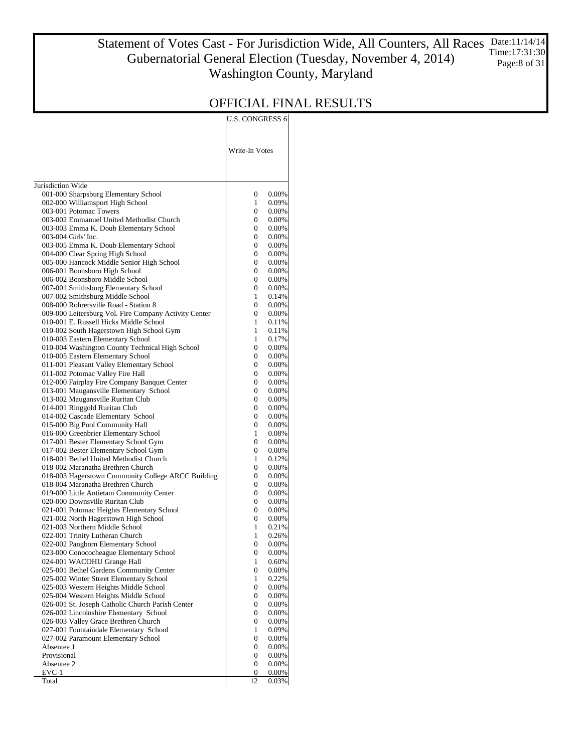### Statement of Votes Cast - For Jurisdiction Wide, All Counters, All Races Date:11/14/14 Gubernatorial General Election (Tuesday, November 4, 2014) Washington County, Maryland Time:17:31:30 Page:8 of 31

## OFFICIAL FINAL RESULTS

U.S. CONGRESS 6

|                                                                               | Write-In Votes                   |                   |
|-------------------------------------------------------------------------------|----------------------------------|-------------------|
| Jurisdiction Wide                                                             |                                  |                   |
| 001-000 Sharpsburg Elementary School                                          | 0                                | $0.00\%$          |
| 002-000 Williamsport High School                                              | 1                                | 0.09%             |
| 003-001 Potomac Towers                                                        | 0                                | $0.00\%$          |
| 003-002 Emmanuel United Methodist Church                                      | 0                                | $0.00\%$          |
| 003-003 Emma K. Doub Elementary School<br>003-004 Girls' Inc.                 | 0<br>0                           | $0.00\%$<br>0.00% |
| 003-005 Emma K. Doub Elementary School                                        | 0                                | 0.00%             |
| 004-000 Clear Spring High School                                              | 0                                | $0.00\%$          |
| 005-000 Hancock Middle Senior High School                                     | 0                                | 0.00%             |
| 006-001 Boonsboro High School                                                 | 0                                | 0.00%             |
| 006-002 Boonsboro Middle School                                               | 0                                | $0.00\%$          |
| 007-001 Smithsburg Elementary School                                          | 0                                | $0.00\%$          |
| 007-002 Smithsburg Middle School                                              | 1                                | 0.14%             |
| 008-000 Rohrersville Road - Station 8                                         | $\overline{0}$                   | 0.00%             |
| 009-000 Leitersburg Vol. Fire Company Activity Center                         | 0                                | $0.00\%$          |
| 010-001 E. Russell Hicks Middle School                                        | 1<br>1                           | 0.11%             |
| 010-002 South Hagerstown High School Gym<br>010-003 Eastern Elementary School | 1                                | 0.11%<br>0.17%    |
| 010-004 Washington County Technical High School                               | $\boldsymbol{0}$                 | 0.00%             |
| 010-005 Eastern Elementary School                                             | 0                                | $0.00\%$          |
| 011-001 Pleasant Valley Elementary School                                     | 0                                | $0.00\%$          |
| 011-002 Potomac Valley Fire Hall                                              | 0                                | 0.00%             |
| 012-000 Fairplay Fire Company Banquet Center                                  | 0                                | $0.00\%$          |
| 013-001 Maugansville Elementary School                                        | 0                                | $0.00\%$          |
| 013-002 Maugansville Ruritan Club                                             | 0                                | 0.00%             |
| 014-001 Ringgold Ruritan Club                                                 | 0                                | 0.00%             |
| 014-002 Cascade Elementary School                                             | 0                                | 0.00%             |
| 015-000 Big Pool Community Hall                                               | 0                                | 0.00%             |
| 016-000 Greenbrier Elementary School                                          | 1<br>$\overline{0}$              | 0.08%<br>$0.00\%$ |
| 017-001 Bester Elementary School Gym<br>017-002 Bester Elementary School Gym  | 0                                | $0.00\%$          |
| 018-001 Bethel United Methodist Church                                        | 1                                | 0.12%             |
| 018-002 Maranatha Brethren Church                                             | 0                                | $0.00\%$          |
| 018-003 Hagerstown Community College ARCC Building                            | 0                                | 0.00%             |
| 018-004 Maranatha Brethren Church                                             | 0                                | $0.00\%$          |
| 019-000 Little Antietam Community Center                                      | $\boldsymbol{0}$                 | 0.00%             |
| 020-000 Downsville Ruritan Club                                               | 0                                | $0.00\%$          |
| 021-001 Potomac Heights Elementary School                                     | 0                                | $0.00\%$          |
| 021-002 North Hagerstown High School                                          | 0                                | $0.00\%$          |
| 021-003 Northern Middle School                                                | 1<br>1                           | 0.21%<br>0.26%    |
| 022-001 Trinity Lutheran Church<br>022-002 Pangborn Elementary School         | $\overline{0}$                   | 0.00%             |
| 023-000 Conococheague Elementary School                                       | $\mathbf{0}$                     | $0.00\%$          |
| 024-001 WACOHU Grange Hall                                                    | 1                                | 0.60%             |
| 025-001 Bethel Gardens Community Center                                       | $\boldsymbol{0}$                 | 0.00%             |
| 025-002 Winter Street Elementary School                                       | $\mathbf{1}$                     | 0.22%             |
| 025-003 Western Heights Middle School                                         | $\boldsymbol{0}$                 | 0.00%             |
| 025-004 Western Heights Middle School                                         | 0                                | 0.00%             |
| 026-001 St. Joseph Catholic Church Parish Center                              | $\boldsymbol{0}$                 | 0.00%             |
| 026-002 Lincolnshire Elementary School                                        | 0                                | 0.00%             |
| 026-003 Valley Grace Brethren Church                                          | $\boldsymbol{0}$                 | 0.00%             |
| 027-001 Fountaindale Elementary School                                        | $\mathbf{1}$<br>$\boldsymbol{0}$ | 0.09%             |
| 027-002 Paramount Elementary School<br>Absentee 1                             | 0                                | 0.00%<br>0.00%    |
| Provisional                                                                   | $\boldsymbol{0}$                 | 0.00%             |
| Absentee 2                                                                    | 0                                | 0.00%             |
| $EVC-1$                                                                       | $\boldsymbol{0}$                 | 0.00%             |
| Total                                                                         | 12                               | 0.03%             |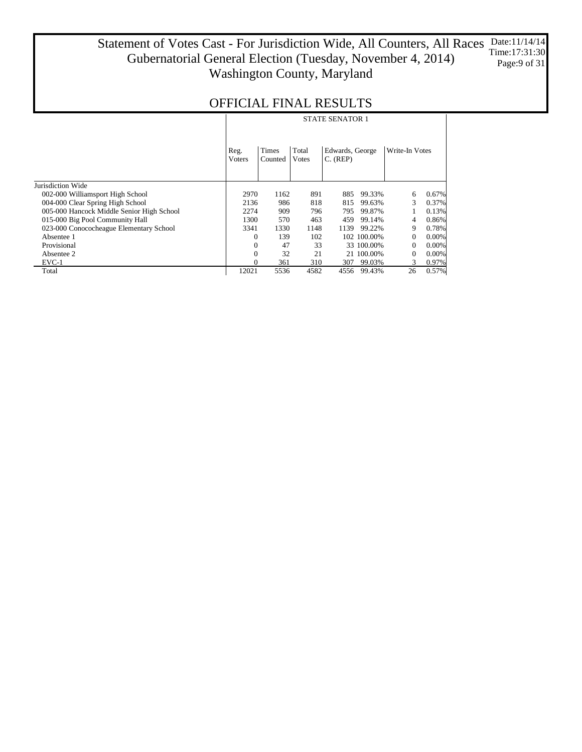### Statement of Votes Cast - For Jurisdiction Wide, All Counters, All Races Gubernatorial General Election (Tuesday, November 4, 2014) Washington County, Maryland Date:11/14/14 Time:17:31:30 Page:9 of 31

|                                           | STATE SENATOR 1        |                  |                        |                               |             |                |          |  |  |  |  |
|-------------------------------------------|------------------------|------------------|------------------------|-------------------------------|-------------|----------------|----------|--|--|--|--|
|                                           | Reg.<br><b>V</b> oters | Times<br>Counted | Total<br><b>V</b> otes | Edwards, George<br>$C.$ (REP) |             | Write-In Votes |          |  |  |  |  |
| Jurisdiction Wide                         |                        |                  |                        |                               |             |                |          |  |  |  |  |
| 002-000 Williamsport High School          | 2970                   | 1162             | 891                    | 885                           | 99.33%      | 6              | 0.67%    |  |  |  |  |
| 004-000 Clear Spring High School          | 2136                   | 986              | 818                    | 815                           | 99.63%      | 3              | 0.37%    |  |  |  |  |
| 005-000 Hancock Middle Senior High School | 2274                   | 909              | 796                    | 795                           | 99.87%      |                | 0.13%    |  |  |  |  |
| 015-000 Big Pool Community Hall           | 1300                   | 570              | 463                    | 459                           | 99.14%      | 4              | 0.86%    |  |  |  |  |
| 023-000 Conococheague Elementary School   | 3341                   | 1330             | 1148                   | 1139                          | 99.22%      | 9              | 0.78%    |  |  |  |  |
| Absentee 1                                | $\Omega$               | 139              | 102                    |                               | 102 100.00% | 0              | $0.00\%$ |  |  |  |  |
| Provisional                               | $\mathbf{0}$           | 47               | 33                     |                               | 33 100,00%  | 0              | $0.00\%$ |  |  |  |  |
| Absentee 2                                | $\overline{0}$         | 32               | 21                     |                               | 21 100.00%  | 0              | $0.00\%$ |  |  |  |  |
| $EVC-1$                                   | $\Omega$               | 361              | 310                    | 307                           | 99.03%      | 3.             | 0.97%    |  |  |  |  |
| Total                                     | 12021                  | 5536             | 4582                   | 4556                          | 99.43%      | 26             | 0.57%    |  |  |  |  |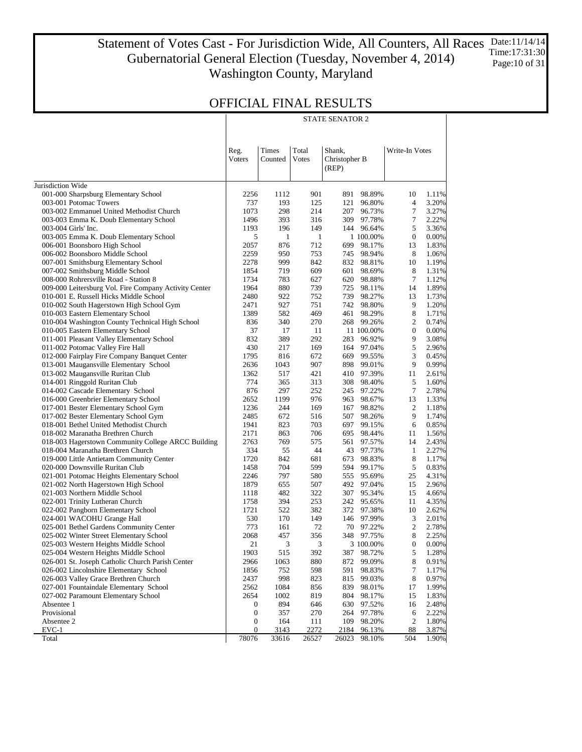### Statement of Votes Cast - For Jurisdiction Wide, All Counters, All Races Gubernatorial General Election (Tuesday, November 4, 2014) Washington County, Maryland Date:11/14/14 Time:17:31:30 Page:10 of 31

Τ

### OFFICIAL FINAL RESULTS

|                                                                           |                       |                  |                | <b>STATE SENATOR 2</b>           |                          |                  |                |
|---------------------------------------------------------------------------|-----------------------|------------------|----------------|----------------------------------|--------------------------|------------------|----------------|
|                                                                           |                       |                  |                |                                  |                          |                  |                |
|                                                                           | Reg.<br><b>Voters</b> | Times<br>Counted | Total<br>Votes | Shank,<br>Christopher B<br>(REP) |                          | Write-In Votes   |                |
| Jurisdiction Wide                                                         |                       |                  |                |                                  |                          |                  |                |
| 001-000 Sharpsburg Elementary School                                      | 2256                  | 1112             | 901            | 891                              | 98.89%                   | 10               | 1.11%          |
| 003-001 Potomac Towers                                                    | 737                   | 193              | 125            | 121                              | 96.80%                   | 4                | 3.20%          |
| 003-002 Emmanuel United Methodist Church                                  | 1073                  | 298              | 214            |                                  | 207 96.73%               | 7                | 3.27%          |
| 003-003 Emma K. Doub Elementary School                                    | 1496                  | 393              | 316            |                                  | 309 97.78%               | 7                | 2.22%          |
| 003-004 Girls' Inc.                                                       | 1193                  | 196              | 149            |                                  | 144 96.64%               | 5                | 3.36%          |
| 003-005 Emma K. Doub Elementary School                                    | 5                     | 1                | $\mathbf{1}$   |                                  | 1 100.00%                | $\boldsymbol{0}$ | 0.00%          |
| 006-001 Boonsboro High School                                             | 2057                  | 876              | 712            |                                  | 699 98.17%               | 13               | 1.83%          |
| 006-002 Boonsboro Middle School                                           | 2259                  | 950              | 753            |                                  | 745 98.94%               | 8                | 1.06%          |
| 007-001 Smithsburg Elementary School                                      | 2278                  | 999              | 842            |                                  | 832 98.81%               | 10               | 1.19%          |
| 007-002 Smithsburg Middle School                                          | 1854                  | 719              | 609            |                                  | 601 98.69%               | 8                | 1.31%          |
| 008-000 Rohrersville Road - Station 8                                     | 1734                  | 783              | 627            |                                  | 620 98.88%               | 7                | 1.12%          |
| 009-000 Leitersburg Vol. Fire Company Activity Center                     | 1964                  | 880              | 739            |                                  | 725 98.11%               | 14               | 1.89%          |
| 010-001 E. Russell Hicks Middle School                                    | 2480                  | 922              | 752            |                                  | 739 98.27%               | 13               | 1.73%          |
| 010-002 South Hagerstown High School Gym                                  | 2471                  | 927              | 751            |                                  | 742 98.80%               | 9                | 1.20%          |
| 010-003 Eastern Elementary School                                         | 1389                  | 582              | 469            |                                  | 461 98.29%               | 8                | 1.71%          |
| 010-004 Washington County Technical High School                           | 836                   | 340              | 270            |                                  | 268 99.26%               | 2                | 0.74%          |
| 010-005 Eastern Elementary School                                         | 37                    | 17               | 11             |                                  | 11 100.00%               | $\boldsymbol{0}$ | 0.00%          |
| 011-001 Pleasant Valley Elementary School                                 | 832                   | 389              | 292            |                                  | 283 96.92%               | 9                | 3.08%          |
| 011-002 Potomac Valley Fire Hall                                          | 430                   | 217              | 169            |                                  | 164 97.04%               | 5                | 2.96%          |
| 012-000 Fairplay Fire Company Banquet Center                              | 1795                  | 816              | 672            |                                  | 669 99.55%               | 3                | 0.45%          |
| 013-001 Maugansville Elementary School                                    | 2636                  | 1043             | 907            |                                  | 898 99.01%               | 9                | 0.99%          |
| 013-002 Maugansville Ruritan Club                                         | 1362                  | 517              | 421            |                                  | 410 97.39%               | 11               | 2.61%          |
| 014-001 Ringgold Ruritan Club                                             | 774                   | 365              | 313<br>252     |                                  | 308 98.40%               | 5                | 1.60%          |
| 014-002 Cascade Elementary School<br>016-000 Greenbrier Elementary School | 876<br>2652           | 297<br>1199      | 976            |                                  | 245 97.22%<br>963 98.67% | 7<br>13          | 2.78%<br>1.33% |
| 017-001 Bester Elementary School Gym                                      | 1236                  | 244              | 169            |                                  | 167 98.82%               | 2                | 1.18%          |
| 017-002 Bester Elementary School Gym                                      | 2485                  | 672              | 516            |                                  | 507 98.26%               | 9                | 1.74%          |
| 018-001 Bethel United Methodist Church                                    | 1941                  | 823              | 703            |                                  | 697 99.15%               | 6                | 0.85%          |
| 018-002 Maranatha Brethren Church                                         | 2171                  | 863              | 706            |                                  | 695 98.44%               | 11               | 1.56%          |
| 018-003 Hagerstown Community College ARCC Building                        | 2763                  | 769              | 575            |                                  | 561 97.57%               | 14               | 2.43%          |
| 018-004 Maranatha Brethren Church                                         | 334                   | 55               | 44             |                                  | 43 97.73%                | 1                | 2.27%          |
| 019-000 Little Antietam Community Center                                  | 1720                  | 842              | 681            |                                  | 673 98.83%               | 8                | 1.17%          |
| 020-000 Downsville Ruritan Club                                           | 1458                  | 704              | 599            |                                  | 594 99.17%               | 5                | 0.83%          |
| 021-001 Potomac Heights Elementary School                                 | 2246                  | 797              | 580            |                                  | 555 95.69%               | 25               | 4.31%          |
| 021-002 North Hagerstown High School                                      | 1879                  | 655              | 507            |                                  | 492 97.04%               | 15               | 2.96%          |
| 021-003 Northern Middle School                                            | 1118                  | 482              | 322            |                                  | 307 95.34%               | 15               | 4.66%          |
| 022-001 Trinity Lutheran Church                                           | 1758                  | 394              | 253            |                                  | 242 95.65%               | 11               | 4.35%          |
| 022-002 Pangborn Elementary School                                        | 1721                  | 522              | 382            |                                  | 372 97.38%               | 10               | 2.62%          |
| 024-001 WACOHU Grange Hall                                                | 530                   | 170              | 149            |                                  | 146 97.99%               | 3                | 2.01%          |
| 025-001 Bethel Gardens Community Center                                   | 773                   | 161              | 72             |                                  | 70 97.22%                | 2                | 2.78%          |
| 025-002 Winter Street Elementary School                                   | 2068                  | 457              | 356            |                                  | 348 97.75%               | 8                | 2.25%          |
| 025-003 Western Heights Middle School                                     | 21                    | 3                | 3              |                                  | 3 100.00%                | $\boldsymbol{0}$ | 0.00%          |
| 025-004 Western Heights Middle School                                     | 1903                  | 515              | 392            | 387                              | 98.72%                   | 5                | 1.28%          |
| 026-001 St. Joseph Catholic Church Parish Center                          | 2966                  | 1063             | 880            | 872                              | 99.09%                   | 8                | 0.91%          |
| 026-002 Lincolnshire Elementary School                                    | 1856                  | 752              | 598            | 591                              | 98.83%                   | 7                | 1.17%          |
| 026-003 Valley Grace Brethren Church                                      | 2437                  | 998              | 823            | 815                              | 99.03%                   | 8                | 0.97%          |
| 027-001 Fountaindale Elementary School                                    | 2562                  | 1084             | 856            | 839                              | 98.01%                   | 17               | 1.99%          |
| 027-002 Paramount Elementary School                                       | 2654                  | 1002             | 819            | 804                              | 98.17%                   | 15               | 1.83%          |
| Absentee 1                                                                | 0                     | 894              | 646            | 630                              | 97.52%                   | 16               | 2.48%          |
| Provisional                                                               | 0                     | 357              | 270            | 264                              | 97.78%                   | 6                | 2.22%          |
| Absentee 2                                                                | 0                     | 164              | 111            | 109                              | 98.20%                   | 2                | 1.80%          |
| EVC-1                                                                     | $\boldsymbol{0}$      | 3143             | 2272           | 2184                             | 96.13%                   | 88               | 3.87%          |
| Total                                                                     | 78076                 | 33616            | 26527          | 26023                            | 98.10%                   | 504              | 1.90%          |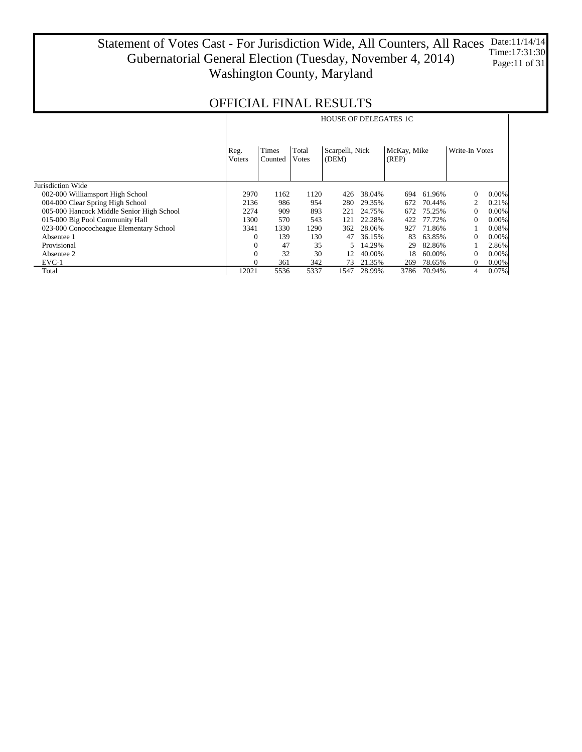### Statement of Votes Cast - For Jurisdiction Wide, All Counters, All Races Gubernatorial General Election (Tuesday, November 4, 2014) Washington County, Maryland Date:11/14/14 Time:17:31:30 Page:11 of 31

|                                           |                |                         |                | <b>HOUSE OF DELEGATES 1C</b> |        |                      |        |                |          |
|-------------------------------------------|----------------|-------------------------|----------------|------------------------------|--------|----------------------|--------|----------------|----------|
|                                           | Reg.<br>Voters | <b>Times</b><br>Counted | Total<br>Votes | Scarpelli, Nick<br>(DEM)     |        | McKay, Mike<br>(REP) |        | Write-In Votes |          |
| Jurisdiction Wide                         |                |                         |                |                              |        |                      |        |                |          |
| 002-000 Williamsport High School          | 2970           | 1162                    | 1120           | 426                          | 38.04% | 694                  | 61.96% | $\Omega$       | $0.00\%$ |
| 004-000 Clear Spring High School          | 2136           | 986                     | 954            | 280                          | 29.35% | 672                  | 70.44% | 2              | 0.21%    |
| 005-000 Hancock Middle Senior High School | 2274           | 909                     | 893            | 221                          | 24.75% | 672                  | 75.25% | $\Omega$       | $0.00\%$ |
| 015-000 Big Pool Community Hall           | 1300           | 570                     | 543            | 121                          | 22.28% | 422                  | 77.72% | $\Omega$       | $0.00\%$ |
| 023-000 Conococheague Elementary School   | 3341           | 1330                    | 1290           | 362                          | 28.06% | 927                  | 71.86% |                | 0.08%    |
| Absentee 1                                | $\Omega$       | 139                     | 130            | 47                           | 36.15% | 83                   | 63.85% | $\Omega$       | $0.00\%$ |
| Provisional                               | $\Omega$       | 47                      | 35             | 5.                           | 14.29% | 29                   | 82.86% |                | 2.86%    |
| Absentee 2                                | $\Omega$       | 32                      | 30             | 12                           | 40.00% | 18                   | 60.00% | $\Omega$       | $0.00\%$ |
| $EVC-1$                                   |                | 361                     | 342            | 73                           | 21.35% | 269                  | 78.65% | $\mathbf{0}$   | 0.00%    |
| Total                                     | 12021          | 5536                    | 5337           | 1547                         | 28.99% | 3786                 | 70.94% | 4              | 0.07%    |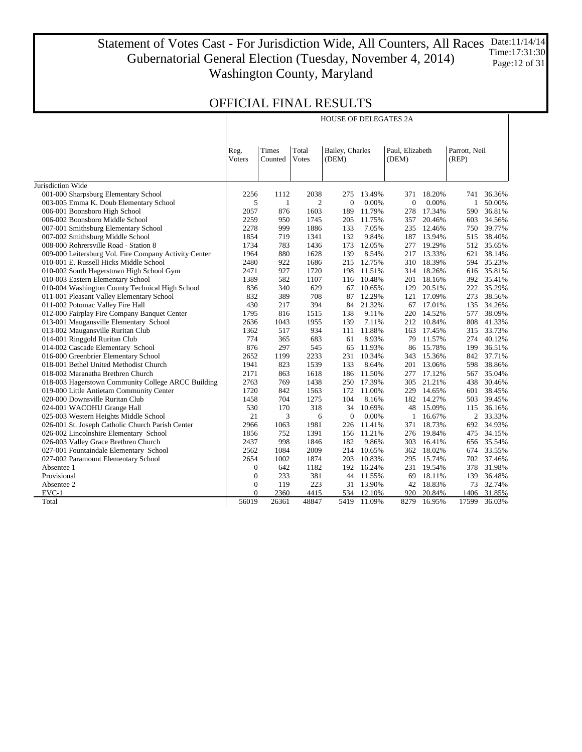### Statement of Votes Cast - For Jurisdiction Wide, All Counters, All Races Gubernatorial General Election (Tuesday, November 4, 2014) Washington County, Maryland Date:11/14/14 Time:17:31:30 Page:12 of 31

Τ

### OFFICIAL FINAL RESULTS

|                                                       |                |              |              | <b>HOUSE OF DELEGATES 2A</b> |             |                 |            |                |        |
|-------------------------------------------------------|----------------|--------------|--------------|------------------------------|-------------|-----------------|------------|----------------|--------|
|                                                       |                |              |              |                              |             |                 |            |                |        |
|                                                       |                |              |              |                              |             |                 |            |                |        |
|                                                       | Reg.           | Times        | Total        | Bailey, Charles              |             | Paul, Elizabeth |            | Parrott, Neil  |        |
|                                                       | Voters         | Counted      | <b>Votes</b> | (DEM)                        |             | (DEM)           |            | (REP)          |        |
|                                                       |                |              |              |                              |             |                 |            |                |        |
|                                                       |                |              |              |                              |             |                 |            |                |        |
| Jurisdiction Wide                                     |                |              |              |                              |             |                 |            |                |        |
| 001-000 Sharpsburg Elementary School                  | 2256           | 1112         | 2038         | 275                          | 13.49%      | 371             | 18.20%     | 741            | 36.36% |
| 003-005 Emma K. Doub Elementary School                | 5              | $\mathbf{1}$ | 2            | $\Omega$                     | 0.00%       | $\theta$        | 0.00%      | $\mathbf{1}$   | 50.00% |
| 006-001 Boonsboro High School                         | 2057           | 876          | 1603         | 189                          | 11.79%      | 278             | 17.34%     | 590            | 36.81% |
| 006-002 Boonsboro Middle School                       | 2259           | 950          | 1745         | 205                          | 11.75%      | 357             | 20.46%     | 603            | 34.56% |
| 007-001 Smithsburg Elementary School                  | 2278           | 999          | 1886         | 133                          | 7.05%       | 235             | 12.46%     | 750            | 39.77% |
| 007-002 Smithsburg Middle School                      | 1854           | 719          | 1341         | 132                          | 9.84%       | 187             | 13.94%     | 515            | 38.40% |
| 008-000 Rohrersville Road - Station 8                 | 1734           | 783          | 1436         | 173                          | 12.05%      | 277             | 19.29%     | 512            | 35.65% |
| 009-000 Leitersburg Vol. Fire Company Activity Center | 1964           | 880          | 1628         | 139                          | 8.54%       | 217             | 13.33%     | 621            | 38.14% |
| 010-001 E. Russell Hicks Middle School                | 2480           | 922          | 1686         | 215                          | 12.75%      | 310             | 18.39%     | 594            | 35.23% |
| 010-002 South Hagerstown High School Gym              | 2471           | 927          | 1720         | 198                          | 11.51%      |                 | 314 18.26% | 616            | 35.81% |
| 010-003 Eastern Elementary School                     | 1389           | 582          | 1107         | 116                          | 10.48%      | 201             | 18.16%     | 392            | 35.41% |
| 010-004 Washington County Technical High School       | 836            | 340          | 629          | 67                           | 10.65%      | 129             | 20.51%     | 222            | 35.29% |
| 011-001 Pleasant Valley Elementary School             | 832            | 389          | 708          | 87                           | 12.29%      | 121             | 17.09%     | 273            | 38.56% |
| 011-002 Potomac Valley Fire Hall                      | 430            | 217          | 394          | 84                           | 21.32%      | 67              | 17.01%     | 135            | 34.26% |
| 012-000 Fairplay Fire Company Banquet Center          | 1795           | 816          | 1515         | 138                          | 9.11%       | 220             | 14.52%     | 577            | 38.09% |
| 013-001 Maugansville Elementary School                | 2636           | 1043         | 1955         | 139                          | 7.11%       |                 | 212 10.84% | 808            | 41.33% |
| 013-002 Maugansville Ruritan Club                     | 1362           | 517          | 934          | 111                          | 11.88%      | 163             | 17.45%     | 315            | 33.73% |
| 014-001 Ringgold Ruritan Club                         | 774            | 365          | 683          | 61                           | 8.93%       | 79              | 11.57%     | 274            | 40.12% |
| 014-002 Cascade Elementary School                     | 876            | 297          | 545          | 65                           | 11.93%      | 86              | 15.78%     | 199            | 36.51% |
| 016-000 Greenbrier Elementary School                  | 2652           | 1199         | 2233         | 231                          | 10.34%      | 343             | 15.36%     | 842            | 37.71% |
| 018-001 Bethel United Methodist Church                | 1941           | 823          | 1539         | 133                          | 8.64%       | 201             | 13.06%     | 598            | 38.86% |
| 018-002 Maranatha Brethren Church                     | 2171           | 863          | 1618         | 186                          | 11.50%      | 277             | 17.12%     | 567            | 35.04% |
| 018-003 Hagerstown Community College ARCC Building    | 2763           | 769          | 1438         |                              | 250 17.39%  | 305             | 21.21%     | 438            | 30.46% |
| 019-000 Little Antietam Community Center              | 1720           | 842          | 1563         | 172                          | 11.00%      | 229             | 14.65%     | 601            | 38.45% |
| 020-000 Downsville Ruritan Club                       | 1458           | 704          | 1275         | 104                          | 8.16%       |                 | 182 14.27% | 503            | 39.45% |
| 024-001 WACOHU Grange Hall                            | 530            | 170          | 318          | 34                           | 10.69%      | 48              | 15.09%     | 115            | 36.16% |
|                                                       | 21             | 3            | 6            | $\mathbf{0}$                 | 0.00%       | 1               | 16.67%     | $\overline{2}$ | 33.33% |
| 025-003 Western Heights Middle School                 | 2966           |              |              |                              |             |                 |            |                |        |
| 026-001 St. Joseph Catholic Church Parish Center      |                | 1063         | 1981         | 226                          | 11.41%      | 371             | 18.73%     | 692            | 34.93% |
| 026-002 Lincolnshire Elementary School                | 1856           | 752          | 1391         | 156                          | 11.21%      | 276             | 19.84%     | 475            | 34.15% |
| 026-003 Valley Grace Brethren Church                  | 2437           | 998          | 1846         | 182                          | 9.86%       | 303             | 16.41%     | 656            | 35.54% |
| 027-001 Fountaindale Elementary School                | 2562           | 1084         | 2009         | 214                          | 10.65%      | 362             | 18.02%     | 674            | 33.55% |
| 027-002 Paramount Elementary School                   | 2654           | 1002         | 1874         | 203                          | 10.83%      | 295             | 15.74%     | 702            | 37.46% |
| Absentee 1                                            | $\mathbf{0}$   | 642          | 1182         |                              | 192 16.24%  |                 | 231 19.54% | 378            | 31.98% |
| Provisional                                           | $\mathbf{0}$   | 233          | 381          |                              | 44 11.55%   | 69              | 18.11%     | 139            | 36.48% |
| Absentee 2                                            | $\overline{0}$ | 119          | 223          |                              | 31 13.90%   | 42              | 18.83%     | 73             | 32.74% |
| $EVC-1$                                               | $\Omega$       | 2360         | 4415         |                              | 534 12.10%  | 920             | 20.84%     | 1406           | 31.85% |
| Total                                                 | 56019          | 26361        | 48847        |                              | 5419 11.09% | 8279            | 16.95%     | 17599          | 36.03% |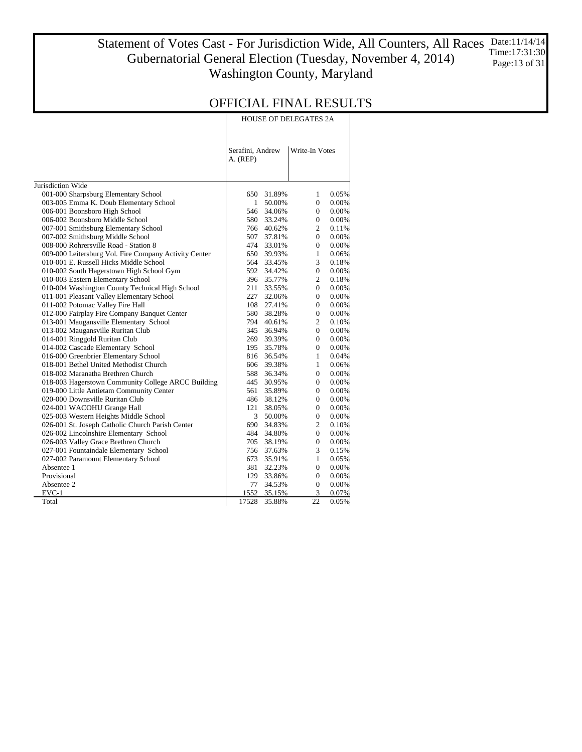### Statement of Votes Cast - For Jurisdiction Wide, All Counters, All Races Gubernatorial General Election (Tuesday, November 4, 2014) Washington County, Maryland Date:11/14/14 Time:17:31:30 Page:13 of 31

| HOUSE OF DELEGATES 2A |
|-----------------------|
|-----------------------|

|                                                       | Serafini. Andrew<br>A. (REP) |            | Write-In Votes |       |  |
|-------------------------------------------------------|------------------------------|------------|----------------|-------|--|
| Jurisdiction Wide                                     |                              |            |                |       |  |
| 001-000 Sharpsburg Elementary School                  | 650                          | 31.89%     | 1              | 0.05% |  |
| 003-005 Emma K. Doub Elementary School                | 1                            | 50.00%     | $\overline{0}$ | 0.00% |  |
| 006-001 Boonsboro High School                         |                              | 546 34.06% | 0              | 0.00% |  |
| 006-002 Boonsboro Middle School                       |                              | 580 33.24% | $\overline{0}$ | 0.00% |  |
| 007-001 Smithsburg Elementary School                  |                              | 766 40.62% | 2              | 0.11% |  |
| 007-002 Smithsburg Middle School                      |                              | 507 37.81% | $\overline{0}$ | 0.00% |  |
| 008-000 Rohrersville Road - Station 8                 |                              | 474 33.01% | $\Omega$       | 0.00% |  |
| 009-000 Leitersburg Vol. Fire Company Activity Center | 650                          | 39.93%     | 1              | 0.06% |  |
| 010-001 E. Russell Hicks Middle School                | 564                          | 33.45%     | 3              | 0.18% |  |
| 010-002 South Hagerstown High School Gym              |                              | 592 34.42% | $\overline{0}$ | 0.00% |  |
| 010-003 Eastern Elementary School                     |                              | 396 35.77% | $\overline{c}$ | 0.18% |  |
| 010-004 Washington County Technical High School       | 211                          | 33.55%     | $\Omega$       | 0.00% |  |
| 011-001 Pleasant Valley Elementary School             | 227                          | 32.06%     | $\mathbf{0}$   | 0.00% |  |
| 011-002 Potomac Valley Fire Hall                      |                              | 108 27.41% | $\overline{0}$ | 0.00% |  |
| 012-000 Fairplay Fire Company Banquet Center          | 580                          | 38.28%     | $\mathbf{0}$   | 0.00% |  |
| 013-001 Maugansville Elementary School                |                              | 794 40.61% | 2              | 0.10% |  |
| 013-002 Maugansville Ruritan Club                     |                              | 345 36.94% | $\overline{0}$ | 0.00% |  |
| 014-001 Ringgold Ruritan Club                         |                              | 269 39.39% | $\Omega$       | 0.00% |  |
| 014-002 Cascade Elementary School                     |                              | 195 35.78% | $\mathbf{0}$   | 0.00% |  |
| 016-000 Greenbrier Elementary School                  |                              | 816 36.54% | $\mathbf{1}$   | 0.04% |  |
| 018-001 Bethel United Methodist Church                |                              | 606 39.38% | $\mathbf{1}$   | 0.06% |  |
| 018-002 Maranatha Brethren Church                     |                              | 588 36.34% | $\overline{0}$ | 0.00% |  |
| 018-003 Hagerstown Community College ARCC Building    |                              | 445 30.95% | $\Omega$       | 0.00% |  |
| 019-000 Little Antietam Community Center              | 561                          | 35.89%     | $\Omega$       | 0.00% |  |
| 020-000 Downsville Ruritan Club                       |                              | 486 38.12% | $\overline{0}$ | 0.00% |  |
| 024-001 WACOHU Grange Hall                            | 121                          | 38.05%     | $\overline{0}$ | 0.00% |  |
| 025-003 Western Heights Middle School                 | 3                            | 50.00%     | 0              | 0.00% |  |
| 026-001 St. Joseph Catholic Church Parish Center      | 690                          | 34.83%     | $\overline{c}$ | 0.10% |  |
| 026-002 Lincolnshire Elementary School                |                              | 484 34.80% | $\Omega$       | 0.00% |  |
| 026-003 Valley Grace Brethren Church                  |                              | 705 38.19% | $\mathbf{0}$   | 0.00% |  |
| 027-001 Fountaindale Elementary School                | 756                          | 37.63%     | 3              | 0.15% |  |
| 027-002 Paramount Elementary School                   |                              | 673 35.91% | $\mathbf{1}$   | 0.05% |  |
| Absentee 1                                            | 381                          | 32.23%     | $\mathbf{0}$   | 0.00% |  |
| Provisional                                           |                              | 129 33.86% | $\Omega$       | 0.00% |  |
| Absentee 2                                            | 77                           | 34.53%     | $\mathbf{0}$   | 0.00% |  |
| EVC-1                                                 | 1552                         | 35.15%     | 3              | 0.07% |  |
| Total                                                 | 17528                        | 35.88%     | 22             | 0.05% |  |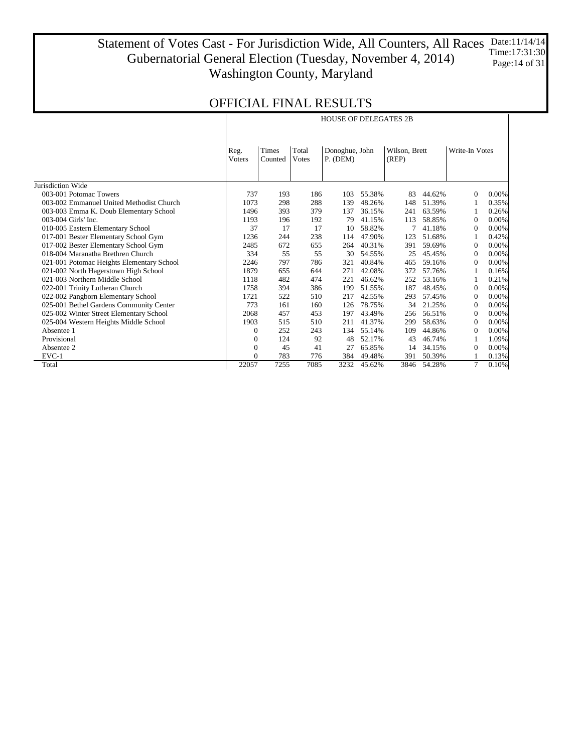### Statement of Votes Cast - For Jurisdiction Wide, All Counters, All Races Gubernatorial General Election (Tuesday, November 4, 2014) Washington County, Maryland Date:11/14/14 Time:17:31:30 Page:14 of 31

|                                           |                        |                         |                        | <b>HOUSE OF DELEGATES 2B</b> |        |                        |        |                |          |
|-------------------------------------------|------------------------|-------------------------|------------------------|------------------------------|--------|------------------------|--------|----------------|----------|
|                                           | Reg.<br><b>V</b> oters | <b>Times</b><br>Counted | Total<br><b>V</b> otes | Donoghue, John<br>$P.$ (DEM) |        | Wilson, Brett<br>(REP) |        | Write-In Votes |          |
| Jurisdiction Wide                         |                        |                         |                        |                              |        |                        |        |                |          |
| 003-001 Potomac Towers                    | 737                    | 193                     | 186                    | 103                          | 55.38% | 83                     | 44.62% | $\mathbf{0}$   | $0.00\%$ |
| 003-002 Emmanuel United Methodist Church  | 1073                   | 298                     | 288                    | 139                          | 48.26% | 148                    | 51.39% |                | 0.35%    |
| 003-003 Emma K. Doub Elementary School    | 1496                   | 393                     | 379                    | 137                          | 36.15% | 241                    | 63.59% |                | 0.26%    |
| 003-004 Girls' Inc.                       | 1193                   | 196                     | 192                    | 79                           | 41.15% | 113                    | 58.85% | $\Omega$       | $0.00\%$ |
| 010-005 Eastern Elementary School         | 37                     | 17                      | 17                     | 10                           | 58.82% |                        | 41.18% | $\Omega$       | $0.00\%$ |
| 017-001 Bester Elementary School Gym      | 1236                   | 244                     | 238                    | 114                          | 47.90% | 123                    | 51.68% |                | 0.42%    |
| 017-002 Bester Elementary School Gym      | 2485                   | 672                     | 655                    | 264                          | 40.31% | 391                    | 59.69% | $\Omega$       | $0.00\%$ |
| 018-004 Maranatha Brethren Church         | 334                    | 55                      | 55                     | 30                           | 54.55% | 25                     | 45.45% | $\Omega$       | $0.00\%$ |
| 021-001 Potomac Heights Elementary School | 2246                   | 797                     | 786                    | 321                          | 40.84% | 465                    | 59.16% | $\Omega$       | $0.00\%$ |
| 021-002 North Hagerstown High School      | 1879                   | 655                     | 644                    | 271                          | 42.08% | 372                    | 57.76% |                | 0.16%    |
| 021-003 Northern Middle School            | 1118                   | 482                     | 474                    | 221                          | 46.62% | 252                    | 53.16% |                | 0.21%    |
| 022-001 Trinity Lutheran Church           | 1758                   | 394                     | 386                    | 199                          | 51.55% | 187                    | 48.45% | $\Omega$       | $0.00\%$ |
| 022-002 Pangborn Elementary School        | 1721                   | 522                     | 510                    | 217                          | 42.55% | 293                    | 57.45% | $\Omega$       | $0.00\%$ |
| 025-001 Bethel Gardens Community Center   | 773                    | 161                     | 160                    | 126                          | 78.75% | 34                     | 21.25% | $\Omega$       | $0.00\%$ |
| 025-002 Winter Street Elementary School   | 2068                   | 457                     | 453                    | 197                          | 43.49% | 256                    | 56.51% | $\Omega$       | $0.00\%$ |
| 025-004 Western Heights Middle School     | 1903                   | 515                     | 510                    | 211                          | 41.37% | 299                    | 58.63% | $\Omega$       | $0.00\%$ |
| Absentee 1                                | $\Omega$               | 252                     | 243                    | 134                          | 55.14% | 109                    | 44.86% | $\Omega$       | $0.00\%$ |
| Provisional                               | $\Omega$               | 124                     | 92                     | 48                           | 52.17% | 43                     | 46.74% |                | 1.09%    |
| Absentee 2                                | $\Omega$               | 45                      | 41                     | 27                           | 65.85% | 14                     | 34.15% | 0              | $0.00\%$ |
| $EVC-1$                                   | $\Omega$               | 783                     | 776                    | 384                          | 49.48% | 391                    | 50.39% |                | 0.13%    |
| Total                                     | 22057                  | 7255                    | 7085                   | 3232                         | 45.62% | 3846                   | 54.28% | 7              | 0.10%    |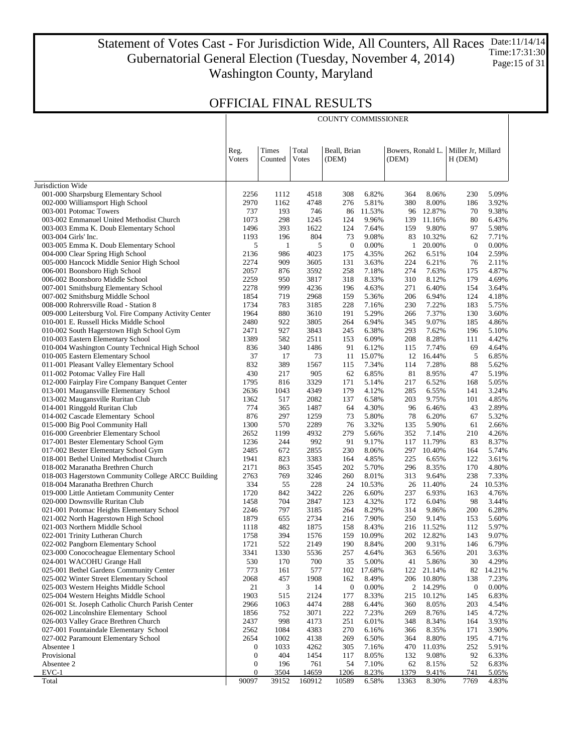### Statement of Votes Cast - For Jurisdiction Wide, All Counters, All Races Gubernatorial General Election (Tuesday, November 4, 2014) Washington County, Maryland Date:11/14/14 Time:17:31:30 Page:15 of 31

COUNTY COMMISSIONER

Τ

## OFFICIAL FINAL RESULTS

|                                                                             | Reg.                                 | Times        | Total         | Beall, Brian     |                | Bowers, Ronald L. |                 | Miller Jr, Millard |                |
|-----------------------------------------------------------------------------|--------------------------------------|--------------|---------------|------------------|----------------|-------------------|-----------------|--------------------|----------------|
|                                                                             | <b>V</b> oters                       | Counted      | <b>V</b> otes | (DEM)            |                | (DEM)             |                 | H (DEM)            |                |
| Jurisdiction Wide                                                           |                                      |              |               |                  |                |                   |                 |                    |                |
| 001-000 Sharpsburg Elementary School                                        | 2256                                 | 1112         | 4518          | 308              | 6.82%          | 364               | 8.06%           | 230                | 5.09%          |
| 002-000 Williamsport High School                                            | 2970                                 | 1162         | 4748          | 276              | 5.81%          | 380               | 8.00%           | 186                | 3.92%          |
| 003-001 Potomac Towers                                                      | 737                                  | 193          | 746           | 86               | 11.53%         | 96                | 12.87%          | 70                 | 9.38%          |
| 003-002 Emmanuel United Methodist Church                                    | 1073                                 | 298          | 1245          | 124              | 9.96%          | 139               | 11.16%          | 80                 | 6.43%          |
| 003-003 Emma K. Doub Elementary School                                      | 1496                                 | 393          | 1622          | 124              | 7.64%          | 159               | 9.80%           | 97                 | 5.98%          |
| 003-004 Girls' Inc.                                                         | 1193                                 | 196          | 804           | 73               | 9.08%          | 83                | 10.32%          | 62                 | 7.71%          |
| 003-005 Emma K. Doub Elementary School                                      | 5                                    | $\mathbf{1}$ | 5             | $\boldsymbol{0}$ | 0.00%          | 1                 | 20.00%          | $\boldsymbol{0}$   | 0.00%          |
| 004-000 Clear Spring High School                                            | 2136<br>2274                         | 986<br>909   | 4023          | 175<br>131       | 4.35%          | 262<br>224        | 6.51%<br>6.21%  | 104                | 2.59%<br>2.11% |
| 005-000 Hancock Middle Senior High School<br>006-001 Boonsboro High School  | 2057                                 | 876          | 3605<br>3592  | 258              | 3.63%<br>7.18% | 274               | 7.63%           | 76<br>175          | 4.87%          |
| 006-002 Boonsboro Middle School                                             | 2259                                 | 950          | 3817          | 318              | 8.33%          | 310               | 8.12%           | 179                | 4.69%          |
| 007-001 Smithsburg Elementary School                                        | 2278                                 | 999          | 4236          | 196              | 4.63%          | 271               | 6.40%           | 154                | 3.64%          |
| 007-002 Smithsburg Middle School                                            | 1854                                 | 719          | 2968          | 159              | 5.36%          | 206               | 6.94%           | 124                | 4.18%          |
| 008-000 Rohrersville Road - Station 8                                       | 1734                                 | 783          | 3185          | 228              | 7.16%          | 230               | 7.22%           | 183                | 5.75%          |
| 009-000 Leitersburg Vol. Fire Company Activity Center                       | 1964                                 | 880          | 3610          | 191              | 5.29%          | 266               | 7.37%           | 130                | 3.60%          |
| 010-001 E. Russell Hicks Middle School                                      | 2480                                 | 922          | 3805          | 264              | 6.94%          | 345               | 9.07%           | 185                | 4.86%          |
| 010-002 South Hagerstown High School Gym                                    | 2471                                 | 927          | 3843          | 245              | 6.38%          | 293               | 7.62%           | 196                | 5.10%          |
| 010-003 Eastern Elementary School                                           | 1389                                 | 582          | 2511          | 153              | 6.09%          | 208               | 8.28%           | 111                | 4.42%          |
| 010-004 Washington County Technical High School                             | 836                                  | 340          | 1486          | 91               | 6.12%          | 115               | 7.74%           | 69                 | 4.64%          |
| 010-005 Eastern Elementary School                                           | 37                                   | 17           | 73            | 11               | 15.07%         | 12                | 16.44%          | 5                  | 6.85%          |
| 011-001 Pleasant Valley Elementary School                                   | 832                                  | 389          | 1567          | 115              | 7.34%          | 114               | 7.28%           | 88                 | 5.62%          |
| 011-002 Potomac Valley Fire Hall                                            | 430                                  | 217          | 905           | 62               | 6.85%          | 81                | 8.95%           | 47                 | 5.19%          |
| 012-000 Fairplay Fire Company Banquet Center                                | 1795                                 | 816<br>1043  | 3329          | 171<br>179       | 5.14%          | 217               | 6.52%           | 168<br>141         | 5.05%          |
| 013-001 Maugansville Elementary School<br>013-002 Maugansville Ruritan Club | 2636<br>1362                         | 517          | 4349<br>2082  | 137              | 4.12%<br>6.58% | 285<br>203        | 6.55%<br>9.75%  | 101                | 3.24%<br>4.85% |
| 014-001 Ringgold Ruritan Club                                               | 774                                  | 365          | 1487          | 64               | 4.30%          | 96                | 6.46%           | 43                 | 2.89%          |
| 014-002 Cascade Elementary School                                           | 876                                  | 297          | 1259          | 73               | 5.80%          | 78                | 6.20%           | 67                 | 5.32%          |
| 015-000 Big Pool Community Hall                                             | 1300                                 | 570          | 2289          | 76               | 3.32%          | 135               | 5.90%           | 61                 | 2.66%          |
| 016-000 Greenbrier Elementary School                                        | 2652                                 | 1199         | 4932          | 279              | 5.66%          | 352               | 7.14%           | 210                | 4.26%          |
| 017-001 Bester Elementary School Gym                                        | 1236                                 | 244          | 992           | 91               | 9.17%          | 117               | 11.79%          | 83                 | 8.37%          |
| 017-002 Bester Elementary School Gym                                        | 2485                                 | 672          | 2855          | 230              | 8.06%          | 297               | 10.40%          | 164                | 5.74%          |
| 018-001 Bethel United Methodist Church                                      | 1941                                 | 823          | 3383          | 164              | 4.85%          | 225               | 6.65%           | 122                | 3.61%          |
| 018-002 Maranatha Brethren Church                                           | 2171                                 | 863          | 3545          | 202              | 5.70%          | 296               | 8.35%           | 170                | 4.80%          |
| 018-003 Hagerstown Community College ARCC Building                          | 2763                                 | 769          | 3246          | 260              | 8.01%          | 313               | 9.64%           | 238                | 7.33%          |
| 018-004 Maranatha Brethren Church                                           | 334                                  | 55           | 228           | 24               | 10.53%         | 26                | 11.40%          | 24                 | 10.53%         |
| 019-000 Little Antietam Community Center                                    | 1720                                 | 842          | 3422          | 226              | 6.60%          | 237               | 6.93%           | 163                | 4.76%          |
| 020-000 Downsville Ruritan Club                                             | 1458                                 | 704          | 2847          | 123              | 4.32%          | 172               | 6.04%           | 98                 | 3.44%          |
| 021-001 Potomac Heights Elementary School                                   | 2246                                 | 797          | 3185          | 264<br>216       | 8.29%          | 314<br>250        | 9.86%           | 200                | 6.28%          |
| 021-002 North Hagerstown High School<br>021-003 Northern Middle School      | 1879<br>1118                         | 655<br>482   | 2734<br>1875  | 158              | 7.90%<br>8.43% | 216               | 9.14%<br>11.52% | 153<br>112         | 5.60%<br>5.97% |
| 022-001 Trinity Lutheran Church                                             | 1758                                 | 394          | 1576          | 159              | 10.09%         |                   | 202 12.82%      | 143                | 9.07%          |
| 022-002 Pangborn Elementary School                                          | 1721                                 | 522          | 2149          | 190              | 8.84%          | 200               | 9.31%           | 146                | 6.79%          |
| 023-000 Conococheague Elementary School                                     | 3341                                 | 1330         | 5536          | 257              | 4.64%          | 363               | 6.56%           | 201                | 3.63%          |
| 024-001 WACOHU Grange Hall                                                  | 530                                  | 170          | 700           | 35               | 5.00%          | 41                | 5.86%           | 30                 | 4.29%          |
| 025-001 Bethel Gardens Community Center                                     | 773                                  | 161          | 577           | 102              | 17.68%         | 122               | 21.14%          | 82                 | 14.21%         |
| 025-002 Winter Street Elementary School                                     | 2068                                 | 457          | 1908          | 162              | 8.49%          | 206               | 10.80%          | 138                | 7.23%          |
| 025-003 Western Heights Middle School                                       | 21                                   | 3            | 14            | $\boldsymbol{0}$ | 0.00%          | $\overline{c}$    | 14.29%          | $\boldsymbol{0}$   | 0.00%          |
| 025-004 Western Heights Middle School                                       | 1903                                 | 515          | 2124          | 177              | 8.33%          | 215               | 10.12%          | 145                | 6.83%          |
| 026-001 St. Joseph Catholic Church Parish Center                            | 2966                                 | 1063         | 4474          | 288              | 6.44%          | 360               | 8.05%           | 203                | 4.54%          |
| 026-002 Lincolnshire Elementary School                                      | 1856                                 | 752          | 3071          | 222              | 7.23%          | 269               | 8.76%           | 145                | 4.72%          |
| 026-003 Valley Grace Brethren Church                                        | 2437                                 | 998          | 4173          | 251              | 6.01%          | 348               | 8.34%           | 164                | 3.93%          |
| 027-001 Fountaindale Elementary School                                      | 2562                                 | 1084         | 4383          | 270              | 6.16%          | 366               | 8.35%           | 171                | 3.90%          |
| 027-002 Paramount Elementary School                                         | 2654                                 | 1002         | 4138          | 269              | 6.50%          | 364               | 8.80%           | 195                | 4.71%          |
| Absentee 1<br>Provisional                                                   | 0                                    | 1033         | 4262          | 305              | 7.16%          | 470               | 11.03%          | 252                | 5.91%          |
| Absentee 2                                                                  | $\boldsymbol{0}$<br>$\boldsymbol{0}$ | 404<br>196   | 1454<br>761   | 117<br>54        | 8.05%<br>7.10% | 132<br>62         | 9.08%<br>8.15%  | 92<br>52           | 6.33%<br>6.83% |
| $EVC-1$                                                                     | $\mathbf{0}$                         | 3504         | 14659         | 1206             | 8.23%          | 1379              | 9.41%           | 741                | 5.05%          |
| Total                                                                       | 90097                                | 39152        | 160912        | 10589            | 6.58%          | 13363             | 8.30%           | 7769               | 4.83%          |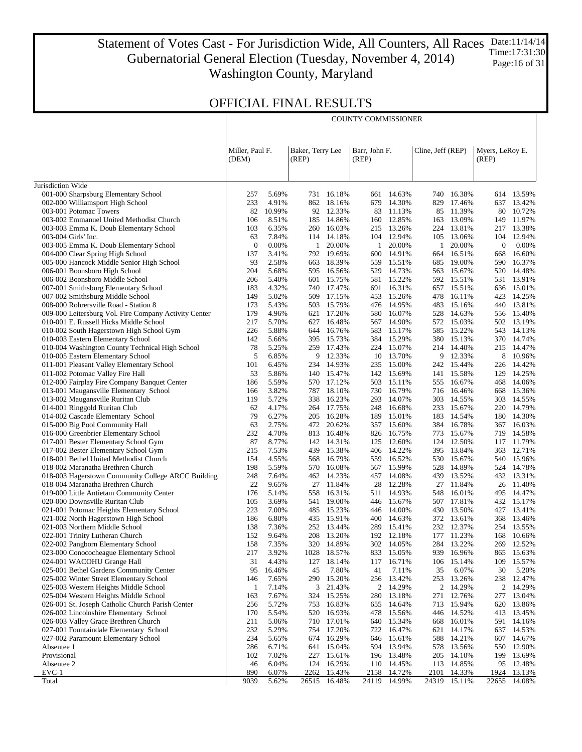Statement of Votes Cast - For Jurisdiction Wide, All Counters, All Races Gubernatorial General Election (Tuesday, November 4, 2014) Washington County, Maryland Date:11/14/14 Time:17:31:30 Page:16 of 31

|                                                                           | <b>COUNTY COMMISSIONER</b> |                |                           |                          |                        |                          |                   |                          |                          |                      |
|---------------------------------------------------------------------------|----------------------------|----------------|---------------------------|--------------------------|------------------------|--------------------------|-------------------|--------------------------|--------------------------|----------------------|
|                                                                           | Miller, Paul F.<br>(DEM)   |                | Baker, Terry Lee<br>(REP) |                          | Barr, John F.<br>(REP) |                          | Cline, Jeff (REP) |                          | Myers, LeRoy E.<br>(REP) |                      |
|                                                                           |                            |                |                           |                          |                        |                          |                   |                          |                          |                      |
| Jurisdiction Wide<br>001-000 Sharpsburg Elementary School                 | 257                        | 5.69%          |                           | 731 16.18%               |                        | 661 14.63%               |                   | 740 16.38%               |                          | 614 13.59%           |
| 002-000 Williamsport High School                                          | 233                        | 4.91%          |                           | 862 18.16%               |                        | 679 14.30%               | 829               | 17.46%                   |                          | 637 13.42%           |
| 003-001 Potomac Towers                                                    | 82                         | 10.99%         |                           | 92 12.33%                | 83                     | 11.13%                   | 85                | 11.39%                   | 80                       | 10.72%               |
| 003-002 Emmanuel United Methodist Church                                  | 106                        | 8.51%          |                           | 185 14.86%               |                        | 160 12.85%               |                   | 163 13.09%               | 149                      | 11.97%               |
| 003-003 Emma K. Doub Elementary School                                    | 103                        | 6.35%          |                           | 260 16.03%               | 215                    | 13.26%                   |                   | 224 13.81%               | 217                      | 13.38%               |
| 003-004 Girls' Inc.                                                       | 63                         | 7.84%          |                           | 114 14.18%               |                        | 104 12.94%               | 105               | 13.06%                   | 104                      | 12.94%               |
| 003-005 Emma K. Doub Elementary School                                    | $\mathbf{0}$               | 0.00%          | $\mathbf{1}$              | 20.00%                   | -1                     | 20.00%                   | $\mathbf{1}$      | 20.00%                   | $\boldsymbol{0}$         | 0.00%                |
| 004-000 Clear Spring High School                                          | 137                        | 3.41%          |                           | 792 19.69%               | 600                    | 14.91%                   |                   | 664 16.51%               | 668                      | 16.60%               |
| 005-000 Hancock Middle Senior High School                                 | 93                         | 2.58%          | 663                       | 18.39%                   | 559                    | 15.51%                   |                   | 685 19.00%               | 590                      | 16.37%               |
| 006-001 Boonsboro High School                                             | 204                        | 5.68%          |                           | 595 16.56%               |                        | 529 14.73%               |                   | 563 15.67%               | 520                      | 14.48%               |
| 006-002 Boonsboro Middle School                                           | 206                        | 5.40%          | 601                       | 15.75%                   |                        | 581 15.22%               |                   | 592 15.51%               | 531                      | 13.91%               |
| 007-001 Smithsburg Elementary School                                      | 183<br>149                 | 4.32%<br>5.02% |                           | 740 17.47%<br>509 17.15% | 453                    | 691 16.31%<br>15.26%     |                   | 657 15.51%<br>478 16.11% | 636<br>423               | 15.01%<br>14.25%     |
| 007-002 Smithsburg Middle School<br>008-000 Rohrersville Road - Station 8 | 173                        | 5.43%          |                           | 503 15.79%               |                        | 476 14.95%               |                   | 483 15.16%               | 440                      | 13.81%               |
| 009-000 Leitersburg Vol. Fire Company Activity Center                     | 179                        | 4.96%          |                           | 621 17.20%               | 580                    | 16.07%                   |                   | 528 14.63%               | 556                      | 15.40%               |
| 010-001 E. Russell Hicks Middle School                                    | 217                        | 5.70%          | 627                       | 16.48%                   |                        | 567 14.90%               |                   | 572 15.03%               |                          | 502 13.19%           |
| 010-002 South Hagerstown High School Gym                                  | 226                        | 5.88%          | 644                       | 16.76%                   | 583                    | 15.17%                   |                   | 585 15.22%               | 543                      | 14.13%               |
| 010-003 Eastern Elementary School                                         | 142                        | 5.66%          |                           | 395 15.73%               |                        | 384 15.29%               |                   | 380 15.13%               |                          | 370 14.74%           |
| 010-004 Washington County Technical High School                           | 78                         | 5.25%          |                           | 259 17.43%               |                        | 224 15.07%               |                   | 214 14.40%               | 215                      | 14.47%               |
| 010-005 Eastern Elementary School                                         | 5                          | 6.85%          |                           | 9 12.33%                 |                        | 10 13.70%                |                   | 9 12.33%                 | 8                        | 10.96%               |
| 011-001 Pleasant Valley Elementary School                                 | 101                        | 6.45%          |                           | 234 14.93%               | 235                    | 15.00%                   |                   | 242 15.44%               | 226                      | 14.42%               |
| 011-002 Potomac Valley Fire Hall                                          | 53                         | 5.86%          |                           | 140 15.47%               |                        | 142 15.69%               |                   | 141 15.58%               | 129                      | 14.25%               |
| 012-000 Fairplay Fire Company Banquet Center                              | 186                        | 5.59%          | 570                       | 17.12%                   | 503                    | 15.11%                   |                   | 555 16.67%               | 468                      | 14.06%               |
| 013-001 Maugansville Elementary School                                    | 166                        | 3.82%          |                           | 787 18.10%               | 730                    | 16.79%                   |                   | 716 16.46%               | 668                      | 15.36%               |
| 013-002 Maugansville Ruritan Club                                         | 119                        | 5.72%          | 338                       | 16.23%                   | 293                    | 14.07%                   |                   | 303 14.55%               | 303                      | 14.55%               |
| 014-001 Ringgold Ruritan Club                                             | 62<br>79                   | 4.17%<br>6.27% | 205                       | 264 17.75%<br>16.28%     | 248<br>189             | 16.68%<br>15.01%         |                   | 233 15.67%<br>183 14.54% | 220<br>180               | 14.79%<br>14.30%     |
| 014-002 Cascade Elementary School<br>015-000 Big Pool Community Hall      | 63                         | 2.75%          |                           | 472 20.62%               |                        | 357 15.60%               |                   | 384 16.78%               | 367                      | 16.03%               |
| 016-000 Greenbrier Elementary School                                      | 232                        | 4.70%          |                           | 813 16.48%               |                        | 826 16.75%               |                   | 773 15.67%               | 719                      | 14.58%               |
| 017-001 Bester Elementary School Gym                                      | 87                         | 8.77%          |                           | 142 14.31%               | 125                    | 12.60%                   |                   | 124 12.50%               | 117                      | 11.79%               |
| 017-002 Bester Elementary School Gym                                      | 215                        | 7.53%          |                           | 439 15.38%               |                        | 406 14.22%               |                   | 395 13.84%               | 363                      | 12.71%               |
| 018-001 Bethel United Methodist Church                                    | 154                        | 4.55%          |                           | 568 16.79%               |                        | 559 16.52%               |                   | 530 15.67%               |                          | 540 15.96%           |
| 018-002 Maranatha Brethren Church                                         | 198                        | 5.59%          |                           | 570 16.08%               | 567                    | 15.99%                   |                   | 528 14.89%               |                          | 524 14.78%           |
| 018-003 Hagerstown Community College ARCC Building                        | 248                        | 7.64%          |                           | 462 14.23%               |                        | 457 14.08%               |                   | 439 13.52%               |                          | 432 13.31%           |
| 018-004 Maranatha Brethren Church                                         | 22                         | 9.65%          |                           | 27 11.84%                | 28                     | 12.28%                   |                   | 27 11.84%                | 26                       | 11.40%               |
| 019-000 Little Antietam Community Center                                  | 176                        | 5.14%          |                           | 558 16.31%               |                        | 511 14.93%               |                   | 548 16.01%               | 495                      | 14.47%               |
| 020-000 Downsville Ruritan Club                                           | 105                        | 3.69%          |                           | 541 19.00%               |                        | 446 15.67%               |                   | 507 17.81%               |                          | 432 15.17%           |
| 021-001 Potomac Heights Elementary School                                 | 223                        | 7.00%          |                           | 485 15.23%               |                        | 446 14.00%<br>400 14.63% |                   | 430 13.50%               |                          | 427 13.41%           |
| 021-002 North Hagerstown High School<br>021-003 Northern Middle School    | 186<br>138                 | 6.80%<br>7.36% |                           | 435 15.91%<br>252 13.44% |                        | 289 15.41%               |                   | 372 13.61%<br>232 12.37% | 368                      | 13.46%<br>254 13.55% |
| 022-001 Trinity Lutheran Church                                           | 152                        | 9.64%          |                           | 208 13.20%               |                        | 192 12.18%               |                   | 177 11.23%               |                          | 168 10.66%           |
| 022-002 Pangborn Elementary School                                        | 158                        | 7.35%          |                           | 320 14.89%               |                        | 302 14.05%               |                   | 284 13.22%               |                          | 269 12.52%           |
| 023-000 Conococheague Elementary School                                   | 217                        | 3.92%          | 1028                      | 18.57%                   | 833                    | 15.05%                   |                   | 939 16.96%               | 865                      | 15.63%               |
| 024-001 WACOHU Grange Hall                                                | 31                         | 4.43%          | 127                       | 18.14%                   | 117                    | 16.71%                   | 106               | 15.14%                   | 109                      | 15.57%               |
| 025-001 Bethel Gardens Community Center                                   | 95                         | 16.46%         | 45                        | 7.80%                    | 41                     | 7.11%                    | 35                | 6.07%                    | 30                       | 5.20%                |
| 025-002 Winter Street Elementary School                                   | 146                        | 7.65%          | 290                       | 15.20%                   | 256                    | 13.42%                   | 253               | 13.26%                   | 238                      | 12.47%               |
| 025-003 Western Heights Middle School                                     | 1                          | 7.14%          |                           | 3 21.43%                 |                        | 2 14.29%                 |                   | 2 14.29%                 |                          | 2 14.29%             |
| 025-004 Western Heights Middle School                                     | 163                        | 7.67%          | 324                       | 15.25%                   | 280                    | 13.18%                   |                   | 271 12.76%               | 277                      | 13.04%               |
| 026-001 St. Joseph Catholic Church Parish Center                          | 256                        | 5.72%          | 753                       | 16.83%                   | 655                    | 14.64%                   |                   | 713 15.94%               | 620                      | 13.86%               |
| 026-002 Lincolnshire Elementary School                                    | 170                        | 5.54%          | 520                       | 16.93%                   | 478                    | 15.56%                   |                   | 446 14.52%               | 413                      | 13.45%               |
| 026-003 Valley Grace Brethren Church                                      | 211                        | 5.06%          |                           | 710 17.01%               | 640                    | 15.34%                   |                   | 668 16.01%               | 591                      | 14.16%               |
| 027-001 Fountaindale Elementary School                                    | 232                        | 5.29%          | 754                       | 17.20%                   | 722                    | 16.47%                   |                   | 621 14.17%               |                          | 637 14.53%           |
| 027-002 Paramount Elementary School<br>Absentee 1                         | 234                        | 5.65%          | 674                       | 16.29%                   | 646                    | 15.61%                   | 588               | 14.21%                   | 607<br>550               | 14.67%<br>12.90%     |
| Provisional                                                               | 286<br>102                 | 6.71%<br>7.02% | 641<br>227                | 15.04%<br>15.61%         | 196                    | 594 13.94%<br>13.48%     | 205               | 578 13.56%<br>14.10%     | 199                      | 13.69%               |
| Absentee 2                                                                | 46                         | 6.04%          | 124                       | 16.29%                   |                        | 110 14.45%               |                   | 113 14.85%               | 95                       | 12.48%               |
| EVC-1                                                                     | 890                        | 6.07%          | 2262                      | 15.43%                   | 2158                   | 14.72%                   | 2101              | 14.33%                   | 1924                     | 13.13%               |
| Total                                                                     | 9039                       | 5.62%          |                           | 26515 16.48%             |                        | 24119 14.99%             |                   | 24319 15.11%             | 22655                    | 14.08%               |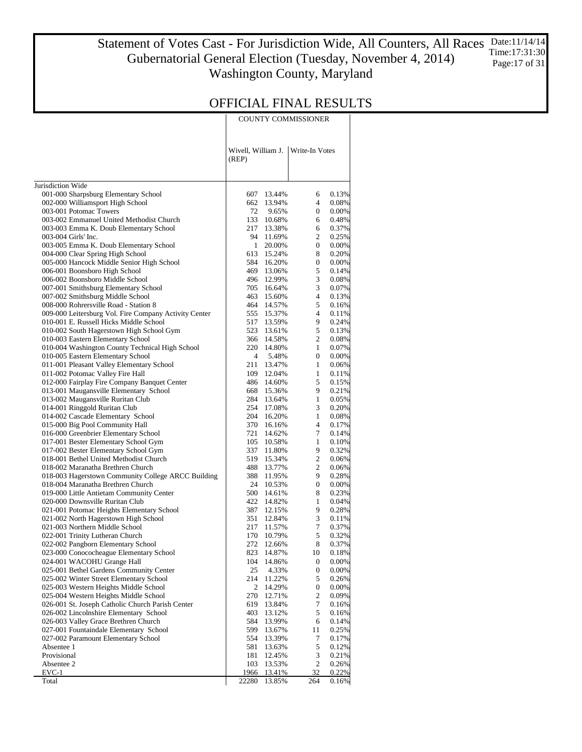### Statement of Votes Cast - For Jurisdiction Wide, All Counters, All Races Gubernatorial General Election (Tuesday, November 4, 2014) Washington County, Maryland Date:11/14/14 Time:17:31:30 Page:17 of 31

### OFFICIAL FINAL RESULTS

COUNTY COMMISSIONER

|                                                                               | Wivell, William J.<br>(REP) |                  | Write-In Votes      |                |  |
|-------------------------------------------------------------------------------|-----------------------------|------------------|---------------------|----------------|--|
| Jurisdiction Wide                                                             |                             |                  |                     |                |  |
| 001-000 Sharpsburg Elementary School                                          | 607                         | 13.44%           | 6                   | 0.13%          |  |
| 002-000 Williamsport High School                                              | 662                         | 13.94%           | $\overline{4}$      | 0.08%          |  |
| 003-001 Potomac Towers                                                        | 72                          | 9.65%            | 0                   | 0.00%          |  |
| 003-002 Emmanuel United Methodist Church                                      | 133                         | 10.68%           | 6                   | 0.48%          |  |
| 003-003 Emma K. Doub Elementary School                                        | 217                         | 13.38%           | 6                   | 0.37%          |  |
| 003-004 Girls' Inc.                                                           | 94                          | 11.69%           | $\overline{c}$      | 0.25%          |  |
| 003-005 Emma K. Doub Elementary School                                        | $\mathbf{1}$                | 20.00%           | $\boldsymbol{0}$    | 0.00%          |  |
| 004-000 Clear Spring High School                                              | 613                         | 15.24%           | 8                   | 0.20%          |  |
| 005-000 Hancock Middle Senior High School                                     | 584                         | 16.20%           | $\boldsymbol{0}$    | 0.00%          |  |
| 006-001 Boonsboro High School                                                 | 469                         | 13.06%           | 5                   | 0.14%          |  |
| 006-002 Boonsboro Middle School                                               | 496                         | 12.99%           | 3                   | 0.08%          |  |
| 007-001 Smithsburg Elementary School                                          | 705                         | 16.64%           | 3<br>$\overline{4}$ | 0.07%          |  |
| 007-002 Smithsburg Middle School                                              | 463<br>464                  | 15.60%           | 5                   | 0.13%          |  |
| 008-000 Rohrersville Road - Station 8                                         | 555                         | 14.57%           | $\overline{4}$      | 0.16%          |  |
| 009-000 Leitersburg Vol. Fire Company Activity Center                         | 517                         | 15.37%           | 9                   | 0.11%<br>0.24% |  |
| 010-001 E. Russell Hicks Middle School                                        | 523                         | 13.59%           | 5                   | 0.13%          |  |
| 010-002 South Hagerstown High School Gym<br>010-003 Eastern Elementary School | 366                         | 13.61%<br>14.58% | $\overline{2}$      | 0.08%          |  |
| 010-004 Washington County Technical High School                               | 220                         | 14.80%           | $\mathbf{1}$        | 0.07%          |  |
| 010-005 Eastern Elementary School                                             | $\overline{4}$              | 5.48%            | $\boldsymbol{0}$    | 0.00%          |  |
| 011-001 Pleasant Valley Elementary School                                     | 211                         | 13.47%           | $\mathbf{1}$        | 0.06%          |  |
| 011-002 Potomac Valley Fire Hall                                              | 109                         | 12.04%           | 1                   | 0.11%          |  |
| 012-000 Fairplay Fire Company Banquet Center                                  | 486                         | 14.60%           | 5                   | 0.15%          |  |
| 013-001 Maugansville Elementary School                                        | 668                         | 15.36%           | 9                   | 0.21%          |  |
| 013-002 Maugansville Ruritan Club                                             | 284                         | 13.64%           | $\mathbf{1}$        | 0.05%          |  |
| 014-001 Ringgold Ruritan Club                                                 | 254                         | 17.08%           | 3                   | 0.20%          |  |
| 014-002 Cascade Elementary School                                             | 204                         | 16.20%           | $\mathbf{1}$        | 0.08%          |  |
| 015-000 Big Pool Community Hall                                               | 370                         | 16.16%           | 4                   | 0.17%          |  |
| 016-000 Greenbrier Elementary School                                          | 721                         | 14.62%           | 7                   | 0.14%          |  |
| 017-001 Bester Elementary School Gym                                          | 105                         | 10.58%           | $\mathbf{1}$        | 0.10%          |  |
| 017-002 Bester Elementary School Gym                                          | 337                         | 11.80%           | 9                   | 0.32%          |  |
| 018-001 Bethel United Methodist Church                                        | 519                         | 15.34%           | $\overline{c}$      | 0.06%          |  |
| 018-002 Maranatha Brethren Church                                             | 488                         | 13.77%           | $\overline{c}$      | 0.06%          |  |
| 018-003 Hagerstown Community College ARCC Building                            | 388                         | 11.95%           | 9                   | 0.28%          |  |
| 018-004 Maranatha Brethren Church                                             | 24                          | 10.53%           | $\boldsymbol{0}$    | 0.00%          |  |
| 019-000 Little Antietam Community Center                                      | 500                         | 14.61%           | 8                   | 0.23%          |  |
| 020-000 Downsville Ruritan Club                                               | 422                         | 14.82%           | $\mathbf{1}$        | 0.04%          |  |
| 021-001 Potomac Heights Elementary School                                     | 387                         | 12.15%           | 9                   | 0.28%          |  |
| 021-002 North Hagerstown High School                                          | 351                         | 12.84%           | 3                   | 0.11%          |  |
| 021-003 Northern Middle School                                                | 217                         | 11.57%           | 7                   | 0.37%          |  |
| 022-001 Trinity Lutheran Church                                               | 170                         | 10.79%           | 5                   | 0.32%          |  |
| 022-002 Pangborn Elementary School                                            | 272                         | 12.66%           | 8                   | 0.37%          |  |
| 023-000 Conococheague Elementary School                                       | 823                         | 14.87%           | 10                  | 0.18%          |  |
| 024-001 WACOHU Grange Hall                                                    | 104                         | 14.86%           | $\boldsymbol{0}$    | 0.00%          |  |
| 025-001 Bethel Gardens Community Center                                       | 25                          | 4.33%            | $\boldsymbol{0}$    | 0.00%          |  |
| 025-002 Winter Street Elementary School                                       | 214                         | 11.22%           | 5                   | 0.26%          |  |
| 025-003 Western Heights Middle School                                         | 2                           | 14.29%           | $\boldsymbol{0}$    | 0.00%          |  |
| 025-004 Western Heights Middle School                                         | 270                         | 12.71%           | $\overline{c}$      | 0.09%          |  |
| 026-001 St. Joseph Catholic Church Parish Center                              | 619                         | 13.84%           | 7                   | 0.16%          |  |
| 026-002 Lincolnshire Elementary School                                        | 403                         | 13.12%           | 5                   | 0.16%          |  |
| 026-003 Valley Grace Brethren Church                                          | 584                         | 13.99%           | 6                   | 0.14%          |  |
| 027-001 Fountaindale Elementary School                                        | 599                         | 13.67%           | 11                  | 0.25%          |  |
| 027-002 Paramount Elementary School                                           | 554                         | 13.39%           | 7                   | 0.17%          |  |
| Absentee 1                                                                    | 581                         | 13.63%           | 5                   | 0.12%          |  |
| Provisional                                                                   | 181                         | 12.45%           | $\mathfrak{Z}$      | 0.21%          |  |
| Absentee 2                                                                    | 103                         | 13.53%           | $\overline{c}$      | 0.26%          |  |
| $EVC-1$                                                                       | 1966                        | 13.41%           | 32                  | 0.22%          |  |
| Total                                                                         | 22280                       | 13.85%           | 264                 | 0.16%          |  |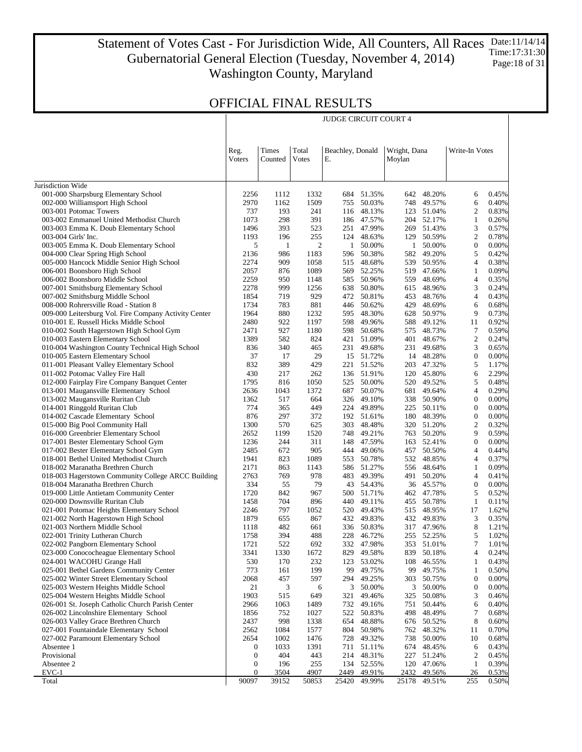### Statement of Votes Cast - For Jurisdiction Wide, All Counters, All Races Gubernatorial General Election (Tuesday, November 4, 2014) Washington County, Maryland Date:11/14/14 Time:17:31:30 Page:18 of 31

JUDGE CIRCUIT COURT 4

 $\overline{a}$ 

## OFFICIAL FINAL RESULTS

 $\overline{\phantom{a}}$ 

|                                                                                                 | Reg.<br>Voters   | Times<br>Counted | Total<br>Votes | Beachley, Donald<br>E. |                          | Wright, Dana<br>Moylan |                          | Write-In Votes                 |                |
|-------------------------------------------------------------------------------------------------|------------------|------------------|----------------|------------------------|--------------------------|------------------------|--------------------------|--------------------------------|----------------|
| Jurisdiction Wide                                                                               |                  |                  |                |                        |                          |                        |                          |                                |                |
| 001-000 Sharpsburg Elementary School                                                            | 2256             | 1112             | 1332           |                        | 684 51.35%               | 642                    | 48.20%                   | 6                              | 0.45%          |
| 002-000 Williamsport High School                                                                | 2970             | 1162             | 1509           | 755                    | 50.03%                   | 748                    | 49.57%                   | 6                              | 0.40%          |
| 003-001 Potomac Towers                                                                          | 737              | 193              | 241            |                        | 116 48.13%               |                        | 123 51.04%               | 2                              | 0.83%          |
| 003-002 Emmanuel United Methodist Church                                                        | 1073             | 298              | 391            |                        | 186 47.57%               |                        | 204 52.17%               | $\mathbf{1}$                   | 0.26%          |
| 003-003 Emma K. Doub Elementary School                                                          | 1496             | 393              | 523            |                        | 251 47.99%               |                        | 269 51.43%               | 3                              | 0.57%          |
| 003-004 Girls' Inc.                                                                             | 1193             | 196              | 255            |                        | 124 48.63%               | 129                    | 50.59%                   | $\overline{c}$                 | 0.78%          |
| 003-005 Emma K. Doub Elementary School                                                          | 5                | $\mathbf{1}$     | 2              | $\mathbf{1}$           | 50.00%                   | $\mathbf{1}$           | 50.00%                   | $\boldsymbol{0}$               | 0.00%          |
| 004-000 Clear Spring High School                                                                | 2136             | 986              | 1183           | 596                    | 50.38%                   | 582                    | 49.20%                   | 5                              | 0.42%          |
| 005-000 Hancock Middle Senior High School                                                       | 2274             | 909              | 1058           |                        | 515 48.68%               |                        | 539 50.95%               | $\overline{4}$                 | 0.38%          |
| 006-001 Boonsboro High School                                                                   | 2057             | 876              | 1089           | 569                    | 52.25%                   | 519                    | 47.66%                   | $\mathbf{1}$                   | 0.09%          |
| 006-002 Boonsboro Middle School                                                                 | 2259             | 950              | 1148           |                        | 585 50.96%               | 559                    | 48.69%                   | $\overline{4}$                 | 0.35%          |
| 007-001 Smithsburg Elementary School                                                            | 2278             | 999              | 1256           | 638                    | 50.80%                   | 615                    | 48.96%                   | 3                              | 0.24%          |
| 007-002 Smithsburg Middle School                                                                | 1854             | 719              | 929            | 472                    | 50.81%                   | 453                    | 48.76%                   | $\overline{4}$                 | 0.43%          |
| 008-000 Rohrersville Road - Station 8                                                           | 1734             | 783              | 881            | 446                    | 50.62%                   | 429                    | 48.69%                   | 6<br>9                         | 0.68%          |
| 009-000 Leitersburg Vol. Fire Company Activity Center<br>010-001 E. Russell Hicks Middle School | 1964<br>2480     | 880<br>922       | 1232<br>1197   |                        | 595 48.30%<br>598 49.96% |                        | 628 50.97%<br>588 49.12% | 11                             | 0.73%<br>0.92% |
| 010-002 South Hagerstown High School Gym                                                        | 2471             | 927              | 1180           |                        | 598 50.68%               |                        | 575 48.73%               | $\tau$                         | 0.59%          |
| 010-003 Eastern Elementary School                                                               | 1389             | 582              | 824            | 421                    | 51.09%                   |                        | 401 48.67%               | $\overline{c}$                 | 0.24%          |
| 010-004 Washington County Technical High School                                                 | 836              | 340              | 465            |                        | 231 49.68%               |                        | 231 49.68%               | 3                              | 0.65%          |
| 010-005 Eastern Elementary School                                                               | 37               | 17               | 29             |                        | 15 51.72%                |                        | 14 48.28%                | $\boldsymbol{0}$               | 0.00%          |
| 011-001 Pleasant Valley Elementary School                                                       | 832              | 389              | 429            | 221                    | 51.52%                   |                        | 203 47.32%               | 5                              | 1.17%          |
| 011-002 Potomac Valley Fire Hall                                                                | 430              | 217              | 262            |                        | 136 51.91%               |                        | 120 45.80%               | 6                              | 2.29%          |
| 012-000 Fairplay Fire Company Banquet Center                                                    | 1795             | 816              | 1050           | 525                    | 50.00%                   |                        | 520 49.52%               | 5                              | 0.48%          |
| 013-001 Maugansville Elementary School                                                          | 2636             | 1043             | 1372           | 687                    | 50.07%                   |                        | 681 49.64%               | $\overline{4}$                 | 0.29%          |
| 013-002 Maugansville Ruritan Club                                                               | 1362             | 517              | 664            |                        | 326 49.10%               |                        | 338 50.90%               | $\boldsymbol{0}$               | 0.00%          |
| 014-001 Ringgold Ruritan Club                                                                   | 774              | 365              | 449            |                        | 224 49.89%               | 225                    | 50.11%                   | $\boldsymbol{0}$               | 0.00%          |
| 014-002 Cascade Elementary School                                                               | 876              | 297              | 372            |                        | 192 51.61%               |                        | 180 48.39%               | $\boldsymbol{0}$               | 0.00%          |
| 015-000 Big Pool Community Hall                                                                 | 1300             | 570              | 625            |                        | 303 48.48%               |                        | 320 51.20%               | $\overline{c}$                 | 0.32%          |
| 016-000 Greenbrier Elementary School                                                            | 2652             | 1199             | 1520           |                        | 748 49.21%               |                        | 763 50.20%               | 9                              | 0.59%          |
| 017-001 Bester Elementary School Gym                                                            | 1236             | 244              | 311            |                        | 148 47.59%               | 163                    | 52.41%                   | $\boldsymbol{0}$               | 0.00%          |
| 017-002 Bester Elementary School Gym                                                            | 2485             | 672              | 905            |                        | 444 49.06%               |                        | 457 50.50%               | $\overline{4}$                 | 0.44%          |
| 018-001 Bethel United Methodist Church                                                          | 1941<br>2171     | 823<br>863       | 1089<br>1143   | 553                    | 50.78%<br>586 51.27%     | 532                    | 48.85%<br>556 48.64%     | $\overline{4}$<br>$\mathbf{1}$ | 0.37%<br>0.09% |
| 018-002 Maranatha Brethren Church<br>018-003 Hagerstown Community College ARCC Building         | 2763             | 769              | 978            |                        | 483 49.39%               | 491                    | 50.20%                   | $\overline{4}$                 | 0.41%          |
| 018-004 Maranatha Brethren Church                                                               | 334              | 55               | 79             |                        | 43 54.43%                |                        | 36 45.57%                | $\boldsymbol{0}$               | 0.00%          |
| 019-000 Little Antietam Community Center                                                        | 1720             | 842              | 967            |                        | 500 51.71%               |                        | 462 47.78%               | 5                              | 0.52%          |
| 020-000 Downsville Ruritan Club                                                                 | 1458             | 704              | 896            |                        | 440 49.11%               |                        | 455 50.78%               | -1                             | 0.11%          |
| 021-001 Potomac Heights Elementary School                                                       | 2246             | 797              | 1052           |                        | 520 49.43%               | 515                    | 48.95%                   | 17                             | 1.62%          |
| 021-002 North Hagerstown High School                                                            | 1879             | 655              | 867            |                        | 432 49.83%               |                        | 432 49.83%               | 3                              | 0.35%          |
| 021-003 Northern Middle School                                                                  | 1118             | 482              | 661            |                        | 336 50.83%               |                        | 317 47.96%               | 8                              | 1.21%          |
| 022-001 Trinity Lutheran Church                                                                 | 1758             | 394              | 488            |                        | 228 46.72%               |                        | 255 52.25%               | 5                              | 1.02%          |
| 022-002 Pangborn Elementary School                                                              | 1721             | 522              | 692            |                        | 332 47.98%               |                        | 353 51.01%               | $\overline{7}$                 | 1.01%          |
| 023-000 Conococheague Elementary School                                                         | 3341             | 1330             | 1672           | 829                    | 49.58%                   | 839                    | 50.18%                   | 4                              | 0.24%          |
| 024-001 WACOHU Grange Hall                                                                      | 530              | 170              | 232            | 123                    | 53.02%                   | 108                    | 46.55%                   | $\mathbf{1}$                   | 0.43%          |
| 025-001 Bethel Gardens Community Center                                                         | 773              | 161              | 199            |                        | 99 49.75%                | 99                     | 49.75%                   | 1                              | 0.50%          |
| 025-002 Winter Street Elementary School                                                         | 2068             | 457              | 597            |                        | 294 49.25%               | 303                    | 50.75%                   | $\mathbf{0}$                   | 0.00%          |
| 025-003 Western Heights Middle School                                                           | 21               | 3                | 6              | 3                      | 50.00%                   | 3                      | 50.00%                   | $\bf{0}$                       | 0.00%          |
| 025-004 Western Heights Middle School<br>026-001 St. Joseph Catholic Church Parish Center       | 1903             | 515              | 649            | 321                    | 49.46%                   | 325                    | 50.08%<br>50.44%         | 3                              | 0.46%          |
| 026-002 Lincolnshire Elementary School                                                          | 2966<br>1856     | 1063<br>752      | 1489<br>1027   | 522                    | 732 49.16%<br>50.83%     | 751<br>498             | 48.49%                   | 6<br>7                         | 0.40%<br>0.68% |
| 026-003 Valley Grace Brethren Church                                                            | 2437             | 998              | 1338           |                        | 654 48.88%               |                        | 676 50.52%               | 8                              | 0.60%          |
| 027-001 Fountaindale Elementary School                                                          | 2562             | 1084             | 1577           | 804                    | 50.98%                   |                        | 762 48.32%               | 11                             | 0.70%          |
| 027-002 Paramount Elementary School                                                             | 2654             | 1002             | 1476           |                        | 728 49.32%               |                        | 738 50.00%               | 10                             | 0.68%          |
| Absentee 1                                                                                      | $\bf{0}$         | 1033             | 1391           |                        | 711 51.11%               | 674                    | 48.45%                   | 6                              | 0.43%          |
| Provisional                                                                                     | $\bf{0}$         | 404              | 443            |                        | 214 48.31%               | 227                    | 51.24%                   | 2                              | 0.45%          |
| Absentee 2                                                                                      | $\boldsymbol{0}$ | 196              | 255            |                        | 134 52.55%               | 120                    | 47.06%                   | $\mathbf{1}$                   | 0.39%          |
| $EVC-1$                                                                                         | $\boldsymbol{0}$ | 3504             | 4907           | 2449                   | 49.91%                   | 2432                   | 49.56%                   | 26                             | 0.53%          |
| Total                                                                                           | 90097            | 39152            | 50853          | 25420                  | 49.99%                   | 25178                  | 49.51%                   | 255                            | 0.50%          |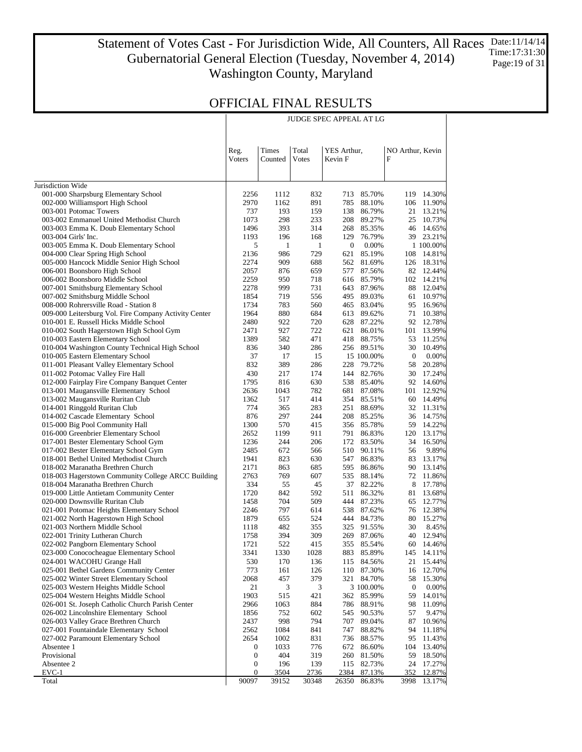### Statement of Votes Cast - For Jurisdiction Wide, All Counters, All Races Gubernatorial General Election (Tuesday, November 4, 2014) Washington County, Maryland Date:11/14/14 Time:17:31:30 Page:19 of 31

Τ

### OFFICIAL FINAL RESULTS

|                                                                                  |              |              |               | JUDGE SPEC APPEAL AT LG   |                  |                     |
|----------------------------------------------------------------------------------|--------------|--------------|---------------|---------------------------|------------------|---------------------|
|                                                                                  |              |              |               |                           |                  |                     |
|                                                                                  | Reg.         | Times        | Total         | YES Arthur,               | NO Arthur, Kevin |                     |
|                                                                                  | Voters       | Counted      | <b>V</b> otes | Kevin F                   | F                |                     |
|                                                                                  |              |              |               |                           |                  |                     |
| Jurisdiction Wide                                                                |              |              |               |                           |                  |                     |
| 001-000 Sharpsburg Elementary School                                             | 2256         | 1112         | 832           | 85.70%<br>713             |                  | 119 14.30%          |
| 002-000 Williamsport High School                                                 | 2970         | 1162         | 891           | 785 88.10%                |                  | 106 11.90%          |
| 003-001 Potomac Towers<br>003-002 Emmanuel United Methodist Church               | 737<br>1073  | 193<br>298   | 159<br>233    | 138 86.79%<br>208 89.27%  | 21<br>25         | 13.21%<br>10.73%    |
| 003-003 Emma K. Doub Elementary School                                           | 1496         | 393          | 314           | 268 85.35%                |                  | 46 14.65%           |
| 003-004 Girls' Inc.                                                              | 1193         | 196          | 168           | 76.79%<br>129             |                  | 39 23.21%           |
| 003-005 Emma K. Doub Elementary School                                           | 5            | $\mathbf{1}$ | $\mathbf{1}$  | $\boldsymbol{0}$<br>0.00% |                  | 1 100.00%           |
| 004-000 Clear Spring High School                                                 | 2136         | 986          | 729           | 621 85.19%                | 108              | 14.81%              |
| 005-000 Hancock Middle Senior High School                                        | 2274         | 909          | 688           | 562 81.69%                |                  | 126 18.31%          |
| 006-001 Boonsboro High School                                                    | 2057         | 876          | 659           | 577 87.56%                |                  | 82 12.44%           |
| 006-002 Boonsboro Middle School                                                  | 2259         | 950          | 718           | 616 85.79%                |                  | 102 14.21%          |
| 007-001 Smithsburg Elementary School                                             | 2278         | 999          | 731<br>556    | 643 87.96%                | 88               | 12.04%<br>10.97%    |
| 007-002 Smithsburg Middle School<br>008-000 Rohrersville Road - Station 8        | 1854<br>1734 | 719<br>783   | 560           | 495 89.03%<br>465 83.04%  | 61<br>95         | 16.96%              |
| 009-000 Leitersburg Vol. Fire Company Activity Center                            | 1964         | 880          | 684           | 613 89.62%                | 71               | 10.38%              |
| 010-001 E. Russell Hicks Middle School                                           | 2480         | 922          | 720           | 628 87.22%                | 92               | 12.78%              |
| 010-002 South Hagerstown High School Gym                                         | 2471         | 927          | 722           | 621 86.01%                | 101              | 13.99%              |
| 010-003 Eastern Elementary School                                                | 1389         | 582          | 471           | 418 88.75%                | 53               | 11.25%              |
| 010-004 Washington County Technical High School                                  | 836          | 340          | 286           | 256 89.51%                | 30               | 10.49%              |
| 010-005 Eastern Elementary School                                                | 37           | 17           | 15            | 15 100.00%                | $\boldsymbol{0}$ | 0.00%               |
| 011-001 Pleasant Valley Elementary School                                        | 832          | 389          | 286           | 228 79.72%                | 58               | 20.28%              |
| 011-002 Potomac Valley Fire Hall<br>012-000 Fairplay Fire Company Banquet Center | 430<br>1795  | 217<br>816   | 174<br>630    | 144 82.76%<br>538 85.40%  | 30               | 17.24%<br>92 14.60% |
| 013-001 Maugansville Elementary School                                           | 2636         | 1043         | 782           | 681 87.08%                | 101              | 12.92%              |
| 013-002 Maugansville Ruritan Club                                                | 1362         | 517          | 414           | 354 85.51%                |                  | 60 14.49%           |
| 014-001 Ringgold Ruritan Club                                                    | 774          | 365          | 283           | 251 88.69%                |                  | 32 11.31%           |
| 014-002 Cascade Elementary School                                                | 876          | 297          | 244           | 208 85.25%                | 36               | 14.75%              |
| 015-000 Big Pool Community Hall                                                  | 1300         | 570          | 415           | 356 85.78%                | 59               | 14.22%              |
| 016-000 Greenbrier Elementary School                                             | 2652         | 1199         | 911           | 791 86.83%                | 120              | 13.17%              |
| 017-001 Bester Elementary School Gym                                             | 1236         | 244          | 206           | 172 83.50%                | 34               | 16.50%              |
| 017-002 Bester Elementary School Gym                                             | 2485         | 672<br>823   | 566<br>630    | 510 90.11%                | 56               | 9.89%               |
| 018-001 Bethel United Methodist Church<br>018-002 Maranatha Brethren Church      | 1941<br>2171 | 863          | 685           | 547 86.83%<br>595 86.86%  | 83               | 13.17%<br>90 13.14% |
| 018-003 Hagerstown Community College ARCC Building                               | 2763         | 769          | 607           | 535 88.14%                | 72               | 11.86%              |
| 018-004 Maranatha Brethren Church                                                | 334          | 55           | 45            | 37 82.22%                 | 8                | 17.78%              |
| 019-000 Little Antietam Community Center                                         | 1720         | 842          | 592           | 511 86.32%                | 81               | 13.68%              |
| 020-000 Downsville Ruritan Club                                                  | 1458         | 704          | 509           | 444 87.23%                | 65               | 12.77%              |
| 021-001 Potomac Heights Elementary School                                        | 2246         | 797          | 614           | 538 87.62%                | 76               | 12.38%              |
| 021-002 North Hagerstown High School                                             | 1879         | 655          | 524           | 444 84.73%                | 80               | 15.27%              |
| 021-003 Northern Middle School                                                   | 1118         | 482          | 355           | 325 91.55%                | 30               | 8.45%               |
| 022-001 Trinity Lutheran Church<br>022-002 Pangborn Elementary School            | 1758<br>1721 | 394<br>522   | 309<br>415    | 269 87.06%<br>355 85.54%  | 60               | 40 12.94%<br>14.46% |
| 023-000 Conococheague Elementary School                                          | 3341         | 1330         | 1028          | 85.89%<br>883             | 145              | 14.11%              |
| 024-001 WACOHU Grange Hall                                                       | 530          | 170          | 136           | 115<br>84.56%             | 21               | 15.44%              |
| 025-001 Bethel Gardens Community Center                                          | 773          | 161          | 126           | 110 87.30%                | 16               | 12.70%              |
| 025-002 Winter Street Elementary School                                          | 2068         | 457          | 379           | 321 84.70%                | 58               | 15.30%              |
| 025-003 Western Heights Middle School                                            | 21           | 3            | 3             | 3 100.00%                 | $\boldsymbol{0}$ | 0.00%               |
| 025-004 Western Heights Middle School                                            | 1903         | 515          | 421           | 362 85.99%                | 59               | 14.01%              |
| 026-001 St. Joseph Catholic Church Parish Center                                 | 2966         | 1063         | 884           | 786 88.91%                | 98               | 11.09%              |
| 026-002 Lincolnshire Elementary School                                           | 1856         | 752          | 602           | 545 90.53%                | 57               | 9.47%               |
| 026-003 Valley Grace Brethren Church<br>027-001 Fountaindale Elementary School   | 2437<br>2562 | 998<br>1084  | 794<br>841    | 707 89.04%<br>747         | 87<br>94         | 10.96%<br>11.18%    |
| 027-002 Paramount Elementary School                                              | 2654         | 1002         | 831           | 88.82%<br>736 88.57%      | 95               | 11.43%              |
| Absentee 1                                                                       | 0            | 1033         | 776           | 672 86.60%                | 104              | 13.40%              |
| Provisional                                                                      | 0            | 404          | 319           | 260<br>81.50%             | 59               | 18.50%              |
| Absentee 2                                                                       | 0            | 196          | 139           | 115 82.73%                | 24               | 17.27%              |
| $EVC-1$                                                                          | 0            | 3504         | 2736          | 2384<br>87.13%            | 352              | 12.87%              |
| Total                                                                            | 90097        | 39152        | 30348         | 26350<br>86.83%           | 3998             | 13.17%              |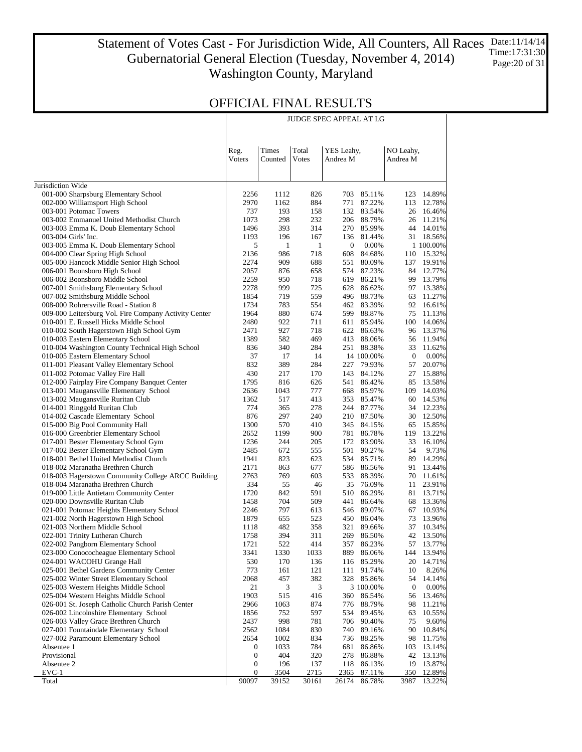### Statement of Votes Cast - For Jurisdiction Wide, All Counters, All Races Gubernatorial General Election (Tuesday, November 4, 2014) Washington County, Maryland Date:11/14/14 Time:17:31:30 Page:20 of 31

JUDGE SPEC APPEAL AT LG

 $\top$ 

### OFFICIAL FINAL RESULTS

|                                                                       | Reg.<br><b>V</b> oters | Times<br>Counted | Total<br><b>V</b> otes | YES Leahy,<br>Andrea M |                          | NO Leahy,<br>Andrea M |                        |
|-----------------------------------------------------------------------|------------------------|------------------|------------------------|------------------------|--------------------------|-----------------------|------------------------|
|                                                                       |                        |                  |                        |                        |                          |                       |                        |
| Jurisdiction Wide                                                     |                        |                  |                        |                        |                          |                       |                        |
| 001-000 Sharpsburg Elementary School                                  | 2256                   | 1112             | 826                    | 703                    | 85.11%                   | 123                   | 14.89%                 |
| 002-000 Williamsport High School                                      | 2970                   | 1162             | 884                    | 771                    | 87.22%                   | 113                   | 12.78%                 |
| 003-001 Potomac Towers                                                | 737                    | 193              | 158                    |                        | 132 83.54%               |                       | 26 16.46%              |
| 003-002 Emmanuel United Methodist Church                              | 1073                   | 298              | 232                    |                        | 206 88.79%               |                       | 26 11.21%              |
| 003-003 Emma K. Doub Elementary School                                | 1496                   | 393              | 314                    |                        | 270 85.99%               |                       | 44 14.01%              |
| 003-004 Girls' Inc.                                                   | 1193                   | 196              | 167                    |                        | 136 81.44%               |                       | 31 18.56%              |
| 003-005 Emma K. Doub Elementary School                                | 5                      | $\mathbf{1}$     | $\mathbf{1}$           | $\boldsymbol{0}$       | 0.00%                    |                       | 1 100.00%              |
| 004-000 Clear Spring High School                                      | 2136                   | 986              | 718                    | 608                    | 84.68%                   | 110                   | 15.32%                 |
| 005-000 Hancock Middle Senior High School                             | 2274                   | 909              | 688                    | 551                    | 80.09%                   |                       | 137 19.91%             |
| 006-001 Boonsboro High School<br>006-002 Boonsboro Middle School      | 2057<br>2259           | 876<br>950       | 658<br>718             | 574<br>619             | 87.23%<br>86.21%         | 99                    | 84 12.77%<br>13.79%    |
| 007-001 Smithsburg Elementary School                                  | 2278                   | 999              | 725                    |                        | 628 86.62%               |                       | 97 13.38%              |
| 007-002 Smithsburg Middle School                                      | 1854                   | 719              | 559                    |                        | 496 88.73%               | 63                    | 11.27%                 |
| 008-000 Rohrersville Road - Station 8                                 | 1734                   | 783              | 554                    |                        | 462 83.39%               | 92                    | 16.61%                 |
| 009-000 Leitersburg Vol. Fire Company Activity Center                 | 1964                   | 880              | 674                    | 599                    | 88.87%                   | 75                    | 11.13%                 |
| 010-001 E. Russell Hicks Middle School                                | 2480                   | 922              | 711                    | 611                    | 85.94%                   | 100                   | 14.06%                 |
| 010-002 South Hagerstown High School Gym                              | 2471                   | 927              | 718                    |                        | 622 86.63%               |                       | 96 13.37%              |
| 010-003 Eastern Elementary School                                     | 1389                   | 582              | 469                    |                        | 413 88.06%               |                       | 56 11.94%              |
| 010-004 Washington County Technical High School                       | 836                    | 340              | 284                    |                        | 251 88.38%               |                       | 33 11.62%              |
| 010-005 Eastern Elementary School                                     | 37                     | 17               | 14                     |                        | 14 100.00%               | $\boldsymbol{0}$      | 0.00%                  |
| 011-001 Pleasant Valley Elementary School                             | 832                    | 389              | 284                    |                        | 227 79.93%               | 57                    | 20.07%                 |
| 011-002 Potomac Valley Fire Hall                                      | 430                    | 217              | 170                    | 143                    | 84.12%                   |                       | 27 15.88%              |
| 012-000 Fairplay Fire Company Banquet Center                          | 1795                   | 816              | 626                    | 541                    | 86.42%                   | 85                    | 13.58%                 |
| 013-001 Maugansville Elementary School                                | 2636                   | 1043             | 777                    | 668                    | 85.97%                   | 109                   | 14.03%                 |
| 013-002 Maugansville Ruritan Club                                     | 1362                   | 517              | 413                    | 353                    | 85.47%                   |                       | 60 14.53%              |
| 014-001 Ringgold Ruritan Club                                         | 774                    | 365              | 278                    |                        | 244 87.77%               |                       | 34 12.23%              |
| 014-002 Cascade Elementary School<br>015-000 Big Pool Community Hall  | 876<br>1300            | 297<br>570       | 240<br>410             |                        | 210 87.50%<br>345 84.15% |                       | 30 12.50%<br>65 15.85% |
| 016-000 Greenbrier Elementary School                                  | 2652                   | 1199             | 900                    | 781                    | 86.78%                   | 119                   | 13.22%                 |
| 017-001 Bester Elementary School Gym                                  | 1236                   | 244              | 205                    |                        | 172 83.90%               | 33                    | 16.10%                 |
| 017-002 Bester Elementary School Gym                                  | 2485                   | 672              | 555                    | 501                    | 90.27%                   | 54                    | 9.73%                  |
| 018-001 Bethel United Methodist Church                                | 1941                   | 823              | 623                    | 534                    | 85.71%                   | 89                    | 14.29%                 |
| 018-002 Maranatha Brethren Church                                     | 2171                   | 863              | 677                    |                        | 586 86.56%               |                       | 91 13.44%              |
| 018-003 Hagerstown Community College ARCC Building                    | 2763                   | 769              | 603                    | 533                    | 88.39%                   | 70                    | 11.61%                 |
| 018-004 Maranatha Brethren Church                                     | 334                    | 55               | 46                     |                        | 35 76.09%                | 11                    | 23.91%                 |
| 019-000 Little Antietam Community Center                              | 1720                   | 842              | 591                    | 510                    | 86.29%                   |                       | 81 13.71%              |
| 020-000 Downsville Ruritan Club                                       | 1458                   | 704              | 509                    | 441                    | 86.64%                   |                       | 68 13.36%              |
| 021-001 Potomac Heights Elementary School                             | 2246                   | 797              | 613                    |                        | 546 89.07%               |                       | 67 10.93%              |
| 021-002 North Hagerstown High School                                  | 1879                   | 655              | 523                    |                        | 450 86.04%               |                       | 73 13.96%              |
| 021-003 Northern Middle School                                        | 1118                   | 482              | 358                    | 321                    | 89.66%                   |                       | 37 10.34%              |
| 022-001 Trinity Lutheran Church                                       | 1758                   | 394              | 311                    | 269                    | 86.50%                   | 42                    | 13.50%                 |
| 022-002 Pangborn Elementary School                                    | 1721                   | 522              | 414                    | 357                    | 86.23%                   | 57                    | 13.77%                 |
| 023-000 Conococheague Elementary School<br>024-001 WACOHU Grange Hall | 3341<br>530            | 1330<br>170      | 1033<br>136            | 889                    | 86.06%<br>85.29%         | 144<br>20             | 13.94%<br>14.71%       |
| 025-001 Bethel Gardens Community Center                               | 773                    | 161              | 121                    | 116<br>111             | 91.74%                   | 10                    | 8.26%                  |
| 025-002 Winter Street Elementary School                               | 2068                   | 457              | 382                    |                        | 328 85.86%               | 54                    | 14.14%                 |
| 025-003 Western Heights Middle School                                 | 21                     | 3                | 3                      |                        | 3 100.00%                | $\boldsymbol{0}$      | 0.00%                  |
| 025-004 Western Heights Middle School                                 | 1903                   | 515              | 416                    | 360                    | 86.54%                   | 56                    | 13.46%                 |
| 026-001 St. Joseph Catholic Church Parish Center                      | 2966                   | 1063             | 874                    | 776                    | 88.79%                   | 98                    | 11.21%                 |
| 026-002 Lincolnshire Elementary School                                | 1856                   | 752              | 597                    | 534                    | 89.45%                   | 63                    | 10.55%                 |
| 026-003 Valley Grace Brethren Church                                  | 2437                   | 998              | 781                    | 706                    | 90.40%                   | 75                    | 9.60%                  |
| 027-001 Fountaindale Elementary School                                | 2562                   | 1084             | 830                    | 740                    | 89.16%                   | 90                    | 10.84%                 |
| 027-002 Paramount Elementary School                                   | 2654                   | 1002             | 834                    | 736                    | 88.25%                   | 98                    | 11.75%                 |
| Absentee 1                                                            | $\boldsymbol{0}$       | 1033             | 784                    | 681                    | 86.86%                   | 103                   | 13.14%                 |
| Provisional                                                           | $\boldsymbol{0}$       | 404              | 320                    | 278                    | 86.88%                   | 42                    | 13.13%                 |
| Absentee 2                                                            | $\boldsymbol{0}$       | 196              | 137                    | 118                    | 86.13%                   | 19                    | 13.87%                 |
| $EVC-1$                                                               | $\boldsymbol{0}$       | 3504             | 2715                   | 2365                   | 87.11%                   | 350                   | 12.89%                 |
| Total                                                                 | 90097                  | 39152            | 30161                  | 26174                  | 86.78%                   | 3987                  | 13.22%                 |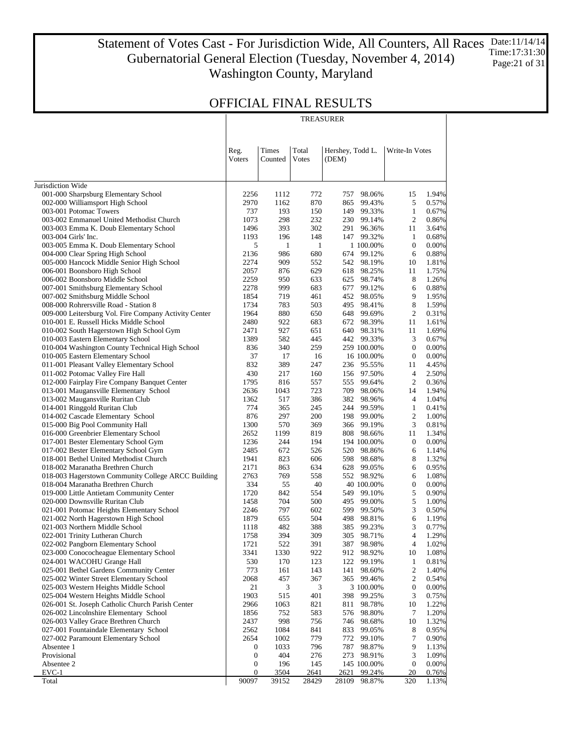### Statement of Votes Cast - For Jurisdiction Wide, All Counters, All Races Gubernatorial General Election (Tuesday, November 4, 2014) Washington County, Maryland Date:11/14/14 Time:17:31:30 Page:21 of 31

### OFFICIAL FINAL RESULTS

| Times<br>Total<br>Hershey, Todd L.<br>Write-In Votes<br>Reg.<br>Voters<br>Counted<br>Votes<br>(DEM)<br>Jurisdiction Wide<br>001-000 Sharpsburg Elementary School<br>2256<br>1112<br>772<br>757<br>98.06%<br>15<br>1.94%<br>002-000 Williamsport High School<br>2970<br>870<br>1162<br>5<br>0.57%<br>865 99.43%<br>003-001 Potomac Towers<br>737<br>193<br>150<br>0.67%<br>149 99.33%<br>1<br>003-002 Emmanuel United Methodist Church<br>1073<br>298<br>232<br>2<br>0.86%<br>230 99.14%<br>1496<br>393<br>302<br>291 96.36%<br>3.64%<br>003-003 Emma K. Doub Elementary School<br>11<br>1193<br>196<br>148<br>0.68%<br>003-004 Girls' Inc.<br>147 99.32%<br>1<br>5<br>0.00%<br>003-005 Emma K. Doub Elementary School<br>$\mathbf{1}$<br>1<br>1 100.00%<br>$\mathbf{0}$<br>004-000 Clear Spring High School<br>986<br>680<br>0.88%<br>2136<br>674 99.12%<br>6<br>005-000 Hancock Middle Senior High School<br>2274<br>909<br>552<br>542 98.19%<br>10<br>1.81%<br>2057<br>876<br>629<br>006-001 Boonsboro High School<br>618 98.25%<br>11<br>1.75%<br>2259<br>950<br>8<br>006-002 Boonsboro Middle School<br>633<br>625 98.74%<br>1.26%<br>2278<br>999<br>683<br>677 99.12%<br>0.88%<br>007-001 Smithsburg Elementary School<br>6<br>719<br>461<br>452 98.05%<br>9<br>007-002 Smithsburg Middle School<br>1854<br>1.95%<br>1734<br>783<br>503<br>8<br>1.59%<br>008-000 Rohrersville Road - Station 8<br>495 98.41%<br>880<br>650<br>2<br>009-000 Leitersburg Vol. Fire Company Activity Center<br>1964<br>648 99.69%<br>0.31%<br>2480<br>922<br>683<br>010-001 E. Russell Hicks Middle School<br>672 98.39%<br>11<br>1.61%<br>010-002 South Hagerstown High School Gym<br>927<br>651<br>2471<br>640 98.31%<br>11<br>1.69%<br>582<br>010-003 Eastern Elementary School<br>1389<br>445<br>3<br>0.67%<br>442 99.33%<br>010-004 Washington County Technical High School<br>340<br>259<br>0.00%<br>836<br>259 100.00%<br>$\mathbf{0}$<br>010-005 Eastern Elementary School<br>37<br>17<br>16<br>$\boldsymbol{0}$<br>0.00%<br>16 100.00%<br>011-001 Pleasant Valley Elementary School<br>832<br>389<br>247<br>236 95.55%<br>11<br>4.45%<br>011-002 Potomac Valley Fire Hall<br>430<br>217<br>160<br>4<br>156 97.50%<br>2.50%<br>012-000 Fairplay Fire Company Banquet Center<br>1795<br>816<br>557<br>2<br>555 99.64%<br>0.36%<br>723<br>013-001 Maugansville Elementary School<br>2636<br>1043<br>709 98.06%<br>14<br>1.94%<br>013-002 Maugansville Ruritan Club<br>517<br>386<br>382 98.96%<br>1362<br>4<br>1.04%<br>014-001 Ringgold Ruritan Club<br>774<br>365<br>245<br>244 99.59%<br>0.41%<br>1<br>876<br>297<br>200<br>$\overline{c}$<br>014-002 Cascade Elementary School<br>198 99.00%<br>1.00%<br>015-000 Big Pool Community Hall<br>1300<br>570<br>369<br>3<br>0.81%<br>366 99.19%<br>016-000 Greenbrier Elementary School<br>2652<br>1199<br>819<br>1.34%<br>808 98.66%<br>11<br>194<br>017-001 Bester Elementary School Gym<br>1236<br>244<br>0.00%<br>194 100.00%<br>$\mathbf{0}$<br>017-002 Bester Elementary School Gym<br>2485<br>672<br>526<br>520 98.86%<br>6<br>1.14%<br>018-001 Bethel United Methodist Church<br>1941<br>823<br>606<br>8<br>1.32%<br>598 98.68%<br>2171<br>634<br>018-002 Maranatha Brethren Church<br>863<br>628 99.05%<br>6<br>0.95%<br>018-003 Hagerstown Community College ARCC Building<br>2763<br>558<br>6<br>769<br>552 98.92%<br>1.08%<br>334<br>40<br>$\boldsymbol{0}$<br>018-004 Maranatha Brethren Church<br>55<br>40 100.00%<br>0.00%<br>5<br>842<br>554<br>0.90%<br>019-000 Little Antietam Community Center<br>1720<br>549 99.10%<br>5<br>704<br>500<br>020-000 Downsville Ruritan Club<br>1458<br>495 99.00%<br>1.00%<br>2246<br>797<br>602<br>3<br>0.50%<br>021-001 Potomac Heights Elementary School<br>599 99.50%<br>1879<br>504<br>021-002 North Hagerstown High School<br>655<br>498 98.81%<br>6<br>1.19%<br>482<br>388<br>3<br>0.77%<br>021-003 Northern Middle School<br>1118<br>385 99.23%<br>394<br>309<br>1.29%<br>022-001 Trinity Lutheran Church<br>1758<br>305 98.71%<br>4<br>022-002 Pangborn Elementary School<br>522<br>391<br>1721<br>387<br>98.98%<br>$\overline{4}$<br>1.02%<br>023-000 Conococheague Elementary School<br>3341<br>1330<br>922<br>1.08%<br>912<br>98.92%<br>10<br>530<br>170<br>123<br>0.81%<br>024-001 WACOHU Grange Hall<br>122<br>99.19%<br>1<br>773<br>$\overline{c}$<br>1.40%<br>025-001 Bethel Gardens Community Center<br>161<br>143<br>141<br>98.60%<br>$\overline{c}$<br>025-002 Winter Street Elementary School<br>2068<br>457<br>367<br>365 99.46%<br>0.54%<br>21<br>3<br>0.00%<br>025-003 Western Heights Middle School<br>3<br>3 100.00%<br>$\boldsymbol{0}$<br>025-004 Western Heights Middle School<br>1903<br>515<br>401<br>3<br>398<br>99.25%<br>0.75%<br>026-001 St. Joseph Catholic Church Parish Center<br>2966<br>1063<br>821<br>1.22%<br>811<br>98.78%<br>10<br>026-002 Lincolnshire Elementary School<br>1856<br>752<br>583<br>576<br>7<br>1.20%<br>98.80%<br>026-003 Valley Grace Brethren Church<br>2437<br>998<br>756<br>1.32%<br>746 98.68%<br>10<br>027-001 Fountaindale Elementary School<br>2562<br>1084<br>841<br>833<br>8<br>99.05%<br>0.95%<br>027-002 Paramount Elementary School<br>2654<br>1002<br>779<br>7<br>0.90%<br>772<br>99.10%<br>Absentee 1<br>1033<br>796<br>787<br>9<br>98.87%<br>1.13%<br>0<br>Provisional<br>$\boldsymbol{0}$<br>404<br>276<br>273 98.91%<br>1.09%<br>3<br>Absentee 2<br>196<br>145<br>145 100.00%<br>0.00%<br>0<br>$\mathbf{0}$<br>$EVC-1$<br>$\boldsymbol{0}$<br>3504<br>2641<br>2621<br>99.24%<br>20<br>0.76% | TREASURER |  |  |  |  |  |  |  |  |
|-------------------------------------------------------------------------------------------------------------------------------------------------------------------------------------------------------------------------------------------------------------------------------------------------------------------------------------------------------------------------------------------------------------------------------------------------------------------------------------------------------------------------------------------------------------------------------------------------------------------------------------------------------------------------------------------------------------------------------------------------------------------------------------------------------------------------------------------------------------------------------------------------------------------------------------------------------------------------------------------------------------------------------------------------------------------------------------------------------------------------------------------------------------------------------------------------------------------------------------------------------------------------------------------------------------------------------------------------------------------------------------------------------------------------------------------------------------------------------------------------------------------------------------------------------------------------------------------------------------------------------------------------------------------------------------------------------------------------------------------------------------------------------------------------------------------------------------------------------------------------------------------------------------------------------------------------------------------------------------------------------------------------------------------------------------------------------------------------------------------------------------------------------------------------------------------------------------------------------------------------------------------------------------------------------------------------------------------------------------------------------------------------------------------------------------------------------------------------------------------------------------------------------------------------------------------------------------------------------------------------------------------------------------------------------------------------------------------------------------------------------------------------------------------------------------------------------------------------------------------------------------------------------------------------------------------------------------------------------------------------------------------------------------------------------------------------------------------------------------------------------------------------------------------------------------------------------------------------------------------------------------------------------------------------------------------------------------------------------------------------------------------------------------------------------------------------------------------------------------------------------------------------------------------------------------------------------------------------------------------------------------------------------------------------------------------------------------------------------------------------------------------------------------------------------------------------------------------------------------------------------------------------------------------------------------------------------------------------------------------------------------------------------------------------------------------------------------------------------------------------------------------------------------------------------------------------------------------------------------------------------------------------------------------------------------------------------------------------------------------------------------------------------------------------------------------------------------------------------------------------------------------------------------------------------------------------------------------------------------------------------------------------------------------------------------------------------------------------------------------------------------------------------------------------------------------------------------------------------------------------------------------------------------------------------------------------------------------------------------------------------------------------------------------------------------------------------------------------------------------------------------------------------------------------------------------------------------------------------------------------------------------------------------------------------------------------------------------------------------------------------------------------------------------------------------------------------------------------------------------------------------------------------------------------------------------|-----------|--|--|--|--|--|--|--|--|
|                                                                                                                                                                                                                                                                                                                                                                                                                                                                                                                                                                                                                                                                                                                                                                                                                                                                                                                                                                                                                                                                                                                                                                                                                                                                                                                                                                                                                                                                                                                                                                                                                                                                                                                                                                                                                                                                                                                                                                                                                                                                                                                                                                                                                                                                                                                                                                                                                                                                                                                                                                                                                                                                                                                                                                                                                                                                                                                                                                                                                                                                                                                                                                                                                                                                                                                                                                                                                                                                                                                                                                                                                                                                                                                                                                                                                                                                                                                                                                                                                                                                                                                                                                                                                                                                                                                                                                                                                                                                                                                                                                                                                                                                                                                                                                                                                                                                                                                                                                                                                                                                                                                                                                                                                                                                                                                                                                                                                                                                                                                                                                   |           |  |  |  |  |  |  |  |  |
|                                                                                                                                                                                                                                                                                                                                                                                                                                                                                                                                                                                                                                                                                                                                                                                                                                                                                                                                                                                                                                                                                                                                                                                                                                                                                                                                                                                                                                                                                                                                                                                                                                                                                                                                                                                                                                                                                                                                                                                                                                                                                                                                                                                                                                                                                                                                                                                                                                                                                                                                                                                                                                                                                                                                                                                                                                                                                                                                                                                                                                                                                                                                                                                                                                                                                                                                                                                                                                                                                                                                                                                                                                                                                                                                                                                                                                                                                                                                                                                                                                                                                                                                                                                                                                                                                                                                                                                                                                                                                                                                                                                                                                                                                                                                                                                                                                                                                                                                                                                                                                                                                                                                                                                                                                                                                                                                                                                                                                                                                                                                                                   |           |  |  |  |  |  |  |  |  |
|                                                                                                                                                                                                                                                                                                                                                                                                                                                                                                                                                                                                                                                                                                                                                                                                                                                                                                                                                                                                                                                                                                                                                                                                                                                                                                                                                                                                                                                                                                                                                                                                                                                                                                                                                                                                                                                                                                                                                                                                                                                                                                                                                                                                                                                                                                                                                                                                                                                                                                                                                                                                                                                                                                                                                                                                                                                                                                                                                                                                                                                                                                                                                                                                                                                                                                                                                                                                                                                                                                                                                                                                                                                                                                                                                                                                                                                                                                                                                                                                                                                                                                                                                                                                                                                                                                                                                                                                                                                                                                                                                                                                                                                                                                                                                                                                                                                                                                                                                                                                                                                                                                                                                                                                                                                                                                                                                                                                                                                                                                                                                                   |           |  |  |  |  |  |  |  |  |
|                                                                                                                                                                                                                                                                                                                                                                                                                                                                                                                                                                                                                                                                                                                                                                                                                                                                                                                                                                                                                                                                                                                                                                                                                                                                                                                                                                                                                                                                                                                                                                                                                                                                                                                                                                                                                                                                                                                                                                                                                                                                                                                                                                                                                                                                                                                                                                                                                                                                                                                                                                                                                                                                                                                                                                                                                                                                                                                                                                                                                                                                                                                                                                                                                                                                                                                                                                                                                                                                                                                                                                                                                                                                                                                                                                                                                                                                                                                                                                                                                                                                                                                                                                                                                                                                                                                                                                                                                                                                                                                                                                                                                                                                                                                                                                                                                                                                                                                                                                                                                                                                                                                                                                                                                                                                                                                                                                                                                                                                                                                                                                   |           |  |  |  |  |  |  |  |  |
|                                                                                                                                                                                                                                                                                                                                                                                                                                                                                                                                                                                                                                                                                                                                                                                                                                                                                                                                                                                                                                                                                                                                                                                                                                                                                                                                                                                                                                                                                                                                                                                                                                                                                                                                                                                                                                                                                                                                                                                                                                                                                                                                                                                                                                                                                                                                                                                                                                                                                                                                                                                                                                                                                                                                                                                                                                                                                                                                                                                                                                                                                                                                                                                                                                                                                                                                                                                                                                                                                                                                                                                                                                                                                                                                                                                                                                                                                                                                                                                                                                                                                                                                                                                                                                                                                                                                                                                                                                                                                                                                                                                                                                                                                                                                                                                                                                                                                                                                                                                                                                                                                                                                                                                                                                                                                                                                                                                                                                                                                                                                                                   |           |  |  |  |  |  |  |  |  |
|                                                                                                                                                                                                                                                                                                                                                                                                                                                                                                                                                                                                                                                                                                                                                                                                                                                                                                                                                                                                                                                                                                                                                                                                                                                                                                                                                                                                                                                                                                                                                                                                                                                                                                                                                                                                                                                                                                                                                                                                                                                                                                                                                                                                                                                                                                                                                                                                                                                                                                                                                                                                                                                                                                                                                                                                                                                                                                                                                                                                                                                                                                                                                                                                                                                                                                                                                                                                                                                                                                                                                                                                                                                                                                                                                                                                                                                                                                                                                                                                                                                                                                                                                                                                                                                                                                                                                                                                                                                                                                                                                                                                                                                                                                                                                                                                                                                                                                                                                                                                                                                                                                                                                                                                                                                                                                                                                                                                                                                                                                                                                                   |           |  |  |  |  |  |  |  |  |
|                                                                                                                                                                                                                                                                                                                                                                                                                                                                                                                                                                                                                                                                                                                                                                                                                                                                                                                                                                                                                                                                                                                                                                                                                                                                                                                                                                                                                                                                                                                                                                                                                                                                                                                                                                                                                                                                                                                                                                                                                                                                                                                                                                                                                                                                                                                                                                                                                                                                                                                                                                                                                                                                                                                                                                                                                                                                                                                                                                                                                                                                                                                                                                                                                                                                                                                                                                                                                                                                                                                                                                                                                                                                                                                                                                                                                                                                                                                                                                                                                                                                                                                                                                                                                                                                                                                                                                                                                                                                                                                                                                                                                                                                                                                                                                                                                                                                                                                                                                                                                                                                                                                                                                                                                                                                                                                                                                                                                                                                                                                                                                   |           |  |  |  |  |  |  |  |  |
|                                                                                                                                                                                                                                                                                                                                                                                                                                                                                                                                                                                                                                                                                                                                                                                                                                                                                                                                                                                                                                                                                                                                                                                                                                                                                                                                                                                                                                                                                                                                                                                                                                                                                                                                                                                                                                                                                                                                                                                                                                                                                                                                                                                                                                                                                                                                                                                                                                                                                                                                                                                                                                                                                                                                                                                                                                                                                                                                                                                                                                                                                                                                                                                                                                                                                                                                                                                                                                                                                                                                                                                                                                                                                                                                                                                                                                                                                                                                                                                                                                                                                                                                                                                                                                                                                                                                                                                                                                                                                                                                                                                                                                                                                                                                                                                                                                                                                                                                                                                                                                                                                                                                                                                                                                                                                                                                                                                                                                                                                                                                                                   |           |  |  |  |  |  |  |  |  |
|                                                                                                                                                                                                                                                                                                                                                                                                                                                                                                                                                                                                                                                                                                                                                                                                                                                                                                                                                                                                                                                                                                                                                                                                                                                                                                                                                                                                                                                                                                                                                                                                                                                                                                                                                                                                                                                                                                                                                                                                                                                                                                                                                                                                                                                                                                                                                                                                                                                                                                                                                                                                                                                                                                                                                                                                                                                                                                                                                                                                                                                                                                                                                                                                                                                                                                                                                                                                                                                                                                                                                                                                                                                                                                                                                                                                                                                                                                                                                                                                                                                                                                                                                                                                                                                                                                                                                                                                                                                                                                                                                                                                                                                                                                                                                                                                                                                                                                                                                                                                                                                                                                                                                                                                                                                                                                                                                                                                                                                                                                                                                                   |           |  |  |  |  |  |  |  |  |
|                                                                                                                                                                                                                                                                                                                                                                                                                                                                                                                                                                                                                                                                                                                                                                                                                                                                                                                                                                                                                                                                                                                                                                                                                                                                                                                                                                                                                                                                                                                                                                                                                                                                                                                                                                                                                                                                                                                                                                                                                                                                                                                                                                                                                                                                                                                                                                                                                                                                                                                                                                                                                                                                                                                                                                                                                                                                                                                                                                                                                                                                                                                                                                                                                                                                                                                                                                                                                                                                                                                                                                                                                                                                                                                                                                                                                                                                                                                                                                                                                                                                                                                                                                                                                                                                                                                                                                                                                                                                                                                                                                                                                                                                                                                                                                                                                                                                                                                                                                                                                                                                                                                                                                                                                                                                                                                                                                                                                                                                                                                                                                   |           |  |  |  |  |  |  |  |  |
|                                                                                                                                                                                                                                                                                                                                                                                                                                                                                                                                                                                                                                                                                                                                                                                                                                                                                                                                                                                                                                                                                                                                                                                                                                                                                                                                                                                                                                                                                                                                                                                                                                                                                                                                                                                                                                                                                                                                                                                                                                                                                                                                                                                                                                                                                                                                                                                                                                                                                                                                                                                                                                                                                                                                                                                                                                                                                                                                                                                                                                                                                                                                                                                                                                                                                                                                                                                                                                                                                                                                                                                                                                                                                                                                                                                                                                                                                                                                                                                                                                                                                                                                                                                                                                                                                                                                                                                                                                                                                                                                                                                                                                                                                                                                                                                                                                                                                                                                                                                                                                                                                                                                                                                                                                                                                                                                                                                                                                                                                                                                                                   |           |  |  |  |  |  |  |  |  |
|                                                                                                                                                                                                                                                                                                                                                                                                                                                                                                                                                                                                                                                                                                                                                                                                                                                                                                                                                                                                                                                                                                                                                                                                                                                                                                                                                                                                                                                                                                                                                                                                                                                                                                                                                                                                                                                                                                                                                                                                                                                                                                                                                                                                                                                                                                                                                                                                                                                                                                                                                                                                                                                                                                                                                                                                                                                                                                                                                                                                                                                                                                                                                                                                                                                                                                                                                                                                                                                                                                                                                                                                                                                                                                                                                                                                                                                                                                                                                                                                                                                                                                                                                                                                                                                                                                                                                                                                                                                                                                                                                                                                                                                                                                                                                                                                                                                                                                                                                                                                                                                                                                                                                                                                                                                                                                                                                                                                                                                                                                                                                                   |           |  |  |  |  |  |  |  |  |
|                                                                                                                                                                                                                                                                                                                                                                                                                                                                                                                                                                                                                                                                                                                                                                                                                                                                                                                                                                                                                                                                                                                                                                                                                                                                                                                                                                                                                                                                                                                                                                                                                                                                                                                                                                                                                                                                                                                                                                                                                                                                                                                                                                                                                                                                                                                                                                                                                                                                                                                                                                                                                                                                                                                                                                                                                                                                                                                                                                                                                                                                                                                                                                                                                                                                                                                                                                                                                                                                                                                                                                                                                                                                                                                                                                                                                                                                                                                                                                                                                                                                                                                                                                                                                                                                                                                                                                                                                                                                                                                                                                                                                                                                                                                                                                                                                                                                                                                                                                                                                                                                                                                                                                                                                                                                                                                                                                                                                                                                                                                                                                   |           |  |  |  |  |  |  |  |  |
|                                                                                                                                                                                                                                                                                                                                                                                                                                                                                                                                                                                                                                                                                                                                                                                                                                                                                                                                                                                                                                                                                                                                                                                                                                                                                                                                                                                                                                                                                                                                                                                                                                                                                                                                                                                                                                                                                                                                                                                                                                                                                                                                                                                                                                                                                                                                                                                                                                                                                                                                                                                                                                                                                                                                                                                                                                                                                                                                                                                                                                                                                                                                                                                                                                                                                                                                                                                                                                                                                                                                                                                                                                                                                                                                                                                                                                                                                                                                                                                                                                                                                                                                                                                                                                                                                                                                                                                                                                                                                                                                                                                                                                                                                                                                                                                                                                                                                                                                                                                                                                                                                                                                                                                                                                                                                                                                                                                                                                                                                                                                                                   |           |  |  |  |  |  |  |  |  |
|                                                                                                                                                                                                                                                                                                                                                                                                                                                                                                                                                                                                                                                                                                                                                                                                                                                                                                                                                                                                                                                                                                                                                                                                                                                                                                                                                                                                                                                                                                                                                                                                                                                                                                                                                                                                                                                                                                                                                                                                                                                                                                                                                                                                                                                                                                                                                                                                                                                                                                                                                                                                                                                                                                                                                                                                                                                                                                                                                                                                                                                                                                                                                                                                                                                                                                                                                                                                                                                                                                                                                                                                                                                                                                                                                                                                                                                                                                                                                                                                                                                                                                                                                                                                                                                                                                                                                                                                                                                                                                                                                                                                                                                                                                                                                                                                                                                                                                                                                                                                                                                                                                                                                                                                                                                                                                                                                                                                                                                                                                                                                                   |           |  |  |  |  |  |  |  |  |
|                                                                                                                                                                                                                                                                                                                                                                                                                                                                                                                                                                                                                                                                                                                                                                                                                                                                                                                                                                                                                                                                                                                                                                                                                                                                                                                                                                                                                                                                                                                                                                                                                                                                                                                                                                                                                                                                                                                                                                                                                                                                                                                                                                                                                                                                                                                                                                                                                                                                                                                                                                                                                                                                                                                                                                                                                                                                                                                                                                                                                                                                                                                                                                                                                                                                                                                                                                                                                                                                                                                                                                                                                                                                                                                                                                                                                                                                                                                                                                                                                                                                                                                                                                                                                                                                                                                                                                                                                                                                                                                                                                                                                                                                                                                                                                                                                                                                                                                                                                                                                                                                                                                                                                                                                                                                                                                                                                                                                                                                                                                                                                   |           |  |  |  |  |  |  |  |  |
|                                                                                                                                                                                                                                                                                                                                                                                                                                                                                                                                                                                                                                                                                                                                                                                                                                                                                                                                                                                                                                                                                                                                                                                                                                                                                                                                                                                                                                                                                                                                                                                                                                                                                                                                                                                                                                                                                                                                                                                                                                                                                                                                                                                                                                                                                                                                                                                                                                                                                                                                                                                                                                                                                                                                                                                                                                                                                                                                                                                                                                                                                                                                                                                                                                                                                                                                                                                                                                                                                                                                                                                                                                                                                                                                                                                                                                                                                                                                                                                                                                                                                                                                                                                                                                                                                                                                                                                                                                                                                                                                                                                                                                                                                                                                                                                                                                                                                                                                                                                                                                                                                                                                                                                                                                                                                                                                                                                                                                                                                                                                                                   |           |  |  |  |  |  |  |  |  |
|                                                                                                                                                                                                                                                                                                                                                                                                                                                                                                                                                                                                                                                                                                                                                                                                                                                                                                                                                                                                                                                                                                                                                                                                                                                                                                                                                                                                                                                                                                                                                                                                                                                                                                                                                                                                                                                                                                                                                                                                                                                                                                                                                                                                                                                                                                                                                                                                                                                                                                                                                                                                                                                                                                                                                                                                                                                                                                                                                                                                                                                                                                                                                                                                                                                                                                                                                                                                                                                                                                                                                                                                                                                                                                                                                                                                                                                                                                                                                                                                                                                                                                                                                                                                                                                                                                                                                                                                                                                                                                                                                                                                                                                                                                                                                                                                                                                                                                                                                                                                                                                                                                                                                                                                                                                                                                                                                                                                                                                                                                                                                                   |           |  |  |  |  |  |  |  |  |
|                                                                                                                                                                                                                                                                                                                                                                                                                                                                                                                                                                                                                                                                                                                                                                                                                                                                                                                                                                                                                                                                                                                                                                                                                                                                                                                                                                                                                                                                                                                                                                                                                                                                                                                                                                                                                                                                                                                                                                                                                                                                                                                                                                                                                                                                                                                                                                                                                                                                                                                                                                                                                                                                                                                                                                                                                                                                                                                                                                                                                                                                                                                                                                                                                                                                                                                                                                                                                                                                                                                                                                                                                                                                                                                                                                                                                                                                                                                                                                                                                                                                                                                                                                                                                                                                                                                                                                                                                                                                                                                                                                                                                                                                                                                                                                                                                                                                                                                                                                                                                                                                                                                                                                                                                                                                                                                                                                                                                                                                                                                                                                   |           |  |  |  |  |  |  |  |  |
|                                                                                                                                                                                                                                                                                                                                                                                                                                                                                                                                                                                                                                                                                                                                                                                                                                                                                                                                                                                                                                                                                                                                                                                                                                                                                                                                                                                                                                                                                                                                                                                                                                                                                                                                                                                                                                                                                                                                                                                                                                                                                                                                                                                                                                                                                                                                                                                                                                                                                                                                                                                                                                                                                                                                                                                                                                                                                                                                                                                                                                                                                                                                                                                                                                                                                                                                                                                                                                                                                                                                                                                                                                                                                                                                                                                                                                                                                                                                                                                                                                                                                                                                                                                                                                                                                                                                                                                                                                                                                                                                                                                                                                                                                                                                                                                                                                                                                                                                                                                                                                                                                                                                                                                                                                                                                                                                                                                                                                                                                                                                                                   |           |  |  |  |  |  |  |  |  |
|                                                                                                                                                                                                                                                                                                                                                                                                                                                                                                                                                                                                                                                                                                                                                                                                                                                                                                                                                                                                                                                                                                                                                                                                                                                                                                                                                                                                                                                                                                                                                                                                                                                                                                                                                                                                                                                                                                                                                                                                                                                                                                                                                                                                                                                                                                                                                                                                                                                                                                                                                                                                                                                                                                                                                                                                                                                                                                                                                                                                                                                                                                                                                                                                                                                                                                                                                                                                                                                                                                                                                                                                                                                                                                                                                                                                                                                                                                                                                                                                                                                                                                                                                                                                                                                                                                                                                                                                                                                                                                                                                                                                                                                                                                                                                                                                                                                                                                                                                                                                                                                                                                                                                                                                                                                                                                                                                                                                                                                                                                                                                                   |           |  |  |  |  |  |  |  |  |
|                                                                                                                                                                                                                                                                                                                                                                                                                                                                                                                                                                                                                                                                                                                                                                                                                                                                                                                                                                                                                                                                                                                                                                                                                                                                                                                                                                                                                                                                                                                                                                                                                                                                                                                                                                                                                                                                                                                                                                                                                                                                                                                                                                                                                                                                                                                                                                                                                                                                                                                                                                                                                                                                                                                                                                                                                                                                                                                                                                                                                                                                                                                                                                                                                                                                                                                                                                                                                                                                                                                                                                                                                                                                                                                                                                                                                                                                                                                                                                                                                                                                                                                                                                                                                                                                                                                                                                                                                                                                                                                                                                                                                                                                                                                                                                                                                                                                                                                                                                                                                                                                                                                                                                                                                                                                                                                                                                                                                                                                                                                                                                   |           |  |  |  |  |  |  |  |  |
|                                                                                                                                                                                                                                                                                                                                                                                                                                                                                                                                                                                                                                                                                                                                                                                                                                                                                                                                                                                                                                                                                                                                                                                                                                                                                                                                                                                                                                                                                                                                                                                                                                                                                                                                                                                                                                                                                                                                                                                                                                                                                                                                                                                                                                                                                                                                                                                                                                                                                                                                                                                                                                                                                                                                                                                                                                                                                                                                                                                                                                                                                                                                                                                                                                                                                                                                                                                                                                                                                                                                                                                                                                                                                                                                                                                                                                                                                                                                                                                                                                                                                                                                                                                                                                                                                                                                                                                                                                                                                                                                                                                                                                                                                                                                                                                                                                                                                                                                                                                                                                                                                                                                                                                                                                                                                                                                                                                                                                                                                                                                                                   |           |  |  |  |  |  |  |  |  |
|                                                                                                                                                                                                                                                                                                                                                                                                                                                                                                                                                                                                                                                                                                                                                                                                                                                                                                                                                                                                                                                                                                                                                                                                                                                                                                                                                                                                                                                                                                                                                                                                                                                                                                                                                                                                                                                                                                                                                                                                                                                                                                                                                                                                                                                                                                                                                                                                                                                                                                                                                                                                                                                                                                                                                                                                                                                                                                                                                                                                                                                                                                                                                                                                                                                                                                                                                                                                                                                                                                                                                                                                                                                                                                                                                                                                                                                                                                                                                                                                                                                                                                                                                                                                                                                                                                                                                                                                                                                                                                                                                                                                                                                                                                                                                                                                                                                                                                                                                                                                                                                                                                                                                                                                                                                                                                                                                                                                                                                                                                                                                                   |           |  |  |  |  |  |  |  |  |
|                                                                                                                                                                                                                                                                                                                                                                                                                                                                                                                                                                                                                                                                                                                                                                                                                                                                                                                                                                                                                                                                                                                                                                                                                                                                                                                                                                                                                                                                                                                                                                                                                                                                                                                                                                                                                                                                                                                                                                                                                                                                                                                                                                                                                                                                                                                                                                                                                                                                                                                                                                                                                                                                                                                                                                                                                                                                                                                                                                                                                                                                                                                                                                                                                                                                                                                                                                                                                                                                                                                                                                                                                                                                                                                                                                                                                                                                                                                                                                                                                                                                                                                                                                                                                                                                                                                                                                                                                                                                                                                                                                                                                                                                                                                                                                                                                                                                                                                                                                                                                                                                                                                                                                                                                                                                                                                                                                                                                                                                                                                                                                   |           |  |  |  |  |  |  |  |  |
|                                                                                                                                                                                                                                                                                                                                                                                                                                                                                                                                                                                                                                                                                                                                                                                                                                                                                                                                                                                                                                                                                                                                                                                                                                                                                                                                                                                                                                                                                                                                                                                                                                                                                                                                                                                                                                                                                                                                                                                                                                                                                                                                                                                                                                                                                                                                                                                                                                                                                                                                                                                                                                                                                                                                                                                                                                                                                                                                                                                                                                                                                                                                                                                                                                                                                                                                                                                                                                                                                                                                                                                                                                                                                                                                                                                                                                                                                                                                                                                                                                                                                                                                                                                                                                                                                                                                                                                                                                                                                                                                                                                                                                                                                                                                                                                                                                                                                                                                                                                                                                                                                                                                                                                                                                                                                                                                                                                                                                                                                                                                                                   |           |  |  |  |  |  |  |  |  |
|                                                                                                                                                                                                                                                                                                                                                                                                                                                                                                                                                                                                                                                                                                                                                                                                                                                                                                                                                                                                                                                                                                                                                                                                                                                                                                                                                                                                                                                                                                                                                                                                                                                                                                                                                                                                                                                                                                                                                                                                                                                                                                                                                                                                                                                                                                                                                                                                                                                                                                                                                                                                                                                                                                                                                                                                                                                                                                                                                                                                                                                                                                                                                                                                                                                                                                                                                                                                                                                                                                                                                                                                                                                                                                                                                                                                                                                                                                                                                                                                                                                                                                                                                                                                                                                                                                                                                                                                                                                                                                                                                                                                                                                                                                                                                                                                                                                                                                                                                                                                                                                                                                                                                                                                                                                                                                                                                                                                                                                                                                                                                                   |           |  |  |  |  |  |  |  |  |
|                                                                                                                                                                                                                                                                                                                                                                                                                                                                                                                                                                                                                                                                                                                                                                                                                                                                                                                                                                                                                                                                                                                                                                                                                                                                                                                                                                                                                                                                                                                                                                                                                                                                                                                                                                                                                                                                                                                                                                                                                                                                                                                                                                                                                                                                                                                                                                                                                                                                                                                                                                                                                                                                                                                                                                                                                                                                                                                                                                                                                                                                                                                                                                                                                                                                                                                                                                                                                                                                                                                                                                                                                                                                                                                                                                                                                                                                                                                                                                                                                                                                                                                                                                                                                                                                                                                                                                                                                                                                                                                                                                                                                                                                                                                                                                                                                                                                                                                                                                                                                                                                                                                                                                                                                                                                                                                                                                                                                                                                                                                                                                   |           |  |  |  |  |  |  |  |  |
|                                                                                                                                                                                                                                                                                                                                                                                                                                                                                                                                                                                                                                                                                                                                                                                                                                                                                                                                                                                                                                                                                                                                                                                                                                                                                                                                                                                                                                                                                                                                                                                                                                                                                                                                                                                                                                                                                                                                                                                                                                                                                                                                                                                                                                                                                                                                                                                                                                                                                                                                                                                                                                                                                                                                                                                                                                                                                                                                                                                                                                                                                                                                                                                                                                                                                                                                                                                                                                                                                                                                                                                                                                                                                                                                                                                                                                                                                                                                                                                                                                                                                                                                                                                                                                                                                                                                                                                                                                                                                                                                                                                                                                                                                                                                                                                                                                                                                                                                                                                                                                                                                                                                                                                                                                                                                                                                                                                                                                                                                                                                                                   |           |  |  |  |  |  |  |  |  |
|                                                                                                                                                                                                                                                                                                                                                                                                                                                                                                                                                                                                                                                                                                                                                                                                                                                                                                                                                                                                                                                                                                                                                                                                                                                                                                                                                                                                                                                                                                                                                                                                                                                                                                                                                                                                                                                                                                                                                                                                                                                                                                                                                                                                                                                                                                                                                                                                                                                                                                                                                                                                                                                                                                                                                                                                                                                                                                                                                                                                                                                                                                                                                                                                                                                                                                                                                                                                                                                                                                                                                                                                                                                                                                                                                                                                                                                                                                                                                                                                                                                                                                                                                                                                                                                                                                                                                                                                                                                                                                                                                                                                                                                                                                                                                                                                                                                                                                                                                                                                                                                                                                                                                                                                                                                                                                                                                                                                                                                                                                                                                                   |           |  |  |  |  |  |  |  |  |
|                                                                                                                                                                                                                                                                                                                                                                                                                                                                                                                                                                                                                                                                                                                                                                                                                                                                                                                                                                                                                                                                                                                                                                                                                                                                                                                                                                                                                                                                                                                                                                                                                                                                                                                                                                                                                                                                                                                                                                                                                                                                                                                                                                                                                                                                                                                                                                                                                                                                                                                                                                                                                                                                                                                                                                                                                                                                                                                                                                                                                                                                                                                                                                                                                                                                                                                                                                                                                                                                                                                                                                                                                                                                                                                                                                                                                                                                                                                                                                                                                                                                                                                                                                                                                                                                                                                                                                                                                                                                                                                                                                                                                                                                                                                                                                                                                                                                                                                                                                                                                                                                                                                                                                                                                                                                                                                                                                                                                                                                                                                                                                   |           |  |  |  |  |  |  |  |  |
|                                                                                                                                                                                                                                                                                                                                                                                                                                                                                                                                                                                                                                                                                                                                                                                                                                                                                                                                                                                                                                                                                                                                                                                                                                                                                                                                                                                                                                                                                                                                                                                                                                                                                                                                                                                                                                                                                                                                                                                                                                                                                                                                                                                                                                                                                                                                                                                                                                                                                                                                                                                                                                                                                                                                                                                                                                                                                                                                                                                                                                                                                                                                                                                                                                                                                                                                                                                                                                                                                                                                                                                                                                                                                                                                                                                                                                                                                                                                                                                                                                                                                                                                                                                                                                                                                                                                                                                                                                                                                                                                                                                                                                                                                                                                                                                                                                                                                                                                                                                                                                                                                                                                                                                                                                                                                                                                                                                                                                                                                                                                                                   |           |  |  |  |  |  |  |  |  |
|                                                                                                                                                                                                                                                                                                                                                                                                                                                                                                                                                                                                                                                                                                                                                                                                                                                                                                                                                                                                                                                                                                                                                                                                                                                                                                                                                                                                                                                                                                                                                                                                                                                                                                                                                                                                                                                                                                                                                                                                                                                                                                                                                                                                                                                                                                                                                                                                                                                                                                                                                                                                                                                                                                                                                                                                                                                                                                                                                                                                                                                                                                                                                                                                                                                                                                                                                                                                                                                                                                                                                                                                                                                                                                                                                                                                                                                                                                                                                                                                                                                                                                                                                                                                                                                                                                                                                                                                                                                                                                                                                                                                                                                                                                                                                                                                                                                                                                                                                                                                                                                                                                                                                                                                                                                                                                                                                                                                                                                                                                                                                                   |           |  |  |  |  |  |  |  |  |
|                                                                                                                                                                                                                                                                                                                                                                                                                                                                                                                                                                                                                                                                                                                                                                                                                                                                                                                                                                                                                                                                                                                                                                                                                                                                                                                                                                                                                                                                                                                                                                                                                                                                                                                                                                                                                                                                                                                                                                                                                                                                                                                                                                                                                                                                                                                                                                                                                                                                                                                                                                                                                                                                                                                                                                                                                                                                                                                                                                                                                                                                                                                                                                                                                                                                                                                                                                                                                                                                                                                                                                                                                                                                                                                                                                                                                                                                                                                                                                                                                                                                                                                                                                                                                                                                                                                                                                                                                                                                                                                                                                                                                                                                                                                                                                                                                                                                                                                                                                                                                                                                                                                                                                                                                                                                                                                                                                                                                                                                                                                                                                   |           |  |  |  |  |  |  |  |  |
|                                                                                                                                                                                                                                                                                                                                                                                                                                                                                                                                                                                                                                                                                                                                                                                                                                                                                                                                                                                                                                                                                                                                                                                                                                                                                                                                                                                                                                                                                                                                                                                                                                                                                                                                                                                                                                                                                                                                                                                                                                                                                                                                                                                                                                                                                                                                                                                                                                                                                                                                                                                                                                                                                                                                                                                                                                                                                                                                                                                                                                                                                                                                                                                                                                                                                                                                                                                                                                                                                                                                                                                                                                                                                                                                                                                                                                                                                                                                                                                                                                                                                                                                                                                                                                                                                                                                                                                                                                                                                                                                                                                                                                                                                                                                                                                                                                                                                                                                                                                                                                                                                                                                                                                                                                                                                                                                                                                                                                                                                                                                                                   |           |  |  |  |  |  |  |  |  |
|                                                                                                                                                                                                                                                                                                                                                                                                                                                                                                                                                                                                                                                                                                                                                                                                                                                                                                                                                                                                                                                                                                                                                                                                                                                                                                                                                                                                                                                                                                                                                                                                                                                                                                                                                                                                                                                                                                                                                                                                                                                                                                                                                                                                                                                                                                                                                                                                                                                                                                                                                                                                                                                                                                                                                                                                                                                                                                                                                                                                                                                                                                                                                                                                                                                                                                                                                                                                                                                                                                                                                                                                                                                                                                                                                                                                                                                                                                                                                                                                                                                                                                                                                                                                                                                                                                                                                                                                                                                                                                                                                                                                                                                                                                                                                                                                                                                                                                                                                                                                                                                                                                                                                                                                                                                                                                                                                                                                                                                                                                                                                                   |           |  |  |  |  |  |  |  |  |
|                                                                                                                                                                                                                                                                                                                                                                                                                                                                                                                                                                                                                                                                                                                                                                                                                                                                                                                                                                                                                                                                                                                                                                                                                                                                                                                                                                                                                                                                                                                                                                                                                                                                                                                                                                                                                                                                                                                                                                                                                                                                                                                                                                                                                                                                                                                                                                                                                                                                                                                                                                                                                                                                                                                                                                                                                                                                                                                                                                                                                                                                                                                                                                                                                                                                                                                                                                                                                                                                                                                                                                                                                                                                                                                                                                                                                                                                                                                                                                                                                                                                                                                                                                                                                                                                                                                                                                                                                                                                                                                                                                                                                                                                                                                                                                                                                                                                                                                                                                                                                                                                                                                                                                                                                                                                                                                                                                                                                                                                                                                                                                   |           |  |  |  |  |  |  |  |  |
|                                                                                                                                                                                                                                                                                                                                                                                                                                                                                                                                                                                                                                                                                                                                                                                                                                                                                                                                                                                                                                                                                                                                                                                                                                                                                                                                                                                                                                                                                                                                                                                                                                                                                                                                                                                                                                                                                                                                                                                                                                                                                                                                                                                                                                                                                                                                                                                                                                                                                                                                                                                                                                                                                                                                                                                                                                                                                                                                                                                                                                                                                                                                                                                                                                                                                                                                                                                                                                                                                                                                                                                                                                                                                                                                                                                                                                                                                                                                                                                                                                                                                                                                                                                                                                                                                                                                                                                                                                                                                                                                                                                                                                                                                                                                                                                                                                                                                                                                                                                                                                                                                                                                                                                                                                                                                                                                                                                                                                                                                                                                                                   |           |  |  |  |  |  |  |  |  |
|                                                                                                                                                                                                                                                                                                                                                                                                                                                                                                                                                                                                                                                                                                                                                                                                                                                                                                                                                                                                                                                                                                                                                                                                                                                                                                                                                                                                                                                                                                                                                                                                                                                                                                                                                                                                                                                                                                                                                                                                                                                                                                                                                                                                                                                                                                                                                                                                                                                                                                                                                                                                                                                                                                                                                                                                                                                                                                                                                                                                                                                                                                                                                                                                                                                                                                                                                                                                                                                                                                                                                                                                                                                                                                                                                                                                                                                                                                                                                                                                                                                                                                                                                                                                                                                                                                                                                                                                                                                                                                                                                                                                                                                                                                                                                                                                                                                                                                                                                                                                                                                                                                                                                                                                                                                                                                                                                                                                                                                                                                                                                                   |           |  |  |  |  |  |  |  |  |
|                                                                                                                                                                                                                                                                                                                                                                                                                                                                                                                                                                                                                                                                                                                                                                                                                                                                                                                                                                                                                                                                                                                                                                                                                                                                                                                                                                                                                                                                                                                                                                                                                                                                                                                                                                                                                                                                                                                                                                                                                                                                                                                                                                                                                                                                                                                                                                                                                                                                                                                                                                                                                                                                                                                                                                                                                                                                                                                                                                                                                                                                                                                                                                                                                                                                                                                                                                                                                                                                                                                                                                                                                                                                                                                                                                                                                                                                                                                                                                                                                                                                                                                                                                                                                                                                                                                                                                                                                                                                                                                                                                                                                                                                                                                                                                                                                                                                                                                                                                                                                                                                                                                                                                                                                                                                                                                                                                                                                                                                                                                                                                   |           |  |  |  |  |  |  |  |  |
|                                                                                                                                                                                                                                                                                                                                                                                                                                                                                                                                                                                                                                                                                                                                                                                                                                                                                                                                                                                                                                                                                                                                                                                                                                                                                                                                                                                                                                                                                                                                                                                                                                                                                                                                                                                                                                                                                                                                                                                                                                                                                                                                                                                                                                                                                                                                                                                                                                                                                                                                                                                                                                                                                                                                                                                                                                                                                                                                                                                                                                                                                                                                                                                                                                                                                                                                                                                                                                                                                                                                                                                                                                                                                                                                                                                                                                                                                                                                                                                                                                                                                                                                                                                                                                                                                                                                                                                                                                                                                                                                                                                                                                                                                                                                                                                                                                                                                                                                                                                                                                                                                                                                                                                                                                                                                                                                                                                                                                                                                                                                                                   |           |  |  |  |  |  |  |  |  |
|                                                                                                                                                                                                                                                                                                                                                                                                                                                                                                                                                                                                                                                                                                                                                                                                                                                                                                                                                                                                                                                                                                                                                                                                                                                                                                                                                                                                                                                                                                                                                                                                                                                                                                                                                                                                                                                                                                                                                                                                                                                                                                                                                                                                                                                                                                                                                                                                                                                                                                                                                                                                                                                                                                                                                                                                                                                                                                                                                                                                                                                                                                                                                                                                                                                                                                                                                                                                                                                                                                                                                                                                                                                                                                                                                                                                                                                                                                                                                                                                                                                                                                                                                                                                                                                                                                                                                                                                                                                                                                                                                                                                                                                                                                                                                                                                                                                                                                                                                                                                                                                                                                                                                                                                                                                                                                                                                                                                                                                                                                                                                                   |           |  |  |  |  |  |  |  |  |
|                                                                                                                                                                                                                                                                                                                                                                                                                                                                                                                                                                                                                                                                                                                                                                                                                                                                                                                                                                                                                                                                                                                                                                                                                                                                                                                                                                                                                                                                                                                                                                                                                                                                                                                                                                                                                                                                                                                                                                                                                                                                                                                                                                                                                                                                                                                                                                                                                                                                                                                                                                                                                                                                                                                                                                                                                                                                                                                                                                                                                                                                                                                                                                                                                                                                                                                                                                                                                                                                                                                                                                                                                                                                                                                                                                                                                                                                                                                                                                                                                                                                                                                                                                                                                                                                                                                                                                                                                                                                                                                                                                                                                                                                                                                                                                                                                                                                                                                                                                                                                                                                                                                                                                                                                                                                                                                                                                                                                                                                                                                                                                   |           |  |  |  |  |  |  |  |  |
|                                                                                                                                                                                                                                                                                                                                                                                                                                                                                                                                                                                                                                                                                                                                                                                                                                                                                                                                                                                                                                                                                                                                                                                                                                                                                                                                                                                                                                                                                                                                                                                                                                                                                                                                                                                                                                                                                                                                                                                                                                                                                                                                                                                                                                                                                                                                                                                                                                                                                                                                                                                                                                                                                                                                                                                                                                                                                                                                                                                                                                                                                                                                                                                                                                                                                                                                                                                                                                                                                                                                                                                                                                                                                                                                                                                                                                                                                                                                                                                                                                                                                                                                                                                                                                                                                                                                                                                                                                                                                                                                                                                                                                                                                                                                                                                                                                                                                                                                                                                                                                                                                                                                                                                                                                                                                                                                                                                                                                                                                                                                                                   |           |  |  |  |  |  |  |  |  |
|                                                                                                                                                                                                                                                                                                                                                                                                                                                                                                                                                                                                                                                                                                                                                                                                                                                                                                                                                                                                                                                                                                                                                                                                                                                                                                                                                                                                                                                                                                                                                                                                                                                                                                                                                                                                                                                                                                                                                                                                                                                                                                                                                                                                                                                                                                                                                                                                                                                                                                                                                                                                                                                                                                                                                                                                                                                                                                                                                                                                                                                                                                                                                                                                                                                                                                                                                                                                                                                                                                                                                                                                                                                                                                                                                                                                                                                                                                                                                                                                                                                                                                                                                                                                                                                                                                                                                                                                                                                                                                                                                                                                                                                                                                                                                                                                                                                                                                                                                                                                                                                                                                                                                                                                                                                                                                                                                                                                                                                                                                                                                                   |           |  |  |  |  |  |  |  |  |
|                                                                                                                                                                                                                                                                                                                                                                                                                                                                                                                                                                                                                                                                                                                                                                                                                                                                                                                                                                                                                                                                                                                                                                                                                                                                                                                                                                                                                                                                                                                                                                                                                                                                                                                                                                                                                                                                                                                                                                                                                                                                                                                                                                                                                                                                                                                                                                                                                                                                                                                                                                                                                                                                                                                                                                                                                                                                                                                                                                                                                                                                                                                                                                                                                                                                                                                                                                                                                                                                                                                                                                                                                                                                                                                                                                                                                                                                                                                                                                                                                                                                                                                                                                                                                                                                                                                                                                                                                                                                                                                                                                                                                                                                                                                                                                                                                                                                                                                                                                                                                                                                                                                                                                                                                                                                                                                                                                                                                                                                                                                                                                   |           |  |  |  |  |  |  |  |  |
|                                                                                                                                                                                                                                                                                                                                                                                                                                                                                                                                                                                                                                                                                                                                                                                                                                                                                                                                                                                                                                                                                                                                                                                                                                                                                                                                                                                                                                                                                                                                                                                                                                                                                                                                                                                                                                                                                                                                                                                                                                                                                                                                                                                                                                                                                                                                                                                                                                                                                                                                                                                                                                                                                                                                                                                                                                                                                                                                                                                                                                                                                                                                                                                                                                                                                                                                                                                                                                                                                                                                                                                                                                                                                                                                                                                                                                                                                                                                                                                                                                                                                                                                                                                                                                                                                                                                                                                                                                                                                                                                                                                                                                                                                                                                                                                                                                                                                                                                                                                                                                                                                                                                                                                                                                                                                                                                                                                                                                                                                                                                                                   |           |  |  |  |  |  |  |  |  |
|                                                                                                                                                                                                                                                                                                                                                                                                                                                                                                                                                                                                                                                                                                                                                                                                                                                                                                                                                                                                                                                                                                                                                                                                                                                                                                                                                                                                                                                                                                                                                                                                                                                                                                                                                                                                                                                                                                                                                                                                                                                                                                                                                                                                                                                                                                                                                                                                                                                                                                                                                                                                                                                                                                                                                                                                                                                                                                                                                                                                                                                                                                                                                                                                                                                                                                                                                                                                                                                                                                                                                                                                                                                                                                                                                                                                                                                                                                                                                                                                                                                                                                                                                                                                                                                                                                                                                                                                                                                                                                                                                                                                                                                                                                                                                                                                                                                                                                                                                                                                                                                                                                                                                                                                                                                                                                                                                                                                                                                                                                                                                                   |           |  |  |  |  |  |  |  |  |
|                                                                                                                                                                                                                                                                                                                                                                                                                                                                                                                                                                                                                                                                                                                                                                                                                                                                                                                                                                                                                                                                                                                                                                                                                                                                                                                                                                                                                                                                                                                                                                                                                                                                                                                                                                                                                                                                                                                                                                                                                                                                                                                                                                                                                                                                                                                                                                                                                                                                                                                                                                                                                                                                                                                                                                                                                                                                                                                                                                                                                                                                                                                                                                                                                                                                                                                                                                                                                                                                                                                                                                                                                                                                                                                                                                                                                                                                                                                                                                                                                                                                                                                                                                                                                                                                                                                                                                                                                                                                                                                                                                                                                                                                                                                                                                                                                                                                                                                                                                                                                                                                                                                                                                                                                                                                                                                                                                                                                                                                                                                                                                   |           |  |  |  |  |  |  |  |  |
|                                                                                                                                                                                                                                                                                                                                                                                                                                                                                                                                                                                                                                                                                                                                                                                                                                                                                                                                                                                                                                                                                                                                                                                                                                                                                                                                                                                                                                                                                                                                                                                                                                                                                                                                                                                                                                                                                                                                                                                                                                                                                                                                                                                                                                                                                                                                                                                                                                                                                                                                                                                                                                                                                                                                                                                                                                                                                                                                                                                                                                                                                                                                                                                                                                                                                                                                                                                                                                                                                                                                                                                                                                                                                                                                                                                                                                                                                                                                                                                                                                                                                                                                                                                                                                                                                                                                                                                                                                                                                                                                                                                                                                                                                                                                                                                                                                                                                                                                                                                                                                                                                                                                                                                                                                                                                                                                                                                                                                                                                                                                                                   |           |  |  |  |  |  |  |  |  |
|                                                                                                                                                                                                                                                                                                                                                                                                                                                                                                                                                                                                                                                                                                                                                                                                                                                                                                                                                                                                                                                                                                                                                                                                                                                                                                                                                                                                                                                                                                                                                                                                                                                                                                                                                                                                                                                                                                                                                                                                                                                                                                                                                                                                                                                                                                                                                                                                                                                                                                                                                                                                                                                                                                                                                                                                                                                                                                                                                                                                                                                                                                                                                                                                                                                                                                                                                                                                                                                                                                                                                                                                                                                                                                                                                                                                                                                                                                                                                                                                                                                                                                                                                                                                                                                                                                                                                                                                                                                                                                                                                                                                                                                                                                                                                                                                                                                                                                                                                                                                                                                                                                                                                                                                                                                                                                                                                                                                                                                                                                                                                                   |           |  |  |  |  |  |  |  |  |
|                                                                                                                                                                                                                                                                                                                                                                                                                                                                                                                                                                                                                                                                                                                                                                                                                                                                                                                                                                                                                                                                                                                                                                                                                                                                                                                                                                                                                                                                                                                                                                                                                                                                                                                                                                                                                                                                                                                                                                                                                                                                                                                                                                                                                                                                                                                                                                                                                                                                                                                                                                                                                                                                                                                                                                                                                                                                                                                                                                                                                                                                                                                                                                                                                                                                                                                                                                                                                                                                                                                                                                                                                                                                                                                                                                                                                                                                                                                                                                                                                                                                                                                                                                                                                                                                                                                                                                                                                                                                                                                                                                                                                                                                                                                                                                                                                                                                                                                                                                                                                                                                                                                                                                                                                                                                                                                                                                                                                                                                                                                                                                   |           |  |  |  |  |  |  |  |  |
|                                                                                                                                                                                                                                                                                                                                                                                                                                                                                                                                                                                                                                                                                                                                                                                                                                                                                                                                                                                                                                                                                                                                                                                                                                                                                                                                                                                                                                                                                                                                                                                                                                                                                                                                                                                                                                                                                                                                                                                                                                                                                                                                                                                                                                                                                                                                                                                                                                                                                                                                                                                                                                                                                                                                                                                                                                                                                                                                                                                                                                                                                                                                                                                                                                                                                                                                                                                                                                                                                                                                                                                                                                                                                                                                                                                                                                                                                                                                                                                                                                                                                                                                                                                                                                                                                                                                                                                                                                                                                                                                                                                                                                                                                                                                                                                                                                                                                                                                                                                                                                                                                                                                                                                                                                                                                                                                                                                                                                                                                                                                                                   |           |  |  |  |  |  |  |  |  |
|                                                                                                                                                                                                                                                                                                                                                                                                                                                                                                                                                                                                                                                                                                                                                                                                                                                                                                                                                                                                                                                                                                                                                                                                                                                                                                                                                                                                                                                                                                                                                                                                                                                                                                                                                                                                                                                                                                                                                                                                                                                                                                                                                                                                                                                                                                                                                                                                                                                                                                                                                                                                                                                                                                                                                                                                                                                                                                                                                                                                                                                                                                                                                                                                                                                                                                                                                                                                                                                                                                                                                                                                                                                                                                                                                                                                                                                                                                                                                                                                                                                                                                                                                                                                                                                                                                                                                                                                                                                                                                                                                                                                                                                                                                                                                                                                                                                                                                                                                                                                                                                                                                                                                                                                                                                                                                                                                                                                                                                                                                                                                                   |           |  |  |  |  |  |  |  |  |
|                                                                                                                                                                                                                                                                                                                                                                                                                                                                                                                                                                                                                                                                                                                                                                                                                                                                                                                                                                                                                                                                                                                                                                                                                                                                                                                                                                                                                                                                                                                                                                                                                                                                                                                                                                                                                                                                                                                                                                                                                                                                                                                                                                                                                                                                                                                                                                                                                                                                                                                                                                                                                                                                                                                                                                                                                                                                                                                                                                                                                                                                                                                                                                                                                                                                                                                                                                                                                                                                                                                                                                                                                                                                                                                                                                                                                                                                                                                                                                                                                                                                                                                                                                                                                                                                                                                                                                                                                                                                                                                                                                                                                                                                                                                                                                                                                                                                                                                                                                                                                                                                                                                                                                                                                                                                                                                                                                                                                                                                                                                                                                   |           |  |  |  |  |  |  |  |  |
|                                                                                                                                                                                                                                                                                                                                                                                                                                                                                                                                                                                                                                                                                                                                                                                                                                                                                                                                                                                                                                                                                                                                                                                                                                                                                                                                                                                                                                                                                                                                                                                                                                                                                                                                                                                                                                                                                                                                                                                                                                                                                                                                                                                                                                                                                                                                                                                                                                                                                                                                                                                                                                                                                                                                                                                                                                                                                                                                                                                                                                                                                                                                                                                                                                                                                                                                                                                                                                                                                                                                                                                                                                                                                                                                                                                                                                                                                                                                                                                                                                                                                                                                                                                                                                                                                                                                                                                                                                                                                                                                                                                                                                                                                                                                                                                                                                                                                                                                                                                                                                                                                                                                                                                                                                                                                                                                                                                                                                                                                                                                                                   |           |  |  |  |  |  |  |  |  |
| 90097<br>Total<br>39152<br>28429<br>320<br>1.13%<br>28109<br>98.87%                                                                                                                                                                                                                                                                                                                                                                                                                                                                                                                                                                                                                                                                                                                                                                                                                                                                                                                                                                                                                                                                                                                                                                                                                                                                                                                                                                                                                                                                                                                                                                                                                                                                                                                                                                                                                                                                                                                                                                                                                                                                                                                                                                                                                                                                                                                                                                                                                                                                                                                                                                                                                                                                                                                                                                                                                                                                                                                                                                                                                                                                                                                                                                                                                                                                                                                                                                                                                                                                                                                                                                                                                                                                                                                                                                                                                                                                                                                                                                                                                                                                                                                                                                                                                                                                                                                                                                                                                                                                                                                                                                                                                                                                                                                                                                                                                                                                                                                                                                                                                                                                                                                                                                                                                                                                                                                                                                                                                                                                                               |           |  |  |  |  |  |  |  |  |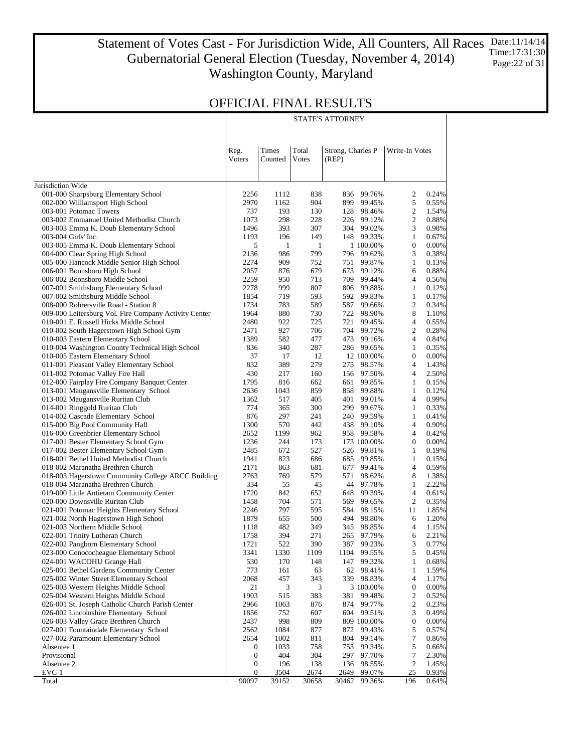### Statement of Votes Cast - For Jurisdiction Wide, All Counters, All Races Gubernatorial General Election (Tuesday, November 4, 2014) Washington County, Maryland Date:11/14/14 Time:17:31:30 Page:22 of 31

STATE'S ATTORNEY

### OFFICIAL FINAL RESULTS

|                                                                                                 | Reg.<br><b>V</b> oters | Times<br>Counted | Total<br><b>Votes</b> | Strong, Charles P<br>(REP)  | Write-In Votes   |                |
|-------------------------------------------------------------------------------------------------|------------------------|------------------|-----------------------|-----------------------------|------------------|----------------|
| Jurisdiction Wide                                                                               |                        |                  |                       |                             |                  |                |
| 001-000 Sharpsburg Elementary School                                                            | 2256                   | 1112             | 838                   | 836 99.76%                  | 2                | 0.24%          |
| 002-000 Williamsport High School                                                                | 2970                   | 1162             | 904                   | 899 99.45%                  | 5                | 0.55%          |
| 003-001 Potomac Towers                                                                          | 737                    | 193              | 130                   | 128 98.46%                  | $\boldsymbol{2}$ | 1.54%          |
| 003-002 Emmanuel United Methodist Church                                                        | 1073                   | 298              | 228                   | 226 99.12%                  | $\boldsymbol{2}$ | 0.88%          |
| 003-003 Emma K. Doub Elementary School                                                          | 1496                   | 393              | 307                   | 304 99.02%                  | 3                | 0.98%          |
| 003-004 Girls' Inc.                                                                             | 1193                   | 196              | 149                   | 148 99.33%                  | $\mathbf{1}$     | 0.67%          |
| 003-005 Emma K. Doub Elementary School                                                          | 5                      | 1                | 1                     | 1 100.00%                   | $\boldsymbol{0}$ | 0.00%          |
| 004-000 Clear Spring High School                                                                | 2136                   | 986              | 799                   | 796 99.62%                  | 3                | 0.38%          |
| 005-000 Hancock Middle Senior High School                                                       | 2274                   | 909              | 752                   | 751 99.87%                  | 1                | 0.13%          |
| 006-001 Boonsboro High School                                                                   | 2057                   | 876              | 679                   | 673 99.12%                  | 6                | 0.88%          |
| 006-002 Boonsboro Middle School                                                                 | 2259                   | 950              | 713                   | 709 99.44%                  | 4                | 0.56%          |
| 007-001 Smithsburg Elementary School                                                            | 2278                   | 999              | 807                   | 806 99.88%                  | 1                | 0.12%          |
| 007-002 Smithsburg Middle School                                                                | 1854                   | 719              | 593                   | 592 99.83%                  | 1                | 0.17%          |
| 008-000 Rohrersville Road - Station 8                                                           | 1734                   | 783              | 589                   | 587 99.66%                  | 2                | 0.34%          |
| 009-000 Leitersburg Vol. Fire Company Activity Center<br>010-001 E. Russell Hicks Middle School | 1964<br>2480           | 880              | 730<br>725            | 722 98.90%<br>721<br>99.45% | 8<br>4           | 1.10%          |
| 010-002 South Hagerstown High School Gym                                                        | 2471                   | 922<br>927       | 706                   | 704 99.72%                  | 2                | 0.55%<br>0.28% |
| 010-003 Eastern Elementary School                                                               | 1389                   | 582              | 477                   | 473 99.16%                  | $\overline{4}$   | 0.84%          |
| 010-004 Washington County Technical High School                                                 | 836                    | 340              | 287                   | 286 99.65%                  | 1                | 0.35%          |
| 010-005 Eastern Elementary School                                                               | 37                     | 17               | 12                    | 12 100.00%                  | $\boldsymbol{0}$ | 0.00%          |
| 011-001 Pleasant Valley Elementary School                                                       | 832                    | 389              | 279                   | 275 98.57%                  | 4                | 1.43%          |
| 011-002 Potomac Valley Fire Hall                                                                | 430                    | 217              | 160                   | 156 97.50%                  | 4                | 2.50%          |
| 012-000 Fairplay Fire Company Banquet Center                                                    | 1795                   | 816              | 662                   | 661 99.85%                  | 1                | 0.15%          |
| 013-001 Maugansville Elementary School                                                          | 2636                   | 1043             | 859                   | 858 99.88%                  | 1                | 0.12%          |
| 013-002 Maugansville Ruritan Club                                                               | 1362                   | 517              | 405                   | 401 99.01%                  | 4                | 0.99%          |
| 014-001 Ringgold Ruritan Club                                                                   | 774                    | 365              | 300                   | 299 99.67%                  | 1                | 0.33%          |
| 014-002 Cascade Elementary School                                                               | 876                    | 297              | 241                   | 240 99.59%                  | 1                | 0.41%          |
| 015-000 Big Pool Community Hall                                                                 | 1300                   | 570              | 442                   | 438 99.10%                  | 4                | 0.90%          |
| 016-000 Greenbrier Elementary School                                                            | 2652                   | 1199             | 962                   | 958 99.58%                  | 4                | 0.42%          |
| 017-001 Bester Elementary School Gym                                                            | 1236                   | 244              | 173                   | 173 100.00%                 | 0                | 0.00%          |
| 017-002 Bester Elementary School Gym                                                            | 2485                   | 672              | 527                   | 526 99.81%                  | 1                | 0.19%          |
| 018-001 Bethel United Methodist Church                                                          | 1941                   | 823              | 686                   | 685 99.85%                  | $\mathbf{1}$     | 0.15%          |
| 018-002 Maranatha Brethren Church                                                               | 2171                   | 863              | 681                   | 677 99.41%                  | 4                | 0.59%          |
| 018-003 Hagerstown Community College ARCC Building                                              | 2763                   | 769              | 579                   | 571<br>98.62%               | 8                | 1.38%          |
| 018-004 Maranatha Brethren Church                                                               | 334                    | 55               | 45                    | 44 97.78%                   | 1                | 2.22%          |
| 019-000 Little Antietam Community Center                                                        | 1720                   | 842              | 652                   | 648 99.39%                  | 4                | 0.61%          |
| 020-000 Downsville Ruritan Club                                                                 | 1458                   | 704              | 571                   | 569 99.65%                  | 2                | 0.35%          |
| 021-001 Potomac Heights Elementary School                                                       | 2246                   | 797              | 595                   | 584 98.15%                  | 11               | 1.85%          |
| 021-002 North Hagerstown High School                                                            | 1879                   | 655              | 500                   | 494 98.80%                  | 6                | 1.20%          |
| 021-003 Northern Middle School                                                                  | 1118                   | 482              | 349                   | 345 98.85%                  | 4                | 1.15%          |
| 022-001 Trinity Lutheran Church                                                                 | 1758                   | 394              | 271                   | 265 97.79%                  | 6                | 2.21%          |
| 022-002 Pangborn Elementary School                                                              | 1721                   | 522              | 390                   | 387 99.23%                  | 3                | 0.77%          |
| 023-000 Conococheague Elementary School<br>024-001 WACOHU Grange Hall                           | 3341                   | 1330             | 1109                  | 1104 99.55%                 | 5                | 0.45%          |
|                                                                                                 | 530                    | 170              | 148                   | 147 99.32%                  | 1                | 0.68%          |
| 025-001 Bethel Gardens Community Center<br>025-002 Winter Street Elementary School              | 773<br>2068            | 161<br>457       | 63                    | 62 98.41%                   | 1<br>4           | 1.59%<br>1.17% |
| 025-003 Western Heights Middle School                                                           | 21                     | 3                | 343<br>3              | 339 98.83%<br>3 100.00%     | $\boldsymbol{0}$ | 0.00%          |
| 025-004 Western Heights Middle School                                                           | 1903                   | 515              | 383                   | 381<br>99.48%               | 2                | 0.52%          |
| 026-001 St. Joseph Catholic Church Parish Center                                                | 2966                   | 1063             | 876                   | 874 99.77%                  | 2                | 0.23%          |
| 026-002 Lincolnshire Elementary School                                                          | 1856                   | 752              | 607                   | 604 99.51%                  | 3                | 0.49%          |
| 026-003 Valley Grace Brethren Church                                                            | 2437                   | 998              | 809                   | 809 100.00%                 | 0                | 0.00%          |
| 027-001 Fountaindale Elementary School                                                          | 2562                   | 1084             | 877                   | 872 99.43%                  | 5                | 0.57%          |
| 027-002 Paramount Elementary School                                                             | 2654                   | 1002             | 811                   | 804 99.14%                  | 7                | 0.86%          |
| Absentee 1                                                                                      | 0                      | 1033             | 758                   | 753<br>99.34%               | 5                | 0.66%          |
| Provisional                                                                                     | $\boldsymbol{0}$       | 404              | 304                   | 297<br>97.70%               | 7                | 2.30%          |
| Absentee 2                                                                                      | $\boldsymbol{0}$       | 196              | 138                   | 136<br>98.55%               | 2                | 1.45%          |
| EVC-1                                                                                           | $\boldsymbol{0}$       | 3504             | 2674                  | 2649<br>99.07%              | 25               | 0.93%          |
| Total                                                                                           | 90097                  | 39152            | 30658                 | 30462 99.36%                | 196              | 0.64%          |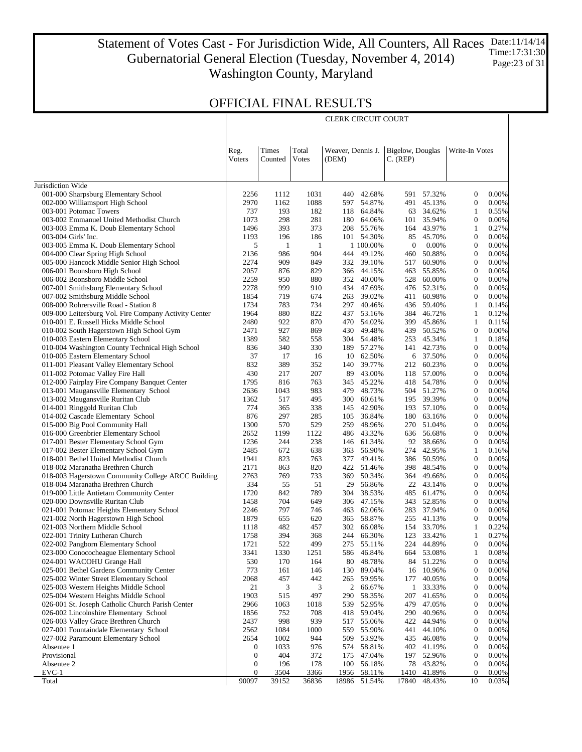### Statement of Votes Cast - For Jurisdiction Wide, All Counters, All Races Gubernatorial General Election (Tuesday, November 4, 2014) Washington County, Maryland Date:11/14/14 Time:17:31:30 Page:23 of 31

CLERK CIRCUIT COURT

|                                                                                        | Reg.<br><b>V</b> oters | Times<br>Counted | Total<br>Votes | Weaver, Dennis J.<br>(DEM) |                          | Bigelow, Douglas<br>C. (REP) |                          | Write-In Votes                     |                      |
|----------------------------------------------------------------------------------------|------------------------|------------------|----------------|----------------------------|--------------------------|------------------------------|--------------------------|------------------------------------|----------------------|
|                                                                                        |                        |                  |                |                            |                          |                              |                          |                                    |                      |
| Jurisdiction Wide<br>001-000 Sharpsburg Elementary School                              | 2256                   | 1112             | 1031           |                            | 440 42.68%               |                              | 591 57.32%               | $\boldsymbol{0}$                   | $0.00\%$             |
| 002-000 Williamsport High School                                                       | 2970                   | 1162             | 1088           |                            | 597 54.87%               |                              | 491 45.13%               | $\boldsymbol{0}$                   | 0.00%                |
| 003-001 Potomac Towers                                                                 | 737                    | 193              | 182            |                            | 118 64.84%               |                              | 63 34.62%                | $\mathbf{1}$                       | 0.55%                |
| 003-002 Emmanuel United Methodist Church                                               | 1073                   | 298              | 281            |                            | 180 64.06%               |                              | 101 35.94%               | $\mathbf{0}$                       | 0.00%                |
| 003-003 Emma K. Doub Elementary School                                                 | 1496                   | 393              | 373            |                            | 208 55.76%               |                              | 164 43.97%               | $\mathbf{1}$                       | 0.27%                |
| 003-004 Girls' Inc.                                                                    | 1193                   | 196              | 186            |                            | 101 54.30%               |                              | 85 45.70%                | $\boldsymbol{0}$                   | 0.00%                |
| 003-005 Emma K. Doub Elementary School                                                 | 5                      | -1               | $\mathbf{1}$   |                            | 1 100.00%                | $\boldsymbol{0}$             | 0.00%                    | $\boldsymbol{0}$                   | 0.00%                |
| 004-000 Clear Spring High School                                                       | 2136                   | 986              | 904            |                            | 444 49.12%               | 460                          | 50.88%                   | $\boldsymbol{0}$                   | 0.00%                |
| 005-000 Hancock Middle Senior High School                                              | 2274                   | 909              | 849            |                            | 332 39.10%               | 517                          | 60.90%                   | $\overline{0}$                     | 0.00%                |
| 006-001 Boonsboro High School                                                          | 2057                   | 876              | 829            |                            | 366 44.15%               | 463                          | 55.85%                   | $\boldsymbol{0}$                   | 0.00%                |
| 006-002 Boonsboro Middle School                                                        | 2259                   | 950              | 880            |                            | 352 40.00%               |                              | 528 60.00%               | $\overline{0}$                     | 0.00%                |
| 007-001 Smithsburg Elementary School                                                   | 2278                   | 999              | 910            |                            | 434 47.69%               |                              | 476 52.31%               | $\boldsymbol{0}$                   | 0.00%                |
| 007-002 Smithsburg Middle School                                                       | 1854                   | 719              | 674            |                            | 263 39.02%               | 411                          | 60.98%                   | $\boldsymbol{0}$                   | 0.00%                |
| 008-000 Rohrersville Road - Station 8                                                  | 1734                   | 783              | 734            |                            | 297 40.46%               |                              | 436 59.40%               | $\mathbf{1}$                       | 0.14%                |
| 009-000 Leitersburg Vol. Fire Company Activity Center                                  | 1964                   | 880              | 822            |                            | 437 53.16%               |                              | 384 46.72%               | $\mathbf{1}$                       | 0.12%                |
| 010-001 E. Russell Hicks Middle School                                                 | 2480                   | 922              | 870            |                            | 470 54.02%               |                              | 399 45.86%               | $\mathbf{1}$                       | 0.11%                |
| 010-002 South Hagerstown High School Gym                                               | 2471                   | 927              | 869            |                            | 430 49.48%               |                              | 439 50.52%               | $\boldsymbol{0}$                   | 0.00%                |
| 010-003 Eastern Elementary School                                                      | 1389                   | 582              | 558            |                            | 304 54.48%               |                              | 253 45.34%               | $\mathbf{1}$                       | 0.18%                |
| 010-004 Washington County Technical High School                                        | 836                    | 340              | 330            |                            | 189 57.27%               |                              | 141 42.73%               | $\boldsymbol{0}$                   | 0.00%                |
| 010-005 Eastern Elementary School                                                      | 37                     | 17               | -16            |                            | 10 62.50%                |                              | 6 37.50%                 | $\boldsymbol{0}$                   | 0.00%                |
| 011-001 Pleasant Valley Elementary School                                              | 832                    | 389              | 352            |                            | 140 39.77%               |                              | 212 60.23%               | $\overline{0}$                     | 0.00%                |
| 011-002 Potomac Valley Fire Hall                                                       | 430                    | 217              | 207            |                            | 89 43.00%                |                              | 118 57.00%               | $\boldsymbol{0}$<br>$\overline{0}$ | 0.00%                |
| 012-000 Fairplay Fire Company Banquet Center<br>013-001 Maugansville Elementary School | 1795<br>2636           | 816<br>1043      | 763<br>983     |                            | 345 45.22%<br>479 48.73% |                              | 418 54.78%<br>504 51.27% | $\boldsymbol{0}$                   | 0.00%<br>0.00%       |
| 013-002 Maugansville Ruritan Club                                                      | 1362                   | 517              | 495            |                            | 300 60.61%               |                              | 195 39.39%               | $\overline{0}$                     | 0.00%                |
| 014-001 Ringgold Ruritan Club                                                          | 774                    | 365              | 338            |                            | 145 42.90%               |                              | 193 57.10%               | $\boldsymbol{0}$                   | 0.00%                |
| 014-002 Cascade Elementary School                                                      | 876                    | 297              | 285            |                            | 105 36.84%               |                              | 180 63.16%               | $\overline{0}$                     | 0.00%                |
| 015-000 Big Pool Community Hall                                                        | 1300                   | 570              | 529            |                            | 259 48.96%               |                              | 270 51.04%               | $\boldsymbol{0}$                   | 0.00%                |
| 016-000 Greenbrier Elementary School                                                   | 2652                   | 1199             | 1122           |                            | 486 43.32%               |                              | 636 56.68%               | $\overline{0}$                     | 0.00%                |
| 017-001 Bester Elementary School Gym                                                   | 1236                   | 244              | 238            |                            | 146 61.34%               |                              | 92 38.66%                | $\boldsymbol{0}$                   | 0.00%                |
| 017-002 Bester Elementary School Gym                                                   | 2485                   | 672              | 638            |                            | 363 56.90%               |                              | 274 42.95%               | $\mathbf{1}$                       | 0.16%                |
| 018-001 Bethel United Methodist Church                                                 | 1941                   | 823              | 763            |                            | 377 49.41%               |                              | 386 50.59%               | $\boldsymbol{0}$                   | 0.00%                |
| 018-002 Maranatha Brethren Church                                                      | 2171                   | 863              | 820            |                            | 422 51.46%               |                              | 398 48.54%               | $\overline{0}$                     | 0.00%                |
| 018-003 Hagerstown Community College ARCC Building                                     | 2763                   | 769              | 733            |                            | 369 50.34%               |                              | 364 49.66%               | $\boldsymbol{0}$                   | 0.00%                |
| 018-004 Maranatha Brethren Church                                                      | 334                    | 55               | 51             |                            | 29 56.86%                |                              | 22 43.14%                | $\overline{0}$                     | 0.00%                |
| 019-000 Little Antietam Community Center                                               | 1720                   | 842              | 789            |                            | 304 38.53%               |                              | 485 61.47%               | $\boldsymbol{0}$                   | 0.00%                |
| 020-000 Downsville Ruritan Club                                                        | 1458                   | 704              | 649            |                            | 306 47.15%               |                              | 343 52.85%               | $\overline{0}$                     | 0.00%                |
| 021-001 Potomac Heights Elementary School                                              | 2246                   | 797              | 746            |                            | 463 62.06%               |                              | 283 37.94%               | $\boldsymbol{0}$                   | 0.00%                |
| 021-002 North Hagerstown High School                                                   | 1879                   | 655              | 620            |                            | 365 58.87%               |                              | 255 41.13%               | $\boldsymbol{0}$                   | 0.00%                |
| 021-003 Northern Middle School                                                         | 1118                   | 482              | 457            |                            | 302 66.08%               |                              | 154 33.70%               | $\mathbf{1}$                       | 0.22%                |
| 022-001 Trinity Lutheran Church                                                        | 1758                   | 394              | 368            |                            | 244 66.30%               |                              | 123 33.42%               | 1                                  | 0.27%                |
| 022-002 Pangborn Elementary School                                                     | 1721                   | 522              | 499            |                            | 275 55.11%               |                              | 224 44.89%               | $\boldsymbol{0}$                   | 0.00%                |
| 023-000 Conococheague Elementary School                                                | 3341<br>530            | 1330<br>170      | 1251<br>164    |                            | 586 46.84%<br>80 48.78%  |                              | 664 53.08%<br>84 51.22%  | 1<br>$\boldsymbol{0}$              | $0.08\%$<br>$0.00\%$ |
| 024-001 WACOHU Grange Hall<br>025-001 Bethel Gardens Community Center                  | 773                    | 161              | 146            |                            | 130 89.04%               | 16                           | 10.96%                   | $\boldsymbol{0}$                   | $0.00\%$             |
| 025-002 Winter Street Elementary School                                                | 2068                   | 457              | 442            |                            | 265 59.95%               | 177                          | 40.05%                   | 0                                  | $0.00\%$             |
| 025-003 Western Heights Middle School                                                  | 21                     | 3                | 3              | 2                          | 66.67%                   | $\mathbf{1}$                 | 33.33%                   | $\boldsymbol{0}$                   | 0.00%                |
| 025-004 Western Heights Middle School                                                  | 1903                   | 515              | 497            | 290                        | 58.35%                   | 207                          | 41.65%                   | 0                                  | 0.00%                |
| 026-001 St. Joseph Catholic Church Parish Center                                       | 2966                   | 1063             | 1018           |                            | 539 52.95%               | 479                          | 47.05%                   | 0                                  | 0.00%                |
| 026-002 Lincolnshire Elementary School                                                 | 1856                   | 752              | 708            |                            | 418 59.04%               |                              | 290 40.96%               | 0                                  | 0.00%                |
| 026-003 Valley Grace Brethren Church                                                   | 2437                   | 998              | 939            | 517                        | 55.06%                   | 422                          | 44.94%                   | $\boldsymbol{0}$                   | 0.00%                |
| 027-001 Fountaindale Elementary School                                                 | 2562                   | 1084             | 1000           |                            | 559 55.90%               | 441                          | 44.10%                   | 0                                  | 0.00%                |
| 027-002 Paramount Elementary School                                                    | 2654                   | 1002             | 944            |                            | 509 53.92%               |                              | 435 46.08%               | 0                                  | 0.00%                |
| Absentee 1                                                                             | $\boldsymbol{0}$       | 1033             | 976            |                            | 574 58.81%               |                              | 402 41.19%               | 0                                  | 0.00%                |
| Provisional                                                                            | $\boldsymbol{0}$       | 404              | 372            | 175                        | 47.04%                   |                              | 197 52.96%               | $\boldsymbol{0}$                   | 0.00%                |
| Absentee 2                                                                             | 0                      | 196              | 178            | 100                        | 56.18%                   | 78                           | 43.82%                   | 0                                  | 0.00%                |
| $EVC-1$                                                                                | $\boldsymbol{0}$       | 3504             | 3366           | 1956                       | 58.11%                   | 1410                         | 41.89%                   | $\theta$                           | 0.00%                |
| Total                                                                                  | 90097                  | 39152            | 36836          |                            | 18986 51.54%             | 17840                        | 48.43%                   | 10                                 | 0.03%                |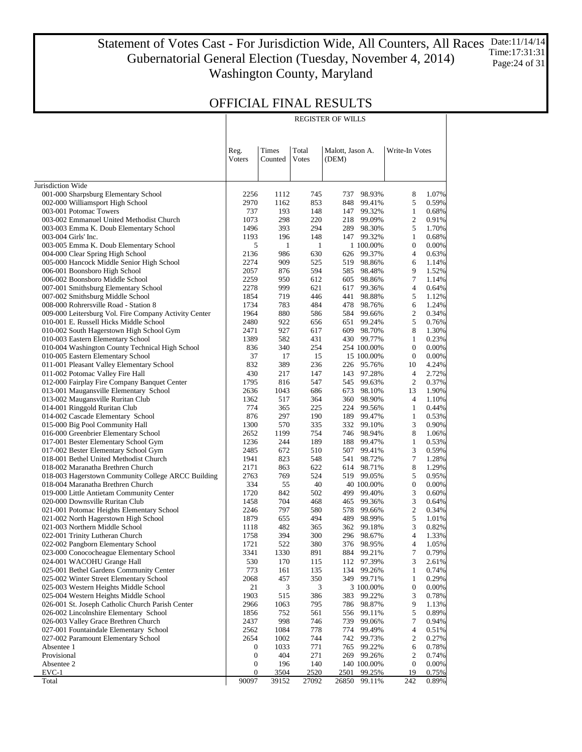### Statement of Votes Cast - For Jurisdiction Wide, All Counters, All Races Gubernatorial General Election (Tuesday, November 4, 2014) Washington County, Maryland Date:11/14/14 Time:17:31:31 Page:24 of 31

REGISTER OF WILLS

### OFFICIAL FINAL RESULTS

 $\mathbb{R}$ 

|                                                                                  | Reg.<br>Voters   | Times<br>Counted | Total<br>Votes | Malott, Jason A.<br>(DEM) | Write-In Votes                   |                |
|----------------------------------------------------------------------------------|------------------|------------------|----------------|---------------------------|----------------------------------|----------------|
| Jurisdiction Wide                                                                |                  |                  |                |                           |                                  |                |
| 001-000 Sharpsburg Elementary School                                             | 2256             | 1112             | 745            | 737 98.93%                | 8                                | 1.07%          |
| 002-000 Williamsport High School                                                 | 2970             | 1162             | 853            | 848 99.41%                | 5                                | 0.59%          |
| 003-001 Potomac Towers                                                           | 737              | 193              | 148            | 147 99.32%                | $\mathbf{1}$                     | 0.68%          |
| 003-002 Emmanuel United Methodist Church                                         | 1073             | 298              | 220            | 218 99.09%                | $\overline{c}$                   | 0.91%          |
| 003-003 Emma K. Doub Elementary School                                           | 1496             | 393              | 294            | 289 98.30%                | 5                                | 1.70%          |
| 003-004 Girls' Inc.                                                              | 1193             | 196              | 148            | 147 99.32%                | $\mathbf{1}$                     | 0.68%          |
| 003-005 Emma K. Doub Elementary School                                           | 5                | $\mathbf{1}$     | $\mathbf{1}$   | 1 100.00%                 | $\mathbf{0}$                     | 0.00%          |
| 004-000 Clear Spring High School                                                 | 2136             | 986              | 630            | 626 99.37%                | $\overline{4}$                   | 0.63%          |
| 005-000 Hancock Middle Senior High School                                        | 2274             | 909              | 525            | 519 98.86%                | 6                                | 1.14%          |
| 006-001 Boonsboro High School                                                    | 2057             | 876              | 594            | 585 98.48%                | 9                                | 1.52%          |
| 006-002 Boonsboro Middle School                                                  | 2259             | 950              | 612            | 605 98.86%                | 7                                | 1.14%          |
| 007-001 Smithsburg Elementary School                                             | 2278             | 999              | 621            | 617 99.36%                | $\overline{4}$                   | 0.64%          |
| 007-002 Smithsburg Middle School                                                 | 1854             | 719              | 446            | 441 98.88%                | 5                                | 1.12%          |
| 008-000 Rohrersville Road - Station 8                                            | 1734             | 783              | 484            | 478 98.76%                | 6                                | 1.24%          |
| 009-000 Leitersburg Vol. Fire Company Activity Center                            | 1964             | 880              | 586            | 584 99.66%                | $\mathfrak{2}$                   | 0.34%          |
| 010-001 E. Russell Hicks Middle School                                           | 2480             | 922              | 656            | 651 99.24%                | 5                                | 0.76%          |
| 010-002 South Hagerstown High School Gym                                         | 2471             | 927              | 617            | 609 98.70%                | 8                                | 1.30%          |
| 010-003 Eastern Elementary School                                                | 1389             | 582              | 431            | 430 99.77%                | $\mathbf{1}$                     | 0.23%          |
| 010-004 Washington County Technical High School                                  | 836              | 340              | 254            | 254 100.00%               | $\mathbf{0}$                     | 0.00%          |
| 010-005 Eastern Elementary School                                                | 37               | 17               | 15             | 15 100.00%                | $\mathbf{0}$                     | 0.00%          |
| 011-001 Pleasant Valley Elementary School                                        | 832              | 389              | 236            | 226 95.76%                | 10                               | 4.24%          |
| 011-002 Potomac Valley Fire Hall<br>012-000 Fairplay Fire Company Banquet Center | 430              | 217              | 147            | 143 97.28%<br>545 99.63%  | $\overline{4}$<br>$\mathfrak{2}$ | 2.72%          |
| 013-001 Maugansville Elementary School                                           | 1795<br>2636     | 816<br>1043      | 547<br>686     | 673 98.10%                | 13                               | 0.37%<br>1.90% |
| 013-002 Maugansville Ruritan Club                                                | 1362             | 517              | 364            | 360 98.90%                | $\overline{4}$                   | 1.10%          |
| 014-001 Ringgold Ruritan Club                                                    | 774              | 365              | 225            | 224 99.56%                | $\mathbf{1}$                     | 0.44%          |
| 014-002 Cascade Elementary School                                                | 876              | 297              | 190            | 189 99.47%                | $\mathbf{1}$                     | 0.53%          |
| 015-000 Big Pool Community Hall                                                  | 1300             | 570              | 335            | 332 99.10%                | 3                                | 0.90%          |
| 016-000 Greenbrier Elementary School                                             | 2652             | 1199             | 754            | 746 98.94%                | 8                                | 1.06%          |
| 017-001 Bester Elementary School Gym                                             | 1236             | 244              | 189            | 188 99.47%                | $\mathbf{1}$                     | 0.53%          |
| 017-002 Bester Elementary School Gym                                             | 2485             | 672              | 510            | 507 99.41%                | 3                                | 0.59%          |
| 018-001 Bethel United Methodist Church                                           | 1941             | 823              | 548            | 541 98.72%                | 7                                | 1.28%          |
| 018-002 Maranatha Brethren Church                                                | 2171             | 863              | 622            | 614 98.71%                | 8                                | 1.29%          |
| 018-003 Hagerstown Community College ARCC Building                               | 2763             | 769              | 524            | 519 99.05%                | 5                                | 0.95%          |
| 018-004 Maranatha Brethren Church                                                | 334              | 55               | 40             | 40 100.00%                | $\mathbf{0}$                     | 0.00%          |
| 019-000 Little Antietam Community Center                                         | 1720             | 842              | 502            | 499 99.40%                | 3                                | 0.60%          |
| 020-000 Downsville Ruritan Club                                                  | 1458             | 704              | 468            | 465 99.36%                | 3                                | 0.64%          |
| 021-001 Potomac Heights Elementary School                                        | 2246             | 797              | 580            | 578 99.66%                | $\overline{c}$                   | 0.34%          |
| 021-002 North Hagerstown High School                                             | 1879             | 655              | 494            | 489 98.99%                | 5                                | 1.01%          |
| 021-003 Northern Middle School                                                   | 1118             | 482              | 365            | 362 99.18%                | 3                                | 0.82%          |
| 022-001 Trinity Lutheran Church                                                  | 1758             | 394              | 300            | 296 98.67%                | $\overline{4}$                   | 1.33%          |
| 022-002 Pangborn Elementary School                                               | 1721             | 522              | 380            | 376 98.95%                | 4                                | 1.05%          |
| 023-000 Conococheague Elementary School                                          | 3341             | 1330             | 891            | 884<br>99.21%             | 7                                | 0.79%          |
| 024-001 WACOHU Grange Hall                                                       | 530              | 170              | 115            | 112 97.39%                | 3                                | 2.61%          |
| 025-001 Bethel Gardens Community Center                                          | 773              | 161              | 135            | 134 99.26%                | 1                                | 0.74%          |
| 025-002 Winter Street Elementary School                                          | 2068             | 457              | 350            | 349 99.71%                | $\mathbf{1}$                     | 0.29%          |
| 025-003 Western Heights Middle School                                            | 21               | 3                | 3              | 3 100.00%                 | $\boldsymbol{0}$                 | 0.00%          |
| 025-004 Western Heights Middle School                                            | 1903             | 515              | 386            | 383<br>99.22%             | 3                                | 0.78%          |
| 026-001 St. Joseph Catholic Church Parish Center                                 | 2966             | 1063             | 795            | 786 98.87%                | 9                                | 1.13%          |
| 026-002 Lincolnshire Elementary School                                           | 1856             | 752              | 561            | 556 99.11%                | 5                                | 0.89%          |
| 026-003 Valley Grace Brethren Church                                             | 2437             | 998              | 746            | 739 99.06%                | 7                                | 0.94%          |
| 027-001 Fountaindale Elementary School                                           | 2562             | 1084             | 778            | 774 99.49%                | 4                                | 0.51%          |
| 027-002 Paramount Elementary School                                              | 2654             | 1002             | 744            | 742 99.73%                | 2                                | 0.27%          |
| Absentee 1                                                                       | $\boldsymbol{0}$ | 1033             | 771            | 765<br>99.22%             | 6                                | 0.78%          |
| Provisional                                                                      | 0                | 404              | 271            | 269 99.26%                | 2                                | 0.74%          |
| Absentee 2                                                                       | $\boldsymbol{0}$ | 196              | 140            | 140 100.00%               | $\boldsymbol{0}$                 | 0.00%          |
| $EVC-1$                                                                          | $\boldsymbol{0}$ | 3504             | 2520           | 2501 99.25%               | 19                               | 0.75%          |
| Total                                                                            | 90097            | 39152            | 27092          | 26850 99.11%              | 242                              | 0.89%          |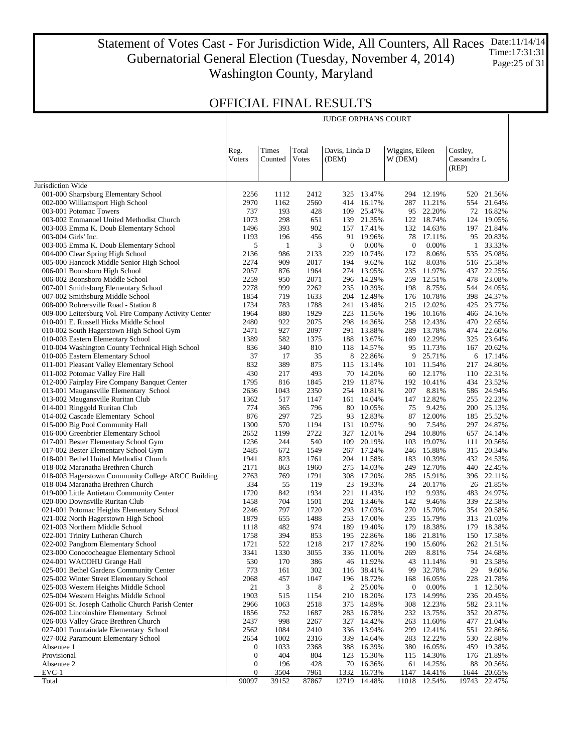### Statement of Votes Cast - For Jurisdiction Wide, All Counters, All Races Gubernatorial General Election (Tuesday, November 4, 2014) Washington County, Maryland Date:11/14/14 Time:17:31:31 Page:25 of 31

Τ

|                                                                                            | <b>JUDGE ORPHANS COURT</b> |                         |                |                         |                          |                            |                          |                                  |                          |
|--------------------------------------------------------------------------------------------|----------------------------|-------------------------|----------------|-------------------------|--------------------------|----------------------------|--------------------------|----------------------------------|--------------------------|
|                                                                                            | Reg.<br>Voters             | <b>Times</b><br>Counted | Total<br>Votes | Davis, Linda D<br>(DEM) |                          | Wiggins, Eileen<br>W (DEM) |                          | Costley,<br>Cassandra L<br>(REP) |                          |
| Jurisdiction Wide                                                                          |                            |                         |                |                         |                          |                            |                          |                                  |                          |
| 001-000 Sharpsburg Elementary School                                                       | 2256                       | 1112                    | 2412           | 325                     | 13.47%                   |                            | 294 12.19%               | 520                              | 21.56%                   |
| 002-000 Williamsport High School                                                           | 2970                       | 1162                    | 2560           |                         | 414 16.17%               |                            | 287 11.21%               |                                  | 554 21.64%               |
| 003-001 Potomac Towers                                                                     | 737                        | 193                     | 428            |                         | 109 25.47%               |                            | 95 22.20%                |                                  | 72 16.82%                |
| 003-002 Emmanuel United Methodist Church<br>003-003 Emma K. Doub Elementary School         | 1073<br>1496               | 298<br>393              | 651<br>902     |                         | 139 21.35%<br>157 17.41% |                            | 122 18.74%<br>132 14.63% | 197                              | 124 19.05%<br>21.84%     |
| 003-004 Girls' Inc.                                                                        | 1193                       | 196                     | 456            | 91                      | 19.96%                   | 78                         | 17.11%                   | 95                               | 20.83%                   |
| 003-005 Emma K. Doub Elementary School                                                     | 5                          | -1                      | 3              | $\boldsymbol{0}$        | 0.00%                    | $\boldsymbol{0}$           | 0.00%                    |                                  | 1 33.33%                 |
| 004-000 Clear Spring High School                                                           | 2136                       | 986                     | 2133           | 229                     | 10.74%                   | 172                        | 8.06%                    |                                  | 535 25.08%               |
| 005-000 Hancock Middle Senior High School                                                  | 2274                       | 909                     | 2017           | 194                     | 9.62%                    | 162                        | 8.03%                    |                                  | 516 25.58%               |
| 006-001 Boonsboro High School                                                              | 2057                       | 876                     | 1964           |                         | 274 13.95%               | 235                        | 11.97%                   | 437                              | 22.25%                   |
| 006-002 Boonsboro Middle School                                                            | 2259                       | 950                     | 2071           |                         | 296 14.29%               | 259                        | 12.51%                   | 478                              | 23.08%                   |
| 007-001 Smithsburg Elementary School<br>007-002 Smithsburg Middle School                   | 2278<br>1854               | 999<br>719              | 2262<br>1633   |                         | 235 10.39%<br>204 12.49% | 198<br>176                 | 8.75%<br>10.78%          |                                  | 544 24.05%<br>398 24.37% |
| 008-000 Rohrersville Road - Station 8                                                      | 1734                       | 783                     | 1788           |                         | 241 13.48%               |                            | 215 12.02%               |                                  | 425 23.77%               |
| 009-000 Leitersburg Vol. Fire Company Activity Center                                      | 1964                       | 880                     | 1929           |                         | 223 11.56%               |                            | 196 10.16%               | 466                              | 24.16%                   |
| 010-001 E. Russell Hicks Middle School                                                     | 2480                       | 922                     | 2075           |                         | 298 14.36%               |                            | 258 12.43%               |                                  | 470 22.65%               |
| 010-002 South Hagerstown High School Gym                                                   | 2471                       | 927                     | 2097           |                         | 291 13.88%               |                            | 289 13.78%               |                                  | 474 22.60%               |
| 010-003 Eastern Elementary School                                                          | 1389                       | 582                     | 1375           |                         | 188 13.67%               |                            | 169 12.29%               |                                  | 325 23.64%               |
| 010-004 Washington County Technical High School                                            | 836                        | 340                     | 810            |                         | 118 14.57%               | 95                         | 11.73%                   | 167                              | 20.62%                   |
| 010-005 Eastern Elementary School                                                          | 37                         | 17                      | 35             |                         | 8 22.86%                 | 9                          | 25.71%                   | 6                                | 17.14%                   |
| 011-001 Pleasant Valley Elementary School<br>011-002 Potomac Valley Fire Hall              | 832<br>430                 | 389<br>217              | 875<br>493     |                         | 115 13.14%<br>70 14.20%  |                            | 101 11.54%<br>60 12.17%  | 217                              | 24.80%<br>110 22.31%     |
| 012-000 Fairplay Fire Company Banquet Center                                               | 1795                       | 816                     | 1845           |                         | 219 11.87%               | 192                        | 10.41%                   |                                  | 434 23.52%               |
| 013-001 Maugansville Elementary School                                                     | 2636                       | 1043                    | 2350           |                         | 254 10.81%               | 207                        | 8.81%                    |                                  | 586 24.94%               |
| 013-002 Maugansville Ruritan Club                                                          | 1362                       | 517                     | 1147           |                         | 161 14.04%               |                            | 147 12.82%               |                                  | 255 22.23%               |
| 014-001 Ringgold Ruritan Club                                                              | 774                        | 365                     | 796            |                         | 80 10.05%                | 75                         | 9.42%                    |                                  | 200 25.13%               |
| 014-002 Cascade Elementary School                                                          | 876                        | 297                     | 725            | 93                      | 12.83%                   | 87                         | 12.00%                   |                                  | 185 25.52%               |
| 015-000 Big Pool Community Hall                                                            | 1300                       | 570                     | 1194           |                         | 131 10.97%               | 90                         | 7.54%                    | 297                              | 24.87%                   |
| 016-000 Greenbrier Elementary School                                                       | 2652                       | 1199                    | 2722           |                         | 327 12.01%               | 294                        | 10.80%                   | 657                              | 24.14%                   |
| 017-001 Bester Elementary School Gym                                                       | 1236                       | 244                     | 540            |                         | 109 20.19%               | 103                        | 19.07%                   | 111                              | 20.56%                   |
| 017-002 Bester Elementary School Gym<br>018-001 Bethel United Methodist Church             | 2485<br>1941               | 672<br>823              | 1549<br>1761   |                         | 267 17.24%<br>204 11.58% | 246                        | 15.88%<br>183 10.39%     | 315                              | 20.34%<br>432 24.53%     |
| 018-002 Maranatha Brethren Church                                                          | 2171                       | 863                     | 1960           |                         | 275 14.03%               |                            | 249 12.70%               |                                  | 440 22.45%               |
| 018-003 Hagerstown Community College ARCC Building                                         | 2763                       | 769                     | 1791           |                         | 308 17.20%               |                            | 285 15.91%               |                                  | 396 22.11%               |
| 018-004 Maranatha Brethren Church                                                          | 334                        | 55                      | 119            |                         | 23 19.33%                | 24                         | 20.17%                   |                                  | 26 21.85%                |
| 019-000 Little Antietam Community Center                                                   | 1720                       | 842                     | 1934           |                         | 221 11.43%               | 192                        | 9.93%                    |                                  | 483 24.97%               |
| 020-000 Downsville Ruritan Club                                                            | 1458                       | 704                     | 1501           |                         | 202 13.46%               | 142                        | 9.46%                    |                                  | 339 22.58%               |
| 021-001 Potomac Heights Elementary School                                                  | 2246                       | 797                     | 1720           |                         | 293 17.03%               |                            | 270 15.70%               |                                  | 354 20.58%               |
| 021-002 North Hagerstown High School                                                       | 1879                       | 655                     | 1488           |                         | 253 17.00%               |                            | 235 15.79%               |                                  | 313 21.03%               |
| 021-003 Northern Middle School<br>022-001 Trinity Lutheran Church                          | 1118<br>1758               | 482<br>394              | 974<br>853     |                         | 189 19.40%<br>195 22.86% |                            | 179 18.38%<br>186 21.81% |                                  | 179 18.38%<br>150 17.58% |
| 022-002 Pangborn Elementary School                                                         | 1721                       | 522                     | 1218           |                         | 217 17.82%               | 190                        | 15.60%                   |                                  | 262 21.51%               |
| 023-000 Conococheague Elementary School                                                    | 3341                       | 1330                    | 3055           |                         | 336 11.00%               | 269                        | 8.81%                    | 754                              | 24.68%                   |
| 024-001 WACOHU Grange Hall                                                                 | 530                        | 170                     | 386            | 46                      | 11.92%                   | 43                         | 11.14%                   | 91                               | 23.58%                   |
| 025-001 Bethel Gardens Community Center                                                    | 773                        | 161                     | 302            | 116                     | 38.41%                   | 99                         | 32.78%                   | 29                               | 9.60%                    |
| 025-002 Winter Street Elementary School                                                    | 2068                       | 457                     | 1047           |                         | 196 18.72%               | 168                        | 16.05%                   | 228                              | 21.78%                   |
| 025-003 Western Heights Middle School                                                      | 21                         | 3                       | 8              |                         | 2 25.00%                 | 0                          | 0.00%                    |                                  | 1 12.50%                 |
| 025-004 Western Heights Middle School                                                      | 1903                       | 515                     | 1154           | 210                     | 18.20%                   | 173                        | 14.99%                   | 236                              | 20.45%                   |
| 026-001 St. Joseph Catholic Church Parish Center<br>026-002 Lincolnshire Elementary School | 2966<br>1856               | 1063<br>752             | 2518<br>1687   | 375<br>283              | 14.89%<br>16.78%         | 308<br>232                 | 12.23%<br>13.75%         | 582<br>352                       | 23.11%<br>20.87%         |
| 026-003 Valley Grace Brethren Church                                                       | 2437                       | 998                     | 2267           | 327                     | 14.42%                   | 263                        | 11.60%                   | 477                              | 21.04%                   |
| 027-001 Fountaindale Elementary School                                                     | 2562                       | 1084                    | 2410           |                         | 336 13.94%               |                            | 299 12.41%               | 551                              | 22.86%                   |
| 027-002 Paramount Elementary School                                                        | 2654                       | 1002                    | 2316           | 339                     | 14.64%                   | 283                        | 12.22%                   | 530                              | 22.88%                   |
| Absentee 1                                                                                 | 0                          | 1033                    | 2368           | 388                     | 16.39%                   | 380                        | 16.05%                   | 459                              | 19.38%                   |
| Provisional                                                                                | 0                          | 404                     | 804            | 123                     | 15.30%                   | 115                        | 14.30%                   | 176                              | 21.89%                   |
| Absentee 2                                                                                 | 0                          | 196                     | 428            | 70                      | 16.36%                   | 61                         | 14.25%                   | 88                               | 20.56%                   |
| $EVC-1$                                                                                    | $\boldsymbol{0}$           | 3504                    | 7961           | 1332                    | 16.73%                   | 1147                       | 14.41%                   | 1644                             | 20.65%                   |
| Total                                                                                      | 90097                      | 39152                   | 87867          |                         | 12719 14.48%             | 11018                      | 12.54%                   | 19743                            | 22.47%                   |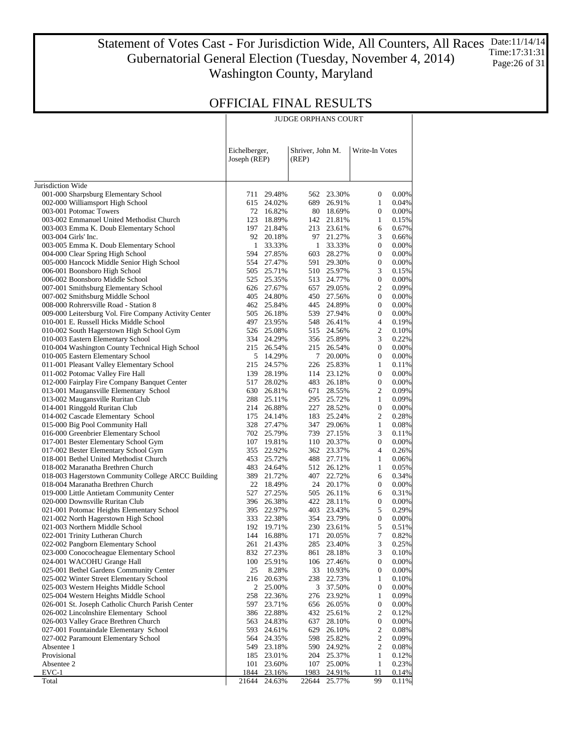Statement of Votes Cast - For Jurisdiction Wide, All Counters, All Races Gubernatorial General Election (Tuesday, November 4, 2014) Washington County, Maryland Date:11/14/14 Time:17:31:31 Page:26 of 31

JUDGE ORPHANS COURT

|                                                                               |              | Eichelberger,<br>Joseph (REP)<br>(REP) |       | Shriver, John M.         | Write-In Votes        |                |  |
|-------------------------------------------------------------------------------|--------------|----------------------------------------|-------|--------------------------|-----------------------|----------------|--|
| Jurisdiction Wide                                                             |              |                                        |       |                          |                       |                |  |
| 001-000 Sharpsburg Elementary School                                          | 711          | 29.48%                                 |       | 562 23.30%               | $\mathbf 0$           | 0.00%          |  |
| 002-000 Williamsport High School                                              | 615          | 24.02%                                 |       | 689 26.91%               | 1                     | 0.04%          |  |
| 003-001 Potomac Towers                                                        |              | 72 16.82%                              |       | 80 18.69%                | $\boldsymbol{0}$      | 0.00%          |  |
| 003-002 Emmanuel United Methodist Church                                      | 123          | 18.89%                                 |       | 142 21.81%               | 1                     | 0.15%          |  |
| 003-003 Emma K. Doub Elementary School                                        | 197          | 21.84%                                 |       | 213 23.61%               | 6                     | 0.67%          |  |
| 003-004 Girls' Inc.                                                           | 92           | 20.18%                                 |       | 97 21.27%                | 3                     | 0.66%          |  |
| 003-005 Emma K. Doub Elementary School                                        | $\mathbf{1}$ | 33.33%                                 |       | 1 33.33%                 | $\boldsymbol{0}$      | 0.00%          |  |
| 004-000 Clear Spring High School                                              | 594          | 27.85%                                 |       | 603 28.27%               | $\mathbf 0$           | 0.00%          |  |
| 005-000 Hancock Middle Senior High School                                     | 554          | 27.47%                                 | 591   | 29.30%                   | $\boldsymbol{0}$      | 0.00%          |  |
| 006-001 Boonsboro High School                                                 | 505          | 25.71%                                 |       | 510 25.97%               | 3                     | 0.15%          |  |
| 006-002 Boonsboro Middle School                                               | 525          | 25.35%                                 | 513   | 24.77%                   | $\boldsymbol{0}$      | 0.00%          |  |
| 007-001 Smithsburg Elementary School                                          | 626          | 27.67%                                 | 657   | 29.05%                   | 2                     | 0.09%          |  |
| 007-002 Smithsburg Middle School                                              | 405          | 24.80%                                 |       | 450 27.56%               | $\boldsymbol{0}$      | 0.00%          |  |
| 008-000 Rohrersville Road - Station 8                                         | 462          | 25.84%                                 |       | 445 24.89%               | $\mathbf 0$           | 0.00%          |  |
| 009-000 Leitersburg Vol. Fire Company Activity Center                         | 505          | 26.18%                                 |       | 539 27.94%               | $\boldsymbol{0}$      | 0.00%          |  |
| 010-001 E. Russell Hicks Middle School                                        | 497<br>526   | 23.95%                                 |       | 548 26.41%<br>515 24.56% | $\overline{4}$<br>2   | 0.19%          |  |
| 010-002 South Hagerstown High School Gym<br>010-003 Eastern Elementary School | 334          | 25.08%<br>24.29%                       |       | 356 25.89%               | 3                     | 0.10%<br>0.22% |  |
| 010-004 Washington County Technical High School                               | 215          | 26.54%                                 |       | 215 26.54%               | $\boldsymbol{0}$      | 0.00%          |  |
| 010-005 Eastern Elementary School                                             | 5            | 14.29%                                 |       | 7 20.00%                 | $\mathbf 0$           | 0.00%          |  |
| 011-001 Pleasant Valley Elementary School                                     | 215          | 24.57%                                 |       | 226 25.83%               | 1                     | 0.11%          |  |
| 011-002 Potomac Valley Fire Hall                                              | 139          | 28.19%                                 |       | 114 23.12%               | $\boldsymbol{0}$      | 0.00%          |  |
| 012-000 Fairplay Fire Company Banquet Center                                  | 517          | 28.02%                                 |       | 483 26.18%               | $\boldsymbol{0}$      | 0.00%          |  |
| 013-001 Maugansville Elementary School                                        | 630          | 26.81%                                 | 671   | 28.55%                   | 2                     | 0.09%          |  |
| 013-002 Maugansville Ruritan Club                                             | 288          | 25.11%                                 |       | 295 25.72%               | $\mathbf{1}$          | 0.09%          |  |
| 014-001 Ringgold Ruritan Club                                                 | 214          | 26.88%                                 |       | 227 28.52%               | $\boldsymbol{0}$      | 0.00%          |  |
| 014-002 Cascade Elementary School                                             | 175          | 24.14%                                 | 183   | 25.24%                   | 2                     | 0.28%          |  |
| 015-000 Big Pool Community Hall                                               | 328          | 27.47%                                 |       | 347 29.06%               | 1                     | 0.08%          |  |
| 016-000 Greenbrier Elementary School                                          | 702          | 25.79%                                 |       | 739 27.15%               | 3                     | 0.11%          |  |
| 017-001 Bester Elementary School Gym                                          | 107          | 19.81%                                 |       | 110 20.37%               | $\mathbf 0$           | 0.00%          |  |
| 017-002 Bester Elementary School Gym                                          | 355          | 22.92%                                 |       | 362 23.37%               | 4                     | 0.26%          |  |
| 018-001 Bethel United Methodist Church                                        | 453          | 25.72%                                 |       | 488 27.71%               | 1                     | 0.06%          |  |
| 018-002 Maranatha Brethren Church                                             | 483          | 24.64%                                 |       | 512 26.12%               | $\mathbf{1}$          | 0.05%          |  |
| 018-003 Hagerstown Community College ARCC Building                            | 389          | 21.72%                                 |       | 407 22.72%               | 6                     | 0.34%          |  |
| 018-004 Maranatha Brethren Church                                             | 22           | 18.49%                                 |       | 24 20.17%                | $\mathbf 0$           | 0.00%          |  |
| 019-000 Little Antietam Community Center                                      | 527          | 27.25%                                 |       | 505 26.11%               | 6                     | 0.31%          |  |
| 020-000 Downsville Ruritan Club                                               | 396          | 26.38%                                 |       | 422 28.11%               | $\boldsymbol{0}$      | 0.00%          |  |
| 021-001 Potomac Heights Elementary School                                     | 395<br>333   | 22.97%<br>22.38%                       |       | 403 23.43%<br>354 23.79% | 5<br>$\boldsymbol{0}$ | 0.29%<br>0.00% |  |
| 021-002 North Hagerstown High School<br>021-003 Northern Middle School        |              | 192 19.71%                             |       | 230 23.61%               | 5                     | 0.51%          |  |
| 022-001 Trinity Lutheran Church                                               |              | 144 16.88%                             |       | 171 20.05%               | $\tau$                | 0.82%          |  |
| 022-002 Pangborn Elementary School                                            | 261          | 21.43%                                 |       | 285 23.40%               | 3                     | 0.25%          |  |
| 023-000 Conococheague Elementary School                                       |              | 832 27.23%                             |       | 861 28.18%               | 3 <sup>7</sup>        | 0.10%          |  |
| 024-001 WACOHU Grange Hall                                                    |              | 100 25.91%                             |       | 106 27.46%               | $\boldsymbol{0}$      | 0.00%          |  |
| 025-001 Bethel Gardens Community Center                                       | 25           | 8.28%                                  | 33    | 10.93%                   | $\boldsymbol{0}$      | 0.00%          |  |
| 025-002 Winter Street Elementary School                                       | 216          | 20.63%                                 | 238   | 22.73%                   | 1                     | 0.10%          |  |
| 025-003 Western Heights Middle School                                         | 2            | 25.00%                                 | 3     | 37.50%                   | $\boldsymbol{0}$      | 0.00%          |  |
| 025-004 Western Heights Middle School                                         | 258          | 22.36%                                 | 276   | 23.92%                   | 1                     | 0.09%          |  |
| 026-001 St. Joseph Catholic Church Parish Center                              | 597          | 23.71%                                 | 656   | 26.05%                   | $\boldsymbol{0}$      | 0.00%          |  |
| 026-002 Lincolnshire Elementary School                                        | 386          | 22.88%                                 | 432   | 25.61%                   | 2                     | 0.12%          |  |
| 026-003 Valley Grace Brethren Church                                          | 563          | 24.83%                                 | 637   | 28.10%                   | $\boldsymbol{0}$      | 0.00%          |  |
| 027-001 Fountaindale Elementary School                                        | 593          | 24.61%                                 | 629   | 26.10%                   | 2                     | 0.08%          |  |
| 027-002 Paramount Elementary School                                           | 564          | 24.35%                                 | 598   | 25.82%                   | 2                     | 0.09%          |  |
| Absentee 1                                                                    | 549          | 23.18%                                 | 590   | 24.92%                   | 2                     | 0.08%          |  |
| Provisional                                                                   | 185          | 23.01%                                 | 204   | 25.37%                   | 1                     | 0.12%          |  |
| Absentee 2                                                                    | 101          | 23.60%                                 | 107   | 25.00%                   | 1                     | 0.23%          |  |
| $EVC-1$                                                                       | 1844         | 23.16%                                 | 1983  | 24.91%                   | <u>11</u>             | 0.14%          |  |
| Total                                                                         | 21644        | 24.63%                                 | 22644 | 25.77%                   | 99                    | 0.11%          |  |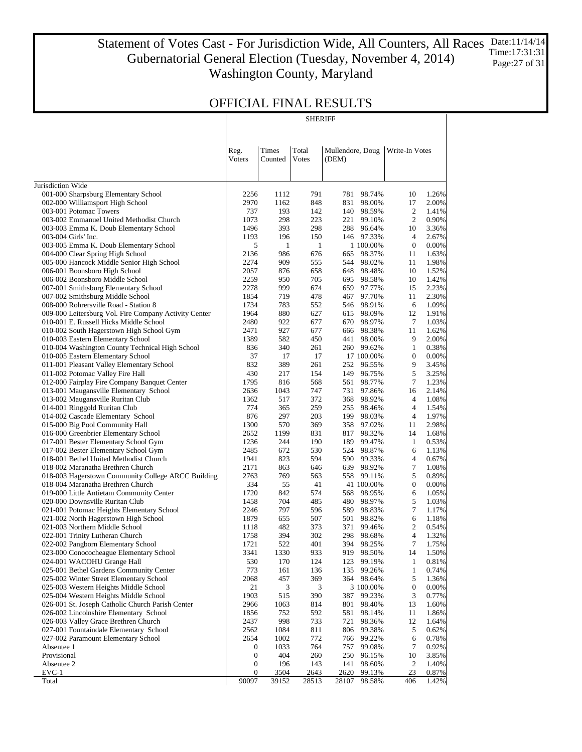### Statement of Votes Cast - For Jurisdiction Wide, All Counters, All Races Gubernatorial General Election (Tuesday, November 4, 2014) Washington County, Maryland Date:11/14/14 Time:17:31:31 Page:27 of 31

### OFFICIAL FINAL RESULTS

| Times<br>Total<br>Reg.<br>Mullendore, Doug<br>Write-In Votes<br>Voters<br>Counted<br>Votes<br>(DEM)<br>Jurisdiction Wide<br>001-000 Sharpsburg Elementary School<br>791<br>2256<br>1112<br>781<br>98.74%<br>10<br>1.26%<br>2970<br>848<br>002-000 Williamsport High School<br>1162<br>831<br>17<br>2.00%<br>98.00%<br>003-001 Potomac Towers<br>737<br>193<br>2<br>142<br>140 98.59%<br>1.41%<br>1073<br>298<br>223<br>2<br>0.90%<br>003-002 Emmanuel United Methodist Church<br>221 99.10%<br>1496<br>393<br>298<br>003-003 Emma K. Doub Elementary School<br>288 96.64%<br>10<br>3.36%<br>1193<br>196<br>150<br>4<br>003-004 Girls' Inc.<br>146 97.33%<br>2.67%<br>003-005 Emma K. Doub Elementary School<br>5<br>1<br>1<br>1 100.00%<br>$\mathbf{0}$<br>0.00%<br>004-000 Clear Spring High School<br>986<br>676<br>2136<br>665<br>98.37%<br>11<br>1.63%<br>005-000 Hancock Middle Senior High School<br>2274<br>909<br>555<br>544 98.02%<br>11<br>1.98%<br>2057<br>876<br>658<br>006-001 Boonsboro High School<br>648 98.48%<br>10<br>1.52%<br>2259<br>950<br>705<br>006-002 Boonsboro Middle School<br>695 98.58%<br>10<br>1.42%<br>2278<br>999<br>674<br>007-001 Smithsburg Elementary School<br>659 97.77%<br>15<br>2.23%<br>1854<br>719<br>478<br>467 97.70%<br>2.30%<br>007-002 Smithsburg Middle School<br>11<br>1734<br>783<br>552<br>008-000 Rohrersville Road - Station 8<br>546 98.91%<br>6<br>1.09%<br>1964<br>880<br>627<br>009-000 Leitersburg Vol. Fire Company Activity Center<br>615 98.09%<br>12<br>1.91%<br>677<br>2480<br>922<br>7<br>1.03%<br>010-001 E. Russell Hicks Middle School<br>670 98.97%<br>927<br>677<br>010-002 South Hagerstown High School Gym<br>2471<br>666 98.38%<br>11<br>1.62%<br>450<br>010-003 Eastern Elementary School<br>1389<br>582<br>9<br>2.00%<br>441 98.00%<br>010-004 Washington County Technical High School<br>340<br>261<br>0.38%<br>836<br>260 99.62%<br>1<br>17<br>010-005 Eastern Elementary School<br>37<br>17<br>$\boldsymbol{0}$<br>0.00%<br>17 100.00%<br>011-001 Pleasant Valley Elementary School<br>832<br>389<br>261<br>252 96.55%<br>9<br>3.45%<br>5<br>011-002 Potomac Valley Fire Hall<br>430<br>217<br>154<br>149<br>96.75%<br>3.25%<br>012-000 Fairplay Fire Company Banquet Center<br>816<br>568<br>7<br>1795<br>561 98.77%<br>1.23%<br>013-001 Maugansville Elementary School<br>2636<br>1043<br>747<br>731<br>97.86%<br>16<br>2.14%<br>1362<br>517<br>372<br>013-002 Maugansville Ruritan Club<br>368 98.92%<br>4<br>1.08%<br>014-001 Ringgold Ruritan Club<br>774<br>365<br>259<br>255 98.46%<br>4<br>1.54%<br>876<br>297<br>203<br>014-002 Cascade Elementary School<br>199 98.03%<br>4<br>1.97%<br>015-000 Big Pool Community Hall<br>1300<br>570<br>369<br>2.98%<br>358 97.02%<br>11<br>016-000 Greenbrier Elementary School<br>2652<br>1199<br>831<br>817 98.32%<br>14<br>1.68%<br>1236<br>244<br>190<br>017-001 Bester Elementary School Gym<br>189 99.47%<br>1<br>0.53%<br>2485<br>672<br>530<br>017-002 Bester Elementary School Gym<br>524 98.87%<br>6<br>1.13%<br>018-001 Bethel United Methodist Church<br>1941<br>823<br>594<br>4<br>590 99.33%<br>0.67%<br>2171<br>646<br>7<br>018-002 Maranatha Brethren Church<br>863<br>639 98.92%<br>1.08%<br>2763<br>769<br>563<br>5<br>018-003 Hagerstown Community College ARCC Building<br>558 99.11%<br>0.89%<br>334<br>41<br>018-004 Maranatha Brethren Church<br>55<br>41 100.00%<br>0<br>0.00%<br>019-000 Little Antietam Community Center<br>1720<br>574<br>842<br>568 98.95%<br>6<br>1.05%<br>704<br>485<br>5<br>020-000 Downsville Ruritan Club<br>1458<br>480 98.97%<br>1.03%<br>797<br>596<br>7<br>021-001 Potomac Heights Elementary School<br>2246<br>589 98.83%<br>1.17%<br>1879<br>507<br>021-002 North Hagerstown High School<br>655<br>501 98.82%<br>6<br>1.18%<br>$\overline{c}$<br>482<br>373<br>0.54%<br>021-003 Northern Middle School<br>1118<br>371 99.46%<br>394<br>302<br>298 98.68%<br>1.32%<br>022-001 Trinity Lutheran Church<br>1758<br>4<br>401<br>7<br>022-002 Pangborn Elementary School<br>1721<br>522<br>394 98.25%<br>1.75%<br>023-000 Conococheague Elementary School<br>3341<br>1330<br>933<br>98.50%<br>1.50%<br>919<br>14<br>024-001 WACOHU Grange Hall<br>530<br>170<br>124<br>123<br>99.19%<br>1<br>0.81%<br>773<br>025-001 Bethel Gardens Community Center<br>161<br>136<br>135<br>99.26%<br>1<br>0.74%<br>457<br>369<br>5<br>025-002 Winter Street Elementary School<br>2068<br>364 98.64%<br>1.36%<br>0.00%<br>025-003 Western Heights Middle School<br>21<br>3<br>3<br>3 100.00%<br>0<br>025-004 Western Heights Middle School<br>1903<br>515<br>390<br>3<br>387<br>99.23%<br>0.77%<br>026-001 St. Joseph Catholic Church Parish Center<br>2966<br>1063<br>814<br>801<br>98.40%<br>13<br>1.60%<br>026-002 Lincolnshire Elementary School<br>1856<br>752<br>592<br>581<br>98.14%<br>11<br>1.86%<br>998<br>733<br>026-003 Valley Grace Brethren Church<br>2437<br>721<br>98.36%<br>12<br>1.64%<br>027-001 Fountaindale Elementary School<br>2562<br>1084<br>811<br>806 99.38%<br>0.62%<br>5<br>027-002 Paramount Elementary School<br>2654<br>1002<br>772<br>766 99.22%<br>0.78%<br>6<br>1033<br>764<br>757<br>7<br>Absentee 1<br>99.08%<br>0.92%<br>0<br>Provisional<br>404<br>250<br>0<br>260<br>96.15%<br>10<br>3.85%<br>Absentee 2<br>196<br>143<br>141<br>2<br>1.40%<br>0<br>98.60%<br>EVC-1<br>3504<br>0<br>2643<br>2620<br>99.13%<br>23<br>0.87%<br>Total<br>90097<br>39152<br>28513<br>1.42%<br>28107<br>98.58%<br>406 | <b>SHERIFF</b> |  |  |  |  |  |  |  |
|---------------------------------------------------------------------------------------------------------------------------------------------------------------------------------------------------------------------------------------------------------------------------------------------------------------------------------------------------------------------------------------------------------------------------------------------------------------------------------------------------------------------------------------------------------------------------------------------------------------------------------------------------------------------------------------------------------------------------------------------------------------------------------------------------------------------------------------------------------------------------------------------------------------------------------------------------------------------------------------------------------------------------------------------------------------------------------------------------------------------------------------------------------------------------------------------------------------------------------------------------------------------------------------------------------------------------------------------------------------------------------------------------------------------------------------------------------------------------------------------------------------------------------------------------------------------------------------------------------------------------------------------------------------------------------------------------------------------------------------------------------------------------------------------------------------------------------------------------------------------------------------------------------------------------------------------------------------------------------------------------------------------------------------------------------------------------------------------------------------------------------------------------------------------------------------------------------------------------------------------------------------------------------------------------------------------------------------------------------------------------------------------------------------------------------------------------------------------------------------------------------------------------------------------------------------------------------------------------------------------------------------------------------------------------------------------------------------------------------------------------------------------------------------------------------------------------------------------------------------------------------------------------------------------------------------------------------------------------------------------------------------------------------------------------------------------------------------------------------------------------------------------------------------------------------------------------------------------------------------------------------------------------------------------------------------------------------------------------------------------------------------------------------------------------------------------------------------------------------------------------------------------------------------------------------------------------------------------------------------------------------------------------------------------------------------------------------------------------------------------------------------------------------------------------------------------------------------------------------------------------------------------------------------------------------------------------------------------------------------------------------------------------------------------------------------------------------------------------------------------------------------------------------------------------------------------------------------------------------------------------------------------------------------------------------------------------------------------------------------------------------------------------------------------------------------------------------------------------------------------------------------------------------------------------------------------------------------------------------------------------------------------------------------------------------------------------------------------------------------------------------------------------------------------------------------------------------------------------------------------------------------------------------------------------------------------------------------------------------------------------------------------------------------------------------------------------------------------------------------------------------------------------------------------------------------------------------------------------------------------------------------------------------------------------------------------------------------------------------------------------------------------------------------------------------------------------------------------------------------------------------|----------------|--|--|--|--|--|--|--|
|                                                                                                                                                                                                                                                                                                                                                                                                                                                                                                                                                                                                                                                                                                                                                                                                                                                                                                                                                                                                                                                                                                                                                                                                                                                                                                                                                                                                                                                                                                                                                                                                                                                                                                                                                                                                                                                                                                                                                                                                                                                                                                                                                                                                                                                                                                                                                                                                                                                                                                                                                                                                                                                                                                                                                                                                                                                                                                                                                                                                                                                                                                                                                                                                                                                                                                                                                                                                                                                                                                                                                                                                                                                                                                                                                                                                                                                                                                                                                                                                                                                                                                                                                                                                                                                                                                                                                                                                                                                                                                                                                                                                                                                                                                                                                                                                                                                                                                                                                                                                                                                                                                                                                                                                                                                                                                                                                                                                                                                                                                         |                |  |  |  |  |  |  |  |
|                                                                                                                                                                                                                                                                                                                                                                                                                                                                                                                                                                                                                                                                                                                                                                                                                                                                                                                                                                                                                                                                                                                                                                                                                                                                                                                                                                                                                                                                                                                                                                                                                                                                                                                                                                                                                                                                                                                                                                                                                                                                                                                                                                                                                                                                                                                                                                                                                                                                                                                                                                                                                                                                                                                                                                                                                                                                                                                                                                                                                                                                                                                                                                                                                                                                                                                                                                                                                                                                                                                                                                                                                                                                                                                                                                                                                                                                                                                                                                                                                                                                                                                                                                                                                                                                                                                                                                                                                                                                                                                                                                                                                                                                                                                                                                                                                                                                                                                                                                                                                                                                                                                                                                                                                                                                                                                                                                                                                                                                                                         |                |  |  |  |  |  |  |  |
|                                                                                                                                                                                                                                                                                                                                                                                                                                                                                                                                                                                                                                                                                                                                                                                                                                                                                                                                                                                                                                                                                                                                                                                                                                                                                                                                                                                                                                                                                                                                                                                                                                                                                                                                                                                                                                                                                                                                                                                                                                                                                                                                                                                                                                                                                                                                                                                                                                                                                                                                                                                                                                                                                                                                                                                                                                                                                                                                                                                                                                                                                                                                                                                                                                                                                                                                                                                                                                                                                                                                                                                                                                                                                                                                                                                                                                                                                                                                                                                                                                                                                                                                                                                                                                                                                                                                                                                                                                                                                                                                                                                                                                                                                                                                                                                                                                                                                                                                                                                                                                                                                                                                                                                                                                                                                                                                                                                                                                                                                                         |                |  |  |  |  |  |  |  |
|                                                                                                                                                                                                                                                                                                                                                                                                                                                                                                                                                                                                                                                                                                                                                                                                                                                                                                                                                                                                                                                                                                                                                                                                                                                                                                                                                                                                                                                                                                                                                                                                                                                                                                                                                                                                                                                                                                                                                                                                                                                                                                                                                                                                                                                                                                                                                                                                                                                                                                                                                                                                                                                                                                                                                                                                                                                                                                                                                                                                                                                                                                                                                                                                                                                                                                                                                                                                                                                                                                                                                                                                                                                                                                                                                                                                                                                                                                                                                                                                                                                                                                                                                                                                                                                                                                                                                                                                                                                                                                                                                                                                                                                                                                                                                                                                                                                                                                                                                                                                                                                                                                                                                                                                                                                                                                                                                                                                                                                                                                         |                |  |  |  |  |  |  |  |
|                                                                                                                                                                                                                                                                                                                                                                                                                                                                                                                                                                                                                                                                                                                                                                                                                                                                                                                                                                                                                                                                                                                                                                                                                                                                                                                                                                                                                                                                                                                                                                                                                                                                                                                                                                                                                                                                                                                                                                                                                                                                                                                                                                                                                                                                                                                                                                                                                                                                                                                                                                                                                                                                                                                                                                                                                                                                                                                                                                                                                                                                                                                                                                                                                                                                                                                                                                                                                                                                                                                                                                                                                                                                                                                                                                                                                                                                                                                                                                                                                                                                                                                                                                                                                                                                                                                                                                                                                                                                                                                                                                                                                                                                                                                                                                                                                                                                                                                                                                                                                                                                                                                                                                                                                                                                                                                                                                                                                                                                                                         |                |  |  |  |  |  |  |  |
|                                                                                                                                                                                                                                                                                                                                                                                                                                                                                                                                                                                                                                                                                                                                                                                                                                                                                                                                                                                                                                                                                                                                                                                                                                                                                                                                                                                                                                                                                                                                                                                                                                                                                                                                                                                                                                                                                                                                                                                                                                                                                                                                                                                                                                                                                                                                                                                                                                                                                                                                                                                                                                                                                                                                                                                                                                                                                                                                                                                                                                                                                                                                                                                                                                                                                                                                                                                                                                                                                                                                                                                                                                                                                                                                                                                                                                                                                                                                                                                                                                                                                                                                                                                                                                                                                                                                                                                                                                                                                                                                                                                                                                                                                                                                                                                                                                                                                                                                                                                                                                                                                                                                                                                                                                                                                                                                                                                                                                                                                                         |                |  |  |  |  |  |  |  |
|                                                                                                                                                                                                                                                                                                                                                                                                                                                                                                                                                                                                                                                                                                                                                                                                                                                                                                                                                                                                                                                                                                                                                                                                                                                                                                                                                                                                                                                                                                                                                                                                                                                                                                                                                                                                                                                                                                                                                                                                                                                                                                                                                                                                                                                                                                                                                                                                                                                                                                                                                                                                                                                                                                                                                                                                                                                                                                                                                                                                                                                                                                                                                                                                                                                                                                                                                                                                                                                                                                                                                                                                                                                                                                                                                                                                                                                                                                                                                                                                                                                                                                                                                                                                                                                                                                                                                                                                                                                                                                                                                                                                                                                                                                                                                                                                                                                                                                                                                                                                                                                                                                                                                                                                                                                                                                                                                                                                                                                                                                         |                |  |  |  |  |  |  |  |
|                                                                                                                                                                                                                                                                                                                                                                                                                                                                                                                                                                                                                                                                                                                                                                                                                                                                                                                                                                                                                                                                                                                                                                                                                                                                                                                                                                                                                                                                                                                                                                                                                                                                                                                                                                                                                                                                                                                                                                                                                                                                                                                                                                                                                                                                                                                                                                                                                                                                                                                                                                                                                                                                                                                                                                                                                                                                                                                                                                                                                                                                                                                                                                                                                                                                                                                                                                                                                                                                                                                                                                                                                                                                                                                                                                                                                                                                                                                                                                                                                                                                                                                                                                                                                                                                                                                                                                                                                                                                                                                                                                                                                                                                                                                                                                                                                                                                                                                                                                                                                                                                                                                                                                                                                                                                                                                                                                                                                                                                                                         |                |  |  |  |  |  |  |  |
|                                                                                                                                                                                                                                                                                                                                                                                                                                                                                                                                                                                                                                                                                                                                                                                                                                                                                                                                                                                                                                                                                                                                                                                                                                                                                                                                                                                                                                                                                                                                                                                                                                                                                                                                                                                                                                                                                                                                                                                                                                                                                                                                                                                                                                                                                                                                                                                                                                                                                                                                                                                                                                                                                                                                                                                                                                                                                                                                                                                                                                                                                                                                                                                                                                                                                                                                                                                                                                                                                                                                                                                                                                                                                                                                                                                                                                                                                                                                                                                                                                                                                                                                                                                                                                                                                                                                                                                                                                                                                                                                                                                                                                                                                                                                                                                                                                                                                                                                                                                                                                                                                                                                                                                                                                                                                                                                                                                                                                                                                                         |                |  |  |  |  |  |  |  |
|                                                                                                                                                                                                                                                                                                                                                                                                                                                                                                                                                                                                                                                                                                                                                                                                                                                                                                                                                                                                                                                                                                                                                                                                                                                                                                                                                                                                                                                                                                                                                                                                                                                                                                                                                                                                                                                                                                                                                                                                                                                                                                                                                                                                                                                                                                                                                                                                                                                                                                                                                                                                                                                                                                                                                                                                                                                                                                                                                                                                                                                                                                                                                                                                                                                                                                                                                                                                                                                                                                                                                                                                                                                                                                                                                                                                                                                                                                                                                                                                                                                                                                                                                                                                                                                                                                                                                                                                                                                                                                                                                                                                                                                                                                                                                                                                                                                                                                                                                                                                                                                                                                                                                                                                                                                                                                                                                                                                                                                                                                         |                |  |  |  |  |  |  |  |
|                                                                                                                                                                                                                                                                                                                                                                                                                                                                                                                                                                                                                                                                                                                                                                                                                                                                                                                                                                                                                                                                                                                                                                                                                                                                                                                                                                                                                                                                                                                                                                                                                                                                                                                                                                                                                                                                                                                                                                                                                                                                                                                                                                                                                                                                                                                                                                                                                                                                                                                                                                                                                                                                                                                                                                                                                                                                                                                                                                                                                                                                                                                                                                                                                                                                                                                                                                                                                                                                                                                                                                                                                                                                                                                                                                                                                                                                                                                                                                                                                                                                                                                                                                                                                                                                                                                                                                                                                                                                                                                                                                                                                                                                                                                                                                                                                                                                                                                                                                                                                                                                                                                                                                                                                                                                                                                                                                                                                                                                                                         |                |  |  |  |  |  |  |  |
|                                                                                                                                                                                                                                                                                                                                                                                                                                                                                                                                                                                                                                                                                                                                                                                                                                                                                                                                                                                                                                                                                                                                                                                                                                                                                                                                                                                                                                                                                                                                                                                                                                                                                                                                                                                                                                                                                                                                                                                                                                                                                                                                                                                                                                                                                                                                                                                                                                                                                                                                                                                                                                                                                                                                                                                                                                                                                                                                                                                                                                                                                                                                                                                                                                                                                                                                                                                                                                                                                                                                                                                                                                                                                                                                                                                                                                                                                                                                                                                                                                                                                                                                                                                                                                                                                                                                                                                                                                                                                                                                                                                                                                                                                                                                                                                                                                                                                                                                                                                                                                                                                                                                                                                                                                                                                                                                                                                                                                                                                                         |                |  |  |  |  |  |  |  |
|                                                                                                                                                                                                                                                                                                                                                                                                                                                                                                                                                                                                                                                                                                                                                                                                                                                                                                                                                                                                                                                                                                                                                                                                                                                                                                                                                                                                                                                                                                                                                                                                                                                                                                                                                                                                                                                                                                                                                                                                                                                                                                                                                                                                                                                                                                                                                                                                                                                                                                                                                                                                                                                                                                                                                                                                                                                                                                                                                                                                                                                                                                                                                                                                                                                                                                                                                                                                                                                                                                                                                                                                                                                                                                                                                                                                                                                                                                                                                                                                                                                                                                                                                                                                                                                                                                                                                                                                                                                                                                                                                                                                                                                                                                                                                                                                                                                                                                                                                                                                                                                                                                                                                                                                                                                                                                                                                                                                                                                                                                         |                |  |  |  |  |  |  |  |
|                                                                                                                                                                                                                                                                                                                                                                                                                                                                                                                                                                                                                                                                                                                                                                                                                                                                                                                                                                                                                                                                                                                                                                                                                                                                                                                                                                                                                                                                                                                                                                                                                                                                                                                                                                                                                                                                                                                                                                                                                                                                                                                                                                                                                                                                                                                                                                                                                                                                                                                                                                                                                                                                                                                                                                                                                                                                                                                                                                                                                                                                                                                                                                                                                                                                                                                                                                                                                                                                                                                                                                                                                                                                                                                                                                                                                                                                                                                                                                                                                                                                                                                                                                                                                                                                                                                                                                                                                                                                                                                                                                                                                                                                                                                                                                                                                                                                                                                                                                                                                                                                                                                                                                                                                                                                                                                                                                                                                                                                                                         |                |  |  |  |  |  |  |  |
|                                                                                                                                                                                                                                                                                                                                                                                                                                                                                                                                                                                                                                                                                                                                                                                                                                                                                                                                                                                                                                                                                                                                                                                                                                                                                                                                                                                                                                                                                                                                                                                                                                                                                                                                                                                                                                                                                                                                                                                                                                                                                                                                                                                                                                                                                                                                                                                                                                                                                                                                                                                                                                                                                                                                                                                                                                                                                                                                                                                                                                                                                                                                                                                                                                                                                                                                                                                                                                                                                                                                                                                                                                                                                                                                                                                                                                                                                                                                                                                                                                                                                                                                                                                                                                                                                                                                                                                                                                                                                                                                                                                                                                                                                                                                                                                                                                                                                                                                                                                                                                                                                                                                                                                                                                                                                                                                                                                                                                                                                                         |                |  |  |  |  |  |  |  |
|                                                                                                                                                                                                                                                                                                                                                                                                                                                                                                                                                                                                                                                                                                                                                                                                                                                                                                                                                                                                                                                                                                                                                                                                                                                                                                                                                                                                                                                                                                                                                                                                                                                                                                                                                                                                                                                                                                                                                                                                                                                                                                                                                                                                                                                                                                                                                                                                                                                                                                                                                                                                                                                                                                                                                                                                                                                                                                                                                                                                                                                                                                                                                                                                                                                                                                                                                                                                                                                                                                                                                                                                                                                                                                                                                                                                                                                                                                                                                                                                                                                                                                                                                                                                                                                                                                                                                                                                                                                                                                                                                                                                                                                                                                                                                                                                                                                                                                                                                                                                                                                                                                                                                                                                                                                                                                                                                                                                                                                                                                         |                |  |  |  |  |  |  |  |
|                                                                                                                                                                                                                                                                                                                                                                                                                                                                                                                                                                                                                                                                                                                                                                                                                                                                                                                                                                                                                                                                                                                                                                                                                                                                                                                                                                                                                                                                                                                                                                                                                                                                                                                                                                                                                                                                                                                                                                                                                                                                                                                                                                                                                                                                                                                                                                                                                                                                                                                                                                                                                                                                                                                                                                                                                                                                                                                                                                                                                                                                                                                                                                                                                                                                                                                                                                                                                                                                                                                                                                                                                                                                                                                                                                                                                                                                                                                                                                                                                                                                                                                                                                                                                                                                                                                                                                                                                                                                                                                                                                                                                                                                                                                                                                                                                                                                                                                                                                                                                                                                                                                                                                                                                                                                                                                                                                                                                                                                                                         |                |  |  |  |  |  |  |  |
|                                                                                                                                                                                                                                                                                                                                                                                                                                                                                                                                                                                                                                                                                                                                                                                                                                                                                                                                                                                                                                                                                                                                                                                                                                                                                                                                                                                                                                                                                                                                                                                                                                                                                                                                                                                                                                                                                                                                                                                                                                                                                                                                                                                                                                                                                                                                                                                                                                                                                                                                                                                                                                                                                                                                                                                                                                                                                                                                                                                                                                                                                                                                                                                                                                                                                                                                                                                                                                                                                                                                                                                                                                                                                                                                                                                                                                                                                                                                                                                                                                                                                                                                                                                                                                                                                                                                                                                                                                                                                                                                                                                                                                                                                                                                                                                                                                                                                                                                                                                                                                                                                                                                                                                                                                                                                                                                                                                                                                                                                                         |                |  |  |  |  |  |  |  |
|                                                                                                                                                                                                                                                                                                                                                                                                                                                                                                                                                                                                                                                                                                                                                                                                                                                                                                                                                                                                                                                                                                                                                                                                                                                                                                                                                                                                                                                                                                                                                                                                                                                                                                                                                                                                                                                                                                                                                                                                                                                                                                                                                                                                                                                                                                                                                                                                                                                                                                                                                                                                                                                                                                                                                                                                                                                                                                                                                                                                                                                                                                                                                                                                                                                                                                                                                                                                                                                                                                                                                                                                                                                                                                                                                                                                                                                                                                                                                                                                                                                                                                                                                                                                                                                                                                                                                                                                                                                                                                                                                                                                                                                                                                                                                                                                                                                                                                                                                                                                                                                                                                                                                                                                                                                                                                                                                                                                                                                                                                         |                |  |  |  |  |  |  |  |
|                                                                                                                                                                                                                                                                                                                                                                                                                                                                                                                                                                                                                                                                                                                                                                                                                                                                                                                                                                                                                                                                                                                                                                                                                                                                                                                                                                                                                                                                                                                                                                                                                                                                                                                                                                                                                                                                                                                                                                                                                                                                                                                                                                                                                                                                                                                                                                                                                                                                                                                                                                                                                                                                                                                                                                                                                                                                                                                                                                                                                                                                                                                                                                                                                                                                                                                                                                                                                                                                                                                                                                                                                                                                                                                                                                                                                                                                                                                                                                                                                                                                                                                                                                                                                                                                                                                                                                                                                                                                                                                                                                                                                                                                                                                                                                                                                                                                                                                                                                                                                                                                                                                                                                                                                                                                                                                                                                                                                                                                                                         |                |  |  |  |  |  |  |  |
|                                                                                                                                                                                                                                                                                                                                                                                                                                                                                                                                                                                                                                                                                                                                                                                                                                                                                                                                                                                                                                                                                                                                                                                                                                                                                                                                                                                                                                                                                                                                                                                                                                                                                                                                                                                                                                                                                                                                                                                                                                                                                                                                                                                                                                                                                                                                                                                                                                                                                                                                                                                                                                                                                                                                                                                                                                                                                                                                                                                                                                                                                                                                                                                                                                                                                                                                                                                                                                                                                                                                                                                                                                                                                                                                                                                                                                                                                                                                                                                                                                                                                                                                                                                                                                                                                                                                                                                                                                                                                                                                                                                                                                                                                                                                                                                                                                                                                                                                                                                                                                                                                                                                                                                                                                                                                                                                                                                                                                                                                                         |                |  |  |  |  |  |  |  |
|                                                                                                                                                                                                                                                                                                                                                                                                                                                                                                                                                                                                                                                                                                                                                                                                                                                                                                                                                                                                                                                                                                                                                                                                                                                                                                                                                                                                                                                                                                                                                                                                                                                                                                                                                                                                                                                                                                                                                                                                                                                                                                                                                                                                                                                                                                                                                                                                                                                                                                                                                                                                                                                                                                                                                                                                                                                                                                                                                                                                                                                                                                                                                                                                                                                                                                                                                                                                                                                                                                                                                                                                                                                                                                                                                                                                                                                                                                                                                                                                                                                                                                                                                                                                                                                                                                                                                                                                                                                                                                                                                                                                                                                                                                                                                                                                                                                                                                                                                                                                                                                                                                                                                                                                                                                                                                                                                                                                                                                                                                         |                |  |  |  |  |  |  |  |
|                                                                                                                                                                                                                                                                                                                                                                                                                                                                                                                                                                                                                                                                                                                                                                                                                                                                                                                                                                                                                                                                                                                                                                                                                                                                                                                                                                                                                                                                                                                                                                                                                                                                                                                                                                                                                                                                                                                                                                                                                                                                                                                                                                                                                                                                                                                                                                                                                                                                                                                                                                                                                                                                                                                                                                                                                                                                                                                                                                                                                                                                                                                                                                                                                                                                                                                                                                                                                                                                                                                                                                                                                                                                                                                                                                                                                                                                                                                                                                                                                                                                                                                                                                                                                                                                                                                                                                                                                                                                                                                                                                                                                                                                                                                                                                                                                                                                                                                                                                                                                                                                                                                                                                                                                                                                                                                                                                                                                                                                                                         |                |  |  |  |  |  |  |  |
|                                                                                                                                                                                                                                                                                                                                                                                                                                                                                                                                                                                                                                                                                                                                                                                                                                                                                                                                                                                                                                                                                                                                                                                                                                                                                                                                                                                                                                                                                                                                                                                                                                                                                                                                                                                                                                                                                                                                                                                                                                                                                                                                                                                                                                                                                                                                                                                                                                                                                                                                                                                                                                                                                                                                                                                                                                                                                                                                                                                                                                                                                                                                                                                                                                                                                                                                                                                                                                                                                                                                                                                                                                                                                                                                                                                                                                                                                                                                                                                                                                                                                                                                                                                                                                                                                                                                                                                                                                                                                                                                                                                                                                                                                                                                                                                                                                                                                                                                                                                                                                                                                                                                                                                                                                                                                                                                                                                                                                                                                                         |                |  |  |  |  |  |  |  |
|                                                                                                                                                                                                                                                                                                                                                                                                                                                                                                                                                                                                                                                                                                                                                                                                                                                                                                                                                                                                                                                                                                                                                                                                                                                                                                                                                                                                                                                                                                                                                                                                                                                                                                                                                                                                                                                                                                                                                                                                                                                                                                                                                                                                                                                                                                                                                                                                                                                                                                                                                                                                                                                                                                                                                                                                                                                                                                                                                                                                                                                                                                                                                                                                                                                                                                                                                                                                                                                                                                                                                                                                                                                                                                                                                                                                                                                                                                                                                                                                                                                                                                                                                                                                                                                                                                                                                                                                                                                                                                                                                                                                                                                                                                                                                                                                                                                                                                                                                                                                                                                                                                                                                                                                                                                                                                                                                                                                                                                                                                         |                |  |  |  |  |  |  |  |
|                                                                                                                                                                                                                                                                                                                                                                                                                                                                                                                                                                                                                                                                                                                                                                                                                                                                                                                                                                                                                                                                                                                                                                                                                                                                                                                                                                                                                                                                                                                                                                                                                                                                                                                                                                                                                                                                                                                                                                                                                                                                                                                                                                                                                                                                                                                                                                                                                                                                                                                                                                                                                                                                                                                                                                                                                                                                                                                                                                                                                                                                                                                                                                                                                                                                                                                                                                                                                                                                                                                                                                                                                                                                                                                                                                                                                                                                                                                                                                                                                                                                                                                                                                                                                                                                                                                                                                                                                                                                                                                                                                                                                                                                                                                                                                                                                                                                                                                                                                                                                                                                                                                                                                                                                                                                                                                                                                                                                                                                                                         |                |  |  |  |  |  |  |  |
|                                                                                                                                                                                                                                                                                                                                                                                                                                                                                                                                                                                                                                                                                                                                                                                                                                                                                                                                                                                                                                                                                                                                                                                                                                                                                                                                                                                                                                                                                                                                                                                                                                                                                                                                                                                                                                                                                                                                                                                                                                                                                                                                                                                                                                                                                                                                                                                                                                                                                                                                                                                                                                                                                                                                                                                                                                                                                                                                                                                                                                                                                                                                                                                                                                                                                                                                                                                                                                                                                                                                                                                                                                                                                                                                                                                                                                                                                                                                                                                                                                                                                                                                                                                                                                                                                                                                                                                                                                                                                                                                                                                                                                                                                                                                                                                                                                                                                                                                                                                                                                                                                                                                                                                                                                                                                                                                                                                                                                                                                                         |                |  |  |  |  |  |  |  |
|                                                                                                                                                                                                                                                                                                                                                                                                                                                                                                                                                                                                                                                                                                                                                                                                                                                                                                                                                                                                                                                                                                                                                                                                                                                                                                                                                                                                                                                                                                                                                                                                                                                                                                                                                                                                                                                                                                                                                                                                                                                                                                                                                                                                                                                                                                                                                                                                                                                                                                                                                                                                                                                                                                                                                                                                                                                                                                                                                                                                                                                                                                                                                                                                                                                                                                                                                                                                                                                                                                                                                                                                                                                                                                                                                                                                                                                                                                                                                                                                                                                                                                                                                                                                                                                                                                                                                                                                                                                                                                                                                                                                                                                                                                                                                                                                                                                                                                                                                                                                                                                                                                                                                                                                                                                                                                                                                                                                                                                                                                         |                |  |  |  |  |  |  |  |
|                                                                                                                                                                                                                                                                                                                                                                                                                                                                                                                                                                                                                                                                                                                                                                                                                                                                                                                                                                                                                                                                                                                                                                                                                                                                                                                                                                                                                                                                                                                                                                                                                                                                                                                                                                                                                                                                                                                                                                                                                                                                                                                                                                                                                                                                                                                                                                                                                                                                                                                                                                                                                                                                                                                                                                                                                                                                                                                                                                                                                                                                                                                                                                                                                                                                                                                                                                                                                                                                                                                                                                                                                                                                                                                                                                                                                                                                                                                                                                                                                                                                                                                                                                                                                                                                                                                                                                                                                                                                                                                                                                                                                                                                                                                                                                                                                                                                                                                                                                                                                                                                                                                                                                                                                                                                                                                                                                                                                                                                                                         |                |  |  |  |  |  |  |  |
|                                                                                                                                                                                                                                                                                                                                                                                                                                                                                                                                                                                                                                                                                                                                                                                                                                                                                                                                                                                                                                                                                                                                                                                                                                                                                                                                                                                                                                                                                                                                                                                                                                                                                                                                                                                                                                                                                                                                                                                                                                                                                                                                                                                                                                                                                                                                                                                                                                                                                                                                                                                                                                                                                                                                                                                                                                                                                                                                                                                                                                                                                                                                                                                                                                                                                                                                                                                                                                                                                                                                                                                                                                                                                                                                                                                                                                                                                                                                                                                                                                                                                                                                                                                                                                                                                                                                                                                                                                                                                                                                                                                                                                                                                                                                                                                                                                                                                                                                                                                                                                                                                                                                                                                                                                                                                                                                                                                                                                                                                                         |                |  |  |  |  |  |  |  |
|                                                                                                                                                                                                                                                                                                                                                                                                                                                                                                                                                                                                                                                                                                                                                                                                                                                                                                                                                                                                                                                                                                                                                                                                                                                                                                                                                                                                                                                                                                                                                                                                                                                                                                                                                                                                                                                                                                                                                                                                                                                                                                                                                                                                                                                                                                                                                                                                                                                                                                                                                                                                                                                                                                                                                                                                                                                                                                                                                                                                                                                                                                                                                                                                                                                                                                                                                                                                                                                                                                                                                                                                                                                                                                                                                                                                                                                                                                                                                                                                                                                                                                                                                                                                                                                                                                                                                                                                                                                                                                                                                                                                                                                                                                                                                                                                                                                                                                                                                                                                                                                                                                                                                                                                                                                                                                                                                                                                                                                                                                         |                |  |  |  |  |  |  |  |
|                                                                                                                                                                                                                                                                                                                                                                                                                                                                                                                                                                                                                                                                                                                                                                                                                                                                                                                                                                                                                                                                                                                                                                                                                                                                                                                                                                                                                                                                                                                                                                                                                                                                                                                                                                                                                                                                                                                                                                                                                                                                                                                                                                                                                                                                                                                                                                                                                                                                                                                                                                                                                                                                                                                                                                                                                                                                                                                                                                                                                                                                                                                                                                                                                                                                                                                                                                                                                                                                                                                                                                                                                                                                                                                                                                                                                                                                                                                                                                                                                                                                                                                                                                                                                                                                                                                                                                                                                                                                                                                                                                                                                                                                                                                                                                                                                                                                                                                                                                                                                                                                                                                                                                                                                                                                                                                                                                                                                                                                                                         |                |  |  |  |  |  |  |  |
|                                                                                                                                                                                                                                                                                                                                                                                                                                                                                                                                                                                                                                                                                                                                                                                                                                                                                                                                                                                                                                                                                                                                                                                                                                                                                                                                                                                                                                                                                                                                                                                                                                                                                                                                                                                                                                                                                                                                                                                                                                                                                                                                                                                                                                                                                                                                                                                                                                                                                                                                                                                                                                                                                                                                                                                                                                                                                                                                                                                                                                                                                                                                                                                                                                                                                                                                                                                                                                                                                                                                                                                                                                                                                                                                                                                                                                                                                                                                                                                                                                                                                                                                                                                                                                                                                                                                                                                                                                                                                                                                                                                                                                                                                                                                                                                                                                                                                                                                                                                                                                                                                                                                                                                                                                                                                                                                                                                                                                                                                                         |                |  |  |  |  |  |  |  |
|                                                                                                                                                                                                                                                                                                                                                                                                                                                                                                                                                                                                                                                                                                                                                                                                                                                                                                                                                                                                                                                                                                                                                                                                                                                                                                                                                                                                                                                                                                                                                                                                                                                                                                                                                                                                                                                                                                                                                                                                                                                                                                                                                                                                                                                                                                                                                                                                                                                                                                                                                                                                                                                                                                                                                                                                                                                                                                                                                                                                                                                                                                                                                                                                                                                                                                                                                                                                                                                                                                                                                                                                                                                                                                                                                                                                                                                                                                                                                                                                                                                                                                                                                                                                                                                                                                                                                                                                                                                                                                                                                                                                                                                                                                                                                                                                                                                                                                                                                                                                                                                                                                                                                                                                                                                                                                                                                                                                                                                                                                         |                |  |  |  |  |  |  |  |
|                                                                                                                                                                                                                                                                                                                                                                                                                                                                                                                                                                                                                                                                                                                                                                                                                                                                                                                                                                                                                                                                                                                                                                                                                                                                                                                                                                                                                                                                                                                                                                                                                                                                                                                                                                                                                                                                                                                                                                                                                                                                                                                                                                                                                                                                                                                                                                                                                                                                                                                                                                                                                                                                                                                                                                                                                                                                                                                                                                                                                                                                                                                                                                                                                                                                                                                                                                                                                                                                                                                                                                                                                                                                                                                                                                                                                                                                                                                                                                                                                                                                                                                                                                                                                                                                                                                                                                                                                                                                                                                                                                                                                                                                                                                                                                                                                                                                                                                                                                                                                                                                                                                                                                                                                                                                                                                                                                                                                                                                                                         |                |  |  |  |  |  |  |  |
|                                                                                                                                                                                                                                                                                                                                                                                                                                                                                                                                                                                                                                                                                                                                                                                                                                                                                                                                                                                                                                                                                                                                                                                                                                                                                                                                                                                                                                                                                                                                                                                                                                                                                                                                                                                                                                                                                                                                                                                                                                                                                                                                                                                                                                                                                                                                                                                                                                                                                                                                                                                                                                                                                                                                                                                                                                                                                                                                                                                                                                                                                                                                                                                                                                                                                                                                                                                                                                                                                                                                                                                                                                                                                                                                                                                                                                                                                                                                                                                                                                                                                                                                                                                                                                                                                                                                                                                                                                                                                                                                                                                                                                                                                                                                                                                                                                                                                                                                                                                                                                                                                                                                                                                                                                                                                                                                                                                                                                                                                                         |                |  |  |  |  |  |  |  |
|                                                                                                                                                                                                                                                                                                                                                                                                                                                                                                                                                                                                                                                                                                                                                                                                                                                                                                                                                                                                                                                                                                                                                                                                                                                                                                                                                                                                                                                                                                                                                                                                                                                                                                                                                                                                                                                                                                                                                                                                                                                                                                                                                                                                                                                                                                                                                                                                                                                                                                                                                                                                                                                                                                                                                                                                                                                                                                                                                                                                                                                                                                                                                                                                                                                                                                                                                                                                                                                                                                                                                                                                                                                                                                                                                                                                                                                                                                                                                                                                                                                                                                                                                                                                                                                                                                                                                                                                                                                                                                                                                                                                                                                                                                                                                                                                                                                                                                                                                                                                                                                                                                                                                                                                                                                                                                                                                                                                                                                                                                         |                |  |  |  |  |  |  |  |
|                                                                                                                                                                                                                                                                                                                                                                                                                                                                                                                                                                                                                                                                                                                                                                                                                                                                                                                                                                                                                                                                                                                                                                                                                                                                                                                                                                                                                                                                                                                                                                                                                                                                                                                                                                                                                                                                                                                                                                                                                                                                                                                                                                                                                                                                                                                                                                                                                                                                                                                                                                                                                                                                                                                                                                                                                                                                                                                                                                                                                                                                                                                                                                                                                                                                                                                                                                                                                                                                                                                                                                                                                                                                                                                                                                                                                                                                                                                                                                                                                                                                                                                                                                                                                                                                                                                                                                                                                                                                                                                                                                                                                                                                                                                                                                                                                                                                                                                                                                                                                                                                                                                                                                                                                                                                                                                                                                                                                                                                                                         |                |  |  |  |  |  |  |  |
|                                                                                                                                                                                                                                                                                                                                                                                                                                                                                                                                                                                                                                                                                                                                                                                                                                                                                                                                                                                                                                                                                                                                                                                                                                                                                                                                                                                                                                                                                                                                                                                                                                                                                                                                                                                                                                                                                                                                                                                                                                                                                                                                                                                                                                                                                                                                                                                                                                                                                                                                                                                                                                                                                                                                                                                                                                                                                                                                                                                                                                                                                                                                                                                                                                                                                                                                                                                                                                                                                                                                                                                                                                                                                                                                                                                                                                                                                                                                                                                                                                                                                                                                                                                                                                                                                                                                                                                                                                                                                                                                                                                                                                                                                                                                                                                                                                                                                                                                                                                                                                                                                                                                                                                                                                                                                                                                                                                                                                                                                                         |                |  |  |  |  |  |  |  |
|                                                                                                                                                                                                                                                                                                                                                                                                                                                                                                                                                                                                                                                                                                                                                                                                                                                                                                                                                                                                                                                                                                                                                                                                                                                                                                                                                                                                                                                                                                                                                                                                                                                                                                                                                                                                                                                                                                                                                                                                                                                                                                                                                                                                                                                                                                                                                                                                                                                                                                                                                                                                                                                                                                                                                                                                                                                                                                                                                                                                                                                                                                                                                                                                                                                                                                                                                                                                                                                                                                                                                                                                                                                                                                                                                                                                                                                                                                                                                                                                                                                                                                                                                                                                                                                                                                                                                                                                                                                                                                                                                                                                                                                                                                                                                                                                                                                                                                                                                                                                                                                                                                                                                                                                                                                                                                                                                                                                                                                                                                         |                |  |  |  |  |  |  |  |
|                                                                                                                                                                                                                                                                                                                                                                                                                                                                                                                                                                                                                                                                                                                                                                                                                                                                                                                                                                                                                                                                                                                                                                                                                                                                                                                                                                                                                                                                                                                                                                                                                                                                                                                                                                                                                                                                                                                                                                                                                                                                                                                                                                                                                                                                                                                                                                                                                                                                                                                                                                                                                                                                                                                                                                                                                                                                                                                                                                                                                                                                                                                                                                                                                                                                                                                                                                                                                                                                                                                                                                                                                                                                                                                                                                                                                                                                                                                                                                                                                                                                                                                                                                                                                                                                                                                                                                                                                                                                                                                                                                                                                                                                                                                                                                                                                                                                                                                                                                                                                                                                                                                                                                                                                                                                                                                                                                                                                                                                                                         |                |  |  |  |  |  |  |  |
|                                                                                                                                                                                                                                                                                                                                                                                                                                                                                                                                                                                                                                                                                                                                                                                                                                                                                                                                                                                                                                                                                                                                                                                                                                                                                                                                                                                                                                                                                                                                                                                                                                                                                                                                                                                                                                                                                                                                                                                                                                                                                                                                                                                                                                                                                                                                                                                                                                                                                                                                                                                                                                                                                                                                                                                                                                                                                                                                                                                                                                                                                                                                                                                                                                                                                                                                                                                                                                                                                                                                                                                                                                                                                                                                                                                                                                                                                                                                                                                                                                                                                                                                                                                                                                                                                                                                                                                                                                                                                                                                                                                                                                                                                                                                                                                                                                                                                                                                                                                                                                                                                                                                                                                                                                                                                                                                                                                                                                                                                                         |                |  |  |  |  |  |  |  |
|                                                                                                                                                                                                                                                                                                                                                                                                                                                                                                                                                                                                                                                                                                                                                                                                                                                                                                                                                                                                                                                                                                                                                                                                                                                                                                                                                                                                                                                                                                                                                                                                                                                                                                                                                                                                                                                                                                                                                                                                                                                                                                                                                                                                                                                                                                                                                                                                                                                                                                                                                                                                                                                                                                                                                                                                                                                                                                                                                                                                                                                                                                                                                                                                                                                                                                                                                                                                                                                                                                                                                                                                                                                                                                                                                                                                                                                                                                                                                                                                                                                                                                                                                                                                                                                                                                                                                                                                                                                                                                                                                                                                                                                                                                                                                                                                                                                                                                                                                                                                                                                                                                                                                                                                                                                                                                                                                                                                                                                                                                         |                |  |  |  |  |  |  |  |
|                                                                                                                                                                                                                                                                                                                                                                                                                                                                                                                                                                                                                                                                                                                                                                                                                                                                                                                                                                                                                                                                                                                                                                                                                                                                                                                                                                                                                                                                                                                                                                                                                                                                                                                                                                                                                                                                                                                                                                                                                                                                                                                                                                                                                                                                                                                                                                                                                                                                                                                                                                                                                                                                                                                                                                                                                                                                                                                                                                                                                                                                                                                                                                                                                                                                                                                                                                                                                                                                                                                                                                                                                                                                                                                                                                                                                                                                                                                                                                                                                                                                                                                                                                                                                                                                                                                                                                                                                                                                                                                                                                                                                                                                                                                                                                                                                                                                                                                                                                                                                                                                                                                                                                                                                                                                                                                                                                                                                                                                                                         |                |  |  |  |  |  |  |  |
|                                                                                                                                                                                                                                                                                                                                                                                                                                                                                                                                                                                                                                                                                                                                                                                                                                                                                                                                                                                                                                                                                                                                                                                                                                                                                                                                                                                                                                                                                                                                                                                                                                                                                                                                                                                                                                                                                                                                                                                                                                                                                                                                                                                                                                                                                                                                                                                                                                                                                                                                                                                                                                                                                                                                                                                                                                                                                                                                                                                                                                                                                                                                                                                                                                                                                                                                                                                                                                                                                                                                                                                                                                                                                                                                                                                                                                                                                                                                                                                                                                                                                                                                                                                                                                                                                                                                                                                                                                                                                                                                                                                                                                                                                                                                                                                                                                                                                                                                                                                                                                                                                                                                                                                                                                                                                                                                                                                                                                                                                                         |                |  |  |  |  |  |  |  |
|                                                                                                                                                                                                                                                                                                                                                                                                                                                                                                                                                                                                                                                                                                                                                                                                                                                                                                                                                                                                                                                                                                                                                                                                                                                                                                                                                                                                                                                                                                                                                                                                                                                                                                                                                                                                                                                                                                                                                                                                                                                                                                                                                                                                                                                                                                                                                                                                                                                                                                                                                                                                                                                                                                                                                                                                                                                                                                                                                                                                                                                                                                                                                                                                                                                                                                                                                                                                                                                                                                                                                                                                                                                                                                                                                                                                                                                                                                                                                                                                                                                                                                                                                                                                                                                                                                                                                                                                                                                                                                                                                                                                                                                                                                                                                                                                                                                                                                                                                                                                                                                                                                                                                                                                                                                                                                                                                                                                                                                                                                         |                |  |  |  |  |  |  |  |
|                                                                                                                                                                                                                                                                                                                                                                                                                                                                                                                                                                                                                                                                                                                                                                                                                                                                                                                                                                                                                                                                                                                                                                                                                                                                                                                                                                                                                                                                                                                                                                                                                                                                                                                                                                                                                                                                                                                                                                                                                                                                                                                                                                                                                                                                                                                                                                                                                                                                                                                                                                                                                                                                                                                                                                                                                                                                                                                                                                                                                                                                                                                                                                                                                                                                                                                                                                                                                                                                                                                                                                                                                                                                                                                                                                                                                                                                                                                                                                                                                                                                                                                                                                                                                                                                                                                                                                                                                                                                                                                                                                                                                                                                                                                                                                                                                                                                                                                                                                                                                                                                                                                                                                                                                                                                                                                                                                                                                                                                                                         |                |  |  |  |  |  |  |  |
|                                                                                                                                                                                                                                                                                                                                                                                                                                                                                                                                                                                                                                                                                                                                                                                                                                                                                                                                                                                                                                                                                                                                                                                                                                                                                                                                                                                                                                                                                                                                                                                                                                                                                                                                                                                                                                                                                                                                                                                                                                                                                                                                                                                                                                                                                                                                                                                                                                                                                                                                                                                                                                                                                                                                                                                                                                                                                                                                                                                                                                                                                                                                                                                                                                                                                                                                                                                                                                                                                                                                                                                                                                                                                                                                                                                                                                                                                                                                                                                                                                                                                                                                                                                                                                                                                                                                                                                                                                                                                                                                                                                                                                                                                                                                                                                                                                                                                                                                                                                                                                                                                                                                                                                                                                                                                                                                                                                                                                                                                                         |                |  |  |  |  |  |  |  |
|                                                                                                                                                                                                                                                                                                                                                                                                                                                                                                                                                                                                                                                                                                                                                                                                                                                                                                                                                                                                                                                                                                                                                                                                                                                                                                                                                                                                                                                                                                                                                                                                                                                                                                                                                                                                                                                                                                                                                                                                                                                                                                                                                                                                                                                                                                                                                                                                                                                                                                                                                                                                                                                                                                                                                                                                                                                                                                                                                                                                                                                                                                                                                                                                                                                                                                                                                                                                                                                                                                                                                                                                                                                                                                                                                                                                                                                                                                                                                                                                                                                                                                                                                                                                                                                                                                                                                                                                                                                                                                                                                                                                                                                                                                                                                                                                                                                                                                                                                                                                                                                                                                                                                                                                                                                                                                                                                                                                                                                                                                         |                |  |  |  |  |  |  |  |
|                                                                                                                                                                                                                                                                                                                                                                                                                                                                                                                                                                                                                                                                                                                                                                                                                                                                                                                                                                                                                                                                                                                                                                                                                                                                                                                                                                                                                                                                                                                                                                                                                                                                                                                                                                                                                                                                                                                                                                                                                                                                                                                                                                                                                                                                                                                                                                                                                                                                                                                                                                                                                                                                                                                                                                                                                                                                                                                                                                                                                                                                                                                                                                                                                                                                                                                                                                                                                                                                                                                                                                                                                                                                                                                                                                                                                                                                                                                                                                                                                                                                                                                                                                                                                                                                                                                                                                                                                                                                                                                                                                                                                                                                                                                                                                                                                                                                                                                                                                                                                                                                                                                                                                                                                                                                                                                                                                                                                                                                                                         |                |  |  |  |  |  |  |  |
|                                                                                                                                                                                                                                                                                                                                                                                                                                                                                                                                                                                                                                                                                                                                                                                                                                                                                                                                                                                                                                                                                                                                                                                                                                                                                                                                                                                                                                                                                                                                                                                                                                                                                                                                                                                                                                                                                                                                                                                                                                                                                                                                                                                                                                                                                                                                                                                                                                                                                                                                                                                                                                                                                                                                                                                                                                                                                                                                                                                                                                                                                                                                                                                                                                                                                                                                                                                                                                                                                                                                                                                                                                                                                                                                                                                                                                                                                                                                                                                                                                                                                                                                                                                                                                                                                                                                                                                                                                                                                                                                                                                                                                                                                                                                                                                                                                                                                                                                                                                                                                                                                                                                                                                                                                                                                                                                                                                                                                                                                                         |                |  |  |  |  |  |  |  |
|                                                                                                                                                                                                                                                                                                                                                                                                                                                                                                                                                                                                                                                                                                                                                                                                                                                                                                                                                                                                                                                                                                                                                                                                                                                                                                                                                                                                                                                                                                                                                                                                                                                                                                                                                                                                                                                                                                                                                                                                                                                                                                                                                                                                                                                                                                                                                                                                                                                                                                                                                                                                                                                                                                                                                                                                                                                                                                                                                                                                                                                                                                                                                                                                                                                                                                                                                                                                                                                                                                                                                                                                                                                                                                                                                                                                                                                                                                                                                                                                                                                                                                                                                                                                                                                                                                                                                                                                                                                                                                                                                                                                                                                                                                                                                                                                                                                                                                                                                                                                                                                                                                                                                                                                                                                                                                                                                                                                                                                                                                         |                |  |  |  |  |  |  |  |
|                                                                                                                                                                                                                                                                                                                                                                                                                                                                                                                                                                                                                                                                                                                                                                                                                                                                                                                                                                                                                                                                                                                                                                                                                                                                                                                                                                                                                                                                                                                                                                                                                                                                                                                                                                                                                                                                                                                                                                                                                                                                                                                                                                                                                                                                                                                                                                                                                                                                                                                                                                                                                                                                                                                                                                                                                                                                                                                                                                                                                                                                                                                                                                                                                                                                                                                                                                                                                                                                                                                                                                                                                                                                                                                                                                                                                                                                                                                                                                                                                                                                                                                                                                                                                                                                                                                                                                                                                                                                                                                                                                                                                                                                                                                                                                                                                                                                                                                                                                                                                                                                                                                                                                                                                                                                                                                                                                                                                                                                                                         |                |  |  |  |  |  |  |  |
|                                                                                                                                                                                                                                                                                                                                                                                                                                                                                                                                                                                                                                                                                                                                                                                                                                                                                                                                                                                                                                                                                                                                                                                                                                                                                                                                                                                                                                                                                                                                                                                                                                                                                                                                                                                                                                                                                                                                                                                                                                                                                                                                                                                                                                                                                                                                                                                                                                                                                                                                                                                                                                                                                                                                                                                                                                                                                                                                                                                                                                                                                                                                                                                                                                                                                                                                                                                                                                                                                                                                                                                                                                                                                                                                                                                                                                                                                                                                                                                                                                                                                                                                                                                                                                                                                                                                                                                                                                                                                                                                                                                                                                                                                                                                                                                                                                                                                                                                                                                                                                                                                                                                                                                                                                                                                                                                                                                                                                                                                                         |                |  |  |  |  |  |  |  |
|                                                                                                                                                                                                                                                                                                                                                                                                                                                                                                                                                                                                                                                                                                                                                                                                                                                                                                                                                                                                                                                                                                                                                                                                                                                                                                                                                                                                                                                                                                                                                                                                                                                                                                                                                                                                                                                                                                                                                                                                                                                                                                                                                                                                                                                                                                                                                                                                                                                                                                                                                                                                                                                                                                                                                                                                                                                                                                                                                                                                                                                                                                                                                                                                                                                                                                                                                                                                                                                                                                                                                                                                                                                                                                                                                                                                                                                                                                                                                                                                                                                                                                                                                                                                                                                                                                                                                                                                                                                                                                                                                                                                                                                                                                                                                                                                                                                                                                                                                                                                                                                                                                                                                                                                                                                                                                                                                                                                                                                                                                         |                |  |  |  |  |  |  |  |
|                                                                                                                                                                                                                                                                                                                                                                                                                                                                                                                                                                                                                                                                                                                                                                                                                                                                                                                                                                                                                                                                                                                                                                                                                                                                                                                                                                                                                                                                                                                                                                                                                                                                                                                                                                                                                                                                                                                                                                                                                                                                                                                                                                                                                                                                                                                                                                                                                                                                                                                                                                                                                                                                                                                                                                                                                                                                                                                                                                                                                                                                                                                                                                                                                                                                                                                                                                                                                                                                                                                                                                                                                                                                                                                                                                                                                                                                                                                                                                                                                                                                                                                                                                                                                                                                                                                                                                                                                                                                                                                                                                                                                                                                                                                                                                                                                                                                                                                                                                                                                                                                                                                                                                                                                                                                                                                                                                                                                                                                                                         |                |  |  |  |  |  |  |  |
|                                                                                                                                                                                                                                                                                                                                                                                                                                                                                                                                                                                                                                                                                                                                                                                                                                                                                                                                                                                                                                                                                                                                                                                                                                                                                                                                                                                                                                                                                                                                                                                                                                                                                                                                                                                                                                                                                                                                                                                                                                                                                                                                                                                                                                                                                                                                                                                                                                                                                                                                                                                                                                                                                                                                                                                                                                                                                                                                                                                                                                                                                                                                                                                                                                                                                                                                                                                                                                                                                                                                                                                                                                                                                                                                                                                                                                                                                                                                                                                                                                                                                                                                                                                                                                                                                                                                                                                                                                                                                                                                                                                                                                                                                                                                                                                                                                                                                                                                                                                                                                                                                                                                                                                                                                                                                                                                                                                                                                                                                                         |                |  |  |  |  |  |  |  |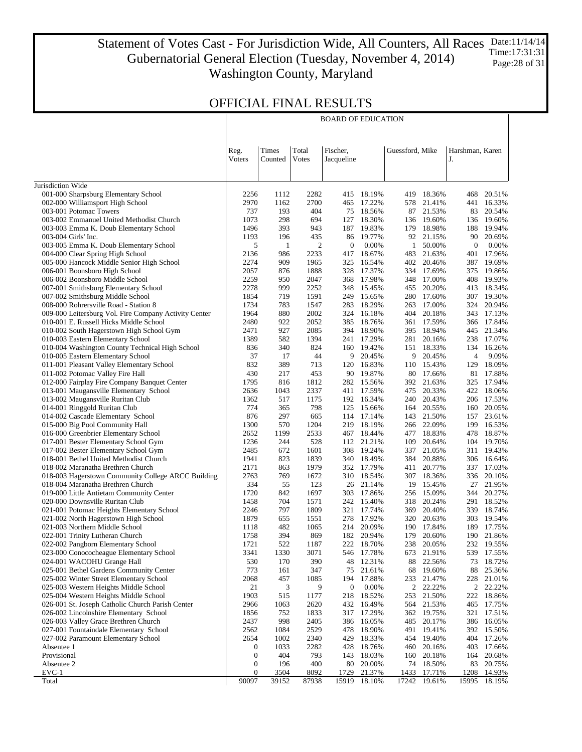### Statement of Votes Cast - For Jurisdiction Wide, All Counters, All Races Gubernatorial General Election (Tuesday, November 4, 2014) Washington County, Maryland Date:11/14/14 Time:17:31:31 Page:28 of 31

BOARD OF EDUCATION

 $\mathbb{R}$ 

## OFFICIAL FINAL RESULTS

 $\mathbb{R}$ 

|                                                                                                | Reg.                      | Times         | Total         | Fischer,         |                          | Guessford, Mike |                      | Harshman, Karen  |                  |
|------------------------------------------------------------------------------------------------|---------------------------|---------------|---------------|------------------|--------------------------|-----------------|----------------------|------------------|------------------|
|                                                                                                | Voters                    | Counted       | <b>V</b> otes | Jacqueline       |                          |                 |                      | J.               |                  |
|                                                                                                |                           |               |               |                  |                          |                 |                      |                  |                  |
| Jurisdiction Wide                                                                              |                           |               |               |                  |                          |                 |                      |                  | 20.51%           |
| 001-000 Sharpsburg Elementary School<br>002-000 Williamsport High School                       | 2256<br>2970              | 1112<br>1162  | 2282<br>2700  | 465              | 415 18.19%<br>17.22%     | 419<br>578      | 18.36%<br>21.41%     | 468<br>441       | 16.33%           |
| 003-001 Potomac Towers                                                                         | 737                       | 193           | 404           |                  | 75 18.56%                | 87              | 21.53%               | 83               | 20.54%           |
| 003-002 Emmanuel United Methodist Church                                                       | 1073                      | 298           | 694           | 127              | 18.30%                   | 136             | 19.60%               |                  | 136 19.60%       |
| 003-003 Emma K. Doub Elementary School                                                         | 1496                      | 393           | 943           |                  | 187 19.83%               | 179             | 18.98%               |                  | 188 19.94%       |
| 003-004 Girls' Inc.                                                                            | 1193                      | 196           | 435           | 86               | 19.77%                   | 92              | 21.15%               | 90               | 20.69%           |
| 003-005 Emma K. Doub Elementary School                                                         | 5                         | -1            | 2             | $\boldsymbol{0}$ | $0.00\%$                 | 1               | 50.00%               | $\boldsymbol{0}$ | 0.00%            |
| 004-000 Clear Spring High School                                                               | 2136                      | 986           | 2233          | 417              | 18.67%                   | 483             | 21.63%               | 401              | 17.96%           |
| 005-000 Hancock Middle Senior High School                                                      | 2274                      | 909           | 1965          | 325              | 16.54%                   | 402             | 20.46%               |                  | 387 19.69%       |
| 006-001 Boonsboro High School                                                                  | 2057                      | 876           | 1888          | 328              | 17.37%                   | 334             | 17.69%               | 375              | 19.86%           |
| 006-002 Boonsboro Middle School                                                                | 2259                      | 950           | 2047          |                  | 368 17.98%               |                 | 348 17.00%           |                  | 408 19.93%       |
| 007-001 Smithsburg Elementary School                                                           | 2278                      | 999           | 2252          | 348              | 15.45%                   | 455             | 20.20%               | 413              | 18.34%           |
| 007-002 Smithsburg Middle School                                                               | 1854                      | 719           | 1591          |                  | 249 15.65%               | 280             | 17.60%               |                  | 307 19.30%       |
| 008-000 Rohrersville Road - Station 8<br>009-000 Leitersburg Vol. Fire Company Activity Center | 1734                      | 783           | 1547          |                  | 283 18.29%<br>324 16.18% | 263             | 17.00%               | 324              | 20.94%<br>17.13% |
| 010-001 E. Russell Hicks Middle School                                                         | 1964<br>2480              | 880<br>922    | 2002<br>2052  |                  | 385 18.76%               | 404             | 20.18%<br>361 17.59% | 343              | 366 17.84%       |
| 010-002 South Hagerstown High School Gym                                                       | 2471                      | 927           | 2085          |                  | 394 18.90%               |                 | 395 18.94%           | 445              | 21.34%           |
| 010-003 Eastern Elementary School                                                              | 1389                      | 582           | 1394          |                  | 241 17.29%               | 281             | 20.16%               | 238              | 17.07%           |
| 010-004 Washington County Technical High School                                                | 836                       | 340           | 824           |                  | 160 19.42%               |                 | 151 18.33%           | 134              | 16.26%           |
| 010-005 Eastern Elementary School                                                              | 37                        | 17            | 44            | 9                | 20.45%                   | 9               | 20.45%               | $\overline{4}$   | 9.09%            |
| 011-001 Pleasant Valley Elementary School                                                      | 832                       | 389           | 713           |                  | 120 16.83%               | 110             | 15.43%               | 129              | 18.09%           |
| 011-002 Potomac Valley Fire Hall                                                               | 430                       | 217           | 453           | 90               | 19.87%                   | 80              | 17.66%               | 81               | 17.88%           |
| 012-000 Fairplay Fire Company Banquet Center                                                   | 1795                      | 816           | 1812          |                  | 282 15.56%               | 392             | 21.63%               |                  | 325 17.94%       |
| 013-001 Maugansville Elementary School                                                         | 2636                      | 1043          | 2337          |                  | 411 17.59%               | 475             | 20.33%               | 422              | 18.06%           |
| 013-002 Maugansville Ruritan Club                                                              | 1362                      | 517           | 1175          |                  | 192 16.34%               | 240             | 20.43%               |                  | 206 17.53%       |
| 014-001 Ringgold Ruritan Club                                                                  | 774                       | 365           | 798           | 125              | 15.66%                   | 164             | 20.55%               | 160              | 20.05%           |
| 014-002 Cascade Elementary School                                                              | 876                       | 297           | 665           |                  | 114 17.14%               | 143             | 21.50%               | 157              | 23.61%           |
| 015-000 Big Pool Community Hall                                                                | 1300                      | 570           | 1204          |                  | 219 18.19%               | 266             | 22.09%               | 199              | 16.53%           |
| 016-000 Greenbrier Elementary School                                                           | 2652                      | 1199          | 2533          |                  | 467 18.44%               | 477             | 18.83%               | 478              | 18.87%           |
| 017-001 Bester Elementary School Gym<br>017-002 Bester Elementary School Gym                   | 1236<br>2485              | 244<br>672    | 528<br>1601   | 112              | 21.21%<br>308 19.24%     | 109<br>337      | 20.64%<br>21.05%     | 104<br>311       | 19.70%<br>19.43% |
| 018-001 Bethel United Methodist Church                                                         | 1941                      | 823           | 1839          |                  | 340 18.49%               | 384             | 20.88%               | 306              | 16.64%           |
| 018-002 Maranatha Brethren Church                                                              | 2171                      | 863           | 1979          |                  | 352 17.79%               | 411             | 20.77%               |                  | 337 17.03%       |
| 018-003 Hagerstown Community College ARCC Building                                             | 2763                      | 769           | 1672          | 310              | 18.54%                   | 307             | 18.36%               | 336              | 20.10%           |
| 018-004 Maranatha Brethren Church                                                              | 334                       | 55            | 123           |                  | 26 21.14%                | 19              | 15.45%               | 27               | 21.95%           |
| 019-000 Little Antietam Community Center                                                       | 1720                      | 842           | 1697          | 303              | 17.86%                   | 256             | 15.09%               | 344              | 20.27%           |
| 020-000 Downsville Ruritan Club                                                                | 1458                      | 704           | 1571          |                  | 242 15.40%               | 318             | 20.24%               |                  | 291 18.52%       |
| 021-001 Potomac Heights Elementary School                                                      | 2246                      | 797           | 1809          |                  | 321 17.74%               | 369             | 20.40%               | 339              | 18.74%           |
| 021-002 North Hagerstown High School                                                           | 1879                      | 655           | 1551          |                  | 278 17.92%               | 320             | 20.63%               | 303              | 19.54%           |
| 021-003 Northern Middle School                                                                 | 1118                      | 482           | 1065          | 214              | 20.09%                   | 190             | 17.84%               | 189              | 17.75%           |
| 022-001 Trinity Lutheran Church                                                                | 1758                      | 394           | 869           | 182              | 20.94%                   | 179             | 20.60%               | 190              | 21.86%           |
| 022-002 Pangborn Elementary School                                                             | 1721                      | 522           | 1187          |                  | 222 18.70%               | 238             | 20.05%               |                  | 232 19.55%       |
| 023-000 Conococheague Elementary School                                                        | 3341                      | 1330          | 3071          | 546              | 17.78%                   | 673<br>88       | 21.91%               | 539              | 17.55%           |
| 024-001 WACOHU Grange Hall<br>025-001 Bethel Gardens Community Center                          | 530<br>773                | 170<br>161    | 390<br>347    | 48<br>75         | 12.31%<br>21.61%         | 68              | 22.56%<br>19.60%     | 73<br>88         | 18.72%<br>25.36% |
| 025-002 Winter Street Elementary School                                                        | 2068                      | 457           | 1085          | 194              | 17.88%                   | 233             | 21.47%               | 228              | 21.01%           |
| 025-003 Western Heights Middle School                                                          | 21                        | 3             | 9             | $\boldsymbol{0}$ | 0.00%                    | 2               | 22.22%               | $\overline{2}$   | 22.22%           |
| 025-004 Western Heights Middle School                                                          | 1903                      | 515           | 1177          | 218              | 18.52%                   | 253             | 21.50%               | 222              | 18.86%           |
| 026-001 St. Joseph Catholic Church Parish Center                                               | 2966                      | 1063          | 2620          | 432              | 16.49%                   | 564             | 21.53%               | 465              | 17.75%           |
| 026-002 Lincolnshire Elementary School                                                         | 1856                      | 752           | 1833          | 317              | 17.29%                   | 362             | 19.75%               | 321              | 17.51%           |
| 026-003 Valley Grace Brethren Church                                                           | 2437                      | 998           | 2405          |                  | 386 16.05%               |                 | 485 20.17%           |                  | 386 16.05%       |
| 027-001 Fountaindale Elementary School                                                         | 2562                      | 1084          | 2529          | 478              | 18.90%                   | 491             | 19.41%               | 392              | 15.50%           |
| 027-002 Paramount Elementary School                                                            | 2654                      | 1002          | 2340          | 429              | 18.33%                   |                 | 454 19.40%           | 404              | 17.26%           |
| Absentee 1                                                                                     | $\mathbf{0}$              | 1033          | 2282          | 428              | 18.76%                   | 460             | 20.16%               | 403              | 17.66%           |
| Provisional                                                                                    | $\boldsymbol{0}$          | 404           | 793           | 143              | 18.03%                   | 160             | 20.18%               | 164              | 20.68%           |
| Absentee 2                                                                                     | $\boldsymbol{0}$          | 196           | 400           | 80               | 20.00%                   | 74              | 18.50%               | 83               | 20.75%           |
| $EVC-1$<br>Total                                                                               | $\boldsymbol{0}$<br>90097 | 3504<br>39152 | 8092<br>87938 | 1729<br>15919    | 21.37%<br>18.10%         | 1433<br>17242   | 17.71%<br>19.61%     | 1208<br>15995    | 14.93%<br>18.19% |
|                                                                                                |                           |               |               |                  |                          |                 |                      |                  |                  |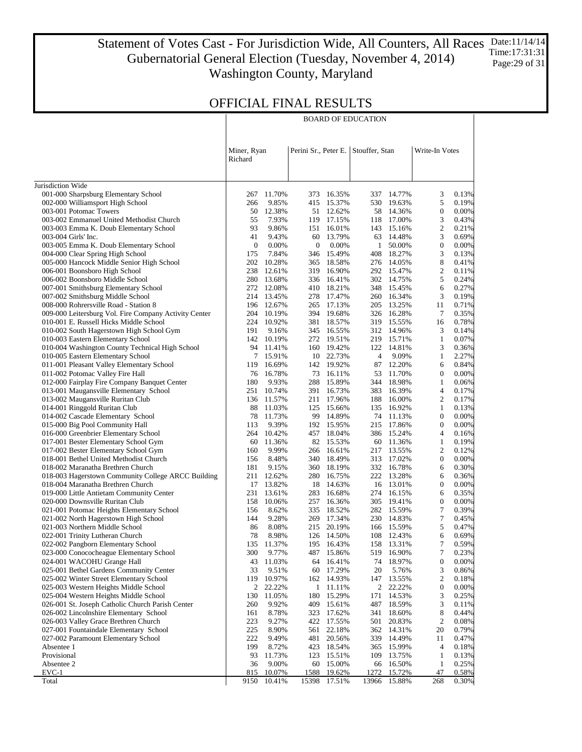### Statement of Votes Cast - For Jurisdiction Wide, All Counters, All Races Date:11/14/14 Gubernatorial General Election (Tuesday, November 4, 2014) Washington County, Maryland Time:17:31:31 Page:29 of 31

BOARD OF EDUCATION

|                                                                                         |                        |                          |              |                          | Perini Sr., Peter E.   Stouffer, Stan |                          | Write-In Votes   |                |
|-----------------------------------------------------------------------------------------|------------------------|--------------------------|--------------|--------------------------|---------------------------------------|--------------------------|------------------|----------------|
|                                                                                         | Miner, Ryan<br>Richard |                          |              |                          |                                       |                          |                  |                |
| Jurisdiction Wide                                                                       |                        |                          |              |                          |                                       |                          |                  |                |
| 001-000 Sharpsburg Elementary School                                                    | 267                    | 11.70%                   |              | 373 16.35%               |                                       | 337 14.77%               | 3                | 0.13%          |
| 002-000 Williamsport High School                                                        | 266                    | 9.85%                    |              | 415 15.37%               |                                       | 530 19.63%               | 5                | 0.19%          |
| 003-001 Potomac Towers                                                                  | 50                     | 12.38%                   |              | 51 12.62%                |                                       | 58 14.36%                | 0                | 0.00%          |
| 003-002 Emmanuel United Methodist Church                                                | 55                     | 7.93%                    |              | 119 17.15%               |                                       | 118 17.00%               | 3                | 0.43%          |
| 003-003 Emma K. Doub Elementary School                                                  | 93                     | 9.86%                    |              | 151 16.01%               |                                       | 143 15.16%               | 2                | 0.21%          |
| 003-004 Girls' Inc.                                                                     | 41                     | 9.43%                    | 60           | 13.79%                   |                                       | 63 14.48%                | 3                | 0.69%          |
| 003-005 Emma K. Doub Elementary School                                                  | $\boldsymbol{0}$       | 0.00%                    | $\mathbf{0}$ | 0.00%                    | $\mathbf{1}$                          | 50.00%                   | $\boldsymbol{0}$ | 0.00%          |
| 004-000 Clear Spring High School                                                        | 175                    | 7.84%                    |              | 346 15.49%               |                                       | 408 18.27%               | 3                | 0.13%          |
| 005-000 Hancock Middle Senior High School                                               | 202                    | 10.28%                   | 365          | 18.58%                   |                                       | 276 14.05%               | 8                | 0.41%          |
| 006-001 Boonsboro High School                                                           | 238                    | 12.61%                   |              | 319 16.90%               |                                       | 292 15.47%               | 2                | 0.11%          |
| 006-002 Boonsboro Middle School                                                         |                        | 280 13.68%               |              | 336 16.41%               |                                       | 302 14.75%               | 5                | 0.24%          |
| 007-001 Smithsburg Elementary School                                                    |                        | 272 12.08%               |              | 410 18.21%<br>278 17.47% |                                       | 348 15.45%<br>260 16.34% | 6<br>3           | 0.27%          |
| 007-002 Smithsburg Middle School<br>008-000 Rohrersville Road - Station 8               |                        | 214 13.45%<br>196 12.67% | 265          | 17.13%                   |                                       | 205 13.25%               | 11               | 0.19%<br>0.71% |
| 009-000 Leitersburg Vol. Fire Company Activity Center                                   |                        | 204 10.19%               |              | 394 19.68%               |                                       | 326 16.28%               | 7                | 0.35%          |
| 010-001 E. Russell Hicks Middle School                                                  |                        | 224 10.92%               |              | 381 18.57%               |                                       | 319 15.55%               | 16               | 0.78%          |
| 010-002 South Hagerstown High School Gym                                                | 191                    | 9.16%                    |              | 345 16.55%               |                                       | 312 14.96%               | 3                | 0.14%          |
| 010-003 Eastern Elementary School                                                       |                        | 142 10.19%               |              | 272 19.51%               |                                       | 219 15.71%               | 1                | 0.07%          |
| 010-004 Washington County Technical High School                                         |                        | 94 11.41%                |              | 160 19.42%               |                                       | 122 14.81%               | 3                | 0.36%          |
| 010-005 Eastern Elementary School                                                       | 7                      | 15.91%                   |              | 10 22.73%                | 4                                     | 9.09%                    | 1                | 2.27%          |
| 011-001 Pleasant Valley Elementary School                                               | 119                    | 16.69%                   |              | 142 19.92%               |                                       | 87 12.20%                | 6                | 0.84%          |
| 011-002 Potomac Valley Fire Hall                                                        |                        | 76 16.78%                |              | 73 16.11%                |                                       | 53 11.70%                | 0                | 0.00%          |
| 012-000 Fairplay Fire Company Banquet Center                                            | 180                    | 9.93%                    |              | 288 15.89%               |                                       | 344 18.98%               | 1                | 0.06%          |
| 013-001 Maugansville Elementary School                                                  |                        | 251 10.74%               |              | 391 16.73%               |                                       | 383 16.39%               | 4                | 0.17%          |
| 013-002 Maugansville Ruritan Club                                                       |                        | 136 11.57%               | 211          | 17.96%                   |                                       | 188 16.00%               | 2                | 0.17%          |
| 014-001 Ringgold Ruritan Club                                                           | 88                     | 11.03%                   |              | 125 15.66%               |                                       | 135 16.92%               | 1                | 0.13%          |
| 014-002 Cascade Elementary School                                                       | 78                     | 11.73%                   |              | 99 14.89%                |                                       | 74 11.13%                | 0                | 0.00%          |
| 015-000 Big Pool Community Hall                                                         | 113                    | 9.39%                    |              | 192 15.95%               |                                       | 215 17.86%               | $\boldsymbol{0}$ | 0.00%          |
| 016-000 Greenbrier Elementary School                                                    |                        | 264 10.42%               |              | 457 18.04%               |                                       | 386 15.24%               | 4                | 0.16%          |
| 017-001 Bester Elementary School Gym                                                    |                        | 60 11.36%                |              | 82 15.53%                |                                       | 60 11.36%                | 1                | 0.19%          |
| 017-002 Bester Elementary School Gym                                                    | 160                    | 9.99%                    | 266          | 16.61%                   |                                       | 217 13.55%               | 2                | 0.12%          |
| 018-001 Bethel United Methodist Church                                                  | 156                    | 8.48%                    |              | 340 18.49%               |                                       | 313 17.02%               | 0                | 0.00%          |
| 018-002 Maranatha Brethren Church                                                       | 181                    | 9.15%<br>211 12.62%      |              | 360 18.19%               |                                       | 332 16.78%<br>222 13.28% | 6                | 0.30%          |
| 018-003 Hagerstown Community College ARCC Building<br>018-004 Maranatha Brethren Church | 17                     | 13.82%                   |              | 280 16.75%<br>18 14.63%  |                                       | 16 13.01%                | 6<br>0           | 0.36%<br>0.00% |
| 019-000 Little Antietam Community Center                                                | 231                    | 13.61%                   | 283          | 16.68%                   |                                       | 274 16.15%               | 6                | 0.35%          |
| 020-000 Downsville Ruritan Club                                                         | 158                    | 10.06%                   |              | 257 16.36%               |                                       | 305 19.41%               | 0                | 0.00%          |
| 021-001 Potomac Heights Elementary School                                               | 156                    | 8.62%                    |              | 335 18.52%               |                                       | 282 15.59%               | 7                | 0.39%          |
| 021-002 North Hagerstown High School                                                    | 144                    | 9.28%                    |              | 269 17.34%               |                                       | 230 14.83%               | 7                | 0.45%          |
| 021-003 Northern Middle School                                                          | 86                     | 8.08%                    |              | 215 20.19%               |                                       | 166 15.59%               | 5                | 0.47%          |
| 022-001 Trinity Lutheran Church                                                         | 78                     | 8.98%                    |              | 126 14.50%               |                                       | 108 12.43%               | 6                | 0.69%          |
| 022-002 Pangborn Elementary School                                                      | 135                    | 11.37%                   |              | 195 16.43%               |                                       | 158 13.31%               | 7                | 0.59%          |
| 023-000 Conococheague Elementary School                                                 | 300                    | 9.77%                    |              | 487 15.86%               |                                       | 519 16.90%               | 7                | 0.23%          |
| 024-001 WACOHU Grange Hall                                                              | 43                     | 11.03%                   |              | 64 16.41%                |                                       | 74 18.97%                | 0                | 0.00%          |
| 025-001 Bethel Gardens Community Center                                                 | 33                     | 9.51%                    | 60           | 17.29%                   | 20                                    | 5.76%                    | 3                | 0.86%          |
| 025-002 Winter Street Elementary School                                                 | 119                    | 10.97%                   |              | 162 14.93%               |                                       | 147 13.55%               | 2                | 0.18%          |
| 025-003 Western Heights Middle School                                                   | 2                      | 22.22%                   | 1            | 11.11%                   | $\overline{c}$                        | 22.22%                   | 0                | 0.00%          |
| 025-004 Western Heights Middle School                                                   | 130                    | 11.05%                   | 180          | 15.29%                   | 171                                   | 14.53%                   | 3                | 0.25%          |
| 026-001 St. Joseph Catholic Church Parish Center                                        | 260                    | 9.92%                    | 409          | 15.61%                   | 487                                   | 18.59%                   | 3                | 0.11%          |
| 026-002 Lincolnshire Elementary School                                                  | 161                    | 8.78%                    | 323          | 17.62%                   | 341                                   | 18.60%                   | 8<br>2           | 0.44%          |
| 026-003 Valley Grace Brethren Church                                                    | 223                    | 9.27%<br>8.90%           | 422          | 17.55%                   | 501                                   | 20.83%                   |                  | 0.08%<br>0.79% |
| 027-001 Fountaindale Elementary School<br>027-002 Paramount Elementary School           | 225<br>222             | 9.49%                    | 561<br>481   | 22.18%<br>20.56%         | 362<br>339                            | 14.31%<br>14.49%         | 20<br>11         | 0.47%          |
| Absentee 1                                                                              | 199                    | 8.72%                    | 423          | 18.54%                   | 365                                   | 15.99%                   | 4                | 0.18%          |
| Provisional                                                                             | 93                     | 11.73%                   | 123          | 15.51%                   | 109                                   | 13.75%                   | 1                | 0.13%          |
| Absentee 2                                                                              | 36                     | 9.00%                    | 60           | 15.00%                   |                                       | 66 16.50%                | 1                | 0.25%          |
| $EVC-1$                                                                                 | 815                    | 10.07%                   | 1588         | 19.62%                   | 1272                                  | 15.72%                   | 47               | 0.58%          |
| Total                                                                                   | 9150                   | 10.41%                   | 15398        | 17.51%                   |                                       | 13966 15.88%             | 268              | 0.30%          |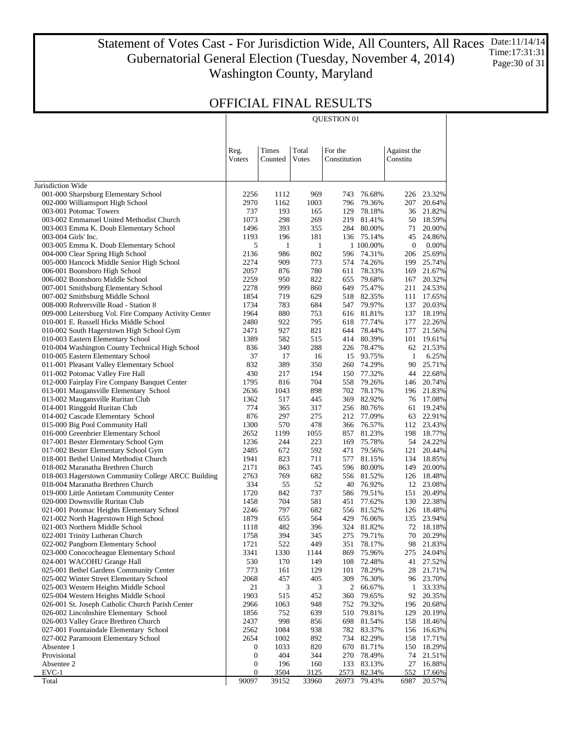### Statement of Votes Cast - For Jurisdiction Wide, All Counters, All Races Gubernatorial General Election (Tuesday, November 4, 2014) Washington County, Maryland Date:11/14/14 Time:17:31:31 Page:30 of 31

QUESTION 01

 $\top$ 

## OFFICIAL FINAL RESULTS

| Times<br>Total<br>For the<br>Reg.<br>Against the<br>Voters<br>Counted<br>Votes<br>Constitution<br>Constitu<br>Jurisdiction Wide<br>001-000 Sharpsburg Elementary School<br>2256<br>969<br>76.68%<br>1112<br>743<br>226<br>002-000 Williamsport High School<br>2970<br>1162<br>1003<br>796<br>79.36%<br>207<br>003-001 Potomac Towers<br>737<br>193<br>78.18%<br>165<br>129<br>298<br>003-002 Emmanuel United Methodist Church<br>1073<br>269<br>219 81.41%<br>003-003 Emma K. Doub Elementary School<br>1496<br>393<br>355<br>284 80.00%<br>71<br>003-004 Girls' Inc.<br>1193<br>196<br>181<br>136 75.14%<br>45<br>003-005 Emma K. Doub Elementary School<br>5<br>$\mathbf{1}$<br>$\mathbf{1}$<br>1 100.00%<br>$\boldsymbol{0}$<br>802<br>004-000 Clear Spring High School<br>2136<br>986<br>596 74.31%<br>005-000 Hancock Middle Senior High School<br>2274<br>909<br>773<br>574 74.26%<br>780<br>006-001 Boonsboro High School<br>2057<br>876<br>78.33%<br>169<br>611<br>822<br>006-002 Boonsboro Middle School<br>2259<br>950<br>655 79.68%<br>167<br>999<br>007-001 Smithsburg Elementary School<br>2278<br>860<br>75.47%<br>649<br>629<br>007-002 Smithsburg Middle School<br>1854<br>719<br>518 82.35%<br>684<br>008-000 Rohrersville Road - Station 8<br>1734<br>783<br>547 79.97%<br>137<br>009-000 Leitersburg Vol. Fire Company Activity Center<br>1964<br>880<br>753<br>616 81.81%<br>922<br>795<br>010-001 E. Russell Hicks Middle School<br>2480<br>618 77.74%<br>177<br>927<br>821<br>010-002 South Hagerstown High School Gym<br>2471<br>644 78.44%<br>010-003 Eastern Elementary School<br>1389<br>582<br>515<br>414 80.39%<br>340<br>010-004 Washington County Technical High School<br>836<br>288<br>226 78.47%<br>010-005 Eastern Elementary School<br>37<br>17<br>16<br>15 93.75%<br>1<br>832<br>011-001 Pleasant Valley Elementary School<br>389<br>350<br>260 74.29%<br>194<br>011-002 Potomac Valley Fire Hall<br>430<br>217<br>150 77.32%<br>44<br>012-000 Fairplay Fire Company Banquet Center<br>1795<br>816<br>704<br>558 79.26%<br>898<br>013-001 Maugansville Elementary School<br>2636<br>1043<br>702<br>78.17%<br>369 82.92%<br>013-002 Maugansville Ruritan Club<br>1362<br>517<br>445<br>014-001 Ringgold Ruritan Club<br>774<br>365<br>317<br>256 80.76%<br>212 77.09%<br>014-002 Cascade Elementary School<br>876<br>297<br>275<br>015-000 Big Pool Community Hall<br>1300<br>570<br>478<br>366 76.57%<br>1199<br>016-000 Greenbrier Elementary School<br>2652<br>1055<br>857 81.23%<br>244<br>223<br>017-001 Bester Elementary School Gym<br>1236<br>75.78%<br>54<br>169<br>017-002 Bester Elementary School Gym<br>592<br>2485<br>672<br>471 79.56%<br>018-001 Bethel United Methodist Church<br>1941<br>823<br>711<br>577<br>81.15%<br>018-002 Maranatha Brethren Church<br>2171<br>863<br>745<br>596 80.00%<br>149<br>682<br>018-003 Hagerstown Community College ARCC Building<br>2763<br>769<br>556 81.52%<br>52<br>018-004 Maranatha Brethren Church<br>334<br>55<br>40 76.92%<br>737<br>019-000 Little Antietam Community Center<br>1720<br>842<br>586 79.51%<br>151<br>020-000 Downsville Ruritan Club<br>704<br>581<br>451 77.62%<br>1458<br>682<br>021-001 Potomac Heights Elementary School<br>2246<br>797<br>556 81.52%<br>021-002 North Hagerstown High School<br>1879<br>655<br>564<br>429<br>76.06%<br>396<br>021-003 Northern Middle School<br>1118<br>482<br>324 81.82%<br>394<br>1758<br>345<br>275 79.71%<br>70<br>022-001 Trinity Lutheran Church<br>522<br>022-002 Pangborn Elementary School<br>1721<br>449<br>351 78.17%<br>98<br>023-000 Conococheague Elementary School<br>3341<br>1330<br>1144<br>869<br>75.96%<br>275<br>024-001 WACOHU Grange Hall<br>530<br>170<br>149<br>108<br>72.48%<br>41<br>025-001 Bethel Gardens Community Center<br>773<br>161<br>129<br>101<br>78.29%<br>28<br>025-002 Winter Street Elementary School<br>2068<br>457<br>405<br>309<br>76.30%<br>025-003 Western Heights Middle School<br>21<br>3<br>3<br>2 66.67%<br>025-004 Western Heights Middle School<br>1903<br>515<br>452<br>360<br>79.65%<br>026-001 St. Joseph Catholic Church Parish Center<br>2966<br>1063<br>948<br>752 79.32%<br>026-002 Lincolnshire Elementary School<br>1856<br>752<br>639<br>510 79.81%<br>998<br>026-003 Valley Grace Brethren Church<br>2437<br>856<br>698 81.54%<br>027-001 Fountaindale Elementary School<br>2562<br>1084<br>938<br>782 83.37%<br>027-002 Paramount Elementary School<br>2654<br>1002<br>892<br>734 82.29%<br>1033<br>Absentee 1<br>$\boldsymbol{0}$<br>820<br>670 81.71%<br>Provisional<br>$\boldsymbol{0}$<br>404<br>344<br>270 78.49%<br>74<br>Absentee 2<br>$\boldsymbol{0}$<br>196<br>160<br>133 83.13%<br>27<br>$EVC-1$<br>$\boldsymbol{0}$<br>3504<br>3125<br>2573<br>82.34%<br>552<br>33960 |       |       |       |       |        |      |        |
|-----------------------------------------------------------------------------------------------------------------------------------------------------------------------------------------------------------------------------------------------------------------------------------------------------------------------------------------------------------------------------------------------------------------------------------------------------------------------------------------------------------------------------------------------------------------------------------------------------------------------------------------------------------------------------------------------------------------------------------------------------------------------------------------------------------------------------------------------------------------------------------------------------------------------------------------------------------------------------------------------------------------------------------------------------------------------------------------------------------------------------------------------------------------------------------------------------------------------------------------------------------------------------------------------------------------------------------------------------------------------------------------------------------------------------------------------------------------------------------------------------------------------------------------------------------------------------------------------------------------------------------------------------------------------------------------------------------------------------------------------------------------------------------------------------------------------------------------------------------------------------------------------------------------------------------------------------------------------------------------------------------------------------------------------------------------------------------------------------------------------------------------------------------------------------------------------------------------------------------------------------------------------------------------------------------------------------------------------------------------------------------------------------------------------------------------------------------------------------------------------------------------------------------------------------------------------------------------------------------------------------------------------------------------------------------------------------------------------------------------------------------------------------------------------------------------------------------------------------------------------------------------------------------------------------------------------------------------------------------------------------------------------------------------------------------------------------------------------------------------------------------------------------------------------------------------------------------------------------------------------------------------------------------------------------------------------------------------------------------------------------------------------------------------------------------------------------------------------------------------------------------------------------------------------------------------------------------------------------------------------------------------------------------------------------------------------------------------------------------------------------------------------------------------------------------------------------------------------------------------------------------------------------------------------------------------------------------------------------------------------------------------------------------------------------------------------------------------------------------------------------------------------------------------------------------------------------------------------------------------------------------------------------------------------------------------------------------------------------------------------------------------------------------------------------------------------------------------------------------------------------------------------------------------------------------------------------------------------------------------------------------------------------------------------------------------------------------------------------------------------------------------------------------------------------|-------|-------|-------|-------|--------|------|--------|
|                                                                                                                                                                                                                                                                                                                                                                                                                                                                                                                                                                                                                                                                                                                                                                                                                                                                                                                                                                                                                                                                                                                                                                                                                                                                                                                                                                                                                                                                                                                                                                                                                                                                                                                                                                                                                                                                                                                                                                                                                                                                                                                                                                                                                                                                                                                                                                                                                                                                                                                                                                                                                                                                                                                                                                                                                                                                                                                                                                                                                                                                                                                                                                                                                                                                                                                                                                                                                                                                                                                                                                                                                                                                                                                                                                                                                                                                                                                                                                                                                                                                                                                                                                                                                                                                                                                                                                                                                                                                                                                                                                                                                                                                                                                                                                                                     |       |       |       |       |        |      |        |
|                                                                                                                                                                                                                                                                                                                                                                                                                                                                                                                                                                                                                                                                                                                                                                                                                                                                                                                                                                                                                                                                                                                                                                                                                                                                                                                                                                                                                                                                                                                                                                                                                                                                                                                                                                                                                                                                                                                                                                                                                                                                                                                                                                                                                                                                                                                                                                                                                                                                                                                                                                                                                                                                                                                                                                                                                                                                                                                                                                                                                                                                                                                                                                                                                                                                                                                                                                                                                                                                                                                                                                                                                                                                                                                                                                                                                                                                                                                                                                                                                                                                                                                                                                                                                                                                                                                                                                                                                                                                                                                                                                                                                                                                                                                                                                                                     |       |       |       |       |        |      |        |
|                                                                                                                                                                                                                                                                                                                                                                                                                                                                                                                                                                                                                                                                                                                                                                                                                                                                                                                                                                                                                                                                                                                                                                                                                                                                                                                                                                                                                                                                                                                                                                                                                                                                                                                                                                                                                                                                                                                                                                                                                                                                                                                                                                                                                                                                                                                                                                                                                                                                                                                                                                                                                                                                                                                                                                                                                                                                                                                                                                                                                                                                                                                                                                                                                                                                                                                                                                                                                                                                                                                                                                                                                                                                                                                                                                                                                                                                                                                                                                                                                                                                                                                                                                                                                                                                                                                                                                                                                                                                                                                                                                                                                                                                                                                                                                                                     |       |       |       |       |        |      |        |
| 23.32%                                                                                                                                                                                                                                                                                                                                                                                                                                                                                                                                                                                                                                                                                                                                                                                                                                                                                                                                                                                                                                                                                                                                                                                                                                                                                                                                                                                                                                                                                                                                                                                                                                                                                                                                                                                                                                                                                                                                                                                                                                                                                                                                                                                                                                                                                                                                                                                                                                                                                                                                                                                                                                                                                                                                                                                                                                                                                                                                                                                                                                                                                                                                                                                                                                                                                                                                                                                                                                                                                                                                                                                                                                                                                                                                                                                                                                                                                                                                                                                                                                                                                                                                                                                                                                                                                                                                                                                                                                                                                                                                                                                                                                                                                                                                                                                              |       |       |       |       |        |      |        |
|                                                                                                                                                                                                                                                                                                                                                                                                                                                                                                                                                                                                                                                                                                                                                                                                                                                                                                                                                                                                                                                                                                                                                                                                                                                                                                                                                                                                                                                                                                                                                                                                                                                                                                                                                                                                                                                                                                                                                                                                                                                                                                                                                                                                                                                                                                                                                                                                                                                                                                                                                                                                                                                                                                                                                                                                                                                                                                                                                                                                                                                                                                                                                                                                                                                                                                                                                                                                                                                                                                                                                                                                                                                                                                                                                                                                                                                                                                                                                                                                                                                                                                                                                                                                                                                                                                                                                                                                                                                                                                                                                                                                                                                                                                                                                                                                     |       |       |       |       |        |      |        |
| 36 21.82%<br>50 18.59%<br>20.00%<br>24.86%<br>$0.00\%$<br>206 25.69%<br>199 25.74%<br>21.67%<br>20.32%<br>211 24.53%<br>111 17.65%<br>20.03%<br>137 18.19%<br>22.26%<br>177 21.56%<br>101 19.61%<br>62 21.53%<br>6.25%<br>90 25.71%<br>22.68%<br>146 20.74%<br>196 21.83%<br>76 17.08%<br>61 19.24%<br>63 22.91%<br>112 23.43%<br>198 18.77%<br>24.22%<br>121 20.44%<br>134 18.85%<br>20.00%<br>126 18.48%<br>12 23.08%<br>20.49%<br>130 22.38%<br>126 18.48%<br>135 23.94%<br>72 18.18%<br>20.29%<br>21.83%<br>24.04%<br>27.52%<br>21.71%                                                                                                                                                                                                                                                                                                                                                                                                                                                                                                                                                                                                                                                                                                                                                                                                                                                                                                                                                                                                                                                                                                                                                                                                                                                                                                                                                                                                                                                                                                                                                                                                                                                                                                                                                                                                                                                                                                                                                                                                                                                                                                                                                                                                                                                                                                                                                                                                                                                                                                                                                                                                                                                                                                                                                                                                                                                                                                                                                                                                                                                                                                                                                                                                                                                                                                                                                                                                                                                                                                                                                                                                                                                                                                                                                                                                                                                                                                                                                                                                                                                                                                                                                                                                                                                          |       |       |       |       |        |      | 20.64% |
|                                                                                                                                                                                                                                                                                                                                                                                                                                                                                                                                                                                                                                                                                                                                                                                                                                                                                                                                                                                                                                                                                                                                                                                                                                                                                                                                                                                                                                                                                                                                                                                                                                                                                                                                                                                                                                                                                                                                                                                                                                                                                                                                                                                                                                                                                                                                                                                                                                                                                                                                                                                                                                                                                                                                                                                                                                                                                                                                                                                                                                                                                                                                                                                                                                                                                                                                                                                                                                                                                                                                                                                                                                                                                                                                                                                                                                                                                                                                                                                                                                                                                                                                                                                                                                                                                                                                                                                                                                                                                                                                                                                                                                                                                                                                                                                                     |       |       |       |       |        |      |        |
|                                                                                                                                                                                                                                                                                                                                                                                                                                                                                                                                                                                                                                                                                                                                                                                                                                                                                                                                                                                                                                                                                                                                                                                                                                                                                                                                                                                                                                                                                                                                                                                                                                                                                                                                                                                                                                                                                                                                                                                                                                                                                                                                                                                                                                                                                                                                                                                                                                                                                                                                                                                                                                                                                                                                                                                                                                                                                                                                                                                                                                                                                                                                                                                                                                                                                                                                                                                                                                                                                                                                                                                                                                                                                                                                                                                                                                                                                                                                                                                                                                                                                                                                                                                                                                                                                                                                                                                                                                                                                                                                                                                                                                                                                                                                                                                                     |       |       |       |       |        |      |        |
|                                                                                                                                                                                                                                                                                                                                                                                                                                                                                                                                                                                                                                                                                                                                                                                                                                                                                                                                                                                                                                                                                                                                                                                                                                                                                                                                                                                                                                                                                                                                                                                                                                                                                                                                                                                                                                                                                                                                                                                                                                                                                                                                                                                                                                                                                                                                                                                                                                                                                                                                                                                                                                                                                                                                                                                                                                                                                                                                                                                                                                                                                                                                                                                                                                                                                                                                                                                                                                                                                                                                                                                                                                                                                                                                                                                                                                                                                                                                                                                                                                                                                                                                                                                                                                                                                                                                                                                                                                                                                                                                                                                                                                                                                                                                                                                                     |       |       |       |       |        |      |        |
|                                                                                                                                                                                                                                                                                                                                                                                                                                                                                                                                                                                                                                                                                                                                                                                                                                                                                                                                                                                                                                                                                                                                                                                                                                                                                                                                                                                                                                                                                                                                                                                                                                                                                                                                                                                                                                                                                                                                                                                                                                                                                                                                                                                                                                                                                                                                                                                                                                                                                                                                                                                                                                                                                                                                                                                                                                                                                                                                                                                                                                                                                                                                                                                                                                                                                                                                                                                                                                                                                                                                                                                                                                                                                                                                                                                                                                                                                                                                                                                                                                                                                                                                                                                                                                                                                                                                                                                                                                                                                                                                                                                                                                                                                                                                                                                                     |       |       |       |       |        |      |        |
|                                                                                                                                                                                                                                                                                                                                                                                                                                                                                                                                                                                                                                                                                                                                                                                                                                                                                                                                                                                                                                                                                                                                                                                                                                                                                                                                                                                                                                                                                                                                                                                                                                                                                                                                                                                                                                                                                                                                                                                                                                                                                                                                                                                                                                                                                                                                                                                                                                                                                                                                                                                                                                                                                                                                                                                                                                                                                                                                                                                                                                                                                                                                                                                                                                                                                                                                                                                                                                                                                                                                                                                                                                                                                                                                                                                                                                                                                                                                                                                                                                                                                                                                                                                                                                                                                                                                                                                                                                                                                                                                                                                                                                                                                                                                                                                                     |       |       |       |       |        |      |        |
|                                                                                                                                                                                                                                                                                                                                                                                                                                                                                                                                                                                                                                                                                                                                                                                                                                                                                                                                                                                                                                                                                                                                                                                                                                                                                                                                                                                                                                                                                                                                                                                                                                                                                                                                                                                                                                                                                                                                                                                                                                                                                                                                                                                                                                                                                                                                                                                                                                                                                                                                                                                                                                                                                                                                                                                                                                                                                                                                                                                                                                                                                                                                                                                                                                                                                                                                                                                                                                                                                                                                                                                                                                                                                                                                                                                                                                                                                                                                                                                                                                                                                                                                                                                                                                                                                                                                                                                                                                                                                                                                                                                                                                                                                                                                                                                                     |       |       |       |       |        |      |        |
|                                                                                                                                                                                                                                                                                                                                                                                                                                                                                                                                                                                                                                                                                                                                                                                                                                                                                                                                                                                                                                                                                                                                                                                                                                                                                                                                                                                                                                                                                                                                                                                                                                                                                                                                                                                                                                                                                                                                                                                                                                                                                                                                                                                                                                                                                                                                                                                                                                                                                                                                                                                                                                                                                                                                                                                                                                                                                                                                                                                                                                                                                                                                                                                                                                                                                                                                                                                                                                                                                                                                                                                                                                                                                                                                                                                                                                                                                                                                                                                                                                                                                                                                                                                                                                                                                                                                                                                                                                                                                                                                                                                                                                                                                                                                                                                                     |       |       |       |       |        |      |        |
|                                                                                                                                                                                                                                                                                                                                                                                                                                                                                                                                                                                                                                                                                                                                                                                                                                                                                                                                                                                                                                                                                                                                                                                                                                                                                                                                                                                                                                                                                                                                                                                                                                                                                                                                                                                                                                                                                                                                                                                                                                                                                                                                                                                                                                                                                                                                                                                                                                                                                                                                                                                                                                                                                                                                                                                                                                                                                                                                                                                                                                                                                                                                                                                                                                                                                                                                                                                                                                                                                                                                                                                                                                                                                                                                                                                                                                                                                                                                                                                                                                                                                                                                                                                                                                                                                                                                                                                                                                                                                                                                                                                                                                                                                                                                                                                                     |       |       |       |       |        |      |        |
|                                                                                                                                                                                                                                                                                                                                                                                                                                                                                                                                                                                                                                                                                                                                                                                                                                                                                                                                                                                                                                                                                                                                                                                                                                                                                                                                                                                                                                                                                                                                                                                                                                                                                                                                                                                                                                                                                                                                                                                                                                                                                                                                                                                                                                                                                                                                                                                                                                                                                                                                                                                                                                                                                                                                                                                                                                                                                                                                                                                                                                                                                                                                                                                                                                                                                                                                                                                                                                                                                                                                                                                                                                                                                                                                                                                                                                                                                                                                                                                                                                                                                                                                                                                                                                                                                                                                                                                                                                                                                                                                                                                                                                                                                                                                                                                                     |       |       |       |       |        |      |        |
|                                                                                                                                                                                                                                                                                                                                                                                                                                                                                                                                                                                                                                                                                                                                                                                                                                                                                                                                                                                                                                                                                                                                                                                                                                                                                                                                                                                                                                                                                                                                                                                                                                                                                                                                                                                                                                                                                                                                                                                                                                                                                                                                                                                                                                                                                                                                                                                                                                                                                                                                                                                                                                                                                                                                                                                                                                                                                                                                                                                                                                                                                                                                                                                                                                                                                                                                                                                                                                                                                                                                                                                                                                                                                                                                                                                                                                                                                                                                                                                                                                                                                                                                                                                                                                                                                                                                                                                                                                                                                                                                                                                                                                                                                                                                                                                                     |       |       |       |       |        |      |        |
|                                                                                                                                                                                                                                                                                                                                                                                                                                                                                                                                                                                                                                                                                                                                                                                                                                                                                                                                                                                                                                                                                                                                                                                                                                                                                                                                                                                                                                                                                                                                                                                                                                                                                                                                                                                                                                                                                                                                                                                                                                                                                                                                                                                                                                                                                                                                                                                                                                                                                                                                                                                                                                                                                                                                                                                                                                                                                                                                                                                                                                                                                                                                                                                                                                                                                                                                                                                                                                                                                                                                                                                                                                                                                                                                                                                                                                                                                                                                                                                                                                                                                                                                                                                                                                                                                                                                                                                                                                                                                                                                                                                                                                                                                                                                                                                                     |       |       |       |       |        |      |        |
|                                                                                                                                                                                                                                                                                                                                                                                                                                                                                                                                                                                                                                                                                                                                                                                                                                                                                                                                                                                                                                                                                                                                                                                                                                                                                                                                                                                                                                                                                                                                                                                                                                                                                                                                                                                                                                                                                                                                                                                                                                                                                                                                                                                                                                                                                                                                                                                                                                                                                                                                                                                                                                                                                                                                                                                                                                                                                                                                                                                                                                                                                                                                                                                                                                                                                                                                                                                                                                                                                                                                                                                                                                                                                                                                                                                                                                                                                                                                                                                                                                                                                                                                                                                                                                                                                                                                                                                                                                                                                                                                                                                                                                                                                                                                                                                                     |       |       |       |       |        |      |        |
|                                                                                                                                                                                                                                                                                                                                                                                                                                                                                                                                                                                                                                                                                                                                                                                                                                                                                                                                                                                                                                                                                                                                                                                                                                                                                                                                                                                                                                                                                                                                                                                                                                                                                                                                                                                                                                                                                                                                                                                                                                                                                                                                                                                                                                                                                                                                                                                                                                                                                                                                                                                                                                                                                                                                                                                                                                                                                                                                                                                                                                                                                                                                                                                                                                                                                                                                                                                                                                                                                                                                                                                                                                                                                                                                                                                                                                                                                                                                                                                                                                                                                                                                                                                                                                                                                                                                                                                                                                                                                                                                                                                                                                                                                                                                                                                                     |       |       |       |       |        |      |        |
|                                                                                                                                                                                                                                                                                                                                                                                                                                                                                                                                                                                                                                                                                                                                                                                                                                                                                                                                                                                                                                                                                                                                                                                                                                                                                                                                                                                                                                                                                                                                                                                                                                                                                                                                                                                                                                                                                                                                                                                                                                                                                                                                                                                                                                                                                                                                                                                                                                                                                                                                                                                                                                                                                                                                                                                                                                                                                                                                                                                                                                                                                                                                                                                                                                                                                                                                                                                                                                                                                                                                                                                                                                                                                                                                                                                                                                                                                                                                                                                                                                                                                                                                                                                                                                                                                                                                                                                                                                                                                                                                                                                                                                                                                                                                                                                                     |       |       |       |       |        |      |        |
|                                                                                                                                                                                                                                                                                                                                                                                                                                                                                                                                                                                                                                                                                                                                                                                                                                                                                                                                                                                                                                                                                                                                                                                                                                                                                                                                                                                                                                                                                                                                                                                                                                                                                                                                                                                                                                                                                                                                                                                                                                                                                                                                                                                                                                                                                                                                                                                                                                                                                                                                                                                                                                                                                                                                                                                                                                                                                                                                                                                                                                                                                                                                                                                                                                                                                                                                                                                                                                                                                                                                                                                                                                                                                                                                                                                                                                                                                                                                                                                                                                                                                                                                                                                                                                                                                                                                                                                                                                                                                                                                                                                                                                                                                                                                                                                                     |       |       |       |       |        |      |        |
|                                                                                                                                                                                                                                                                                                                                                                                                                                                                                                                                                                                                                                                                                                                                                                                                                                                                                                                                                                                                                                                                                                                                                                                                                                                                                                                                                                                                                                                                                                                                                                                                                                                                                                                                                                                                                                                                                                                                                                                                                                                                                                                                                                                                                                                                                                                                                                                                                                                                                                                                                                                                                                                                                                                                                                                                                                                                                                                                                                                                                                                                                                                                                                                                                                                                                                                                                                                                                                                                                                                                                                                                                                                                                                                                                                                                                                                                                                                                                                                                                                                                                                                                                                                                                                                                                                                                                                                                                                                                                                                                                                                                                                                                                                                                                                                                     |       |       |       |       |        |      |        |
|                                                                                                                                                                                                                                                                                                                                                                                                                                                                                                                                                                                                                                                                                                                                                                                                                                                                                                                                                                                                                                                                                                                                                                                                                                                                                                                                                                                                                                                                                                                                                                                                                                                                                                                                                                                                                                                                                                                                                                                                                                                                                                                                                                                                                                                                                                                                                                                                                                                                                                                                                                                                                                                                                                                                                                                                                                                                                                                                                                                                                                                                                                                                                                                                                                                                                                                                                                                                                                                                                                                                                                                                                                                                                                                                                                                                                                                                                                                                                                                                                                                                                                                                                                                                                                                                                                                                                                                                                                                                                                                                                                                                                                                                                                                                                                                                     |       |       |       |       |        |      |        |
|                                                                                                                                                                                                                                                                                                                                                                                                                                                                                                                                                                                                                                                                                                                                                                                                                                                                                                                                                                                                                                                                                                                                                                                                                                                                                                                                                                                                                                                                                                                                                                                                                                                                                                                                                                                                                                                                                                                                                                                                                                                                                                                                                                                                                                                                                                                                                                                                                                                                                                                                                                                                                                                                                                                                                                                                                                                                                                                                                                                                                                                                                                                                                                                                                                                                                                                                                                                                                                                                                                                                                                                                                                                                                                                                                                                                                                                                                                                                                                                                                                                                                                                                                                                                                                                                                                                                                                                                                                                                                                                                                                                                                                                                                                                                                                                                     |       |       |       |       |        |      |        |
|                                                                                                                                                                                                                                                                                                                                                                                                                                                                                                                                                                                                                                                                                                                                                                                                                                                                                                                                                                                                                                                                                                                                                                                                                                                                                                                                                                                                                                                                                                                                                                                                                                                                                                                                                                                                                                                                                                                                                                                                                                                                                                                                                                                                                                                                                                                                                                                                                                                                                                                                                                                                                                                                                                                                                                                                                                                                                                                                                                                                                                                                                                                                                                                                                                                                                                                                                                                                                                                                                                                                                                                                                                                                                                                                                                                                                                                                                                                                                                                                                                                                                                                                                                                                                                                                                                                                                                                                                                                                                                                                                                                                                                                                                                                                                                                                     |       |       |       |       |        |      |        |
|                                                                                                                                                                                                                                                                                                                                                                                                                                                                                                                                                                                                                                                                                                                                                                                                                                                                                                                                                                                                                                                                                                                                                                                                                                                                                                                                                                                                                                                                                                                                                                                                                                                                                                                                                                                                                                                                                                                                                                                                                                                                                                                                                                                                                                                                                                                                                                                                                                                                                                                                                                                                                                                                                                                                                                                                                                                                                                                                                                                                                                                                                                                                                                                                                                                                                                                                                                                                                                                                                                                                                                                                                                                                                                                                                                                                                                                                                                                                                                                                                                                                                                                                                                                                                                                                                                                                                                                                                                                                                                                                                                                                                                                                                                                                                                                                     |       |       |       |       |        |      |        |
|                                                                                                                                                                                                                                                                                                                                                                                                                                                                                                                                                                                                                                                                                                                                                                                                                                                                                                                                                                                                                                                                                                                                                                                                                                                                                                                                                                                                                                                                                                                                                                                                                                                                                                                                                                                                                                                                                                                                                                                                                                                                                                                                                                                                                                                                                                                                                                                                                                                                                                                                                                                                                                                                                                                                                                                                                                                                                                                                                                                                                                                                                                                                                                                                                                                                                                                                                                                                                                                                                                                                                                                                                                                                                                                                                                                                                                                                                                                                                                                                                                                                                                                                                                                                                                                                                                                                                                                                                                                                                                                                                                                                                                                                                                                                                                                                     |       |       |       |       |        |      |        |
|                                                                                                                                                                                                                                                                                                                                                                                                                                                                                                                                                                                                                                                                                                                                                                                                                                                                                                                                                                                                                                                                                                                                                                                                                                                                                                                                                                                                                                                                                                                                                                                                                                                                                                                                                                                                                                                                                                                                                                                                                                                                                                                                                                                                                                                                                                                                                                                                                                                                                                                                                                                                                                                                                                                                                                                                                                                                                                                                                                                                                                                                                                                                                                                                                                                                                                                                                                                                                                                                                                                                                                                                                                                                                                                                                                                                                                                                                                                                                                                                                                                                                                                                                                                                                                                                                                                                                                                                                                                                                                                                                                                                                                                                                                                                                                                                     |       |       |       |       |        |      |        |
|                                                                                                                                                                                                                                                                                                                                                                                                                                                                                                                                                                                                                                                                                                                                                                                                                                                                                                                                                                                                                                                                                                                                                                                                                                                                                                                                                                                                                                                                                                                                                                                                                                                                                                                                                                                                                                                                                                                                                                                                                                                                                                                                                                                                                                                                                                                                                                                                                                                                                                                                                                                                                                                                                                                                                                                                                                                                                                                                                                                                                                                                                                                                                                                                                                                                                                                                                                                                                                                                                                                                                                                                                                                                                                                                                                                                                                                                                                                                                                                                                                                                                                                                                                                                                                                                                                                                                                                                                                                                                                                                                                                                                                                                                                                                                                                                     |       |       |       |       |        |      |        |
|                                                                                                                                                                                                                                                                                                                                                                                                                                                                                                                                                                                                                                                                                                                                                                                                                                                                                                                                                                                                                                                                                                                                                                                                                                                                                                                                                                                                                                                                                                                                                                                                                                                                                                                                                                                                                                                                                                                                                                                                                                                                                                                                                                                                                                                                                                                                                                                                                                                                                                                                                                                                                                                                                                                                                                                                                                                                                                                                                                                                                                                                                                                                                                                                                                                                                                                                                                                                                                                                                                                                                                                                                                                                                                                                                                                                                                                                                                                                                                                                                                                                                                                                                                                                                                                                                                                                                                                                                                                                                                                                                                                                                                                                                                                                                                                                     |       |       |       |       |        |      |        |
|                                                                                                                                                                                                                                                                                                                                                                                                                                                                                                                                                                                                                                                                                                                                                                                                                                                                                                                                                                                                                                                                                                                                                                                                                                                                                                                                                                                                                                                                                                                                                                                                                                                                                                                                                                                                                                                                                                                                                                                                                                                                                                                                                                                                                                                                                                                                                                                                                                                                                                                                                                                                                                                                                                                                                                                                                                                                                                                                                                                                                                                                                                                                                                                                                                                                                                                                                                                                                                                                                                                                                                                                                                                                                                                                                                                                                                                                                                                                                                                                                                                                                                                                                                                                                                                                                                                                                                                                                                                                                                                                                                                                                                                                                                                                                                                                     |       |       |       |       |        |      |        |
|                                                                                                                                                                                                                                                                                                                                                                                                                                                                                                                                                                                                                                                                                                                                                                                                                                                                                                                                                                                                                                                                                                                                                                                                                                                                                                                                                                                                                                                                                                                                                                                                                                                                                                                                                                                                                                                                                                                                                                                                                                                                                                                                                                                                                                                                                                                                                                                                                                                                                                                                                                                                                                                                                                                                                                                                                                                                                                                                                                                                                                                                                                                                                                                                                                                                                                                                                                                                                                                                                                                                                                                                                                                                                                                                                                                                                                                                                                                                                                                                                                                                                                                                                                                                                                                                                                                                                                                                                                                                                                                                                                                                                                                                                                                                                                                                     |       |       |       |       |        |      |        |
|                                                                                                                                                                                                                                                                                                                                                                                                                                                                                                                                                                                                                                                                                                                                                                                                                                                                                                                                                                                                                                                                                                                                                                                                                                                                                                                                                                                                                                                                                                                                                                                                                                                                                                                                                                                                                                                                                                                                                                                                                                                                                                                                                                                                                                                                                                                                                                                                                                                                                                                                                                                                                                                                                                                                                                                                                                                                                                                                                                                                                                                                                                                                                                                                                                                                                                                                                                                                                                                                                                                                                                                                                                                                                                                                                                                                                                                                                                                                                                                                                                                                                                                                                                                                                                                                                                                                                                                                                                                                                                                                                                                                                                                                                                                                                                                                     |       |       |       |       |        |      |        |
|                                                                                                                                                                                                                                                                                                                                                                                                                                                                                                                                                                                                                                                                                                                                                                                                                                                                                                                                                                                                                                                                                                                                                                                                                                                                                                                                                                                                                                                                                                                                                                                                                                                                                                                                                                                                                                                                                                                                                                                                                                                                                                                                                                                                                                                                                                                                                                                                                                                                                                                                                                                                                                                                                                                                                                                                                                                                                                                                                                                                                                                                                                                                                                                                                                                                                                                                                                                                                                                                                                                                                                                                                                                                                                                                                                                                                                                                                                                                                                                                                                                                                                                                                                                                                                                                                                                                                                                                                                                                                                                                                                                                                                                                                                                                                                                                     |       |       |       |       |        |      |        |
|                                                                                                                                                                                                                                                                                                                                                                                                                                                                                                                                                                                                                                                                                                                                                                                                                                                                                                                                                                                                                                                                                                                                                                                                                                                                                                                                                                                                                                                                                                                                                                                                                                                                                                                                                                                                                                                                                                                                                                                                                                                                                                                                                                                                                                                                                                                                                                                                                                                                                                                                                                                                                                                                                                                                                                                                                                                                                                                                                                                                                                                                                                                                                                                                                                                                                                                                                                                                                                                                                                                                                                                                                                                                                                                                                                                                                                                                                                                                                                                                                                                                                                                                                                                                                                                                                                                                                                                                                                                                                                                                                                                                                                                                                                                                                                                                     |       |       |       |       |        |      |        |
|                                                                                                                                                                                                                                                                                                                                                                                                                                                                                                                                                                                                                                                                                                                                                                                                                                                                                                                                                                                                                                                                                                                                                                                                                                                                                                                                                                                                                                                                                                                                                                                                                                                                                                                                                                                                                                                                                                                                                                                                                                                                                                                                                                                                                                                                                                                                                                                                                                                                                                                                                                                                                                                                                                                                                                                                                                                                                                                                                                                                                                                                                                                                                                                                                                                                                                                                                                                                                                                                                                                                                                                                                                                                                                                                                                                                                                                                                                                                                                                                                                                                                                                                                                                                                                                                                                                                                                                                                                                                                                                                                                                                                                                                                                                                                                                                     |       |       |       |       |        |      |        |
|                                                                                                                                                                                                                                                                                                                                                                                                                                                                                                                                                                                                                                                                                                                                                                                                                                                                                                                                                                                                                                                                                                                                                                                                                                                                                                                                                                                                                                                                                                                                                                                                                                                                                                                                                                                                                                                                                                                                                                                                                                                                                                                                                                                                                                                                                                                                                                                                                                                                                                                                                                                                                                                                                                                                                                                                                                                                                                                                                                                                                                                                                                                                                                                                                                                                                                                                                                                                                                                                                                                                                                                                                                                                                                                                                                                                                                                                                                                                                                                                                                                                                                                                                                                                                                                                                                                                                                                                                                                                                                                                                                                                                                                                                                                                                                                                     |       |       |       |       |        |      |        |
|                                                                                                                                                                                                                                                                                                                                                                                                                                                                                                                                                                                                                                                                                                                                                                                                                                                                                                                                                                                                                                                                                                                                                                                                                                                                                                                                                                                                                                                                                                                                                                                                                                                                                                                                                                                                                                                                                                                                                                                                                                                                                                                                                                                                                                                                                                                                                                                                                                                                                                                                                                                                                                                                                                                                                                                                                                                                                                                                                                                                                                                                                                                                                                                                                                                                                                                                                                                                                                                                                                                                                                                                                                                                                                                                                                                                                                                                                                                                                                                                                                                                                                                                                                                                                                                                                                                                                                                                                                                                                                                                                                                                                                                                                                                                                                                                     |       |       |       |       |        |      |        |
|                                                                                                                                                                                                                                                                                                                                                                                                                                                                                                                                                                                                                                                                                                                                                                                                                                                                                                                                                                                                                                                                                                                                                                                                                                                                                                                                                                                                                                                                                                                                                                                                                                                                                                                                                                                                                                                                                                                                                                                                                                                                                                                                                                                                                                                                                                                                                                                                                                                                                                                                                                                                                                                                                                                                                                                                                                                                                                                                                                                                                                                                                                                                                                                                                                                                                                                                                                                                                                                                                                                                                                                                                                                                                                                                                                                                                                                                                                                                                                                                                                                                                                                                                                                                                                                                                                                                                                                                                                                                                                                                                                                                                                                                                                                                                                                                     |       |       |       |       |        |      |        |
|                                                                                                                                                                                                                                                                                                                                                                                                                                                                                                                                                                                                                                                                                                                                                                                                                                                                                                                                                                                                                                                                                                                                                                                                                                                                                                                                                                                                                                                                                                                                                                                                                                                                                                                                                                                                                                                                                                                                                                                                                                                                                                                                                                                                                                                                                                                                                                                                                                                                                                                                                                                                                                                                                                                                                                                                                                                                                                                                                                                                                                                                                                                                                                                                                                                                                                                                                                                                                                                                                                                                                                                                                                                                                                                                                                                                                                                                                                                                                                                                                                                                                                                                                                                                                                                                                                                                                                                                                                                                                                                                                                                                                                                                                                                                                                                                     |       |       |       |       |        |      |        |
|                                                                                                                                                                                                                                                                                                                                                                                                                                                                                                                                                                                                                                                                                                                                                                                                                                                                                                                                                                                                                                                                                                                                                                                                                                                                                                                                                                                                                                                                                                                                                                                                                                                                                                                                                                                                                                                                                                                                                                                                                                                                                                                                                                                                                                                                                                                                                                                                                                                                                                                                                                                                                                                                                                                                                                                                                                                                                                                                                                                                                                                                                                                                                                                                                                                                                                                                                                                                                                                                                                                                                                                                                                                                                                                                                                                                                                                                                                                                                                                                                                                                                                                                                                                                                                                                                                                                                                                                                                                                                                                                                                                                                                                                                                                                                                                                     |       |       |       |       |        |      |        |
|                                                                                                                                                                                                                                                                                                                                                                                                                                                                                                                                                                                                                                                                                                                                                                                                                                                                                                                                                                                                                                                                                                                                                                                                                                                                                                                                                                                                                                                                                                                                                                                                                                                                                                                                                                                                                                                                                                                                                                                                                                                                                                                                                                                                                                                                                                                                                                                                                                                                                                                                                                                                                                                                                                                                                                                                                                                                                                                                                                                                                                                                                                                                                                                                                                                                                                                                                                                                                                                                                                                                                                                                                                                                                                                                                                                                                                                                                                                                                                                                                                                                                                                                                                                                                                                                                                                                                                                                                                                                                                                                                                                                                                                                                                                                                                                                     |       |       |       |       |        |      |        |
|                                                                                                                                                                                                                                                                                                                                                                                                                                                                                                                                                                                                                                                                                                                                                                                                                                                                                                                                                                                                                                                                                                                                                                                                                                                                                                                                                                                                                                                                                                                                                                                                                                                                                                                                                                                                                                                                                                                                                                                                                                                                                                                                                                                                                                                                                                                                                                                                                                                                                                                                                                                                                                                                                                                                                                                                                                                                                                                                                                                                                                                                                                                                                                                                                                                                                                                                                                                                                                                                                                                                                                                                                                                                                                                                                                                                                                                                                                                                                                                                                                                                                                                                                                                                                                                                                                                                                                                                                                                                                                                                                                                                                                                                                                                                                                                                     |       |       |       |       |        |      |        |
|                                                                                                                                                                                                                                                                                                                                                                                                                                                                                                                                                                                                                                                                                                                                                                                                                                                                                                                                                                                                                                                                                                                                                                                                                                                                                                                                                                                                                                                                                                                                                                                                                                                                                                                                                                                                                                                                                                                                                                                                                                                                                                                                                                                                                                                                                                                                                                                                                                                                                                                                                                                                                                                                                                                                                                                                                                                                                                                                                                                                                                                                                                                                                                                                                                                                                                                                                                                                                                                                                                                                                                                                                                                                                                                                                                                                                                                                                                                                                                                                                                                                                                                                                                                                                                                                                                                                                                                                                                                                                                                                                                                                                                                                                                                                                                                                     |       |       |       |       |        |      |        |
|                                                                                                                                                                                                                                                                                                                                                                                                                                                                                                                                                                                                                                                                                                                                                                                                                                                                                                                                                                                                                                                                                                                                                                                                                                                                                                                                                                                                                                                                                                                                                                                                                                                                                                                                                                                                                                                                                                                                                                                                                                                                                                                                                                                                                                                                                                                                                                                                                                                                                                                                                                                                                                                                                                                                                                                                                                                                                                                                                                                                                                                                                                                                                                                                                                                                                                                                                                                                                                                                                                                                                                                                                                                                                                                                                                                                                                                                                                                                                                                                                                                                                                                                                                                                                                                                                                                                                                                                                                                                                                                                                                                                                                                                                                                                                                                                     |       |       |       |       |        |      |        |
| 96 23.70%<br>1 33.33%<br>92 20.35%<br>196 20.68%<br>129 20.19%<br>158 18.46%<br>156 16.63%<br>158 17.71%<br>150 18.29%<br>21.51%                                                                                                                                                                                                                                                                                                                                                                                                                                                                                                                                                                                                                                                                                                                                                                                                                                                                                                                                                                                                                                                                                                                                                                                                                                                                                                                                                                                                                                                                                                                                                                                                                                                                                                                                                                                                                                                                                                                                                                                                                                                                                                                                                                                                                                                                                                                                                                                                                                                                                                                                                                                                                                                                                                                                                                                                                                                                                                                                                                                                                                                                                                                                                                                                                                                                                                                                                                                                                                                                                                                                                                                                                                                                                                                                                                                                                                                                                                                                                                                                                                                                                                                                                                                                                                                                                                                                                                                                                                                                                                                                                                                                                                                                    |       |       |       |       |        |      |        |
|                                                                                                                                                                                                                                                                                                                                                                                                                                                                                                                                                                                                                                                                                                                                                                                                                                                                                                                                                                                                                                                                                                                                                                                                                                                                                                                                                                                                                                                                                                                                                                                                                                                                                                                                                                                                                                                                                                                                                                                                                                                                                                                                                                                                                                                                                                                                                                                                                                                                                                                                                                                                                                                                                                                                                                                                                                                                                                                                                                                                                                                                                                                                                                                                                                                                                                                                                                                                                                                                                                                                                                                                                                                                                                                                                                                                                                                                                                                                                                                                                                                                                                                                                                                                                                                                                                                                                                                                                                                                                                                                                                                                                                                                                                                                                                                                     |       |       |       |       |        |      |        |
|                                                                                                                                                                                                                                                                                                                                                                                                                                                                                                                                                                                                                                                                                                                                                                                                                                                                                                                                                                                                                                                                                                                                                                                                                                                                                                                                                                                                                                                                                                                                                                                                                                                                                                                                                                                                                                                                                                                                                                                                                                                                                                                                                                                                                                                                                                                                                                                                                                                                                                                                                                                                                                                                                                                                                                                                                                                                                                                                                                                                                                                                                                                                                                                                                                                                                                                                                                                                                                                                                                                                                                                                                                                                                                                                                                                                                                                                                                                                                                                                                                                                                                                                                                                                                                                                                                                                                                                                                                                                                                                                                                                                                                                                                                                                                                                                     |       |       |       |       |        |      |        |
|                                                                                                                                                                                                                                                                                                                                                                                                                                                                                                                                                                                                                                                                                                                                                                                                                                                                                                                                                                                                                                                                                                                                                                                                                                                                                                                                                                                                                                                                                                                                                                                                                                                                                                                                                                                                                                                                                                                                                                                                                                                                                                                                                                                                                                                                                                                                                                                                                                                                                                                                                                                                                                                                                                                                                                                                                                                                                                                                                                                                                                                                                                                                                                                                                                                                                                                                                                                                                                                                                                                                                                                                                                                                                                                                                                                                                                                                                                                                                                                                                                                                                                                                                                                                                                                                                                                                                                                                                                                                                                                                                                                                                                                                                                                                                                                                     |       |       |       |       |        |      |        |
|                                                                                                                                                                                                                                                                                                                                                                                                                                                                                                                                                                                                                                                                                                                                                                                                                                                                                                                                                                                                                                                                                                                                                                                                                                                                                                                                                                                                                                                                                                                                                                                                                                                                                                                                                                                                                                                                                                                                                                                                                                                                                                                                                                                                                                                                                                                                                                                                                                                                                                                                                                                                                                                                                                                                                                                                                                                                                                                                                                                                                                                                                                                                                                                                                                                                                                                                                                                                                                                                                                                                                                                                                                                                                                                                                                                                                                                                                                                                                                                                                                                                                                                                                                                                                                                                                                                                                                                                                                                                                                                                                                                                                                                                                                                                                                                                     |       |       |       |       |        |      |        |
|                                                                                                                                                                                                                                                                                                                                                                                                                                                                                                                                                                                                                                                                                                                                                                                                                                                                                                                                                                                                                                                                                                                                                                                                                                                                                                                                                                                                                                                                                                                                                                                                                                                                                                                                                                                                                                                                                                                                                                                                                                                                                                                                                                                                                                                                                                                                                                                                                                                                                                                                                                                                                                                                                                                                                                                                                                                                                                                                                                                                                                                                                                                                                                                                                                                                                                                                                                                                                                                                                                                                                                                                                                                                                                                                                                                                                                                                                                                                                                                                                                                                                                                                                                                                                                                                                                                                                                                                                                                                                                                                                                                                                                                                                                                                                                                                     |       |       |       |       |        |      |        |
|                                                                                                                                                                                                                                                                                                                                                                                                                                                                                                                                                                                                                                                                                                                                                                                                                                                                                                                                                                                                                                                                                                                                                                                                                                                                                                                                                                                                                                                                                                                                                                                                                                                                                                                                                                                                                                                                                                                                                                                                                                                                                                                                                                                                                                                                                                                                                                                                                                                                                                                                                                                                                                                                                                                                                                                                                                                                                                                                                                                                                                                                                                                                                                                                                                                                                                                                                                                                                                                                                                                                                                                                                                                                                                                                                                                                                                                                                                                                                                                                                                                                                                                                                                                                                                                                                                                                                                                                                                                                                                                                                                                                                                                                                                                                                                                                     |       |       |       |       |        |      |        |
|                                                                                                                                                                                                                                                                                                                                                                                                                                                                                                                                                                                                                                                                                                                                                                                                                                                                                                                                                                                                                                                                                                                                                                                                                                                                                                                                                                                                                                                                                                                                                                                                                                                                                                                                                                                                                                                                                                                                                                                                                                                                                                                                                                                                                                                                                                                                                                                                                                                                                                                                                                                                                                                                                                                                                                                                                                                                                                                                                                                                                                                                                                                                                                                                                                                                                                                                                                                                                                                                                                                                                                                                                                                                                                                                                                                                                                                                                                                                                                                                                                                                                                                                                                                                                                                                                                                                                                                                                                                                                                                                                                                                                                                                                                                                                                                                     |       |       |       |       |        |      |        |
|                                                                                                                                                                                                                                                                                                                                                                                                                                                                                                                                                                                                                                                                                                                                                                                                                                                                                                                                                                                                                                                                                                                                                                                                                                                                                                                                                                                                                                                                                                                                                                                                                                                                                                                                                                                                                                                                                                                                                                                                                                                                                                                                                                                                                                                                                                                                                                                                                                                                                                                                                                                                                                                                                                                                                                                                                                                                                                                                                                                                                                                                                                                                                                                                                                                                                                                                                                                                                                                                                                                                                                                                                                                                                                                                                                                                                                                                                                                                                                                                                                                                                                                                                                                                                                                                                                                                                                                                                                                                                                                                                                                                                                                                                                                                                                                                     |       |       |       |       |        |      |        |
| 16.88%<br>17.66%                                                                                                                                                                                                                                                                                                                                                                                                                                                                                                                                                                                                                                                                                                                                                                                                                                                                                                                                                                                                                                                                                                                                                                                                                                                                                                                                                                                                                                                                                                                                                                                                                                                                                                                                                                                                                                                                                                                                                                                                                                                                                                                                                                                                                                                                                                                                                                                                                                                                                                                                                                                                                                                                                                                                                                                                                                                                                                                                                                                                                                                                                                                                                                                                                                                                                                                                                                                                                                                                                                                                                                                                                                                                                                                                                                                                                                                                                                                                                                                                                                                                                                                                                                                                                                                                                                                                                                                                                                                                                                                                                                                                                                                                                                                                                                                    |       |       |       |       |        |      |        |
|                                                                                                                                                                                                                                                                                                                                                                                                                                                                                                                                                                                                                                                                                                                                                                                                                                                                                                                                                                                                                                                                                                                                                                                                                                                                                                                                                                                                                                                                                                                                                                                                                                                                                                                                                                                                                                                                                                                                                                                                                                                                                                                                                                                                                                                                                                                                                                                                                                                                                                                                                                                                                                                                                                                                                                                                                                                                                                                                                                                                                                                                                                                                                                                                                                                                                                                                                                                                                                                                                                                                                                                                                                                                                                                                                                                                                                                                                                                                                                                                                                                                                                                                                                                                                                                                                                                                                                                                                                                                                                                                                                                                                                                                                                                                                                                                     |       |       |       |       |        |      |        |
|                                                                                                                                                                                                                                                                                                                                                                                                                                                                                                                                                                                                                                                                                                                                                                                                                                                                                                                                                                                                                                                                                                                                                                                                                                                                                                                                                                                                                                                                                                                                                                                                                                                                                                                                                                                                                                                                                                                                                                                                                                                                                                                                                                                                                                                                                                                                                                                                                                                                                                                                                                                                                                                                                                                                                                                                                                                                                                                                                                                                                                                                                                                                                                                                                                                                                                                                                                                                                                                                                                                                                                                                                                                                                                                                                                                                                                                                                                                                                                                                                                                                                                                                                                                                                                                                                                                                                                                                                                                                                                                                                                                                                                                                                                                                                                                                     |       |       |       |       |        |      |        |
|                                                                                                                                                                                                                                                                                                                                                                                                                                                                                                                                                                                                                                                                                                                                                                                                                                                                                                                                                                                                                                                                                                                                                                                                                                                                                                                                                                                                                                                                                                                                                                                                                                                                                                                                                                                                                                                                                                                                                                                                                                                                                                                                                                                                                                                                                                                                                                                                                                                                                                                                                                                                                                                                                                                                                                                                                                                                                                                                                                                                                                                                                                                                                                                                                                                                                                                                                                                                                                                                                                                                                                                                                                                                                                                                                                                                                                                                                                                                                                                                                                                                                                                                                                                                                                                                                                                                                                                                                                                                                                                                                                                                                                                                                                                                                                                                     | Total | 90097 | 39152 | 26973 | 79.43% | 6987 | 20.57% |